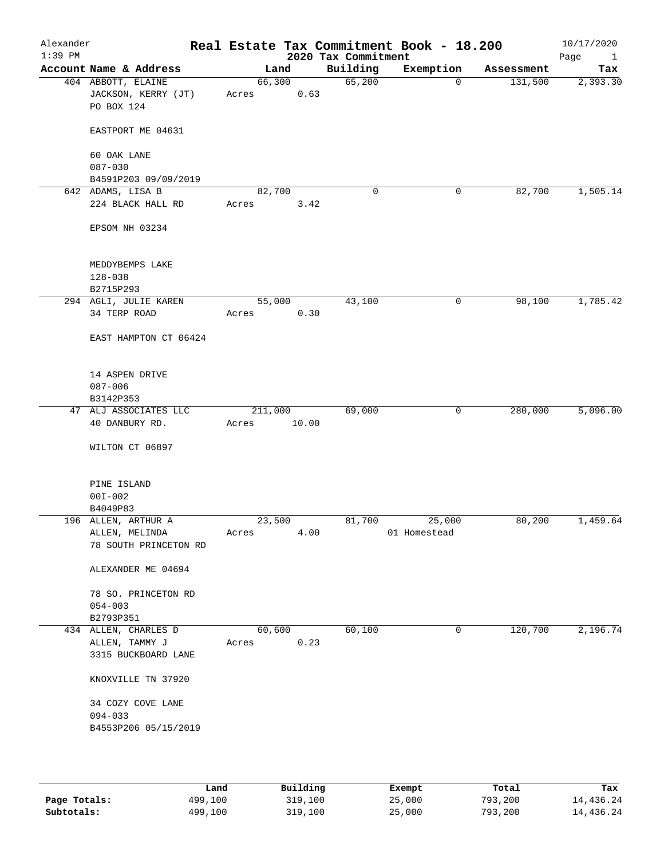| Alexander<br>$1:39$ PM |                                                         | Real Estate Tax Commitment Book - 18.200 | 2020 Tax Commitment |              |            | 10/17/2020<br>Page<br>$\mathbf{1}$ |
|------------------------|---------------------------------------------------------|------------------------------------------|---------------------|--------------|------------|------------------------------------|
|                        | Account Name & Address                                  | Land                                     | Building            | Exemption    | Assessment | Tax                                |
|                        | 404 ABBOTT, ELAINE<br>JACKSON, KERRY (JT)<br>PO BOX 124 | 66,300<br>0.63<br>Acres                  | 65,200              | 0            | 131,500    | 2,393.30                           |
|                        | EASTPORT ME 04631                                       |                                          |                     |              |            |                                    |
|                        | 60 OAK LANE<br>$087 - 030$                              |                                          |                     |              |            |                                    |
|                        | B4591P203 09/09/2019                                    |                                          |                     |              |            |                                    |
|                        | 642 ADAMS, LISA B                                       | 82,700                                   | $\mathbf 0$         | 0            | 82,700     | 1,505.14                           |
|                        | 224 BLACK HALL RD                                       | Acres<br>3.42                            |                     |              |            |                                    |
|                        | EPSOM NH 03234                                          |                                          |                     |              |            |                                    |
|                        | MEDDYBEMPS LAKE                                         |                                          |                     |              |            |                                    |
|                        | $128 - 038$                                             |                                          |                     |              |            |                                    |
|                        | B2715P293                                               |                                          |                     |              |            |                                    |
|                        | 294 AGLI, JULIE KAREN                                   | 55,000                                   | 43,100              | 0            | 98,100     | 1,785.42                           |
|                        | 34 TERP ROAD                                            | 0.30<br>Acres                            |                     |              |            |                                    |
|                        | EAST HAMPTON CT 06424                                   |                                          |                     |              |            |                                    |
|                        | 14 ASPEN DRIVE                                          |                                          |                     |              |            |                                    |
|                        | $087 - 006$                                             |                                          |                     |              |            |                                    |
|                        | B3142P353                                               |                                          |                     |              |            |                                    |
|                        | 47 ALJ ASSOCIATES LLC                                   | 211,000                                  | 69,000              | $\mathsf{O}$ | 280,000    | 5,096.00                           |
|                        | 40 DANBURY RD.                                          | 10.00<br>Acres                           |                     |              |            |                                    |
|                        | WILTON CT 06897                                         |                                          |                     |              |            |                                    |
|                        | PINE ISLAND                                             |                                          |                     |              |            |                                    |
|                        | $00I - 002$                                             |                                          |                     |              |            |                                    |
|                        | B4049P83                                                |                                          |                     |              |            |                                    |
|                        | 196 ALLEN, ARTHUR A                                     | 23,500                                   | 81,700              | 25,000       | 80,200     | 1,459.64                           |
|                        | ALLEN, MELINDA<br>78 SOUTH PRINCETON RD                 | 4.00<br>Acres                            |                     | 01 Homestead |            |                                    |
|                        | ALEXANDER ME 04694                                      |                                          |                     |              |            |                                    |
|                        | 78 SO. PRINCETON RD<br>$054 - 003$<br>B2793P351         |                                          |                     |              |            |                                    |
|                        | 434 ALLEN, CHARLES D                                    | 60,600                                   | 60,100              | 0            | 120,700    | 2,196.74                           |
|                        | ALLEN, TAMMY J                                          | 0.23<br>Acres                            |                     |              |            |                                    |
|                        | 3315 BUCKBOARD LANE                                     |                                          |                     |              |            |                                    |
|                        | KNOXVILLE TN 37920                                      |                                          |                     |              |            |                                    |
|                        | 34 COZY COVE LANE                                       |                                          |                     |              |            |                                    |
|                        | $094 - 033$<br>B4553P206 05/15/2019                     |                                          |                     |              |            |                                    |
|                        |                                                         |                                          |                     |              |            |                                    |

|              | Land    | Building | Exempt | Total   | Tax       |
|--------------|---------|----------|--------|---------|-----------|
| Page Totals: | 499,100 | 319,100  | 25,000 | 793,200 | 14,436.24 |
| Subtotals:   | 499,100 | 319,100  | 25,000 | 793,200 | 14,436.24 |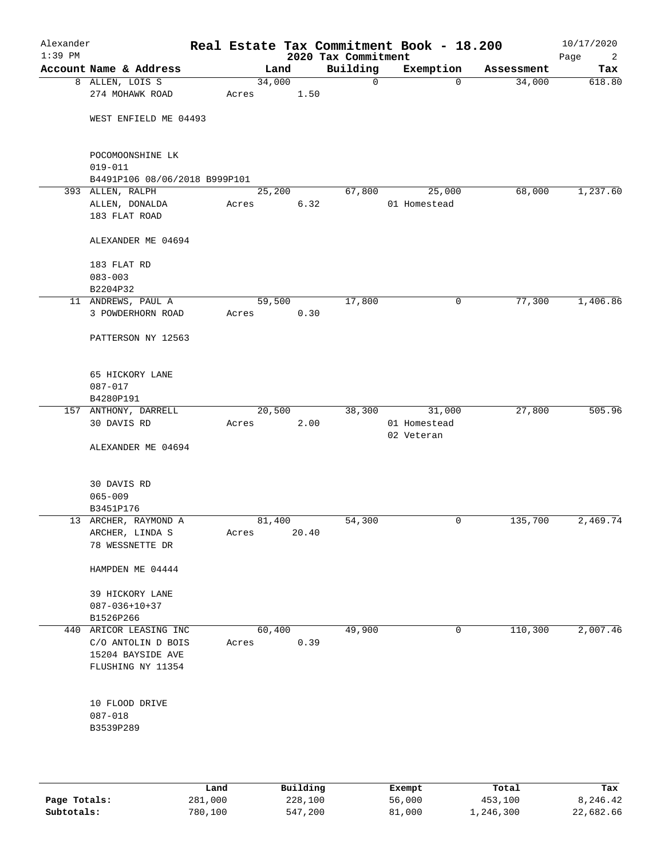| Alexander<br>$1:39$ PM |                               |       |        |      | 2020 Tax Commitment | Real Estate Tax Commitment Book - 18.200 |            | 10/17/2020<br>Page<br>2 |
|------------------------|-------------------------------|-------|--------|------|---------------------|------------------------------------------|------------|-------------------------|
|                        | Account Name & Address        |       | Land   |      | Building            | Exemption                                | Assessment | Tax                     |
|                        | 8 ALLEN, LOIS S               |       | 34,000 |      | $\mathsf{O}$        | $\mathbf 0$                              | 34,000     | 618.80                  |
|                        | 274 MOHAWK ROAD               | Acres | 1.50   |      |                     |                                          |            |                         |
|                        | WEST ENFIELD ME 04493         |       |        |      |                     |                                          |            |                         |
|                        |                               |       |        |      |                     |                                          |            |                         |
|                        | POCOMOONSHINE LK              |       |        |      |                     |                                          |            |                         |
|                        | $019 - 011$                   |       |        |      |                     |                                          |            |                         |
|                        | B4491P106 08/06/2018 B999P101 |       |        |      |                     |                                          |            |                         |
|                        | 393 ALLEN, RALPH              |       | 25,200 |      | 67,800              | 25,000                                   | 68,000     | 1,237.60                |
|                        | ALLEN, DONALDA                | Acres |        | 6.32 |                     | 01 Homestead                             |            |                         |
|                        | 183 FLAT ROAD                 |       |        |      |                     |                                          |            |                         |
|                        | ALEXANDER ME 04694            |       |        |      |                     |                                          |            |                         |
|                        | 183 FLAT RD                   |       |        |      |                     |                                          |            |                         |
|                        | $083 - 003$                   |       |        |      |                     |                                          |            |                         |
|                        | B2204P32                      |       |        |      |                     |                                          |            |                         |
|                        | 11 ANDREWS, PAUL A            |       | 59,500 |      | 17,800              | 0                                        | 77,300     | 1,406.86                |
|                        | 3 POWDERHORN ROAD             | Acres |        | 0.30 |                     |                                          |            |                         |
|                        | PATTERSON NY 12563            |       |        |      |                     |                                          |            |                         |
|                        | 65 HICKORY LANE               |       |        |      |                     |                                          |            |                         |
|                        | 087-017                       |       |        |      |                     |                                          |            |                         |
|                        | B4280P191                     |       |        |      |                     |                                          |            |                         |
|                        | 157 ANTHONY, DARRELL          |       | 20,500 |      | 38,300              | 31,000                                   | 27,800     | 505.96                  |
|                        | 30 DAVIS RD                   | Acres |        | 2.00 |                     | 01 Homestead                             |            |                         |
|                        |                               |       |        |      |                     | 02 Veteran                               |            |                         |
|                        | ALEXANDER ME 04694            |       |        |      |                     |                                          |            |                         |
|                        | 30 DAVIS RD                   |       |        |      |                     |                                          |            |                         |
|                        | $065 - 009$                   |       |        |      |                     |                                          |            |                         |
|                        | B3451P176                     |       |        |      |                     |                                          |            |                         |
|                        | 13 ARCHER, RAYMOND A          |       | 81,400 |      | 54,300              | $\mathbf 0$                              | 135,700    | 2,469.74                |
|                        | ARCHER, LINDA S               | Acres | 20.40  |      |                     |                                          |            |                         |
|                        | 78 WESSNETTE DR               |       |        |      |                     |                                          |            |                         |
|                        | HAMPDEN ME 04444              |       |        |      |                     |                                          |            |                         |
|                        | 39 HICKORY LANE               |       |        |      |                     |                                          |            |                         |
|                        | $087 - 036 + 10 + 37$         |       |        |      |                     |                                          |            |                         |
|                        | B1526P266                     |       |        |      |                     |                                          |            |                         |
|                        | 440 ARICOR LEASING INC        |       | 60,400 |      | 49,900              | 0                                        | 110,300    | 2,007.46                |
|                        | C/O ANTOLIN D BOIS            | Acres |        | 0.39 |                     |                                          |            |                         |
|                        | 15204 BAYSIDE AVE             |       |        |      |                     |                                          |            |                         |
|                        | FLUSHING NY 11354             |       |        |      |                     |                                          |            |                         |
|                        |                               |       |        |      |                     |                                          |            |                         |
|                        | 10 FLOOD DRIVE                |       |        |      |                     |                                          |            |                         |
|                        | $087 - 018$                   |       |        |      |                     |                                          |            |                         |
|                        | B3539P289                     |       |        |      |                     |                                          |            |                         |
|                        |                               |       |        |      |                     |                                          |            |                         |
|                        |                               |       |        |      |                     |                                          |            |                         |
|                        |                               |       |        |      |                     |                                          |            |                         |

|              | Land    | Building | Exempt | Total     | Tax       |
|--------------|---------|----------|--------|-----------|-----------|
| Page Totals: | 281,000 | 228,100  | 56,000 | 453,100   | 8,246.42  |
| Subtotals:   | 780,100 | 547,200  | 81,000 | 1,246,300 | 22,682.66 |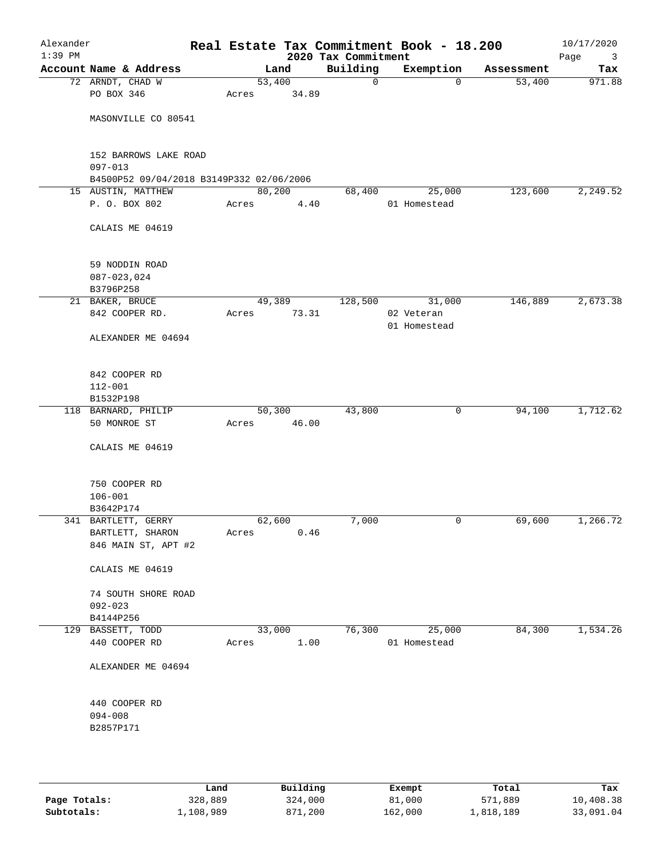| Alexander<br>$1:39$ PM |                                                                |        |        | 2020 Tax Commitment | Real Estate Tax Commitment Book - 18.200 |            | 10/17/2020<br>Page<br>3 |
|------------------------|----------------------------------------------------------------|--------|--------|---------------------|------------------------------------------|------------|-------------------------|
|                        | Account Name & Address                                         |        | Land   | Building            | Exemption                                | Assessment | Tax                     |
|                        | 72 ARNDT, CHAD W                                               | 53,400 |        | $\mathbf 0$         | $\mathbf 0$                              | 53,400     | 971.88                  |
|                        | PO BOX 346                                                     | Acres  | 34.89  |                     |                                          |            |                         |
|                        | MASONVILLE CO 80541                                            |        |        |                     |                                          |            |                         |
|                        |                                                                |        |        |                     |                                          |            |                         |
|                        | 152 BARROWS LAKE ROAD                                          |        |        |                     |                                          |            |                         |
|                        | $097 - 013$                                                    |        |        |                     |                                          |            |                         |
|                        | B4500P52 09/04/2018 B3149P332 02/06/2006<br>15 AUSTIN, MATTHEW | 80,200 |        | 68,400              | 25,000                                   | 123,600    | 2,249.52                |
|                        | P. O. BOX 802                                                  | Acres  | 4.40   |                     | 01 Homestead                             |            |                         |
|                        |                                                                |        |        |                     |                                          |            |                         |
|                        | CALAIS ME 04619                                                |        |        |                     |                                          |            |                         |
|                        | 59 NODDIN ROAD                                                 |        |        |                     |                                          |            |                         |
|                        | $087 - 023, 024$                                               |        |        |                     |                                          |            |                         |
|                        | B3796P258                                                      |        |        |                     |                                          |            |                         |
|                        | 21 BAKER, BRUCE                                                |        | 49,389 | 128,500             | 31,000                                   | 146,889    | 2,673.38                |
|                        | 842 COOPER RD.                                                 | Acres  | 73.31  |                     | 02 Veteran<br>01 Homestead               |            |                         |
|                        | ALEXANDER ME 04694                                             |        |        |                     |                                          |            |                         |
|                        |                                                                |        |        |                     |                                          |            |                         |
|                        | 842 COOPER RD                                                  |        |        |                     |                                          |            |                         |
|                        | $112 - 001$                                                    |        |        |                     |                                          |            |                         |
|                        | B1532P198                                                      |        |        |                     |                                          |            |                         |
|                        | 118 BARNARD, PHILIP                                            |        | 50,300 | 43,800              | 0                                        | 94,100     | 1,712.62                |
|                        | 50 MONROE ST                                                   | Acres  | 46.00  |                     |                                          |            |                         |
|                        | CALAIS ME 04619                                                |        |        |                     |                                          |            |                         |
|                        | 750 COOPER RD                                                  |        |        |                     |                                          |            |                         |
|                        | $106 - 001$                                                    |        |        |                     |                                          |            |                         |
|                        | B3642P174                                                      |        |        |                     |                                          |            |                         |
|                        | 341 BARTLETT, GERRY                                            | 62,600 |        | 7,000               | 0                                        | 69,600     | 1,266.72                |
|                        | BARTLETT, SHARON                                               | Acres  | 0.46   |                     |                                          |            |                         |
|                        | 846 MAIN ST, APT #2                                            |        |        |                     |                                          |            |                         |
|                        | CALAIS ME 04619                                                |        |        |                     |                                          |            |                         |
|                        | 74 SOUTH SHORE ROAD                                            |        |        |                     |                                          |            |                         |
|                        | $092 - 023$                                                    |        |        |                     |                                          |            |                         |
|                        | B4144P256                                                      |        |        |                     |                                          |            |                         |
|                        | 129 BASSETT, TODD                                              | 33,000 |        | 76,300              | 25,000                                   | 84,300     | 1,534.26                |
|                        | 440 COOPER RD                                                  | Acres  | 1.00   |                     | 01 Homestead                             |            |                         |
|                        | ALEXANDER ME 04694                                             |        |        |                     |                                          |            |                         |
|                        | 440 COOPER RD                                                  |        |        |                     |                                          |            |                         |
|                        | $094 - 008$                                                    |        |        |                     |                                          |            |                         |
|                        | B2857P171                                                      |        |        |                     |                                          |            |                         |
|                        |                                                                |        |        |                     |                                          |            |                         |
|                        |                                                                |        |        |                     |                                          |            |                         |
|                        |                                                                |        |        |                     |                                          |            |                         |

|              | Land      | Building | Exempt  | Total     | Tax       |
|--------------|-----------|----------|---------|-----------|-----------|
| Page Totals: | 328,889   | 324,000  | 81,000  | 571,889   | 10,408.38 |
| Subtotals:   | ⊥,108,989 | 871,200  | 162,000 | 1,818,189 | 33,091.04 |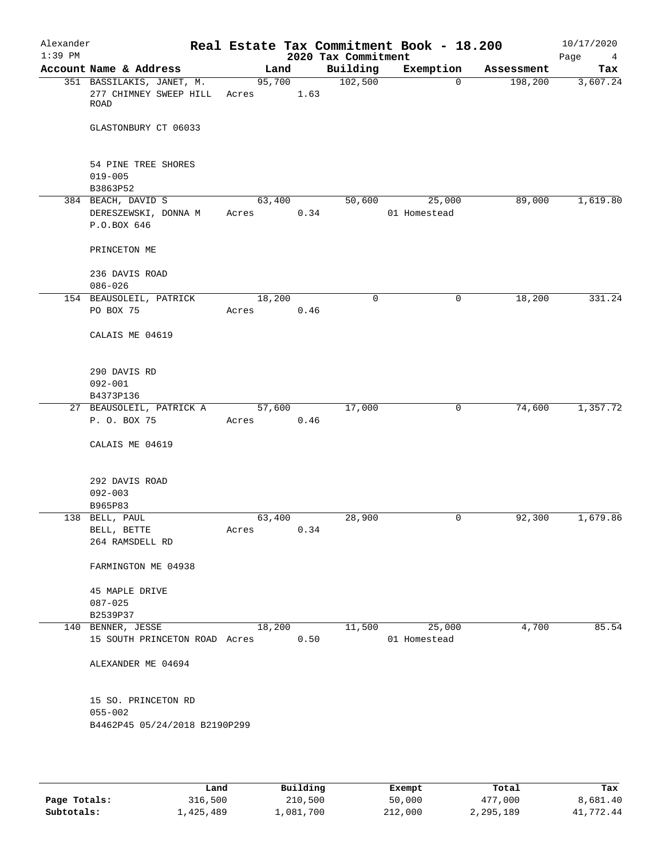| Alexander<br>$1:39$ PM |                                                                   |                 |      | 2020 Tax Commitment | Real Estate Tax Commitment Book - 18.200 |            | 10/17/2020<br>Page<br>$\overline{4}$ |
|------------------------|-------------------------------------------------------------------|-----------------|------|---------------------|------------------------------------------|------------|--------------------------------------|
|                        | Account Name & Address                                            | Land            |      | Building            | Exemption                                | Assessment | Tax                                  |
|                        | 351 BASSILAKIS, JANET, M.<br>277 CHIMNEY SWEEP HILL<br>ROAD       | 95,700<br>Acres | 1.63 | 102,500             | $\Omega$                                 | 198,200    | 3,607.24                             |
|                        | GLASTONBURY CT 06033                                              |                 |      |                     |                                          |            |                                      |
|                        | 54 PINE TREE SHORES                                               |                 |      |                     |                                          |            |                                      |
|                        | $019 - 005$<br>B3863P52                                           |                 |      |                     |                                          |            |                                      |
|                        | 384 BEACH, DAVID S                                                | 63,400          |      | 50,600              | 25,000                                   | 89,000     | 1,619.80                             |
|                        | DERESZEWSKI, DONNA M<br>P.O.BOX 646                               | Acres           | 0.34 |                     | 01 Homestead                             |            |                                      |
|                        | PRINCETON ME                                                      |                 |      |                     |                                          |            |                                      |
|                        | 236 DAVIS ROAD<br>$086 - 026$                                     |                 |      |                     |                                          |            |                                      |
|                        | 154 BEAUSOLEIL, PATRICK                                           | 18,200          |      | $\mathbf 0$         | 0                                        | 18,200     | 331.24                               |
|                        | PO BOX 75                                                         | Acres           | 0.46 |                     |                                          |            |                                      |
|                        | CALAIS ME 04619                                                   |                 |      |                     |                                          |            |                                      |
|                        | 290 DAVIS RD                                                      |                 |      |                     |                                          |            |                                      |
|                        | $092 - 001$                                                       |                 |      |                     |                                          |            |                                      |
|                        | B4373P136                                                         |                 |      |                     |                                          |            |                                      |
|                        | 27 BEAUSOLEIL, PATRICK A                                          | 57,600          |      | 17,000              | 0                                        | 74,600     | 1,357.72                             |
|                        | P. O. BOX 75                                                      | Acres           | 0.46 |                     |                                          |            |                                      |
|                        | CALAIS ME 04619                                                   |                 |      |                     |                                          |            |                                      |
|                        | 292 DAVIS ROAD                                                    |                 |      |                     |                                          |            |                                      |
|                        | $092 - 003$                                                       |                 |      |                     |                                          |            |                                      |
|                        | B965P83                                                           |                 |      |                     |                                          |            |                                      |
|                        | 138 BELL, PAUL                                                    | 63,400          |      | 28,900              | 0                                        | 92,300     | 1,679.86                             |
|                        | $\operatorname{BELL}$ , $\operatorname{BETTE}$<br>264 RAMSDELL RD | Acres           | 0.34 |                     |                                          |            |                                      |
|                        | FARMINGTON ME 04938                                               |                 |      |                     |                                          |            |                                      |
|                        | 45 MAPLE DRIVE                                                    |                 |      |                     |                                          |            |                                      |
|                        | $087 - 025$                                                       |                 |      |                     |                                          |            |                                      |
|                        | B2539P37                                                          |                 |      |                     |                                          |            |                                      |
|                        | 140 BENNER, JESSE<br>15 SOUTH PRINCETON ROAD Acres                | 18,200          | 0.50 | 11,500              | 25,000<br>01 Homestead                   | 4,700      | 85.54                                |
|                        | ALEXANDER ME 04694                                                |                 |      |                     |                                          |            |                                      |
|                        | 15 SO. PRINCETON RD                                               |                 |      |                     |                                          |            |                                      |
|                        | $055 - 002$                                                       |                 |      |                     |                                          |            |                                      |
|                        | B4462P45 05/24/2018 B2190P299                                     |                 |      |                     |                                          |            |                                      |
|                        |                                                                   |                 |      |                     |                                          |            |                                      |

|              | Land      | Building  | Exempt  | Total     | Tax       |
|--------------|-----------|-----------|---------|-----------|-----------|
| Page Totals: | 316,500   | 210,500   | 50,000  | 477,000   | 8,681.40  |
| Subtotals:   | 1,425,489 | 1,081,700 | 212,000 | 2,295,189 | 41,772.44 |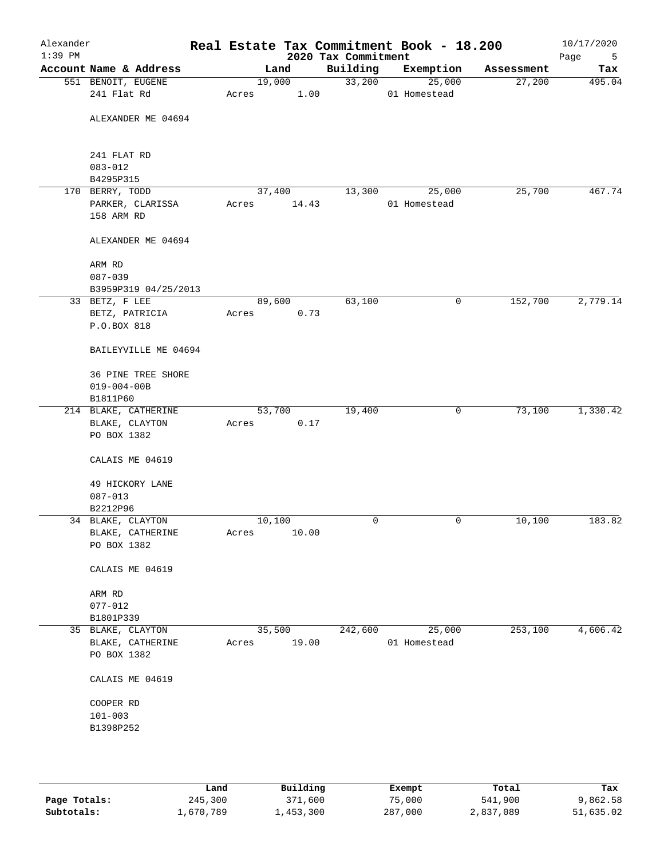| Alexander<br>$1:39$ PM |                                 |        |       | 2020 Tax Commitment | Real Estate Tax Commitment Book - 18.200 |            | 10/17/2020<br>Page<br>5 |
|------------------------|---------------------------------|--------|-------|---------------------|------------------------------------------|------------|-------------------------|
|                        | Account Name & Address          |        | Land  | Building            | Exemption                                | Assessment | Tax                     |
|                        | 551 BENOIT, EUGENE              | 19,000 |       | 33,200              | 25,000                                   | 27,200     | 495.04                  |
|                        | 241 Flat Rd                     | Acres  | 1.00  |                     | 01 Homestead                             |            |                         |
|                        | ALEXANDER ME 04694              |        |       |                     |                                          |            |                         |
|                        | 241 FLAT RD                     |        |       |                     |                                          |            |                         |
|                        | $083 - 012$                     |        |       |                     |                                          |            |                         |
|                        | B4295P315<br>170 BERRY, TODD    | 37,400 |       | 13,300              | 25,000                                   | 25,700     | 467.74                  |
|                        | PARKER, CLARISSA                | Acres  | 14.43 |                     | 01 Homestead                             |            |                         |
|                        | 158 ARM RD                      |        |       |                     |                                          |            |                         |
|                        | ALEXANDER ME 04694              |        |       |                     |                                          |            |                         |
|                        | ARM RD                          |        |       |                     |                                          |            |                         |
|                        | $087 - 039$                     |        |       |                     |                                          |            |                         |
|                        | B3959P319 04/25/2013            |        |       |                     |                                          |            |                         |
|                        | 33 BETZ, F LEE                  | 89,600 |       | 63,100              | 0                                        | 152,700    | 2,779.14                |
|                        | BETZ, PATRICIA<br>P.O.BOX 818   | Acres  | 0.73  |                     |                                          |            |                         |
|                        | BAILEYVILLE ME 04694            |        |       |                     |                                          |            |                         |
|                        | <b>36 PINE TREE SHORE</b>       |        |       |                     |                                          |            |                         |
|                        | $019 - 004 - 00B$               |        |       |                     |                                          |            |                         |
|                        | B1811P60                        |        |       |                     |                                          |            |                         |
|                        | 214 BLAKE, CATHERINE            | 53,700 |       | 19,400              | 0                                        | 73,100     | 1,330.42                |
|                        | BLAKE, CLAYTON                  | Acres  | 0.17  |                     |                                          |            |                         |
|                        | PO BOX 1382                     |        |       |                     |                                          |            |                         |
|                        | CALAIS ME 04619                 |        |       |                     |                                          |            |                         |
|                        | 49 HICKORY LANE                 |        |       |                     |                                          |            |                         |
|                        | $087 - 013$                     |        |       |                     |                                          |            |                         |
|                        | B2212P96                        |        |       |                     |                                          |            |                         |
|                        | 34 BLAKE, CLAYTON               | 10,100 |       | 0                   | 0                                        | 10,100     | 183.82                  |
|                        | BLAKE, CATHERINE                | Acres  | 10.00 |                     |                                          |            |                         |
|                        | PO BOX 1382                     |        |       |                     |                                          |            |                         |
|                        | CALAIS ME 04619                 |        |       |                     |                                          |            |                         |
|                        | ARM RD                          |        |       |                     |                                          |            |                         |
|                        | $077 - 012$                     |        |       |                     |                                          |            |                         |
|                        | B1801P339                       |        |       |                     |                                          |            |                         |
|                        | 35 BLAKE, CLAYTON               | 35,500 |       | 242,600             | 25,000                                   | 253,100    | 4,606.42                |
|                        | BLAKE, CATHERINE<br>PO BOX 1382 | Acres  | 19.00 |                     | 01 Homestead                             |            |                         |
|                        | CALAIS ME 04619                 |        |       |                     |                                          |            |                         |
|                        | COOPER RD                       |        |       |                     |                                          |            |                         |
|                        | $101 - 003$                     |        |       |                     |                                          |            |                         |
|                        | B1398P252                       |        |       |                     |                                          |            |                         |
|                        |                                 |        |       |                     |                                          |            |                         |
|                        |                                 |        |       |                     |                                          |            |                         |
|                        |                                 |        |       |                     |                                          |            |                         |

|              | Land      | Building    | Exempt  | Total     | Tax       |
|--------------|-----------|-------------|---------|-----------|-----------|
| Page Totals: | 245,300   | 371,600     | 75,000  | 541,900   | 9,862.58  |
| Subtotals:   | ⊥,670,789 | ., 453, 300 | 287,000 | 2,837,089 | 51,635.02 |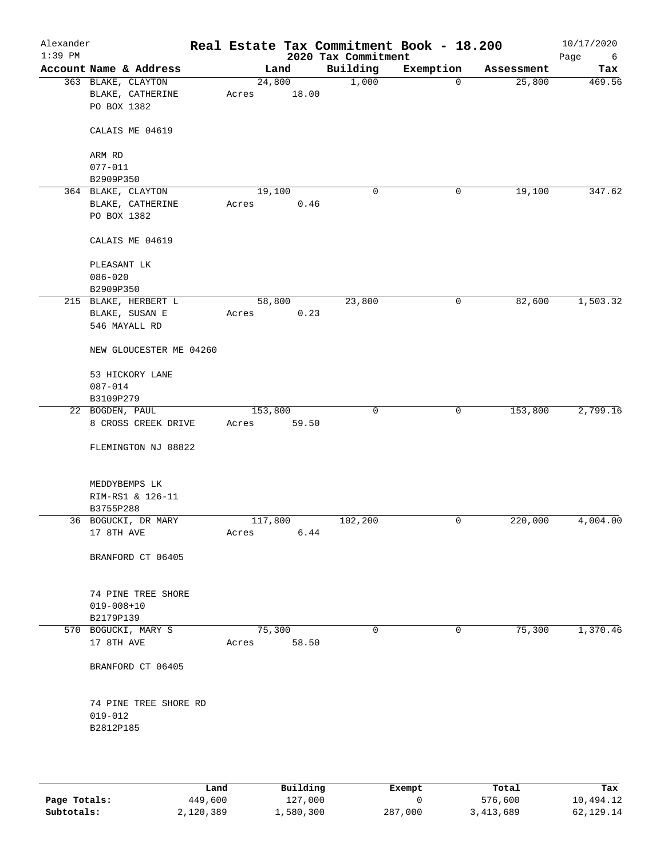| Alexander<br>$1:39$ PM |                         |         |       | Real Estate Tax Commitment Book - 18.200<br>2020 Tax Commitment |              |            | 10/17/2020<br>Page<br>6 |
|------------------------|-------------------------|---------|-------|-----------------------------------------------------------------|--------------|------------|-------------------------|
|                        | Account Name & Address  |         | Land  | Building                                                        | Exemption    | Assessment | Tax                     |
|                        | 363 BLAKE, CLAYTON      | 24,800  |       | 1,000                                                           | $\mathbf 0$  | 25,800     | 469.56                  |
|                        | BLAKE, CATHERINE        | Acres   | 18.00 |                                                                 |              |            |                         |
|                        | PO BOX 1382             |         |       |                                                                 |              |            |                         |
|                        |                         |         |       |                                                                 |              |            |                         |
|                        | CALAIS ME 04619         |         |       |                                                                 |              |            |                         |
|                        |                         |         |       |                                                                 |              |            |                         |
|                        | ARM RD                  |         |       |                                                                 |              |            |                         |
|                        | $077 - 011$             |         |       |                                                                 |              |            |                         |
|                        | B2909P350               |         |       |                                                                 |              |            |                         |
|                        | 364 BLAKE, CLAYTON      | 19,100  |       | 0                                                               | 0            | 19,100     | 347.62                  |
|                        | BLAKE, CATHERINE        | Acres   | 0.46  |                                                                 |              |            |                         |
|                        | PO BOX 1382             |         |       |                                                                 |              |            |                         |
|                        |                         |         |       |                                                                 |              |            |                         |
|                        | CALAIS ME 04619         |         |       |                                                                 |              |            |                         |
|                        | PLEASANT LK             |         |       |                                                                 |              |            |                         |
|                        | $086 - 020$             |         |       |                                                                 |              |            |                         |
|                        | B2909P350               |         |       |                                                                 |              |            |                         |
|                        | 215 BLAKE, HERBERT L    | 58,800  |       | 23,800                                                          | 0            | 82,600     | 1,503.32                |
|                        | BLAKE, SUSAN E          | Acres   | 0.23  |                                                                 |              |            |                         |
|                        | 546 MAYALL RD           |         |       |                                                                 |              |            |                         |
|                        |                         |         |       |                                                                 |              |            |                         |
|                        | NEW GLOUCESTER ME 04260 |         |       |                                                                 |              |            |                         |
|                        | 53 HICKORY LANE         |         |       |                                                                 |              |            |                         |
|                        | $087 - 014$             |         |       |                                                                 |              |            |                         |
|                        | B3109P279               |         |       |                                                                 |              |            |                         |
|                        | 22 BOGDEN, PAUL         | 153,800 |       | 0                                                               | $\mathsf{O}$ | 153,800    | 2,799.16                |
|                        | 8 CROSS CREEK DRIVE     | Acres   | 59.50 |                                                                 |              |            |                         |
|                        |                         |         |       |                                                                 |              |            |                         |
|                        | FLEMINGTON NJ 08822     |         |       |                                                                 |              |            |                         |
|                        |                         |         |       |                                                                 |              |            |                         |
|                        | MEDDYBEMPS LK           |         |       |                                                                 |              |            |                         |
|                        | RIM-RS1 & 126-11        |         |       |                                                                 |              |            |                         |
|                        | B3755P288               |         |       |                                                                 |              |            |                         |
|                        | 36 BOGUCKI, DR MARY     | 117,800 |       | 102,200                                                         | 0            | 220,000    | 4,004.00                |
|                        | 17 8TH AVE              | Acres   | 6.44  |                                                                 |              |            |                         |
|                        | BRANFORD CT 06405       |         |       |                                                                 |              |            |                         |
|                        |                         |         |       |                                                                 |              |            |                         |
|                        | 74 PINE TREE SHORE      |         |       |                                                                 |              |            |                         |
|                        | $019 - 008 + 10$        |         |       |                                                                 |              |            |                         |
|                        | B2179P139               |         |       |                                                                 |              |            |                         |
|                        | 570 BOGUCKI, MARY S     | 75,300  |       | $\mathbf 0$                                                     | 0            | 75,300     | 1,370.46                |
|                        | 17 8TH AVE              | Acres   | 58.50 |                                                                 |              |            |                         |
|                        |                         |         |       |                                                                 |              |            |                         |
|                        | BRANFORD CT 06405       |         |       |                                                                 |              |            |                         |
|                        |                         |         |       |                                                                 |              |            |                         |
|                        | 74 PINE TREE SHORE RD   |         |       |                                                                 |              |            |                         |
|                        | $019 - 012$             |         |       |                                                                 |              |            |                         |
|                        | B2812P185               |         |       |                                                                 |              |            |                         |
|                        |                         |         |       |                                                                 |              |            |                         |
|                        |                         |         |       |                                                                 |              |            |                         |
|                        |                         |         |       |                                                                 |              |            |                         |

|              | Land      | Building  | Exempt  | Total     | Tax       |
|--------------|-----------|-----------|---------|-----------|-----------|
| Page Totals: | 449,600   | 127,000   |         | 576,600   | 10,494.12 |
| Subtotals:   | 2,120,389 | 1,580,300 | 287,000 | 3,413,689 | 62,129.14 |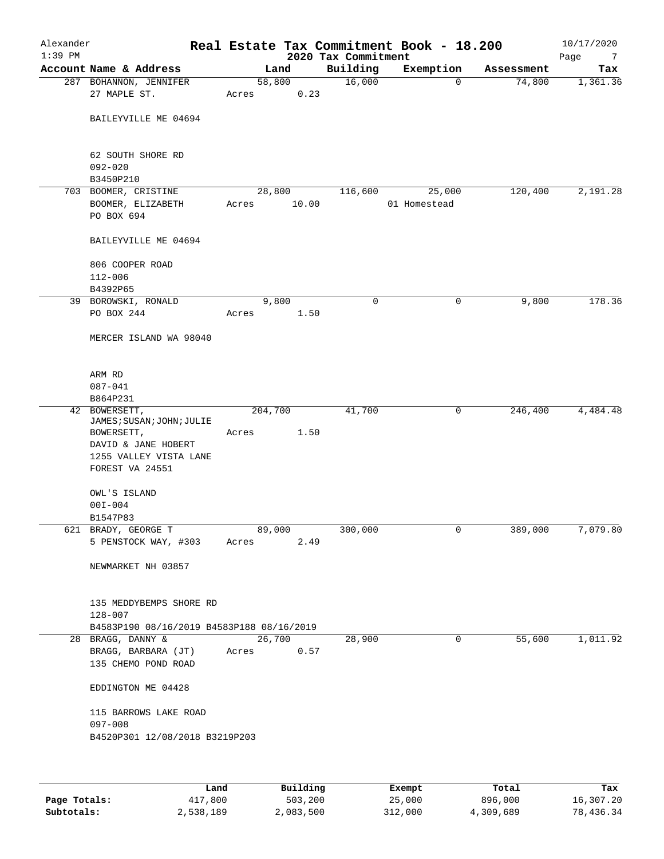| Alexander<br>$1:39$ PM |                                                                 |         |                | 2020 Tax Commitment | Real Estate Tax Commitment Book - 18.200 |            | 10/17/2020                    |
|------------------------|-----------------------------------------------------------------|---------|----------------|---------------------|------------------------------------------|------------|-------------------------------|
|                        | Account Name & Address                                          |         | Land           | Building            | Exemption                                | Assessment | Page<br>$\overline{7}$<br>Tax |
|                        | 287 BOHANNON, JENNIFER                                          | 58,800  |                | 16,000              | $\mathbf 0$                              | 74,800     | 1,361.36                      |
|                        | 27 MAPLE ST.                                                    | Acres   | 0.23           |                     |                                          |            |                               |
|                        | BAILEYVILLE ME 04694                                            |         |                |                     |                                          |            |                               |
|                        | 62 SOUTH SHORE RD<br>$092 - 020$                                |         |                |                     |                                          |            |                               |
|                        | B3450P210                                                       |         |                |                     |                                          |            |                               |
|                        | 703 BOOMER, CRISTINE                                            |         | 28,800         | 116,600             | 25,000                                   | 120,400    | 2,191.28                      |
|                        | BOOMER, ELIZABETH<br>PO BOX 694                                 | Acres   | 10.00          |                     | 01 Homestead                             |            |                               |
|                        | BAILEYVILLE ME 04694                                            |         |                |                     |                                          |            |                               |
|                        | 806 COOPER ROAD                                                 |         |                |                     |                                          |            |                               |
|                        | $112 - 006$                                                     |         |                |                     |                                          |            |                               |
|                        | B4392P65<br>39 BOROWSKI, RONALD                                 |         | 9,800          | 0                   | 0                                        | 9,800      | 178.36                        |
|                        | PO BOX 244                                                      | Acres   | 1.50           |                     |                                          |            |                               |
|                        | MERCER ISLAND WA 98040                                          |         |                |                     |                                          |            |                               |
|                        | ARM RD                                                          |         |                |                     |                                          |            |                               |
|                        | $087 - 041$                                                     |         |                |                     |                                          |            |                               |
|                        | B864P231<br>42 BOWERSETT,                                       | 204,700 |                | 41,700              | 0                                        | 246,400    | 4,484.48                      |
|                        | JAMES; SUSAN; JOHN; JULIE                                       |         |                |                     |                                          |            |                               |
|                        | BOWERSETT,                                                      | Acres   | 1.50           |                     |                                          |            |                               |
|                        | DAVID & JANE HOBERT                                             |         |                |                     |                                          |            |                               |
|                        | 1255 VALLEY VISTA LANE<br>FOREST VA 24551                       |         |                |                     |                                          |            |                               |
|                        | OWL'S ISLAND<br>$00I - 004$                                     |         |                |                     |                                          |            |                               |
|                        | B1547P83                                                        |         |                |                     |                                          |            |                               |
|                        | 621 BRADY, GEORGE T                                             | 89,000  |                | 300,000             | $\overline{0}$                           | 389,000    | 7,079.80                      |
|                        | 5 PENSTOCK WAY, #303 Acres                                      |         | 2.49           |                     |                                          |            |                               |
|                        | NEWMARKET NH 03857                                              |         |                |                     |                                          |            |                               |
|                        | 135 MEDDYBEMPS SHORE RD<br>128-007                              |         |                |                     |                                          |            |                               |
|                        | B4583P190 08/16/2019 B4583P188 08/16/2019                       |         |                |                     |                                          |            |                               |
|                        | 28 BRAGG, DANNY &<br>BRAGG, BARBARA (JT)<br>135 CHEMO POND ROAD | Acres   | 26,700<br>0.57 | 28,900              | 0                                        | 55,600     | 1,011.92                      |
|                        | EDDINGTON ME 04428                                              |         |                |                     |                                          |            |                               |
|                        | 115 BARROWS LAKE ROAD<br>$097 - 008$                            |         |                |                     |                                          |            |                               |
|                        | B4520P301 12/08/2018 B3219P203                                  |         |                |                     |                                          |            |                               |
|                        |                                                                 |         |                |                     |                                          |            |                               |
|                        |                                                                 |         |                |                     |                                          |            |                               |

|              | Land      | Building  | Exempt  | Total     | Tax       |
|--------------|-----------|-----------|---------|-----------|-----------|
| Page Totals: | 417,800   | 503,200   | 25,000  | 896,000   | 16,307.20 |
| Subtotals:   | 2,538,189 | 2,083,500 | 312,000 | 4,309,689 | 78,436.34 |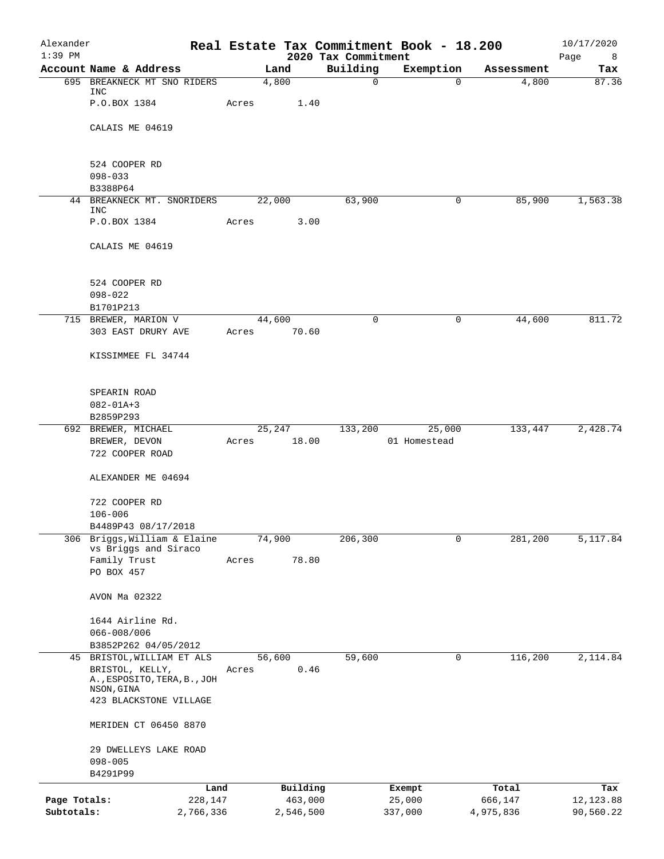| Alexander<br>$1:39$ PM |                                                 | Real Estate Tax Commitment Book - 18.200 | 2020 Tax Commitment |                  |                  | 10/17/2020                |
|------------------------|-------------------------------------------------|------------------------------------------|---------------------|------------------|------------------|---------------------------|
|                        | Account Name & Address                          | Land                                     | Building            | Exemption        | Assessment       | Page<br>$_{\rm 8}$<br>Tax |
|                        | 695 BREAKNECK MT SNO RIDERS                     | 4,800                                    | $\mathsf{O}$        | $\Omega$         | 4,800            | 87.36                     |
|                        | INC<br>P.O.BOX 1384                             | Acres<br>1.40                            |                     |                  |                  |                           |
|                        | CALAIS ME 04619                                 |                                          |                     |                  |                  |                           |
|                        | 524 COOPER RD                                   |                                          |                     |                  |                  |                           |
|                        | $098 - 033$<br>B3388P64                         |                                          |                     |                  |                  |                           |
| 44                     | BREAKNECK MT. SNORIDERS                         | 22,000                                   | 63,900              | 0                | 85,900           | 1,563.38                  |
|                        | INC<br>P.O.BOX 1384                             | 3.00                                     |                     |                  |                  |                           |
|                        |                                                 | Acres                                    |                     |                  |                  |                           |
|                        | CALAIS ME 04619                                 |                                          |                     |                  |                  |                           |
|                        | 524 COOPER RD                                   |                                          |                     |                  |                  |                           |
|                        | $098 - 022$                                     |                                          |                     |                  |                  |                           |
|                        | B1701P213<br>715 BREWER, MARION V               | 44,600                                   | 0                   | 0                | 44,600           | 811.72                    |
|                        | 303 EAST DRURY AVE                              | 70.60<br>Acres                           |                     |                  |                  |                           |
|                        | KISSIMMEE FL 34744                              |                                          |                     |                  |                  |                           |
|                        | SPEARIN ROAD                                    |                                          |                     |                  |                  |                           |
|                        | $082 - 01A + 3$<br>B2859P293                    |                                          |                     |                  |                  |                           |
|                        | 692 BREWER, MICHAEL                             | 25,247                                   | 133,200             | 25,000           | 133,447          | 2,428.74                  |
|                        | BREWER, DEVON<br>722 COOPER ROAD                | 18.00<br>Acres                           |                     | 01 Homestead     |                  |                           |
|                        | ALEXANDER ME 04694                              |                                          |                     |                  |                  |                           |
|                        | 722 COOPER RD                                   |                                          |                     |                  |                  |                           |
|                        | $106 - 006$                                     |                                          |                     |                  |                  |                           |
| 306                    | B4489P43 08/17/2018<br>Briggs, William & Elaine | 74,900                                   | 206,300             | $\mathbf 0$      | 281,200          | 5,117.84                  |
|                        | vs Briggs and Siraco                            |                                          |                     |                  |                  |                           |
|                        | Family Trust<br>PO BOX 457                      | 78.80<br>Acres                           |                     |                  |                  |                           |
|                        | AVON Ma 02322                                   |                                          |                     |                  |                  |                           |
|                        | 1644 Airline Rd.                                |                                          |                     |                  |                  |                           |
|                        | $066 - 008 / 006$                               |                                          |                     |                  |                  |                           |
|                        | B3852P262 04/05/2012                            |                                          |                     |                  |                  |                           |
|                        | 45 BRISTOL, WILLIAM ET ALS<br>BRISTOL, KELLY,   | 56,600<br>0.46<br>Acres                  | 59,600              | 0                | 116,200          | 2,114.84                  |
|                        | A., ESPOSITO, TERA, B., JOH                     |                                          |                     |                  |                  |                           |
|                        | NSON, GINA<br>423 BLACKSTONE VILLAGE            |                                          |                     |                  |                  |                           |
|                        | MERIDEN CT 06450 8870                           |                                          |                     |                  |                  |                           |
|                        | 29 DWELLEYS LAKE ROAD                           |                                          |                     |                  |                  |                           |
|                        | $098 - 005$                                     |                                          |                     |                  |                  |                           |
|                        | B4291P99                                        |                                          |                     |                  |                  |                           |
| Page Totals:           | Land<br>228,147                                 | Building<br>463,000                      |                     | Exempt<br>25,000 | Total<br>666,147 | Tax<br>12, 123.88         |
| Subtotals:             | 2,766,336                                       | 2,546,500                                |                     | 337,000          | 4,975,836        | 90,560.22                 |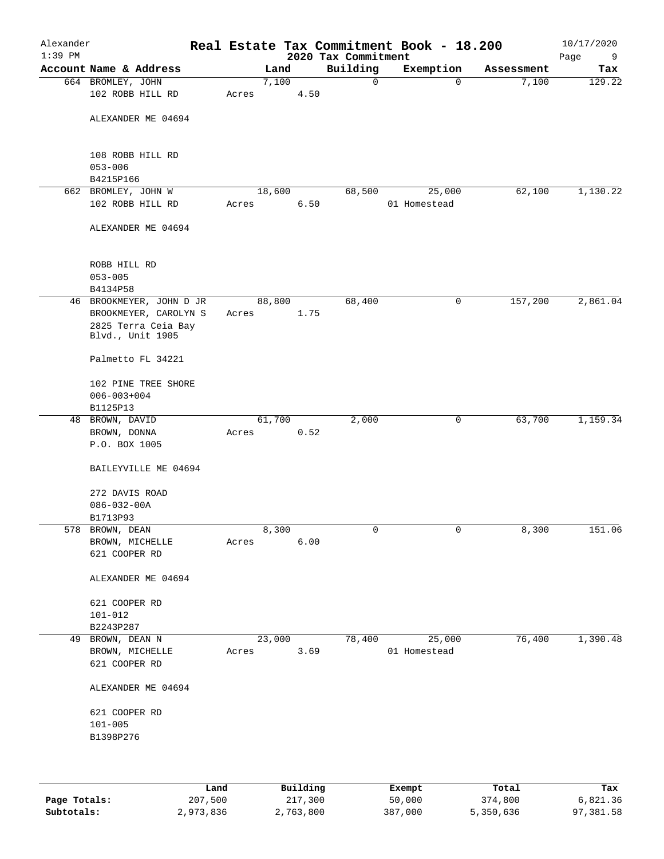| Alexander<br>$1:39$ PM |                                                                                              |       |        |      | 2020 Tax Commitment | Real Estate Tax Commitment Book - 18.200 |            | 10/17/2020<br>Page<br>9 |
|------------------------|----------------------------------------------------------------------------------------------|-------|--------|------|---------------------|------------------------------------------|------------|-------------------------|
|                        | Account Name & Address                                                                       |       | Land   |      | Building            | Exemption                                | Assessment | Tax                     |
|                        | 664 BROMLEY, JOHN                                                                            |       | 7,100  |      | 0                   | $\mathbf 0$                              | 7,100      | 129.22                  |
|                        | 102 ROBB HILL RD                                                                             | Acres |        | 4.50 |                     |                                          |            |                         |
|                        | ALEXANDER ME 04694                                                                           |       |        |      |                     |                                          |            |                         |
|                        | 108 ROBB HILL RD<br>$053 - 006$<br>B4215P166                                                 |       |        |      |                     |                                          |            |                         |
|                        | 662 BROMLEY, JOHN W                                                                          |       |        |      |                     |                                          |            |                         |
|                        | 102 ROBB HILL RD                                                                             | Acres | 18,600 | 6.50 | 68,500              | 25,000<br>01 Homestead                   | 62,100     | 1,130.22                |
|                        | ALEXANDER ME 04694                                                                           |       |        |      |                     |                                          |            |                         |
|                        | ROBB HILL RD<br>$053 - 005$<br>B4134P58                                                      |       |        |      |                     |                                          |            |                         |
|                        | 46 BROOKMEYER, JOHN D JR<br>BROOKMEYER, CAROLYN S<br>2825 Terra Ceia Bay<br>Blvd., Unit 1905 | Acres | 88,800 | 1.75 | 68,400              | 0                                        | 157,200    | 2,861.04                |
|                        | Palmetto FL 34221                                                                            |       |        |      |                     |                                          |            |                         |
|                        | 102 PINE TREE SHORE<br>$006 - 003 + 004$<br>B1125P13                                         |       |        |      |                     |                                          |            |                         |
|                        | 48 BROWN, DAVID                                                                              |       | 61,700 |      | 2,000               | 0                                        | 63,700     | 1,159.34                |
|                        | BROWN, DONNA<br>P.O. BOX 1005                                                                | Acres |        | 0.52 |                     |                                          |            |                         |
|                        | BAILEYVILLE ME 04694                                                                         |       |        |      |                     |                                          |            |                         |
|                        | 272 DAVIS ROAD<br>$086 - 032 - 00A$                                                          |       |        |      |                     |                                          |            |                         |
|                        | B1713P93                                                                                     |       |        |      |                     |                                          |            |                         |
|                        | 578 BROWN, DEAN<br>BROWN, MICHELLE<br>621 COOPER RD                                          | Acres | 8,300  | 6.00 | 0                   | 0                                        | 8,300      | 151.06                  |
|                        | ALEXANDER ME 04694                                                                           |       |        |      |                     |                                          |            |                         |
|                        | 621 COOPER RD<br>$101 - 012$<br>B2243P287                                                    |       |        |      |                     |                                          |            |                         |
|                        | 49 BROWN, DEAN N                                                                             |       | 23,000 |      | 78,400              | 25,000                                   | 76,400     | 1,390.48                |
|                        | BROWN, MICHELLE<br>621 COOPER RD                                                             | Acres |        | 3.69 |                     | 01 Homestead                             |            |                         |
|                        | ALEXANDER ME 04694                                                                           |       |        |      |                     |                                          |            |                         |
|                        | 621 COOPER RD<br>$101 - 005$<br>B1398P276                                                    |       |        |      |                     |                                          |            |                         |
|                        |                                                                                              |       |        |      |                     |                                          |            |                         |

|              | Land      | Building  | Exempt  | Total     | Tax       |
|--------------|-----------|-----------|---------|-----------|-----------|
| Page Totals: | 207,500   | 217,300   | 50,000  | 374,800   | 6,821.36  |
| Subtotals:   | 2,973,836 | 2,763,800 | 387,000 | 5,350,636 | 97,381.58 |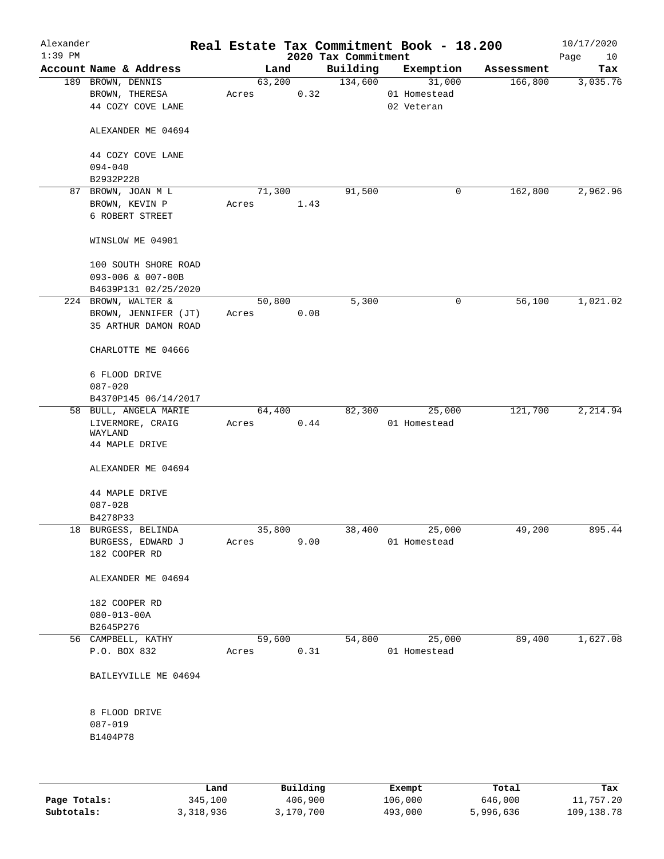| Alexander<br>$1:39$ PM |                                             |       |                |                                 | Real Estate Tax Commitment Book - 18.200 |            | 10/17/2020        |
|------------------------|---------------------------------------------|-------|----------------|---------------------------------|------------------------------------------|------------|-------------------|
|                        | Account Name & Address                      |       | Land           | 2020 Tax Commitment<br>Building | Exemption                                | Assessment | Page<br>10<br>Tax |
|                        | 189 BROWN, DENNIS<br>BROWN, THERESA         | Acres | 63,200<br>0.32 | 134,600                         | 31,000<br>01 Homestead                   | 166,800    | 3,035.76          |
|                        | 44 COZY COVE LANE<br>ALEXANDER ME 04694     |       |                |                                 | 02 Veteran                               |            |                   |
|                        | 44 COZY COVE LANE                           |       |                |                                 |                                          |            |                   |
|                        | $094 - 040$<br>B2932P228                    |       |                |                                 |                                          |            |                   |
|                        | 87 BROWN, JOAN M L                          |       | 71,300         | 91,500                          | 0                                        | 162,800    | 2,962.96          |
|                        | BROWN, KEVIN P<br>6 ROBERT STREET           | Acres | 1.43           |                                 |                                          |            |                   |
|                        | WINSLOW ME 04901                            |       |                |                                 |                                          |            |                   |
|                        | 100 SOUTH SHORE ROAD<br>093-006 & 007-00B   |       |                |                                 |                                          |            |                   |
|                        | B4639P131 02/25/2020<br>224 BROWN, WALTER & |       | 50,800         | 5,300                           | 0                                        | 56,100     | 1,021.02          |
|                        | BROWN, JENNIFER (JT)                        | Acres | 0.08           |                                 |                                          |            |                   |
|                        | 35 ARTHUR DAMON ROAD                        |       |                |                                 |                                          |            |                   |
|                        | CHARLOTTE ME 04666                          |       |                |                                 |                                          |            |                   |
|                        | 6 FLOOD DRIVE<br>$087 - 020$                |       |                |                                 |                                          |            |                   |
|                        | B4370P145 06/14/2017                        |       |                |                                 |                                          |            |                   |
|                        | 58 BULL, ANGELA MARIE                       |       | 64,400         | 82,300                          | 25,000                                   | 121,700    | 2,214.94          |
|                        | LIVERMORE, CRAIG<br>WAYLAND                 | Acres | 0.44           |                                 | 01 Homestead                             |            |                   |
|                        | 44 MAPLE DRIVE<br>ALEXANDER ME 04694        |       |                |                                 |                                          |            |                   |
|                        |                                             |       |                |                                 |                                          |            |                   |
|                        | 44 MAPLE DRIVE                              |       |                |                                 |                                          |            |                   |
|                        | $087 - 028$                                 |       |                |                                 |                                          |            |                   |
|                        | B4278P33                                    |       |                |                                 |                                          |            |                   |
|                        | 18 BURGESS, BELINDA<br>BURGESS, EDWARD J    | Acres | 35,800<br>9.00 | 38,400                          | 25,000<br>01 Homestead                   | 49,200     | 895.44            |
|                        | 182 COOPER RD                               |       |                |                                 |                                          |            |                   |
|                        | ALEXANDER ME 04694                          |       |                |                                 |                                          |            |                   |
|                        | 182 COOPER RD                               |       |                |                                 |                                          |            |                   |
|                        | $080 - 013 - 00A$                           |       |                |                                 |                                          |            |                   |
|                        | B2645P276                                   |       |                |                                 |                                          |            |                   |
|                        | 56 CAMPBELL, KATHY                          |       | 59,600         | 54,800                          | 25,000                                   | 89,400     | 1,627.08          |
|                        | P.O. BOX 832                                | Acres | 0.31           |                                 | 01 Homestead                             |            |                   |
|                        | BAILEYVILLE ME 04694                        |       |                |                                 |                                          |            |                   |
|                        | 8 FLOOD DRIVE                               |       |                |                                 |                                          |            |                   |
|                        | $087 - 019$                                 |       |                |                                 |                                          |            |                   |
|                        | B1404P78                                    |       |                |                                 |                                          |            |                   |
|                        |                                             |       |                |                                 |                                          |            |                   |
|                        |                                             |       |                |                                 |                                          |            |                   |

|              | Land      | Building  | Exempt  | Total     | Tax          |
|--------------|-----------|-----------|---------|-----------|--------------|
| Page Totals: | 345,100   | 406,900   | 106,000 | 646,000   | 11,757.20    |
| Subtotals:   | 3,318,936 | 3,170,700 | 493,000 | 5,996,636 | 109, 138. 78 |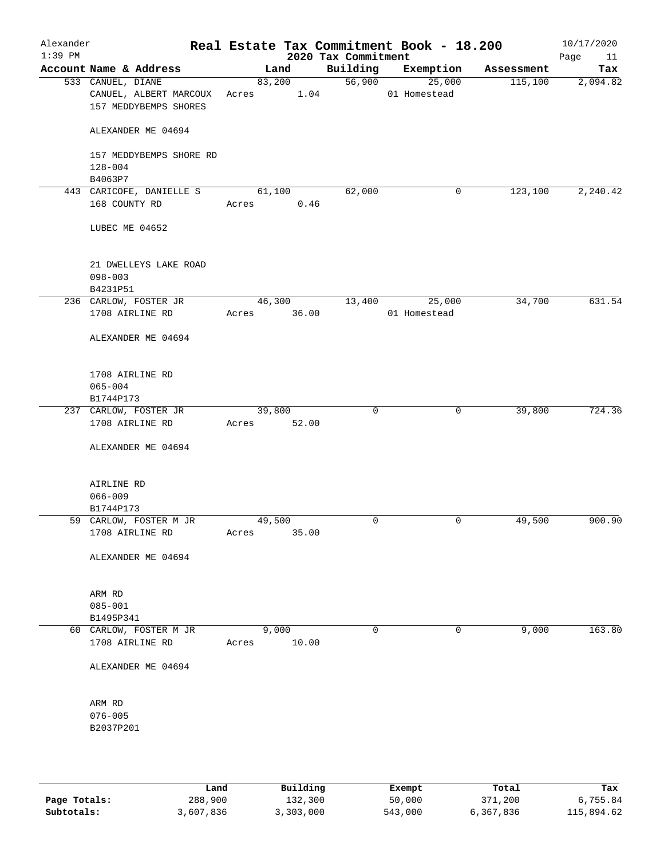| Alexander<br>$1:39$ PM |                                                                      |                 |       | 2020 Tax Commitment | Real Estate Tax Commitment Book - 18.200 |            | 10/17/2020<br>Page<br>11 |
|------------------------|----------------------------------------------------------------------|-----------------|-------|---------------------|------------------------------------------|------------|--------------------------|
|                        | Account Name & Address                                               | Land            |       | Building            | Exemption                                | Assessment | Tax                      |
|                        | 533 CANUEL, DIANE<br>CANUEL, ALBERT MARCOUX<br>157 MEDDYBEMPS SHORES | 83,200<br>Acres | 1.04  | 56,900              | 25,000<br>01 Homestead                   | 115,100    | 2,094.82                 |
|                        | ALEXANDER ME 04694                                                   |                 |       |                     |                                          |            |                          |
|                        | 157 MEDDYBEMPS SHORE RD<br>$128 - 004$                               |                 |       |                     |                                          |            |                          |
|                        | B4063P7<br>443 CARICOFE, DANIELLE S                                  | 61,100          |       | 62,000              | 0                                        | 123,100    | 2,240.42                 |
|                        | 168 COUNTY RD                                                        | Acres           | 0.46  |                     |                                          |            |                          |
|                        | LUBEC ME 04652                                                       |                 |       |                     |                                          |            |                          |
|                        | 21 DWELLEYS LAKE ROAD<br>$098 - 003$<br>B4231P51                     |                 |       |                     |                                          |            |                          |
|                        | 236 CARLOW, FOSTER JR                                                | 46,300          |       | 13,400              | 25,000                                   | 34,700     | 631.54                   |
|                        | 1708 AIRLINE RD                                                      | Acres           | 36.00 |                     | 01 Homestead                             |            |                          |
|                        | ALEXANDER ME 04694                                                   |                 |       |                     |                                          |            |                          |
|                        | 1708 AIRLINE RD                                                      |                 |       |                     |                                          |            |                          |
|                        | $065 - 004$                                                          |                 |       |                     |                                          |            |                          |
|                        | B1744P173<br>237 CARLOW, FOSTER JR                                   | 39,800          |       | $\mathbf 0$         | 0                                        | 39,800     | 724.36                   |
|                        | 1708 AIRLINE RD                                                      | Acres           | 52.00 |                     |                                          |            |                          |
|                        | ALEXANDER ME 04694                                                   |                 |       |                     |                                          |            |                          |
|                        | AIRLINE RD                                                           |                 |       |                     |                                          |            |                          |
|                        | $066 - 009$                                                          |                 |       |                     |                                          |            |                          |
|                        | B1744P173                                                            |                 |       | 0                   | 0                                        |            | 900.90                   |
|                        | 59 CARLOW, FOSTER M JR<br>1708 AIRLINE RD                            | 49,500<br>Acres | 35.00 |                     |                                          | 49,500     |                          |
|                        | ALEXANDER ME 04694                                                   |                 |       |                     |                                          |            |                          |
|                        | ARM RD                                                               |                 |       |                     |                                          |            |                          |
|                        | $085 - 001$                                                          |                 |       |                     |                                          |            |                          |
|                        | B1495P341<br>60 CARLOW, FOSTER M JR                                  | 9,000           |       | $\mathbf 0$         | 0                                        | 9,000      | 163.80                   |
|                        | 1708 AIRLINE RD                                                      | Acres           | 10.00 |                     |                                          |            |                          |
|                        | ALEXANDER ME 04694                                                   |                 |       |                     |                                          |            |                          |
|                        | ARM RD                                                               |                 |       |                     |                                          |            |                          |
|                        | $076 - 005$                                                          |                 |       |                     |                                          |            |                          |
|                        | B2037P201                                                            |                 |       |                     |                                          |            |                          |
|                        |                                                                      |                 |       |                     |                                          |            |                          |

|              | Land      | Building  | Exempt  | Total     | Tax        |
|--------------|-----------|-----------|---------|-----------|------------|
| Page Totals: | 288,900   | 132,300   | 50,000  | 371,200   | 6,755.84   |
| Subtotals:   | 3,607,836 | 3,303,000 | 543,000 | 6,367,836 | 115,894.62 |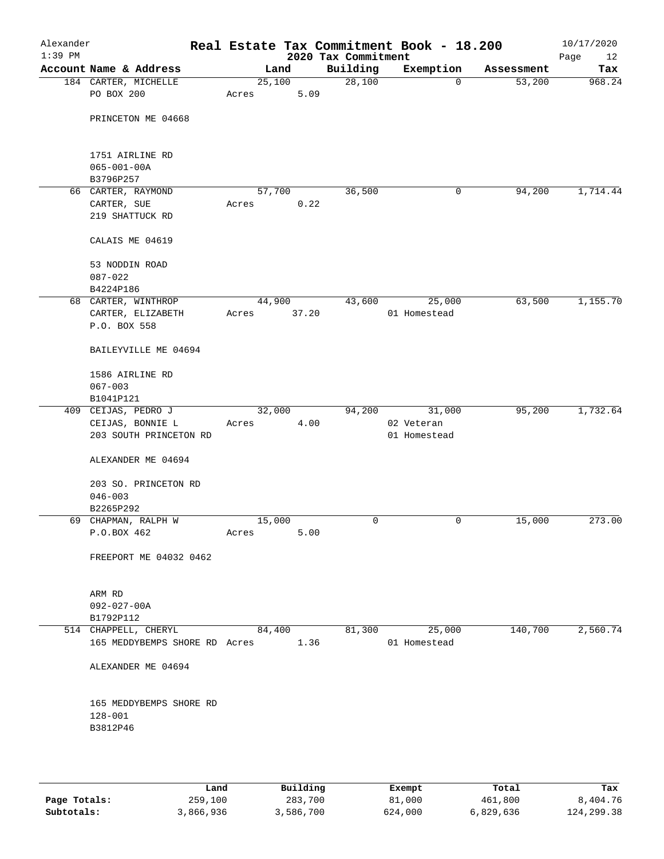| Alexander<br>$1:39$ PM |                                    |       |                | 2020 Tax Commitment | Real Estate Tax Commitment Book - 18.200 |            | 10/17/2020<br>Page<br>12 |
|------------------------|------------------------------------|-------|----------------|---------------------|------------------------------------------|------------|--------------------------|
|                        | Account Name & Address             |       | Land           | Building            | Exemption                                | Assessment | Tax                      |
|                        | 184 CARTER, MICHELLE               |       | 25,100         | 28,100              | $\mathbf 0$                              | 53,200     | 968.24                   |
|                        | PO BOX 200                         | Acres | 5.09           |                     |                                          |            |                          |
|                        |                                    |       |                |                     |                                          |            |                          |
|                        | PRINCETON ME 04668                 |       |                |                     |                                          |            |                          |
|                        |                                    |       |                |                     |                                          |            |                          |
|                        |                                    |       |                |                     |                                          |            |                          |
|                        | 1751 AIRLINE RD                    |       |                |                     |                                          |            |                          |
|                        | $065 - 001 - 00A$                  |       |                |                     |                                          |            |                          |
|                        | B3796P257                          |       |                |                     |                                          | 94,200     | 1,714.44                 |
|                        | 66 CARTER, RAYMOND                 |       | 57,700<br>0.22 | 36,500              | 0                                        |            |                          |
|                        | CARTER, SUE<br>219 SHATTUCK RD     | Acres |                |                     |                                          |            |                          |
|                        |                                    |       |                |                     |                                          |            |                          |
|                        | CALAIS ME 04619                    |       |                |                     |                                          |            |                          |
|                        | 53 NODDIN ROAD                     |       |                |                     |                                          |            |                          |
|                        | $087 - 022$                        |       |                |                     |                                          |            |                          |
|                        | B4224P186                          |       |                |                     |                                          |            |                          |
|                        | 68 CARTER, WINTHROP                |       | 44,900         | 43,600              | 25,000                                   | 63,500     | 1,155.70                 |
|                        | CARTER, ELIZABETH                  | Acres | 37.20          |                     | 01 Homestead                             |            |                          |
|                        | P.O. BOX 558                       |       |                |                     |                                          |            |                          |
|                        |                                    |       |                |                     |                                          |            |                          |
|                        | BAILEYVILLE ME 04694               |       |                |                     |                                          |            |                          |
|                        | 1586 AIRLINE RD                    |       |                |                     |                                          |            |                          |
|                        | $067 - 003$                        |       |                |                     |                                          |            |                          |
|                        | B1041P121                          |       |                |                     |                                          |            |                          |
|                        | 409 CEIJAS, PEDRO J                |       | 32,000         | 94,200              | 31,000                                   | 95,200     | 1,732.64                 |
|                        | CEIJAS, BONNIE L                   | Acres | 4.00           |                     | 02 Veteran                               |            |                          |
|                        | 203 SOUTH PRINCETON RD             |       |                |                     | 01 Homestead                             |            |                          |
|                        |                                    |       |                |                     |                                          |            |                          |
|                        | ALEXANDER ME 04694                 |       |                |                     |                                          |            |                          |
|                        |                                    |       |                |                     |                                          |            |                          |
|                        | 203 SO. PRINCETON RD               |       |                |                     |                                          |            |                          |
|                        | $046 - 003$                        |       |                |                     |                                          |            |                          |
|                        | B2265P292                          |       | 15,000         | 0                   | 0                                        | 15,000     | 273.00                   |
|                        | 69 CHAPMAN, RALPH W<br>P.O.BOX 462 | Acres | 5.00           |                     |                                          |            |                          |
|                        |                                    |       |                |                     |                                          |            |                          |
|                        | FREEPORT ME 04032 0462             |       |                |                     |                                          |            |                          |
|                        |                                    |       |                |                     |                                          |            |                          |
|                        | ARM RD                             |       |                |                     |                                          |            |                          |
|                        | $092 - 027 - 00A$                  |       |                |                     |                                          |            |                          |
|                        | B1792P112                          |       |                |                     |                                          |            |                          |
|                        | 514 CHAPPELL, CHERYL               |       | 84,400         | 81,300              | 25,000                                   | 140,700    | 2,560.74                 |
|                        | 165 MEDDYBEMPS SHORE RD Acres      |       | 1.36           |                     | 01 Homestead                             |            |                          |
|                        |                                    |       |                |                     |                                          |            |                          |
|                        | ALEXANDER ME 04694                 |       |                |                     |                                          |            |                          |
|                        |                                    |       |                |                     |                                          |            |                          |
|                        | 165 MEDDYBEMPS SHORE RD            |       |                |                     |                                          |            |                          |
|                        | $128 - 001$                        |       |                |                     |                                          |            |                          |
|                        | B3812P46                           |       |                |                     |                                          |            |                          |
|                        |                                    |       |                |                     |                                          |            |                          |
|                        |                                    |       |                |                     |                                          |            |                          |

|              | Land      | Building  | Exempt  | Total     | Tax         |
|--------------|-----------|-----------|---------|-----------|-------------|
| Page Totals: | 259,100   | 283,700   | 81,000  | 461,800   | 8,404.76    |
| Subtotals:   | 3,866,936 | 3,586,700 | 624,000 | 6,829,636 | 124, 299.38 |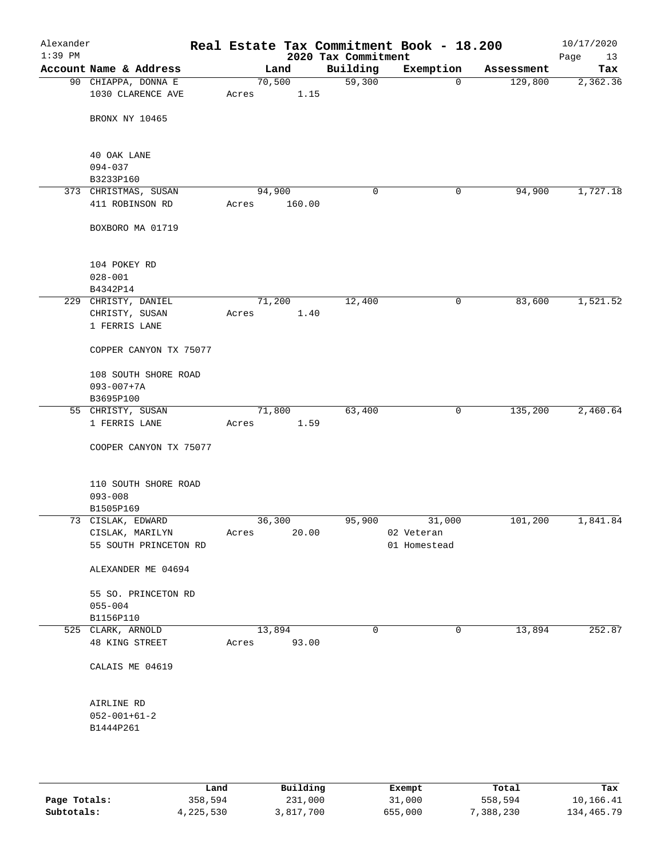| Alexander<br>$1:39$ PM |                                 |        |        | 2020 Tax Commitment | Real Estate Tax Commitment Book - 18.200 |            | 10/17/2020<br>Page<br>13 |
|------------------------|---------------------------------|--------|--------|---------------------|------------------------------------------|------------|--------------------------|
|                        | Account Name & Address          | Land   |        | Building            | Exemption                                | Assessment | Tax                      |
|                        | 90 CHIAPPA, DONNA E             | 70,500 |        | 59,300              | $\mathbf 0$                              | 129,800    | 2,362.36                 |
|                        | 1030 CLARENCE AVE               | Acres  | 1.15   |                     |                                          |            |                          |
|                        | BRONX NY 10465                  |        |        |                     |                                          |            |                          |
|                        | 40 OAK LANE                     |        |        |                     |                                          |            |                          |
|                        | $094 - 037$                     |        |        |                     |                                          |            |                          |
|                        | B3233P160                       |        |        |                     |                                          |            |                          |
|                        | 373 CHRISTMAS, SUSAN            | 94,900 |        | 0                   | 0                                        | 94,900     | 1,727.18                 |
|                        | 411 ROBINSON RD                 | Acres  | 160.00 |                     |                                          |            |                          |
|                        | BOXBORO MA 01719                |        |        |                     |                                          |            |                          |
|                        | 104 POKEY RD                    |        |        |                     |                                          |            |                          |
|                        | $028 - 001$                     |        |        |                     |                                          |            |                          |
|                        | B4342P14                        |        |        |                     |                                          |            |                          |
|                        | 229 CHRISTY, DANIEL             | 71,200 |        | 12,400              | 0                                        | 83,600     | 1,521.52                 |
|                        | CHRISTY, SUSAN<br>1 FERRIS LANE | Acres  | 1.40   |                     |                                          |            |                          |
|                        | COPPER CANYON TX 75077          |        |        |                     |                                          |            |                          |
|                        | 108 SOUTH SHORE ROAD            |        |        |                     |                                          |            |                          |
|                        | $093 - 007 + 7A$                |        |        |                     |                                          |            |                          |
|                        | B3695P100                       |        |        |                     |                                          |            |                          |
|                        | 55 CHRISTY, SUSAN               | 71,800 |        | 63,400              | 0                                        | 135,200    | 2,460.64                 |
|                        | 1 FERRIS LANE                   | Acres  | 1.59   |                     |                                          |            |                          |
|                        | COOPER CANYON TX 75077          |        |        |                     |                                          |            |                          |
|                        | 110 SOUTH SHORE ROAD            |        |        |                     |                                          |            |                          |
|                        | $093 - 008$                     |        |        |                     |                                          |            |                          |
|                        | B1505P169                       |        |        |                     |                                          |            |                          |
|                        | 73 CISLAK, EDWARD               | 36,300 |        | 95,900              | 31,000                                   | 101,200    | 1,841.84                 |
|                        | CISLAK, MARILYN                 | Acres  | 20.00  |                     | 02 Veteran                               |            |                          |
|                        | 55 SOUTH PRINCETON RD           |        |        |                     | 01 Homestead                             |            |                          |
|                        | ALEXANDER ME 04694              |        |        |                     |                                          |            |                          |
|                        | 55 SO. PRINCETON RD             |        |        |                     |                                          |            |                          |
|                        | $055 - 004$                     |        |        |                     |                                          |            |                          |
|                        | B1156P110<br>525 CLARK, ARNOLD  | 13,894 |        | 0                   | 0                                        | 13,894     | 252.87                   |
|                        | 48 KING STREET                  | Acres  | 93.00  |                     |                                          |            |                          |
|                        | CALAIS ME 04619                 |        |        |                     |                                          |            |                          |
|                        | AIRLINE RD                      |        |        |                     |                                          |            |                          |
|                        | $052 - 001 + 61 - 2$            |        |        |                     |                                          |            |                          |
|                        | B1444P261                       |        |        |                     |                                          |            |                          |
|                        |                                 |        |        |                     |                                          |            |                          |
|                        |                                 |        |        |                     |                                          |            |                          |
|                        |                                 |        |        |                     |                                          |            |                          |

|              | Land      | Building  | Exempt  | Total     | Tax        |
|--------------|-----------|-----------|---------|-----------|------------|
| Page Totals: | 358,594   | 231,000   | 31,000  | 558,594   | 10,166.41  |
| Subtotals:   | 4,225,530 | 3,817,700 | 655,000 | 7,388,230 | 134,465.79 |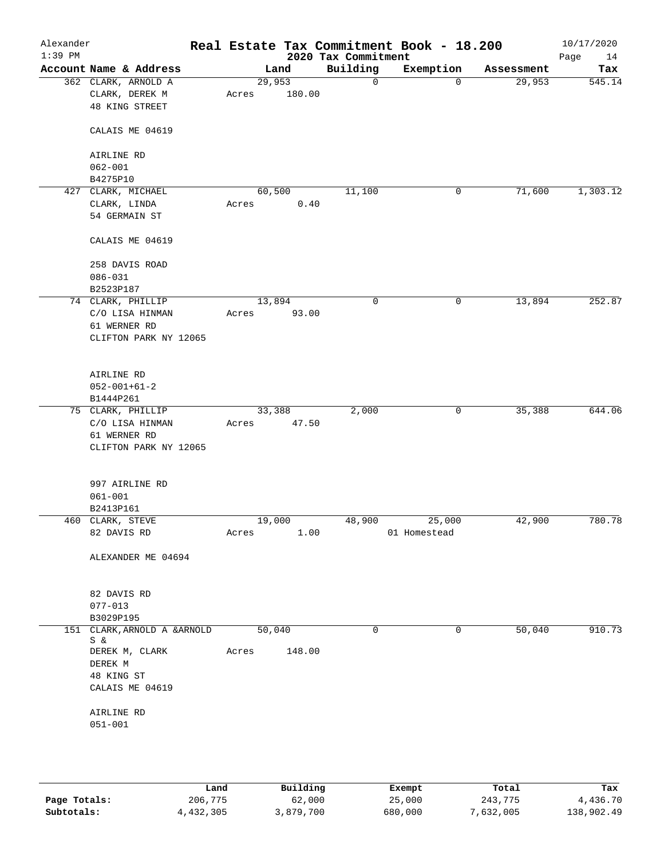| Alexander<br>$1:39$ PM |                                                         |       |                  | 2020 Tax Commitment | Real Estate Tax Commitment Book - 18.200 |            | 10/17/2020<br>Page<br>14 |
|------------------------|---------------------------------------------------------|-------|------------------|---------------------|------------------------------------------|------------|--------------------------|
|                        | Account Name & Address                                  |       | Land             | Building            | Exemption                                | Assessment | Tax                      |
|                        | 362 CLARK, ARNOLD A<br>CLARK, DEREK M<br>48 KING STREET | Acres | 29,953<br>180.00 | 0                   | $\mathbf 0$                              | 29,953     | 545.14                   |
|                        | CALAIS ME 04619                                         |       |                  |                     |                                          |            |                          |
|                        | AIRLINE RD<br>$062 - 001$                               |       |                  |                     |                                          |            |                          |
|                        | B4275P10                                                |       |                  |                     |                                          |            |                          |
|                        | 427 CLARK, MICHAEL                                      |       | 60,500           | 11,100              | 0                                        | 71,600     | 1,303.12                 |
|                        | CLARK, LINDA                                            | Acres | 0.40             |                     |                                          |            |                          |
|                        | 54 GERMAIN ST                                           |       |                  |                     |                                          |            |                          |
|                        | CALAIS ME 04619                                         |       |                  |                     |                                          |            |                          |
|                        | 258 DAVIS ROAD                                          |       |                  |                     |                                          |            |                          |
|                        | $086 - 031$                                             |       |                  |                     |                                          |            |                          |
|                        | B2523P187                                               |       |                  |                     |                                          |            |                          |
|                        | 74 CLARK, PHILLIP                                       |       | 13,894           | 0                   | $\mathbf 0$                              | 13,894     | 252.87                   |
|                        | C/O LISA HINMAN                                         | Acres | 93.00            |                     |                                          |            |                          |
|                        | 61 WERNER RD                                            |       |                  |                     |                                          |            |                          |
|                        | CLIFTON PARK NY 12065                                   |       |                  |                     |                                          |            |                          |
|                        | AIRLINE RD                                              |       |                  |                     |                                          |            |                          |
|                        | $052 - 001 + 61 - 2$                                    |       |                  |                     |                                          |            |                          |
|                        | B1444P261                                               |       |                  |                     |                                          |            |                          |
|                        | 75 CLARK, PHILLIP                                       |       | 33,388           | 2,000               | 0                                        | 35,388     | 644.06                   |
|                        | C/O LISA HINMAN                                         | Acres | 47.50            |                     |                                          |            |                          |
|                        | 61 WERNER RD                                            |       |                  |                     |                                          |            |                          |
|                        | CLIFTON PARK NY 12065                                   |       |                  |                     |                                          |            |                          |
|                        | 997 AIRLINE RD                                          |       |                  |                     |                                          |            |                          |
|                        | $061 - 001$                                             |       |                  |                     |                                          |            |                          |
|                        | B2413P161                                               |       |                  |                     |                                          |            |                          |
|                        | 460 CLARK, STEVE                                        |       | 19,000           | 48,900              | 25,000                                   | 42,900     | 780.78                   |
|                        | 82 DAVIS RD                                             | Acres | 1.00             |                     | 01 Homestead                             |            |                          |
|                        | ALEXANDER ME 04694                                      |       |                  |                     |                                          |            |                          |
|                        | 82 DAVIS RD                                             |       |                  |                     |                                          |            |                          |
|                        | $077 - 013$                                             |       |                  |                     |                                          |            |                          |
|                        | B3029P195                                               |       |                  |                     |                                          |            |                          |
|                        | 151 CLARK, ARNOLD A & ARNOLD                            |       | 50,040           | $\mathbf 0$         | $\mathbf 0$                              | 50,040     | 910.73                   |
|                        | Sδε<br>DEREK M, CLARK                                   | Acres | 148.00           |                     |                                          |            |                          |
|                        | DEREK M                                                 |       |                  |                     |                                          |            |                          |
|                        | 48 KING ST                                              |       |                  |                     |                                          |            |                          |
|                        | CALAIS ME 04619                                         |       |                  |                     |                                          |            |                          |
|                        |                                                         |       |                  |                     |                                          |            |                          |
|                        | AIRLINE RD                                              |       |                  |                     |                                          |            |                          |
|                        | $051 - 001$                                             |       |                  |                     |                                          |            |                          |
|                        |                                                         |       |                  |                     |                                          |            |                          |
|                        |                                                         |       |                  |                     |                                          |            |                          |
|                        |                                                         |       |                  |                     |                                          |            |                          |

|              | Land      | Building  | Exempt  | Total     | Tax        |
|--------------|-----------|-----------|---------|-----------|------------|
| Page Totals: | 206,775   | 62,000    | 25,000  | 243,775   | 4,436.70   |
| Subtotals:   | 4,432,305 | 3,879,700 | 680,000 | 7,632,005 | 138,902.49 |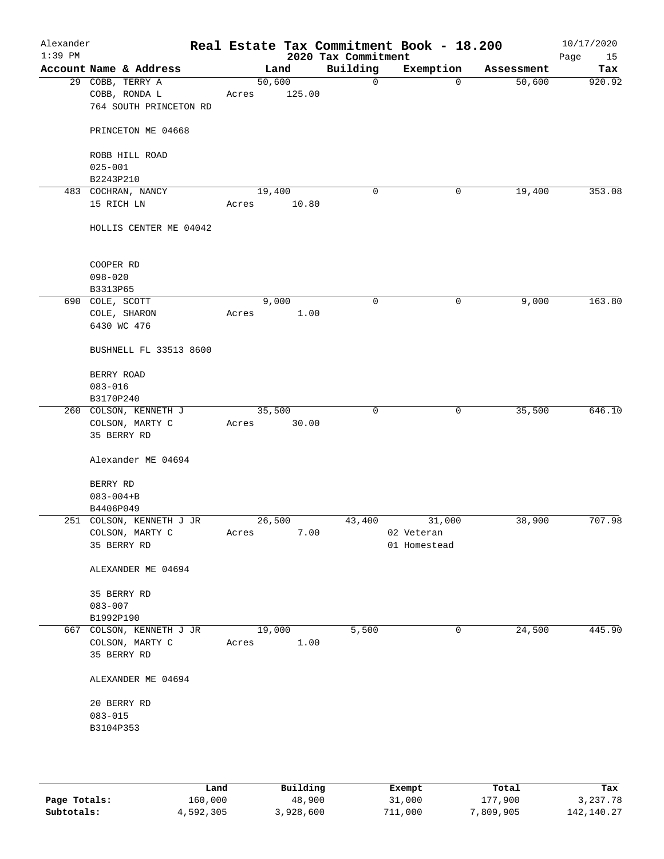| Alexander<br>$1:39$ PM |                                                             |                 |        | 2020 Tax Commitment | Real Estate Tax Commitment Book - 18.200 |            | 10/17/2020<br>Page<br>15 |
|------------------------|-------------------------------------------------------------|-----------------|--------|---------------------|------------------------------------------|------------|--------------------------|
|                        | Account Name & Address                                      |                 | Land   | Building            | Exemption                                | Assessment | Tax                      |
|                        | 29 COBB, TERRY A<br>COBB, RONDA L<br>764 SOUTH PRINCETON RD | 50,600<br>Acres | 125.00 | 0                   | $\mathbf 0$                              | 50,600     | 920.92                   |
|                        | PRINCETON ME 04668                                          |                 |        |                     |                                          |            |                          |
|                        | ROBB HILL ROAD<br>$025 - 001$                               |                 |        |                     |                                          |            |                          |
|                        | B2243P210                                                   |                 |        |                     |                                          |            |                          |
|                        | 483 COCHRAN, NANCY                                          | 19,400          |        | 0                   | 0                                        | 19,400     | 353.08                   |
|                        | 15 RICH LN                                                  | Acres           | 10.80  |                     |                                          |            |                          |
|                        | HOLLIS CENTER ME 04042                                      |                 |        |                     |                                          |            |                          |
|                        | COOPER RD                                                   |                 |        |                     |                                          |            |                          |
|                        | $098 - 020$                                                 |                 |        |                     |                                          |            |                          |
|                        | B3313P65<br>690 COLE, SCOTT                                 | 9,000           |        | 0                   | $\mathbf 0$                              | 9,000      | 163.80                   |
|                        | COLE, SHARON                                                | Acres           | 1.00   |                     |                                          |            |                          |
|                        | 6430 WC 476                                                 |                 |        |                     |                                          |            |                          |
|                        | BUSHNELL FL 33513 8600                                      |                 |        |                     |                                          |            |                          |
|                        | BERRY ROAD                                                  |                 |        |                     |                                          |            |                          |
|                        | $083 - 016$<br>B3170P240                                    |                 |        |                     |                                          |            |                          |
|                        | 260 COLSON, KENNETH J                                       | 35,500          |        | 0                   | 0                                        | 35,500     | 646.10                   |
|                        | COLSON, MARTY C<br>35 BERRY RD                              | Acres           | 30.00  |                     |                                          |            |                          |
|                        | Alexander ME 04694                                          |                 |        |                     |                                          |            |                          |
|                        | BERRY RD                                                    |                 |        |                     |                                          |            |                          |
|                        | $083 - 004 + B$                                             |                 |        |                     |                                          |            |                          |
|                        | B4406P049                                                   |                 |        |                     |                                          |            |                          |
|                        | 251 COLSON, KENNETH J JR                                    | 26,500          |        | 43,400              | 31,000                                   | 38,900     | 707.98                   |
|                        | COLSON, MARTY C                                             | Acres           | 7.00   |                     | 02 Veteran                               |            |                          |
|                        | 35 BERRY RD                                                 |                 |        |                     | 01 Homestead                             |            |                          |
|                        | ALEXANDER ME 04694                                          |                 |        |                     |                                          |            |                          |
|                        | 35 BERRY RD                                                 |                 |        |                     |                                          |            |                          |
|                        | $083 - 007$                                                 |                 |        |                     |                                          |            |                          |
|                        | B1992P190                                                   |                 |        |                     |                                          |            |                          |
|                        | 667 COLSON, KENNETH J JR<br>COLSON, MARTY C<br>35 BERRY RD  | 19,000<br>Acres | 1.00   | 5,500               | 0                                        | 24,500     | 445.90                   |
|                        | ALEXANDER ME 04694                                          |                 |        |                     |                                          |            |                          |
|                        | 20 BERRY RD                                                 |                 |        |                     |                                          |            |                          |
|                        | $083 - 015$                                                 |                 |        |                     |                                          |            |                          |
|                        | B3104P353                                                   |                 |        |                     |                                          |            |                          |
|                        |                                                             |                 |        |                     |                                          |            |                          |
|                        |                                                             |                 |        |                     |                                          |            |                          |

|              | Land      | Building  | Exempt  | Total     | Tax          |
|--------------|-----------|-----------|---------|-----------|--------------|
| Page Totals: | 160,000   | 48,900    | 31,000  | 177,900   | 3,237.78     |
| Subtotals:   | 4,592,305 | 3,928,600 | 711,000 | 7,809,905 | 142, 140. 27 |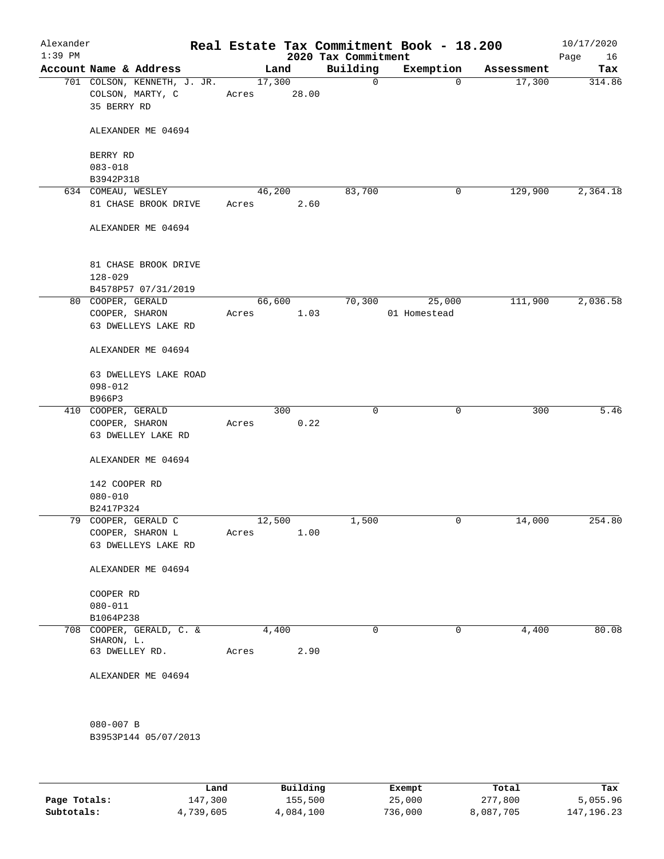| Alexander<br>$1:39$ PM |                                                                |       |                 | 2020 Tax Commitment | Real Estate Tax Commitment Book - 18.200 |            | 10/17/2020<br>Page<br>16 |
|------------------------|----------------------------------------------------------------|-------|-----------------|---------------------|------------------------------------------|------------|--------------------------|
|                        | Account Name & Address                                         |       | Land            | Building            | Exemption                                | Assessment | Tax                      |
|                        | 701 COLSON, KENNETH, J. JR.<br>COLSON, MARTY, C<br>35 BERRY RD | Acres | 17,300<br>28.00 | $\mathsf{O}$        | $\Omega$                                 | 17,300     | 314.86                   |
|                        | ALEXANDER ME 04694                                             |       |                 |                     |                                          |            |                          |
|                        | BERRY RD<br>$083 - 018$                                        |       |                 |                     |                                          |            |                          |
|                        | B3942P318                                                      |       |                 |                     |                                          |            |                          |
|                        | 634 COMEAU, WESLEY                                             |       | 46,200          | 83,700              | 0                                        | 129,900    | 2,364.18                 |
|                        | 81 CHASE BROOK DRIVE                                           | Acres | 2.60            |                     |                                          |            |                          |
|                        | ALEXANDER ME 04694                                             |       |                 |                     |                                          |            |                          |
|                        | 81 CHASE BROOK DRIVE<br>$128 - 029$                            |       |                 |                     |                                          |            |                          |
|                        | B4578P57 07/31/2019<br>80 COOPER, GERALD                       |       |                 |                     |                                          |            | 2,036.58                 |
|                        | COOPER, SHARON                                                 | Acres | 66,600<br>1.03  | 70,300              | 25,000<br>01 Homestead                   | 111,900    |                          |
|                        | 63 DWELLEYS LAKE RD                                            |       |                 |                     |                                          |            |                          |
|                        | ALEXANDER ME 04694                                             |       |                 |                     |                                          |            |                          |
|                        | 63 DWELLEYS LAKE ROAD                                          |       |                 |                     |                                          |            |                          |
|                        | $098 - 012$<br>B966P3                                          |       |                 |                     |                                          |            |                          |
|                        | 410 COOPER, GERALD                                             |       | 300             | $\mathbf 0$         | 0                                        | 300        | 5.46                     |
|                        | COOPER, SHARON<br>63 DWELLEY LAKE RD                           | Acres | 0.22            |                     |                                          |            |                          |
|                        | ALEXANDER ME 04694                                             |       |                 |                     |                                          |            |                          |
|                        | 142 COOPER RD                                                  |       |                 |                     |                                          |            |                          |
|                        | $080 - 010$                                                    |       |                 |                     |                                          |            |                          |
|                        | B2417P324<br>79 COOPER, GERALD C                               |       | 12,500          | 1,500               | 0                                        | 14,000     | 254.80                   |
|                        | COOPER, SHARON L                                               | Acres | 1.00            |                     |                                          |            |                          |
|                        | 63 DWELLEYS LAKE RD                                            |       |                 |                     |                                          |            |                          |
|                        | ALEXANDER ME 04694                                             |       |                 |                     |                                          |            |                          |
|                        | COOPER RD                                                      |       |                 |                     |                                          |            |                          |
|                        | $080 - 011$                                                    |       |                 |                     |                                          |            |                          |
|                        | B1064P238                                                      |       |                 |                     |                                          |            |                          |
|                        | 708 COOPER, GERALD, C. &                                       |       | 4,400           | 0                   | 0                                        | 4,400      | 80.08                    |
|                        | SHARON, L.<br>63 DWELLEY RD.                                   | Acres | 2.90            |                     |                                          |            |                          |
|                        | ALEXANDER ME 04694                                             |       |                 |                     |                                          |            |                          |
|                        | 080-007 B                                                      |       |                 |                     |                                          |            |                          |
|                        | B3953P144 05/07/2013                                           |       |                 |                     |                                          |            |                          |
|                        |                                                                |       |                 |                     |                                          |            |                          |

|              | Land      | Building  | Exempt  | Total     | Tax          |
|--------------|-----------|-----------|---------|-----------|--------------|
| Page Totals: | 147,300   | 155,500   | 25,000  | 277,800   | 5,055.96     |
| Subtotals:   | 4,739,605 | 4,084,100 | 736,000 | 8,087,705 | 147, 196, 23 |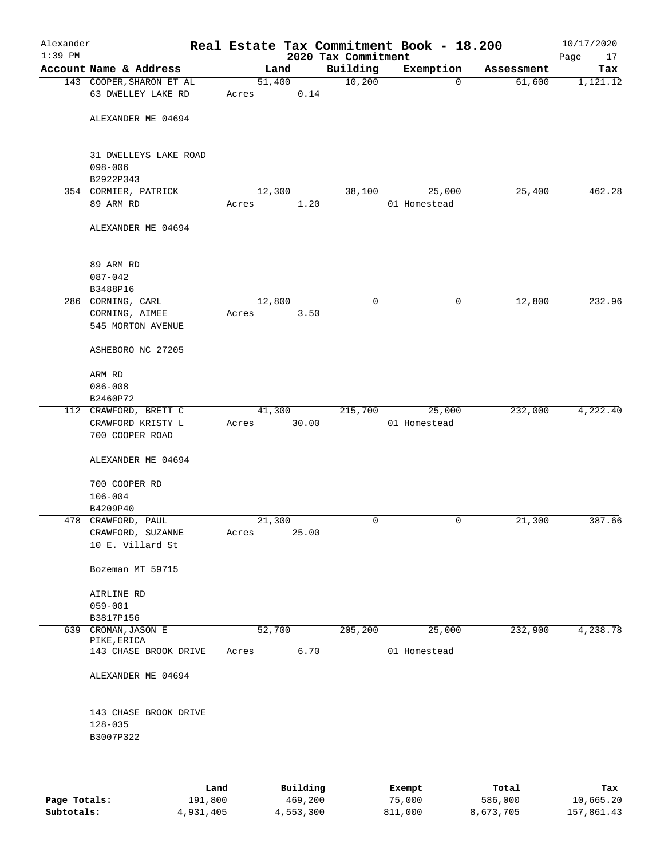| Alexander<br>$1:39$ PM |                                                             |                 |       | 2020 Tax Commitment | Real Estate Tax Commitment Book - 18.200 |            | 10/17/2020<br>Page<br>17 |
|------------------------|-------------------------------------------------------------|-----------------|-------|---------------------|------------------------------------------|------------|--------------------------|
|                        | Account Name & Address                                      |                 | Land  | Building            | Exemption                                | Assessment | Tax                      |
|                        | 143 COOPER, SHARON ET AL<br>63 DWELLEY LAKE RD              | 51,400<br>Acres | 0.14  | 10,200              | $\mathbf 0$                              | 61,600     | 1,121.12                 |
|                        | ALEXANDER ME 04694                                          |                 |       |                     |                                          |            |                          |
|                        | 31 DWELLEYS LAKE ROAD<br>$098 - 006$<br>B2922P343           |                 |       |                     |                                          |            |                          |
|                        | 354 CORMIER, PATRICK                                        | 12,300          |       | 38,100              | 25,000                                   | 25,400     | 462.28                   |
|                        | 89 ARM RD                                                   | Acres           | 1.20  |                     | 01 Homestead                             |            |                          |
|                        | ALEXANDER ME 04694                                          |                 |       |                     |                                          |            |                          |
|                        | 89 ARM RD<br>$087 - 042$<br>B3488P16                        |                 |       |                     |                                          |            |                          |
|                        | 286 CORNING, CARL                                           | 12,800          |       | 0                   | 0                                        | 12,800     | 232.96                   |
|                        | CORNING, AIMEE<br>545 MORTON AVENUE                         | Acres           | 3.50  |                     |                                          |            |                          |
|                        | ASHEBORO NC 27205                                           |                 |       |                     |                                          |            |                          |
|                        | ARM RD                                                      |                 |       |                     |                                          |            |                          |
|                        | $086 - 008$<br>B2460P72                                     |                 |       |                     |                                          |            |                          |
|                        | 112 CRAWFORD, BRETT C                                       | 41,300          |       | 215,700             | 25,000                                   | 232,000    | 4,222.40                 |
|                        | CRAWFORD KRISTY L<br>700 COOPER ROAD                        | Acres           | 30.00 |                     | 01 Homestead                             |            |                          |
|                        | ALEXANDER ME 04694                                          |                 |       |                     |                                          |            |                          |
|                        | 700 COOPER RD                                               |                 |       |                     |                                          |            |                          |
|                        | $106 - 004$                                                 |                 |       |                     |                                          |            |                          |
|                        | B4209P40                                                    |                 |       |                     |                                          |            |                          |
|                        | 478 CRAWFORD, PAUL<br>CRAWFORD, SUZANNE<br>10 E. Villard St | 21,300<br>Acres | 25.00 | 0                   | 0                                        | 21,300     | 387.66                   |
|                        | Bozeman MT 59715                                            |                 |       |                     |                                          |            |                          |
|                        | AIRLINE RD                                                  |                 |       |                     |                                          |            |                          |
|                        | $059 - 001$<br>B3817P156                                    |                 |       |                     |                                          |            |                          |
| 639                    | CROMAN, JASON E                                             | 52,700          |       | 205, 200            | 25,000                                   | 232,900    | 4,238.78                 |
|                        | PIKE, ERICA<br>143 CHASE BROOK DRIVE                        | Acres           | 6.70  |                     | 01 Homestead                             |            |                          |
|                        | ALEXANDER ME 04694                                          |                 |       |                     |                                          |            |                          |
|                        | 143 CHASE BROOK DRIVE<br>$128 - 035$                        |                 |       |                     |                                          |            |                          |
|                        | B3007P322                                                   |                 |       |                     |                                          |            |                          |
|                        |                                                             |                 |       |                     |                                          |            |                          |

|              | Land      | Building  | Exempt  | Total     | Tax        |
|--------------|-----------|-----------|---------|-----------|------------|
| Page Totals: | 191,800   | 469,200   | 75,000  | 586,000   | 10,665.20  |
| Subtotals:   | 4,931,405 | 4,553,300 | 811,000 | 8,673,705 | 157,861.43 |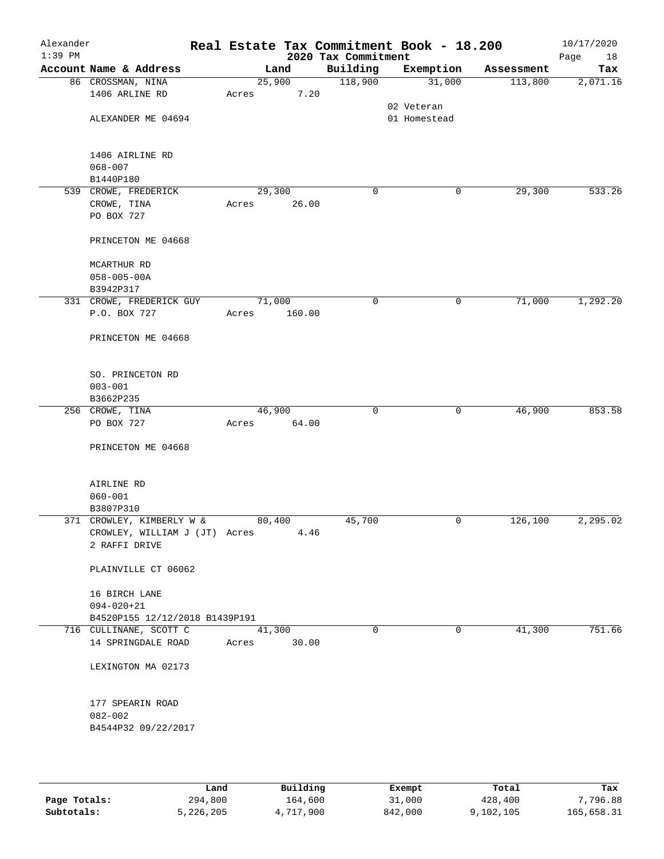| Alexander<br>$1:39$ PM |                                                                             |       |                 | 2020 Tax Commitment | Real Estate Tax Commitment Book - 18.200 |            | 10/17/2020<br>Page<br>18 |
|------------------------|-----------------------------------------------------------------------------|-------|-----------------|---------------------|------------------------------------------|------------|--------------------------|
|                        | Account Name & Address                                                      |       | Land            | Building            | Exemption                                | Assessment | Tax                      |
|                        | 86 CROSSMAN, NINA<br>1406 ARLINE RD                                         | Acres | 25,900<br>7.20  | 118,900             | 31,000                                   | 113,800    | 2,071.16                 |
|                        | ALEXANDER ME 04694                                                          |       |                 |                     | 02 Veteran<br>01 Homestead               |            |                          |
|                        | 1406 AIRLINE RD<br>$068 - 007$<br>B1440P180                                 |       |                 |                     |                                          |            |                          |
|                        | 539 CROWE, FREDERICK<br>CROWE, TINA<br>PO BOX 727                           | Acres | 29,300<br>26.00 | 0                   | 0                                        | 29,300     | 533.26                   |
|                        | PRINCETON ME 04668                                                          |       |                 |                     |                                          |            |                          |
|                        | MCARTHUR RD<br>$058 - 005 - 00A$<br>B3942P317                               |       |                 |                     |                                          |            |                          |
|                        | 331 CROWE, FREDERICK GUY                                                    |       | 71,000          | 0                   | 0                                        | 71,000     | 1,292.20                 |
|                        | P.O. BOX 727<br>PRINCETON ME 04668                                          | Acres | 160.00          |                     |                                          |            |                          |
|                        |                                                                             |       |                 |                     |                                          |            |                          |
|                        | SO. PRINCETON RD<br>$003 - 001$<br>B3662P235                                |       |                 |                     |                                          |            |                          |
|                        | 256 CROWE, TINA                                                             |       | 46,900          | $\mathbf 0$         | 0                                        | 46,900     | 853.58                   |
|                        | PO BOX 727                                                                  | Acres | 64.00           |                     |                                          |            |                          |
|                        | PRINCETON ME 04668                                                          |       |                 |                     |                                          |            |                          |
|                        | AIRLINE RD<br>$060 - 001$                                                   |       |                 |                     |                                          |            |                          |
|                        | B3807P310                                                                   |       |                 |                     |                                          |            |                          |
|                        | 371 CROWLEY, KIMBERLY W &<br>CROWLEY, WILLIAM J (JT) Acres<br>2 RAFFI DRIVE |       | 80,400<br>4.46  | 45,700              | 0                                        | 126,100    | 2,295.02                 |
|                        | PLAINVILLE CT 06062                                                         |       |                 |                     |                                          |            |                          |
|                        | 16 BIRCH LANE<br>$094 - 020 + 21$<br>B4520P155 12/12/2018 B1439P191         |       |                 |                     |                                          |            |                          |
|                        | 716 CULLINANE, SCOTT C<br>14 SPRINGDALE ROAD                                | Acres | 41,300<br>30.00 | $\Omega$            | $\Omega$                                 | 41,300     | 751.66                   |
|                        | LEXINGTON MA 02173                                                          |       |                 |                     |                                          |            |                          |
|                        | 177 SPEARIN ROAD<br>$082 - 002$<br>B4544P32 09/22/2017                      |       |                 |                     |                                          |            |                          |
|                        |                                                                             |       |                 |                     |                                          |            |                          |

|              | Land      | Building  | Exempt  | Total     | Tax        |
|--------------|-----------|-----------|---------|-----------|------------|
| Page Totals: | 294,800   | 164,600   | 31,000  | 428,400   | 7,796.88   |
| Subtotals:   | 5,226,205 | 4,717,900 | 842,000 | 9,102,105 | 165,658.31 |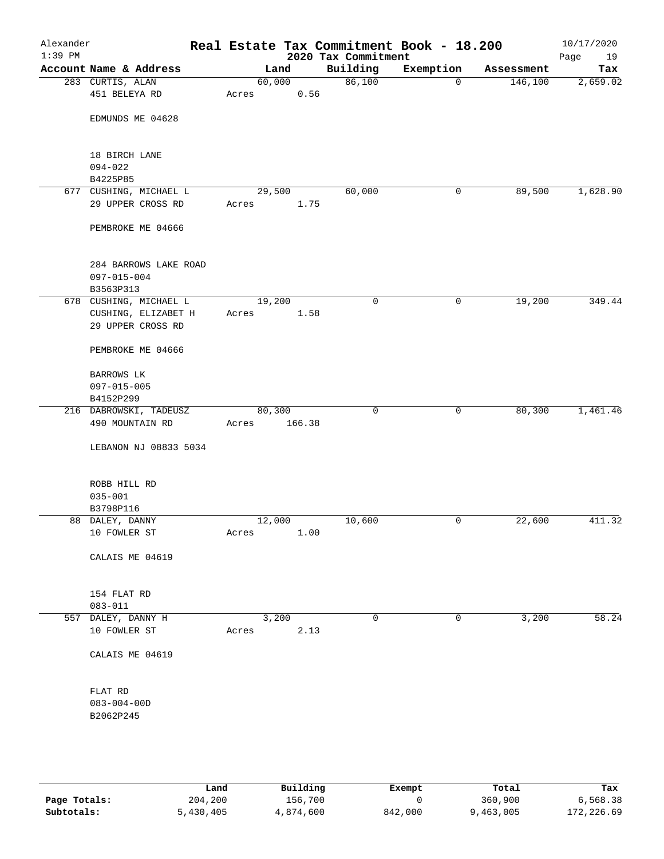| Alexander<br>$1:39$ PM |                                                         |                 |        | 2020 Tax Commitment | Real Estate Tax Commitment Book - 18.200 |            | 10/17/2020<br>Page<br>19 |
|------------------------|---------------------------------------------------------|-----------------|--------|---------------------|------------------------------------------|------------|--------------------------|
|                        | Account Name & Address                                  |                 | Land   | Building            | Exemption                                | Assessment | Tax                      |
|                        | 283 CURTIS, ALAN<br>451 BELEYA RD                       | 60,000<br>Acres | 0.56   | 86,100              | $\mathbf 0$                              | 146,100    | 2,659.02                 |
|                        | EDMUNDS ME 04628                                        |                 |        |                     |                                          |            |                          |
|                        | 18 BIRCH LANE<br>$094 - 022$                            |                 |        |                     |                                          |            |                          |
|                        | B4225P85                                                |                 |        |                     |                                          |            |                          |
|                        | 677 CUSHING, MICHAEL L                                  | 29,500          |        | 60,000              | 0                                        | 89,500     | 1,628.90                 |
|                        | 29 UPPER CROSS RD                                       | Acres           | 1.75   |                     |                                          |            |                          |
|                        | PEMBROKE ME 04666                                       |                 |        |                     |                                          |            |                          |
|                        | 284 BARROWS LAKE ROAD<br>$097 - 015 - 004$<br>B3563P313 |                 |        |                     |                                          |            |                          |
|                        | 678 CUSHING, MICHAEL L                                  | 19,200          |        | 0                   | 0                                        | 19,200     | 349.44                   |
|                        | CUSHING, ELIZABET H<br>29 UPPER CROSS RD                | Acres           | 1.58   |                     |                                          |            |                          |
|                        | PEMBROKE ME 04666                                       |                 |        |                     |                                          |            |                          |
|                        | BARROWS LK                                              |                 |        |                     |                                          |            |                          |
|                        | $097 - 015 - 005$                                       |                 |        |                     |                                          |            |                          |
|                        | B4152P299                                               |                 |        |                     |                                          |            |                          |
|                        | 216 DABROWSKI, TADEUSZ                                  | 80,300          |        | $\mathbf 0$         | 0                                        | 80,300     | 1,461.46                 |
|                        | 490 MOUNTAIN RD                                         | Acres           | 166.38 |                     |                                          |            |                          |
|                        | LEBANON NJ 08833 5034                                   |                 |        |                     |                                          |            |                          |
|                        | ROBB HILL RD                                            |                 |        |                     |                                          |            |                          |
|                        | $035 - 001$                                             |                 |        |                     |                                          |            |                          |
|                        | B3798P116                                               |                 |        |                     |                                          |            |                          |
|                        | 88 DALEY, DANNY<br>10 FOWLER ST                         | 12,000<br>Acres | 1.00   | 10,600              | 0                                        | 22,600     | 411.32                   |
|                        | CALAIS ME 04619                                         |                 |        |                     |                                          |            |                          |
|                        | 154 FLAT RD<br>$083 - 011$                              |                 |        |                     |                                          |            |                          |
|                        | 557 DALEY, DANNY H                                      |                 | 3,200  | 0                   | 0                                        | 3,200      | 58.24                    |
|                        | 10 FOWLER ST                                            | Acres           | 2.13   |                     |                                          |            |                          |
|                        | CALAIS ME 04619                                         |                 |        |                     |                                          |            |                          |
|                        | FLAT RD<br>$083 - 004 - 00D$<br>B2062P245               |                 |        |                     |                                          |            |                          |
|                        |                                                         |                 |        |                     |                                          |            |                          |

|              | Land      | Building  | Exempt  | Total     | Tax        |
|--------------|-----------|-----------|---------|-----------|------------|
| Page Totals: | 204,200   | 156,700   |         | 360,900   | 6,568.38   |
| Subtotals:   | 5,430,405 | 4,874,600 | 842,000 | 9,463,005 | 172,226.69 |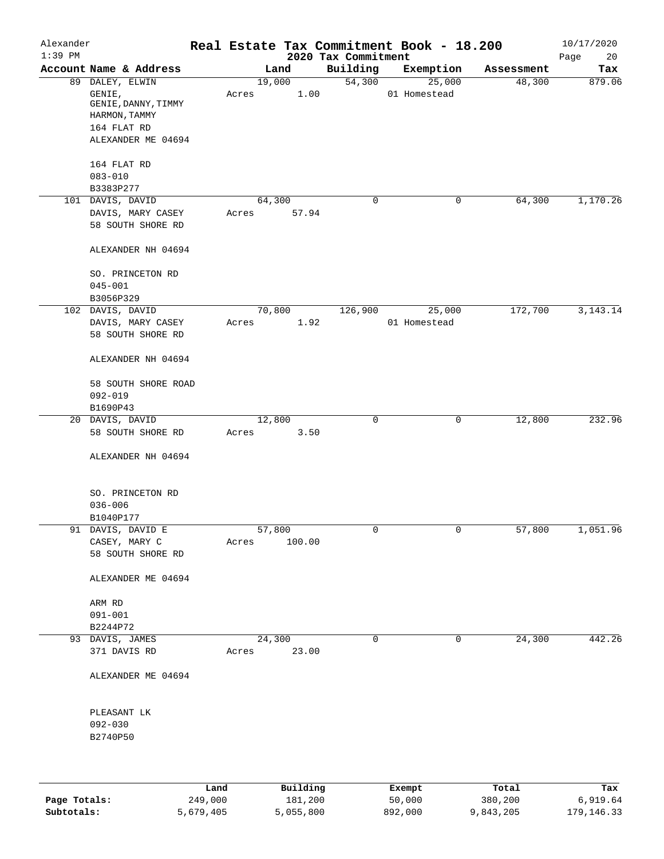| Alexander<br>$1:39$ PM |                                        |       |                 |                                 | Real Estate Tax Commitment Book - 18.200 |            | 10/17/2020        |
|------------------------|----------------------------------------|-------|-----------------|---------------------------------|------------------------------------------|------------|-------------------|
|                        | Account Name & Address                 |       | Land            | 2020 Tax Commitment<br>Building | Exemption                                | Assessment | Page<br>20<br>Tax |
|                        | 89 DALEY, ELWIN                        |       | 19,000          | 54,300                          | 25,000                                   | 48,300     | 879.06            |
|                        | GENIE,                                 | Acres | 1.00            |                                 | 01 Homestead                             |            |                   |
|                        | GENIE, DANNY, TIMMY                    |       |                 |                                 |                                          |            |                   |
|                        | HARMON, TAMMY                          |       |                 |                                 |                                          |            |                   |
|                        | 164 FLAT RD                            |       |                 |                                 |                                          |            |                   |
|                        | ALEXANDER ME 04694                     |       |                 |                                 |                                          |            |                   |
|                        | 164 FLAT RD                            |       |                 |                                 |                                          |            |                   |
|                        | $083 - 010$                            |       |                 |                                 |                                          |            |                   |
|                        | B3383P277                              |       |                 |                                 |                                          |            |                   |
|                        | 101 DAVIS, DAVID<br>DAVIS, MARY CASEY  | Acres | 64,300<br>57.94 | 0                               | 0                                        | 64,300     | 1,170.26          |
|                        | 58 SOUTH SHORE RD                      |       |                 |                                 |                                          |            |                   |
|                        |                                        |       |                 |                                 |                                          |            |                   |
|                        | ALEXANDER NH 04694                     |       |                 |                                 |                                          |            |                   |
|                        | SO. PRINCETON RD                       |       |                 |                                 |                                          |            |                   |
|                        | $045 - 001$                            |       |                 |                                 |                                          |            |                   |
|                        | B3056P329                              |       |                 |                                 |                                          |            |                   |
| 102                    | DAVIS, DAVID                           |       | 70,800<br>1.92  | 126,900                         | 25,000                                   | 172,700    | 3, 143. 14        |
|                        | DAVIS, MARY CASEY<br>58 SOUTH SHORE RD | Acres |                 |                                 | 01 Homestead                             |            |                   |
|                        | ALEXANDER NH 04694                     |       |                 |                                 |                                          |            |                   |
|                        | 58 SOUTH SHORE ROAD                    |       |                 |                                 |                                          |            |                   |
|                        | $092 - 019$                            |       |                 |                                 |                                          |            |                   |
|                        | B1690P43                               |       |                 |                                 |                                          |            |                   |
|                        | 20 DAVIS, DAVID                        |       | 12,800          | $\mathsf{O}$                    | 0                                        | 12,800     | 232.96            |
|                        | 58 SOUTH SHORE RD                      | Acres | 3.50            |                                 |                                          |            |                   |
|                        | ALEXANDER NH 04694                     |       |                 |                                 |                                          |            |                   |
|                        | SO. PRINCETON RD                       |       |                 |                                 |                                          |            |                   |
|                        | $036 - 006$                            |       |                 |                                 |                                          |            |                   |
|                        | B1040P177                              |       |                 |                                 |                                          |            |                   |
|                        | 91 DAVIS, DAVID E                      |       | 57,800          | 0                               | $\overline{0}$                           | 57,800     | 1,051.96          |
|                        | CASEY, MARY C                          | Acres | 100.00          |                                 |                                          |            |                   |
|                        | 58 SOUTH SHORE RD                      |       |                 |                                 |                                          |            |                   |
|                        | ALEXANDER ME 04694                     |       |                 |                                 |                                          |            |                   |
|                        | ARM RD                                 |       |                 |                                 |                                          |            |                   |
|                        | $091 - 001$                            |       |                 |                                 |                                          |            |                   |
|                        | B2244P72                               |       |                 |                                 |                                          |            |                   |
|                        | 93 DAVIS, JAMES                        |       | 24,300          | 0                               | 0                                        | 24,300     | 442.26            |
|                        | 371 DAVIS RD                           | Acres | 23.00           |                                 |                                          |            |                   |
|                        | ALEXANDER ME 04694                     |       |                 |                                 |                                          |            |                   |
|                        | PLEASANT LK                            |       |                 |                                 |                                          |            |                   |
|                        | $092 - 030$                            |       |                 |                                 |                                          |            |                   |
|                        | B2740P50                               |       |                 |                                 |                                          |            |                   |
|                        |                                        |       |                 |                                 |                                          |            |                   |
|                        |                                        |       |                 |                                 |                                          |            |                   |
|                        |                                        | Land  | Building        |                                 | Exempt                                   | Total      | Tax               |

|              | -----     | --------  | ------- | -----     | .          |
|--------------|-----------|-----------|---------|-----------|------------|
| Page Totals: | 249,000   | 181,200   | 50,000  | 380,200   | 6,919.64   |
| Subtotals:   | 5,679,405 | 5,055,800 | 892,000 | 9,843,205 | 179,146.33 |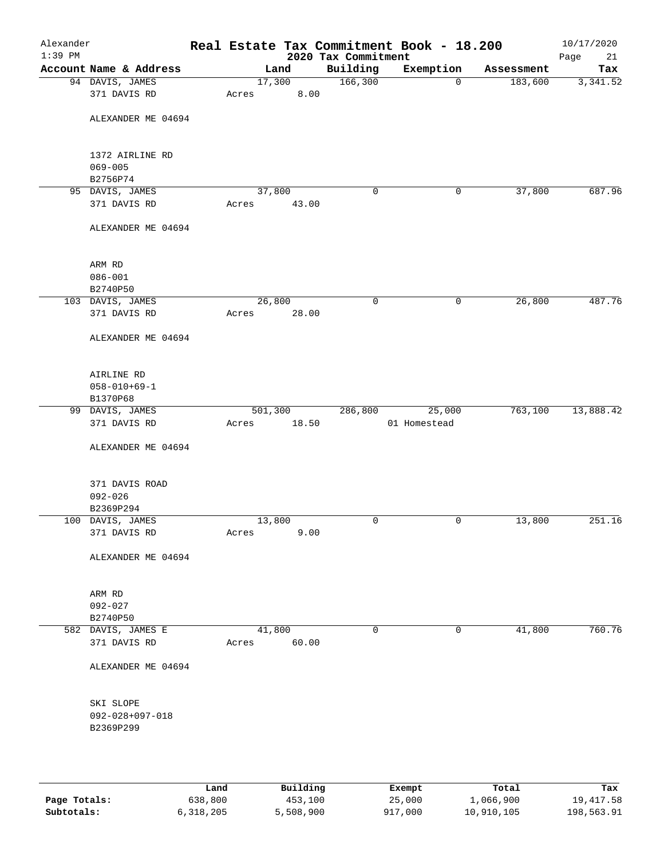| Alexander |                         |         |        |                                 | Real Estate Tax Commitment Book - 18.200 |            | 10/17/2020        |
|-----------|-------------------------|---------|--------|---------------------------------|------------------------------------------|------------|-------------------|
| $1:39$ PM | Account Name & Address  |         | Land   | 2020 Tax Commitment<br>Building | Exemption                                | Assessment | Page<br>21<br>Tax |
|           | 94 DAVIS, JAMES         |         | 17,300 | 166,300                         | $\mathbf 0$                              | 183,600    | 3,341.52          |
|           | 371 DAVIS RD            | Acres   | 8.00   |                                 |                                          |            |                   |
|           |                         |         |        |                                 |                                          |            |                   |
|           | ALEXANDER ME 04694      |         |        |                                 |                                          |            |                   |
|           | 1372 AIRLINE RD         |         |        |                                 |                                          |            |                   |
|           | $069 - 005$             |         |        |                                 |                                          |            |                   |
|           | B2756P74                |         |        |                                 |                                          |            |                   |
|           | 95 DAVIS, JAMES         |         | 37,800 | 0                               | 0                                        | 37,800     | 687.96            |
|           | 371 DAVIS RD            | Acres   | 43.00  |                                 |                                          |            |                   |
|           | ALEXANDER ME 04694      |         |        |                                 |                                          |            |                   |
|           | ARM RD                  |         |        |                                 |                                          |            |                   |
|           | $086 - 001$             |         |        |                                 |                                          |            |                   |
|           | B2740P50                |         |        |                                 |                                          |            |                   |
|           | 103 DAVIS, JAMES        |         | 26,800 | $\mathbf 0$                     | 0                                        | 26,800     | 487.76            |
|           | 371 DAVIS RD            | Acres   | 28.00  |                                 |                                          |            |                   |
|           | ALEXANDER ME 04694      |         |        |                                 |                                          |            |                   |
|           | AIRLINE RD              |         |        |                                 |                                          |            |                   |
|           | $058 - 010 + 69 - 1$    |         |        |                                 |                                          |            |                   |
|           | B1370P68                |         |        |                                 |                                          |            |                   |
|           | 99 DAVIS, JAMES         | 501,300 |        | 286,800                         | 25,000                                   | 763,100    | 13,888.42         |
|           | 371 DAVIS RD            | Acres   | 18.50  |                                 | 01 Homestead                             |            |                   |
|           | ALEXANDER ME 04694      |         |        |                                 |                                          |            |                   |
|           | 371 DAVIS ROAD          |         |        |                                 |                                          |            |                   |
|           | $092 - 026$             |         |        |                                 |                                          |            |                   |
|           | B2369P294               |         |        |                                 |                                          |            |                   |
|           | 100 DAVIS, JAMES        |         | 13,800 | 0                               | 0                                        | 13,800     | 251.16            |
|           | 371 DAVIS RD            | Acres   | 9.00   |                                 |                                          |            |                   |
|           | ALEXANDER ME 04694      |         |        |                                 |                                          |            |                   |
|           | ARM RD                  |         |        |                                 |                                          |            |                   |
|           | $092 - 027$             |         |        |                                 |                                          |            |                   |
|           | B2740P50                |         |        |                                 |                                          |            |                   |
|           | 582 DAVIS, JAMES E      |         | 41,800 | 0                               | 0                                        | 41,800     | 760.76            |
|           | 371 DAVIS RD            | Acres   | 60.00  |                                 |                                          |            |                   |
|           | ALEXANDER ME 04694      |         |        |                                 |                                          |            |                   |
|           | SKI SLOPE               |         |        |                                 |                                          |            |                   |
|           | $092 - 028 + 097 - 018$ |         |        |                                 |                                          |            |                   |
|           | B2369P299               |         |        |                                 |                                          |            |                   |
|           |                         |         |        |                                 |                                          |            |                   |
|           |                         |         |        |                                 |                                          |            |                   |
|           |                         |         |        |                                 |                                          |            |                   |
|           |                         |         |        |                                 |                                          |            |                   |

|              | Land      | Building  | Exempt  | Total      | Tax        |
|--------------|-----------|-----------|---------|------------|------------|
| Page Totals: | 638,800   | 453,100   | 25,000  | 1,066,900  | 19,417.58  |
| Subtotals:   | 6,318,205 | 5,508,900 | 917,000 | 10,910,105 | 198,563.91 |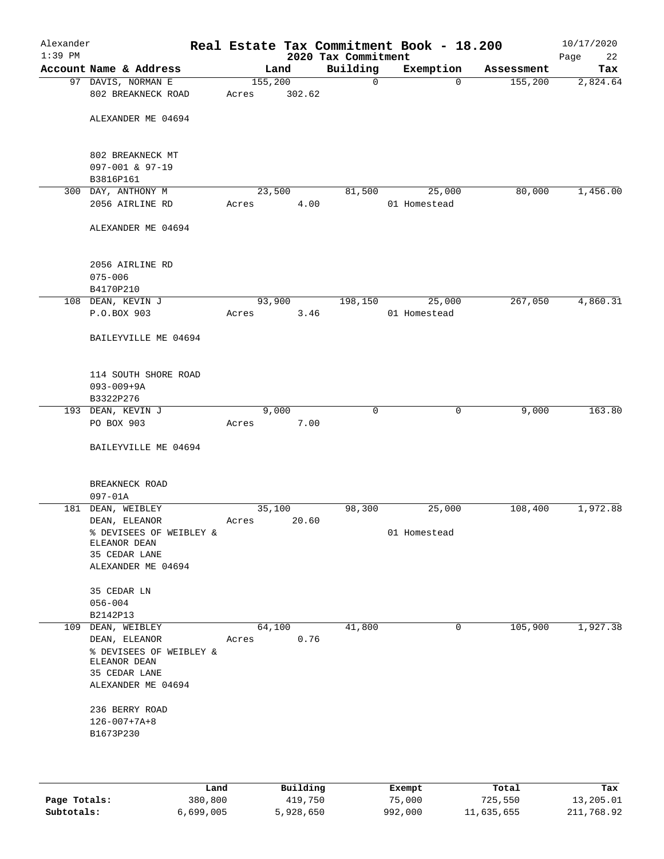| Alexander<br>$1:39$ PM |                                          |         |        | 2020 Tax Commitment | Real Estate Tax Commitment Book - 18.200 |            | 10/17/2020<br>Page<br>22 |
|------------------------|------------------------------------------|---------|--------|---------------------|------------------------------------------|------------|--------------------------|
|                        | Account Name & Address                   |         | Land   | Building            | Exemption                                | Assessment | Tax                      |
|                        | 97 DAVIS, NORMAN E                       | 155,200 |        | $\mathbf 0$         | $\Omega$                                 | 155,200    | 2,824.64                 |
|                        | 802 BREAKNECK ROAD                       | Acres   | 302.62 |                     |                                          |            |                          |
|                        | ALEXANDER ME 04694                       |         |        |                     |                                          |            |                          |
|                        |                                          |         |        |                     |                                          |            |                          |
|                        | 802 BREAKNECK MT                         |         |        |                     |                                          |            |                          |
|                        | 097-001 & 97-19<br>B3816P161             |         |        |                     |                                          |            |                          |
|                        | 300 DAY, ANTHONY M                       | 23,500  |        | 81,500              | 25,000                                   | 80,000     | 1,456.00                 |
|                        | 2056 AIRLINE RD                          | Acres   | 4.00   |                     | 01 Homestead                             |            |                          |
|                        | ALEXANDER ME 04694                       |         |        |                     |                                          |            |                          |
|                        | 2056 AIRLINE RD                          |         |        |                     |                                          |            |                          |
|                        | $075 - 006$                              |         |        |                     |                                          |            |                          |
|                        | B4170P210                                |         |        |                     |                                          |            |                          |
|                        | 108 DEAN, KEVIN J                        | 93,900  |        | 198,150             | 25,000                                   | 267,050    | 4,860.31                 |
|                        | P.O.BOX 903                              | Acres   | 3.46   |                     | 01 Homestead                             |            |                          |
|                        | BAILEYVILLE ME 04694                     |         |        |                     |                                          |            |                          |
|                        | 114 SOUTH SHORE ROAD                     |         |        |                     |                                          |            |                          |
|                        | $093 - 009 + 9A$                         |         |        |                     |                                          |            |                          |
|                        | B3322P276                                |         |        |                     |                                          |            |                          |
|                        | 193 DEAN, KEVIN J                        |         | 9,000  | $\mathbf 0$         | 0                                        | 9,000      | 163.80                   |
|                        | PO BOX 903                               | Acres   | 7.00   |                     |                                          |            |                          |
|                        | BAILEYVILLE ME 04694                     |         |        |                     |                                          |            |                          |
|                        | BREAKNECK ROAD                           |         |        |                     |                                          |            |                          |
|                        | $097 - 01A$                              |         |        |                     |                                          |            |                          |
|                        | 181 DEAN, WEIBLEY                        | 35,100  |        | 98,300              | 25,000                                   | 108,400    | 1,972.88                 |
|                        | DEAN, ELEANOR                            | Acres   | 20.60  |                     | 01 Homestead                             |            |                          |
|                        | % DEVISEES OF WEIBLEY &<br>ELEANOR DEAN  |         |        |                     |                                          |            |                          |
|                        | 35 CEDAR LANE                            |         |        |                     |                                          |            |                          |
|                        | ALEXANDER ME 04694                       |         |        |                     |                                          |            |                          |
|                        | 35 CEDAR LN                              |         |        |                     |                                          |            |                          |
|                        | $056 - 004$                              |         |        |                     |                                          |            |                          |
|                        | B2142P13                                 |         |        |                     |                                          |            |                          |
|                        | 109 DEAN, WEIBLEY                        | 64,100  |        | 41,800              | 0                                        | 105,900    | 1,927.38                 |
|                        | DEAN, ELEANOR<br>% DEVISEES OF WEIBLEY & | Acres   | 0.76   |                     |                                          |            |                          |
|                        | ELEANOR DEAN                             |         |        |                     |                                          |            |                          |
|                        | 35 CEDAR LANE<br>ALEXANDER ME 04694      |         |        |                     |                                          |            |                          |
|                        |                                          |         |        |                     |                                          |            |                          |
|                        | 236 BERRY ROAD<br>$126 - 007 + 7A + 8$   |         |        |                     |                                          |            |                          |
|                        | B1673P230                                |         |        |                     |                                          |            |                          |
|                        |                                          |         |        |                     |                                          |            |                          |
|                        |                                          |         |        |                     |                                          |            |                          |

|              | Land      | Building  | Exempt  | Total      | Tax        |
|--------------|-----------|-----------|---------|------------|------------|
| Page Totals: | 380,800   | 419,750   | 75,000  | 725,550    | 13,205.01  |
| Subtotals:   | 6,699,005 | 5,928,650 | 992,000 | 11,635,655 | 211,768.92 |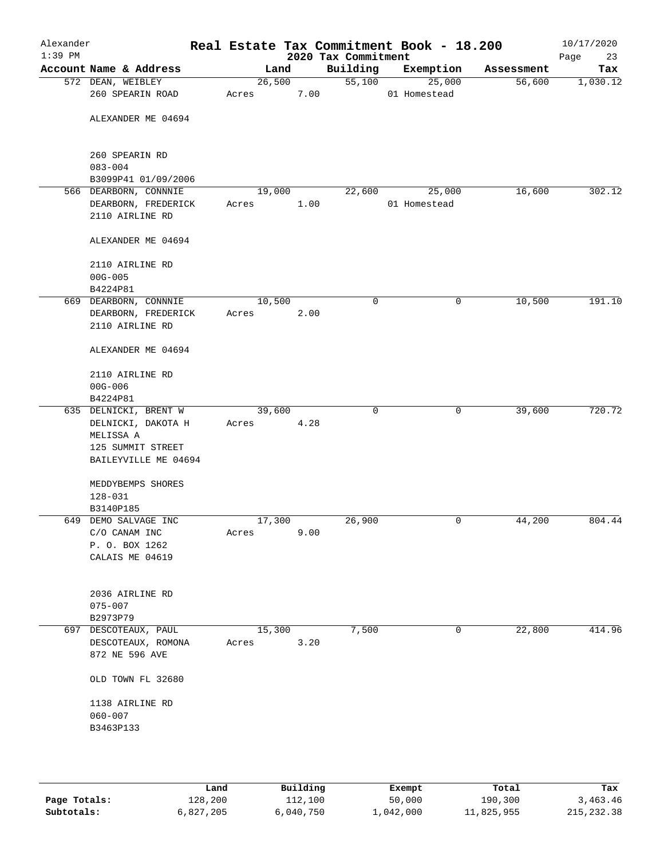| Alexander<br>$1:39$ PM |                                              |                 |      | 2020 Tax Commitment | Real Estate Tax Commitment Book - 18.200 |            | 10/17/2020<br>Page<br>23 |
|------------------------|----------------------------------------------|-----------------|------|---------------------|------------------------------------------|------------|--------------------------|
|                        | Account Name & Address                       | Land            |      | Building            | Exemption                                | Assessment | Tax                      |
|                        | 572 DEAN, WEIBLEY<br>260 SPEARIN ROAD        | 26,500<br>Acres | 7.00 | 55,100              | 25,000<br>01 Homestead                   | 56,600     | 1,030.12                 |
|                        | ALEXANDER ME 04694                           |                 |      |                     |                                          |            |                          |
|                        |                                              |                 |      |                     |                                          |            |                          |
|                        | 260 SPEARIN RD                               |                 |      |                     |                                          |            |                          |
|                        | $083 - 004$                                  |                 |      |                     |                                          |            |                          |
|                        | B3099P41 01/09/2006<br>566 DEARBORN, CONNNIE | 19,000          |      | 22,600              | 25,000                                   | 16,600     | 302.12                   |
|                        | DEARBORN, FREDERICK                          | Acres           | 1.00 |                     | 01 Homestead                             |            |                          |
|                        | 2110 AIRLINE RD                              |                 |      |                     |                                          |            |                          |
|                        | ALEXANDER ME 04694                           |                 |      |                     |                                          |            |                          |
|                        | 2110 AIRLINE RD                              |                 |      |                     |                                          |            |                          |
|                        | $00G - 005$<br>B4224P81                      |                 |      |                     |                                          |            |                          |
|                        | 669 DEARBORN, CONNNIE                        | 10,500          |      | $\mathbf 0$         | $\mathsf{O}$                             | 10,500     | 191.10                   |
|                        | DEARBORN, FREDERICK                          | Acres           | 2.00 |                     |                                          |            |                          |
|                        | 2110 AIRLINE RD                              |                 |      |                     |                                          |            |                          |
|                        | ALEXANDER ME 04694                           |                 |      |                     |                                          |            |                          |
|                        | 2110 AIRLINE RD                              |                 |      |                     |                                          |            |                          |
|                        | $00G - 006$                                  |                 |      |                     |                                          |            |                          |
|                        | B4224P81                                     |                 |      |                     |                                          |            |                          |
|                        | 635 DELNICKI, BRENT W                        | 39,600          |      | $\mathbf 0$         | $\mathbf 0$                              | 39,600     | 720.72                   |
|                        | DELNICKI, DAKOTA H                           | Acres           | 4.28 |                     |                                          |            |                          |
|                        | MELISSA A<br>125 SUMMIT STREET               |                 |      |                     |                                          |            |                          |
|                        | BAILEYVILLE ME 04694                         |                 |      |                     |                                          |            |                          |
|                        |                                              |                 |      |                     |                                          |            |                          |
|                        | MEDDYBEMPS SHORES                            |                 |      |                     |                                          |            |                          |
|                        | $128 - 031$                                  |                 |      |                     |                                          |            |                          |
|                        | B3140P185<br>649 DEMO SALVAGE INC            | 17,300          |      | 26,900              | 0                                        | 44,200     | 804.44                   |
|                        | C/O CANAM INC                                | Acres           | 9.00 |                     |                                          |            |                          |
|                        | P. O. BOX 1262                               |                 |      |                     |                                          |            |                          |
|                        | CALAIS ME 04619                              |                 |      |                     |                                          |            |                          |
|                        |                                              |                 |      |                     |                                          |            |                          |
|                        | 2036 AIRLINE RD                              |                 |      |                     |                                          |            |                          |
|                        | $075 - 007$                                  |                 |      |                     |                                          |            |                          |
| 697                    | B2973P79<br>DESCOTEAUX, PAUL                 | 15,300          |      | 7,500               | 0                                        | 22,800     | 414.96                   |
|                        | DESCOTEAUX, ROMONA                           | Acres           | 3.20 |                     |                                          |            |                          |
|                        | 872 NE 596 AVE                               |                 |      |                     |                                          |            |                          |
|                        | OLD TOWN FL 32680                            |                 |      |                     |                                          |            |                          |
|                        | 1138 AIRLINE RD                              |                 |      |                     |                                          |            |                          |
|                        | $060 - 007$                                  |                 |      |                     |                                          |            |                          |
|                        | B3463P133                                    |                 |      |                     |                                          |            |                          |
|                        |                                              |                 |      |                     |                                          |            |                          |
|                        |                                              |                 |      |                     |                                          |            |                          |

|              | Land      | Building  | Exempt    | Total      | Tax         |
|--------------|-----------|-----------|-----------|------------|-------------|
| Page Totals: | 128,200   | 112,100   | 50,000    | 190,300    | 3,463.46    |
| Subtotals:   | 6,827,205 | 6,040,750 | 1,042,000 | 11,825,955 | 215, 232.38 |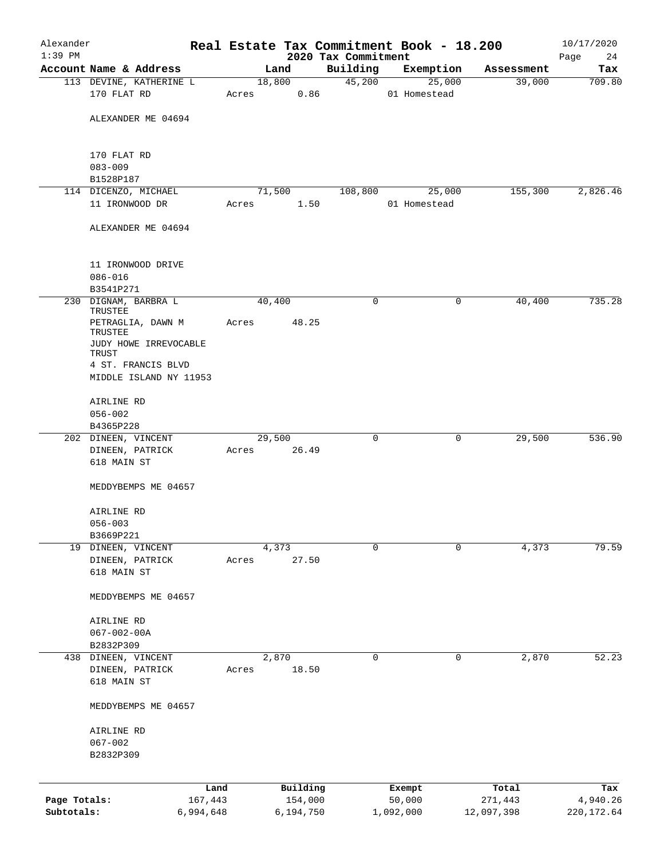| Alexander<br>$1:39$ PM |                                        |           |       |        |           |                                 |           | Real Estate Tax Commitment Book - 18.200 |            | 10/17/2020        |
|------------------------|----------------------------------------|-----------|-------|--------|-----------|---------------------------------|-----------|------------------------------------------|------------|-------------------|
|                        | Account Name & Address                 |           |       | Land   |           | 2020 Tax Commitment<br>Building |           | Exemption                                | Assessment | Page<br>24<br>Tax |
|                        | 113 DEVINE, KATHERINE L                |           |       | 18,800 |           | 45,200                          |           | 25,000                                   | 39,000     | 709.80            |
|                        | 170 FLAT RD                            |           | Acres |        | 0.86      |                                 |           | 01 Homestead                             |            |                   |
|                        | ALEXANDER ME 04694                     |           |       |        |           |                                 |           |                                          |            |                   |
|                        | 170 FLAT RD                            |           |       |        |           |                                 |           |                                          |            |                   |
|                        | $083 - 009$<br>B1528P187               |           |       |        |           |                                 |           |                                          |            |                   |
|                        | 114 DICENZO, MICHAEL                   |           |       | 71,500 |           | 108,800                         |           | 25,000                                   | 155,300    | 2,826.46          |
|                        | 11 IRONWOOD DR                         |           | Acres |        | 1.50      |                                 |           | 01 Homestead                             |            |                   |
|                        | ALEXANDER ME 04694                     |           |       |        |           |                                 |           |                                          |            |                   |
|                        | 11 IRONWOOD DRIVE<br>$086 - 016$       |           |       |        |           |                                 |           |                                          |            |                   |
|                        | B3541P271                              |           |       |        |           |                                 |           |                                          |            |                   |
|                        | 230 DIGNAM, BARBRA L<br>TRUSTEE        |           |       | 40,400 |           | $\mathbf 0$                     |           | 0                                        | 40,400     | 735.28            |
|                        | PETRAGLIA, DAWN M<br>TRUSTEE           |           | Acres |        | 48.25     |                                 |           |                                          |            |                   |
|                        | JUDY HOWE IRREVOCABLE<br>TRUST         |           |       |        |           |                                 |           |                                          |            |                   |
|                        | 4 ST. FRANCIS BLVD                     |           |       |        |           |                                 |           |                                          |            |                   |
|                        | MIDDLE ISLAND NY 11953                 |           |       |        |           |                                 |           |                                          |            |                   |
|                        | AIRLINE RD                             |           |       |        |           |                                 |           |                                          |            |                   |
|                        | $056 - 002$                            |           |       |        |           |                                 |           |                                          |            |                   |
|                        | B4365P228                              |           |       |        |           |                                 |           |                                          |            |                   |
|                        | 202 DINEEN, VINCENT<br>DINEEN, PATRICK |           | Acres | 29,500 | 26.49     | 0                               |           | 0                                        | 29,500     | 536.90            |
|                        | 618 MAIN ST                            |           |       |        |           |                                 |           |                                          |            |                   |
|                        | MEDDYBEMPS ME 04657                    |           |       |        |           |                                 |           |                                          |            |                   |
|                        | AIRLINE RD                             |           |       |        |           |                                 |           |                                          |            |                   |
|                        | $056 - 003$                            |           |       |        |           |                                 |           |                                          |            |                   |
|                        | B3669P221                              |           |       |        |           |                                 |           |                                          |            |                   |
|                        | 19 DINEEN, VINCENT<br>DINEEN, PATRICK  |           | Acres | 4,373  | 27.50     | $\mathbf 0$                     |           | 0                                        | 4,373      | 79.59             |
|                        | 618 MAIN ST                            |           |       |        |           |                                 |           |                                          |            |                   |
|                        | MEDDYBEMPS ME 04657                    |           |       |        |           |                                 |           |                                          |            |                   |
|                        | AIRLINE RD                             |           |       |        |           |                                 |           |                                          |            |                   |
|                        | $067 - 002 - 00A$                      |           |       |        |           |                                 |           |                                          |            |                   |
|                        | B2832P309                              |           |       |        |           |                                 |           |                                          |            |                   |
|                        | 438 DINEEN, VINCENT                    |           |       | 2,870  |           | 0                               |           | 0                                        | 2,870      | 52.23             |
|                        | DINEEN, PATRICK<br>618 MAIN ST         |           | Acres |        | 18.50     |                                 |           |                                          |            |                   |
|                        | MEDDYBEMPS ME 04657                    |           |       |        |           |                                 |           |                                          |            |                   |
|                        | AIRLINE RD                             |           |       |        |           |                                 |           |                                          |            |                   |
|                        | $067 - 002$                            |           |       |        |           |                                 |           |                                          |            |                   |
|                        | B2832P309                              |           |       |        |           |                                 |           |                                          |            |                   |
|                        |                                        | Land      |       |        | Building  |                                 | Exempt    |                                          | Total      | Tax               |
| Page Totals:           |                                        | 167,443   |       |        | 154,000   |                                 | 50,000    |                                          | 271,443    | 4,940.26          |
| Subtotals:             |                                        | 6,994,648 |       |        | 6,194,750 |                                 | 1,092,000 |                                          | 12,097,398 | 220, 172.64       |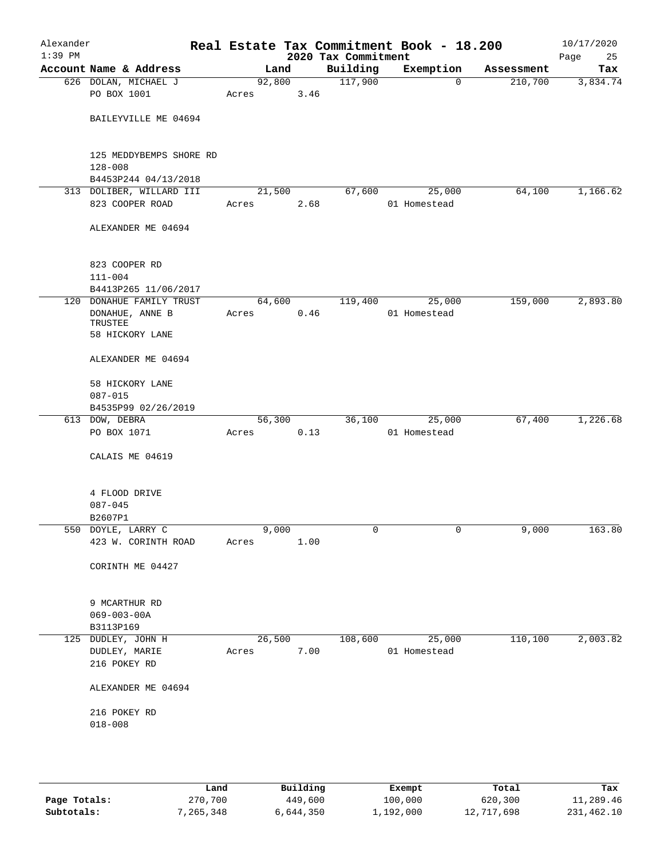| Alexander<br>$1:39$ PM |                                                  |                 |               | 2020 Tax Commitment | Real Estate Tax Commitment Book - 18.200 |            | 10/17/2020<br>Page<br>25 |
|------------------------|--------------------------------------------------|-----------------|---------------|---------------------|------------------------------------------|------------|--------------------------|
|                        | Account Name & Address                           |                 | Land          | Building            | Exemption                                | Assessment | Tax                      |
|                        | 626 DOLAN, MICHAEL J                             | 92,800          |               | 117,900             | $\mathbf 0$                              | 210,700    | 3,834.74                 |
|                        | PO BOX 1001                                      | Acres           | 3.46          |                     |                                          |            |                          |
|                        | BAILEYVILLE ME 04694                             |                 |               |                     |                                          |            |                          |
|                        | 125 MEDDYBEMPS SHORE RD                          |                 |               |                     |                                          |            |                          |
|                        | $128 - 008$                                      |                 |               |                     |                                          |            |                          |
|                        | B4453P244 04/13/2018<br>313 DOLIBER, WILLARD III | 21,500          |               | 67,600              | 25,000                                   | 64,100     | 1,166.62                 |
|                        | 823 COOPER ROAD                                  | Acres           | 2.68          |                     | 01 Homestead                             |            |                          |
|                        | ALEXANDER ME 04694                               |                 |               |                     |                                          |            |                          |
|                        | 823 COOPER RD                                    |                 |               |                     |                                          |            |                          |
|                        | $111 - 004$                                      |                 |               |                     |                                          |            |                          |
|                        | B4413P265 11/06/2017                             |                 |               |                     |                                          |            |                          |
|                        | 120 DONAHUE FAMILY TRUST                         | 64,600          |               | 119,400             | 25,000                                   | 159,000    | 2,893.80                 |
|                        | DONAHUE, ANNE B<br>TRUSTEE                       | Acres           | 0.46          |                     | 01 Homestead                             |            |                          |
|                        | 58 HICKORY LANE                                  |                 |               |                     |                                          |            |                          |
|                        | ALEXANDER ME 04694                               |                 |               |                     |                                          |            |                          |
|                        | 58 HICKORY LANE                                  |                 |               |                     |                                          |            |                          |
|                        | $087 - 015$                                      |                 |               |                     |                                          |            |                          |
|                        | B4535P99 02/26/2019                              |                 |               |                     |                                          |            |                          |
|                        | 613 DOW, DEBRA<br>PO BOX 1071                    | 56,300<br>Acres | 0.13          | 36,100              | 25,000<br>01 Homestead                   | 67,400     | 1,226.68                 |
|                        |                                                  |                 |               |                     |                                          |            |                          |
|                        | CALAIS ME 04619                                  |                 |               |                     |                                          |            |                          |
|                        | 4 FLOOD DRIVE                                    |                 |               |                     |                                          |            |                          |
|                        | $087 - 045$                                      |                 |               |                     |                                          |            |                          |
|                        | B2607P1                                          |                 |               |                     |                                          |            |                          |
|                        | 550 DOYLE, LARRY C                               |                 | 9,000<br>1.00 | 0                   | 0                                        | 9,000      | 163.80                   |
|                        | 423 W. CORINTH ROAD                              | Acres           |               |                     |                                          |            |                          |
|                        | CORINTH ME 04427                                 |                 |               |                     |                                          |            |                          |
|                        | 9 MCARTHUR RD                                    |                 |               |                     |                                          |            |                          |
|                        | $069 - 003 - 00A$                                |                 |               |                     |                                          |            |                          |
|                        | B3113P169                                        |                 |               |                     |                                          |            |                          |
|                        | 125 DUDLEY, JOHN H                               | 26,500          |               | 108,600             | 25,000                                   | 110,100    | 2,003.82                 |
|                        | DUDLEY, MARIE                                    | Acres           | 7.00          |                     | 01 Homestead                             |            |                          |
|                        | 216 POKEY RD                                     |                 |               |                     |                                          |            |                          |
|                        | ALEXANDER ME 04694                               |                 |               |                     |                                          |            |                          |
|                        | 216 POKEY RD                                     |                 |               |                     |                                          |            |                          |
|                        | $018 - 008$                                      |                 |               |                     |                                          |            |                          |
|                        |                                                  |                 |               |                     |                                          |            |                          |
|                        |                                                  |                 |               |                     |                                          |            |                          |
|                        |                                                  |                 |               |                     |                                          |            |                          |

|              | Land      | Building  | Exempt    | Total      | Tax        |  |
|--------------|-----------|-----------|-----------|------------|------------|--|
| Page Totals: | 270,700   | 449,600   | 100,000   | 620,300    | 11,289.46  |  |
| Subtotals:   | 7,265,348 | 6,644,350 | 1,192,000 | 12,717,698 | 231,462.10 |  |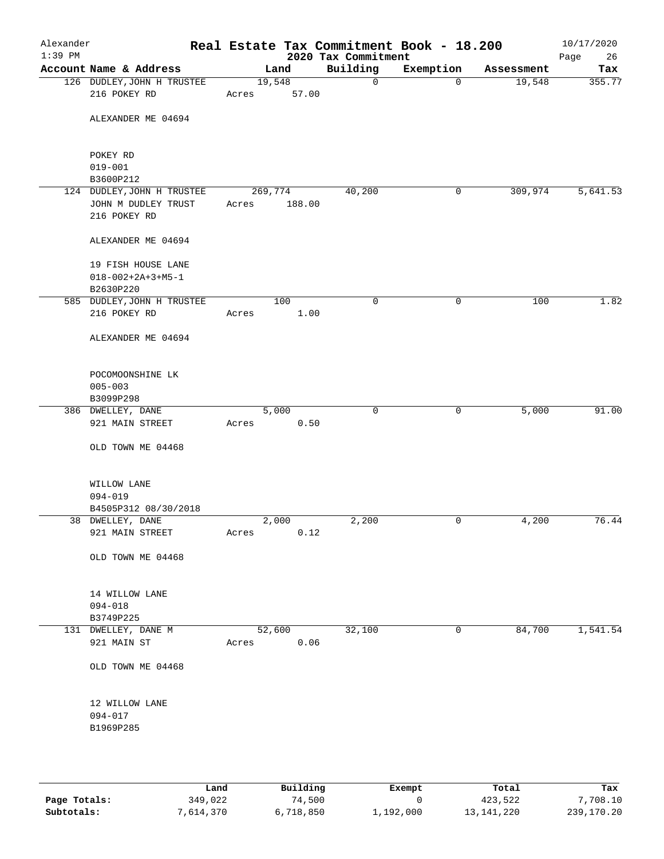| Alexander<br>$1:39$ PM |                                            |                 |        | Real Estate Tax Commitment Book - 18.200<br>2020 Tax Commitment |              |            | 10/17/2020<br>Page<br>26 |
|------------------------|--------------------------------------------|-----------------|--------|-----------------------------------------------------------------|--------------|------------|--------------------------|
|                        | Account Name & Address                     |                 | Land   | Building                                                        | Exemption    | Assessment | Tax                      |
|                        | 126 DUDLEY, JOHN H TRUSTEE<br>216 POKEY RD | 19,548<br>Acres | 57.00  | $\mathbf 0$                                                     | $\mathbf{0}$ | 19,548     | 355.77                   |
|                        |                                            |                 |        |                                                                 |              |            |                          |
|                        | ALEXANDER ME 04694                         |                 |        |                                                                 |              |            |                          |
|                        | POKEY RD                                   |                 |        |                                                                 |              |            |                          |
|                        | $019 - 001$<br>B3600P212                   |                 |        |                                                                 |              |            |                          |
|                        | 124 DUDLEY, JOHN H TRUSTEE                 | 269,774         |        | 40,200                                                          | 0            | 309,974    | 5,641.53                 |
|                        | JOHN M DUDLEY TRUST                        | Acres           | 188.00 |                                                                 |              |            |                          |
|                        | 216 POKEY RD                               |                 |        |                                                                 |              |            |                          |
|                        | ALEXANDER ME 04694                         |                 |        |                                                                 |              |            |                          |
|                        | 19 FISH HOUSE LANE                         |                 |        |                                                                 |              |            |                          |
|                        | $018 - 002 + 2A + 3 + M5 - 1$<br>B2630P220 |                 |        |                                                                 |              |            |                          |
|                        | 585 DUDLEY, JOHN H TRUSTEE                 |                 | 100    | $\mathsf{O}$                                                    | 0            | 100        | 1.82                     |
|                        | 216 POKEY RD                               | Acres           | 1.00   |                                                                 |              |            |                          |
|                        | ALEXANDER ME 04694                         |                 |        |                                                                 |              |            |                          |
|                        | POCOMOONSHINE LK                           |                 |        |                                                                 |              |            |                          |
|                        | $005 - 003$                                |                 |        |                                                                 |              |            |                          |
|                        | B3099P298                                  |                 |        |                                                                 |              |            |                          |
|                        | 386 DWELLEY, DANE                          | 5,000           |        | $\mathbf 0$                                                     | 0            | 5,000      | 91.00                    |
|                        | 921 MAIN STREET                            | Acres           | 0.50   |                                                                 |              |            |                          |
|                        | OLD TOWN ME 04468                          |                 |        |                                                                 |              |            |                          |
|                        | WILLOW LANE                                |                 |        |                                                                 |              |            |                          |
|                        | 094-019                                    |                 |        |                                                                 |              |            |                          |
|                        | B4505P312 08/30/2018                       |                 |        |                                                                 |              |            |                          |
|                        | 38 DWELLEY, DANE<br>921 MAIN STREET        | 2,000<br>Acres  | 0.12   | 2,200                                                           | 0            | 4,200      | 76.44                    |
|                        | OLD TOWN ME 04468                          |                 |        |                                                                 |              |            |                          |
|                        | 14 WILLOW LANE                             |                 |        |                                                                 |              |            |                          |
|                        | $094 - 018$                                |                 |        |                                                                 |              |            |                          |
|                        | B3749P225                                  |                 |        |                                                                 |              |            |                          |
|                        | 131 DWELLEY, DANE M                        | 52,600          |        | 32,100                                                          | 0            | 84,700     | 1,541.54                 |
|                        | 921 MAIN ST                                | Acres           | 0.06   |                                                                 |              |            |                          |
|                        | OLD TOWN ME 04468                          |                 |        |                                                                 |              |            |                          |
|                        | 12 WILLOW LANE                             |                 |        |                                                                 |              |            |                          |
|                        | 094-017                                    |                 |        |                                                                 |              |            |                          |
|                        | B1969P285                                  |                 |        |                                                                 |              |            |                          |
|                        |                                            |                 |        |                                                                 |              |            |                          |

|              | Land     | Building  | Exempt    | Total        | Tax        |
|--------------|----------|-----------|-----------|--------------|------------|
| Page Totals: | 349,022  | 74,500    |           | 423,522      | 7,708.10   |
| Subtotals:   | .614.370 | 6,718,850 | 1,192,000 | 13, 141, 220 | 239,170.20 |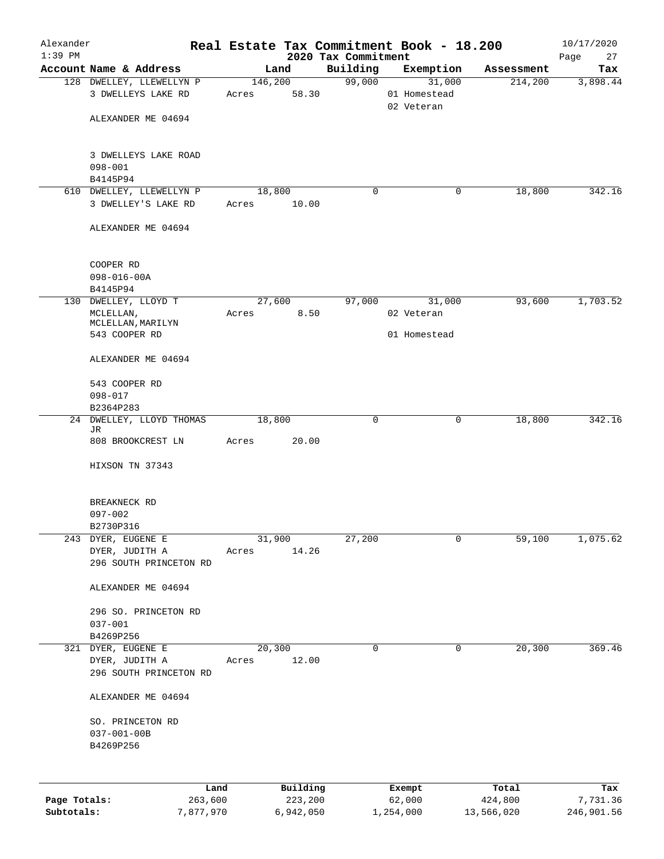| Alexander                  |                                                 |       |                      |                     | Real Estate Tax Commitment Book - 18.200 |                       | 10/17/2020             |
|----------------------------|-------------------------------------------------|-------|----------------------|---------------------|------------------------------------------|-----------------------|------------------------|
| $1:39$ PM                  |                                                 |       |                      | 2020 Tax Commitment |                                          |                       | Page<br>27             |
|                            | Account Name & Address                          |       | Land                 | Building<br>99,000  | Exemption<br>31,000                      | Assessment            | Tax                    |
|                            | 128 DWELLEY, LLEWELLYN P<br>3 DWELLEYS LAKE RD  | Acres | 146,200<br>58.30     |                     | 01 Homestead<br>02 Veteran               | 214,200               | 3,898.44               |
|                            | ALEXANDER ME 04694                              |       |                      |                     |                                          |                       |                        |
|                            | 3 DWELLEYS LAKE ROAD<br>$098 - 001$             |       |                      |                     |                                          |                       |                        |
|                            | B4145P94                                        |       |                      |                     |                                          |                       |                        |
|                            | 610 DWELLEY, LLEWELLYN P<br>3 DWELLEY'S LAKE RD | Acres | 18,800<br>10.00      | 0                   |                                          | 18,800<br>0           | 342.16                 |
|                            | ALEXANDER ME 04694                              |       |                      |                     |                                          |                       |                        |
|                            | COOPER RD<br>$098 - 016 - 00A$                  |       |                      |                     |                                          |                       |                        |
|                            | B4145P94                                        |       |                      |                     |                                          |                       |                        |
|                            | 130 DWELLEY, LLOYD T                            |       | 27,600               | 97,000              | 31,000                                   | 93,600                | 1,703.52               |
|                            | MCLELLAN,<br>MCLELLAN, MARILYN                  | Acres | 8.50                 |                     | 02 Veteran                               |                       |                        |
|                            | 543 COOPER RD                                   |       |                      |                     | 01 Homestead                             |                       |                        |
|                            | ALEXANDER ME 04694                              |       |                      |                     |                                          |                       |                        |
|                            | 543 COOPER RD<br>$098 - 017$                    |       |                      |                     |                                          |                       |                        |
|                            | B2364P283                                       |       |                      |                     |                                          |                       |                        |
| 24                         | DWELLEY, LLOYD THOMAS<br>JR                     |       | 18,800               | 0                   |                                          | 18,800<br>0           | 342.16                 |
|                            | 808 BROOKCREST LN                               | Acres | 20.00                |                     |                                          |                       |                        |
|                            | HIXSON TN 37343                                 |       |                      |                     |                                          |                       |                        |
|                            | BREAKNECK RD                                    |       |                      |                     |                                          |                       |                        |
|                            | $097 - 002$<br>B2730P316                        |       |                      |                     |                                          |                       |                        |
| 243                        | DYER, EUGENE E                                  |       | 31,900               | 27,200              |                                          | 59,100<br>0           | 1,075.62               |
|                            | DYER, JUDITH A<br>296 SOUTH PRINCETON RD        | Acres | 14.26                |                     |                                          |                       |                        |
|                            | ALEXANDER ME 04694                              |       |                      |                     |                                          |                       |                        |
|                            | 296 SO. PRINCETON RD                            |       |                      |                     |                                          |                       |                        |
|                            | $037 - 001$<br>B4269P256                        |       |                      |                     |                                          |                       |                        |
|                            | 321 DYER, EUGENE E                              |       | 20,300               | 0                   |                                          | 20,300<br>0           | 369.46                 |
|                            | DYER, JUDITH A<br>296 SOUTH PRINCETON RD        | Acres | 12.00                |                     |                                          |                       |                        |
|                            | ALEXANDER ME 04694                              |       |                      |                     |                                          |                       |                        |
|                            | SO. PRINCETON RD<br>$037 - 001 - 00B$           |       |                      |                     |                                          |                       |                        |
|                            | B4269P256                                       |       |                      |                     |                                          |                       |                        |
|                            |                                                 | Land  | Building             |                     | Exempt                                   | Total                 | Tax                    |
| Page Totals:<br>Subtotals: | 263,600<br>7,877,970                            |       | 223,200<br>6,942,050 |                     | 62,000<br>1,254,000                      | 424,800<br>13,566,020 | 7,731.36<br>246,901.56 |
|                            |                                                 |       |                      |                     |                                          |                       |                        |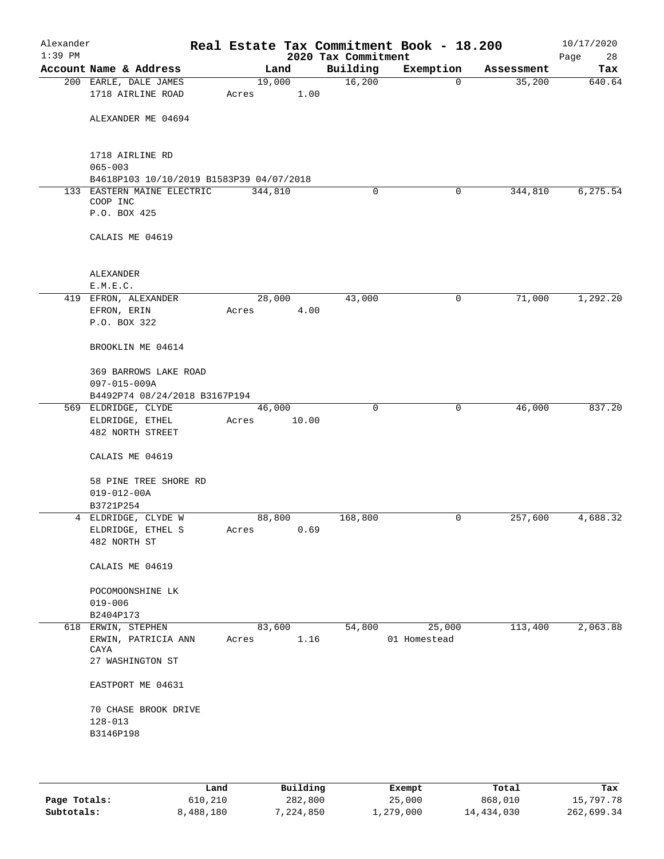| Alexander<br>$1:39$ PM |                                           |                 |       | 2020 Tax Commitment | Real Estate Tax Commitment Book - 18.200 |            | 10/17/2020<br>Page<br>28 |
|------------------------|-------------------------------------------|-----------------|-------|---------------------|------------------------------------------|------------|--------------------------|
|                        | Account Name & Address                    |                 | Land  | Building            | Exemption                                | Assessment | Tax                      |
|                        | 200 EARLE, DALE JAMES                     | 19,000          |       | 16,200              | $\mathbf 0$                              | 35,200     | 640.64                   |
|                        | 1718 AIRLINE ROAD                         | Acres           | 1.00  |                     |                                          |            |                          |
|                        |                                           |                 |       |                     |                                          |            |                          |
|                        | ALEXANDER ME 04694                        |                 |       |                     |                                          |            |                          |
|                        |                                           |                 |       |                     |                                          |            |                          |
|                        | 1718 AIRLINE RD                           |                 |       |                     |                                          |            |                          |
|                        | $065 - 003$                               |                 |       |                     |                                          |            |                          |
|                        | B4618P103 10/10/2019 B1583P39 04/07/2018  |                 |       |                     |                                          |            |                          |
|                        | 133 EASTERN MAINE ELECTRIC                | 344,810         |       | 0                   | 0                                        | 344,810    | 6,275.54                 |
|                        | COOP INC                                  |                 |       |                     |                                          |            |                          |
|                        | P.O. BOX 425                              |                 |       |                     |                                          |            |                          |
|                        |                                           |                 |       |                     |                                          |            |                          |
|                        | CALAIS ME 04619                           |                 |       |                     |                                          |            |                          |
|                        |                                           |                 |       |                     |                                          |            |                          |
|                        | ALEXANDER                                 |                 |       |                     |                                          |            |                          |
|                        | E.M.E.C.                                  |                 |       |                     |                                          |            |                          |
|                        | 419 EFRON, ALEXANDER                      | 28,000          |       | 43,000              | 0                                        | 71,000     | 1,292.20                 |
|                        | EFRON, ERIN                               | Acres           | 4.00  |                     |                                          |            |                          |
|                        | P.O. BOX 322                              |                 |       |                     |                                          |            |                          |
|                        |                                           |                 |       |                     |                                          |            |                          |
|                        | BROOKLIN ME 04614                         |                 |       |                     |                                          |            |                          |
|                        | 369 BARROWS LAKE ROAD                     |                 |       |                     |                                          |            |                          |
|                        | 097-015-009A                              |                 |       |                     |                                          |            |                          |
|                        | B4492P74 08/24/2018 B3167P194             |                 |       |                     |                                          |            |                          |
|                        | 569 ELDRIDGE, CLYDE                       | 46,000          |       | $\mathbf 0$         | 0                                        | 46,000     | 837.20                   |
|                        | ELDRIDGE, ETHEL                           | Acres           | 10.00 |                     |                                          |            |                          |
|                        | <b>482 NORTH STREET</b>                   |                 |       |                     |                                          |            |                          |
|                        |                                           |                 |       |                     |                                          |            |                          |
|                        | CALAIS ME 04619                           |                 |       |                     |                                          |            |                          |
|                        |                                           |                 |       |                     |                                          |            |                          |
|                        | 58 PINE TREE SHORE RD                     |                 |       |                     |                                          |            |                          |
|                        | $019 - 012 - 00A$<br>B3721P254            |                 |       |                     |                                          |            |                          |
|                        | 4 ELDRIDGE, CLYDE W                       | 88,800          |       | 168,800             | 0                                        | 257,600    | 4,688.32                 |
|                        | ELDRIDGE, ETHEL S                         | Acres           | 0.69  |                     |                                          |            |                          |
|                        | 482 NORTH ST                              |                 |       |                     |                                          |            |                          |
|                        |                                           |                 |       |                     |                                          |            |                          |
|                        | CALAIS ME 04619                           |                 |       |                     |                                          |            |                          |
|                        |                                           |                 |       |                     |                                          |            |                          |
|                        | POCOMOONSHINE LK                          |                 |       |                     |                                          |            |                          |
|                        | $019 - 006$                               |                 |       |                     |                                          |            |                          |
|                        | B2404P173                                 |                 |       |                     |                                          | 113,400    |                          |
|                        | 618 ERWIN, STEPHEN<br>ERWIN, PATRICIA ANN | 83,600<br>Acres | 1.16  | 54,800              | 25,000<br>01 Homestead                   |            | 2,063.88                 |
|                        | CAYA                                      |                 |       |                     |                                          |            |                          |
|                        | 27 WASHINGTON ST                          |                 |       |                     |                                          |            |                          |
|                        |                                           |                 |       |                     |                                          |            |                          |
|                        | EASTPORT ME 04631                         |                 |       |                     |                                          |            |                          |
|                        |                                           |                 |       |                     |                                          |            |                          |
|                        | 70 CHASE BROOK DRIVE<br>$128 - 013$       |                 |       |                     |                                          |            |                          |
|                        | B3146P198                                 |                 |       |                     |                                          |            |                          |
|                        |                                           |                 |       |                     |                                          |            |                          |
|                        |                                           |                 |       |                     |                                          |            |                          |
|                        |                                           |                 |       |                     |                                          |            |                          |

|              | Land      | Building  | Exempt    | Total      | Tax        |
|--------------|-----------|-----------|-----------|------------|------------|
| Page Totals: | 610,210   | 282,800   | 25,000    | 868,010    | 15,797.78  |
| Subtotals:   | 8,488,180 | 7,224,850 | 1,279,000 | 14,434,030 | 262,699.34 |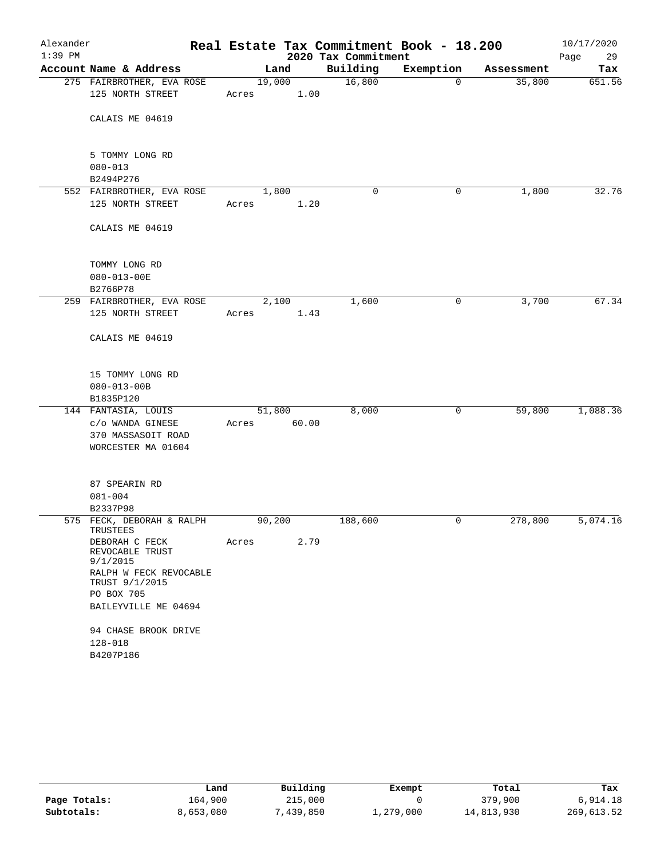| Alexander |                                                                                                                  |                 |               |                     | Real Estate Tax Commitment Book - 18.200 |            | 10/17/2020 |
|-----------|------------------------------------------------------------------------------------------------------------------|-----------------|---------------|---------------------|------------------------------------------|------------|------------|
| $1:39$ PM |                                                                                                                  |                 |               | 2020 Tax Commitment |                                          |            | Page<br>29 |
|           | Account Name & Address                                                                                           |                 | Land          | Building            | Exemption                                | Assessment | Tax        |
|           | 275 FAIRBROTHER, EVA ROSE<br>125 NORTH STREET                                                                    | 19,000<br>Acres | 1.00          | 16,800              | 0                                        | 35,800     | 651.56     |
|           | CALAIS ME 04619                                                                                                  |                 |               |                     |                                          |            |            |
|           | 5 TOMMY LONG RD<br>$080 - 013$                                                                                   |                 |               |                     |                                          |            |            |
|           | B2494P276                                                                                                        |                 |               |                     |                                          |            |            |
|           | 552 FAIRBROTHER, EVA ROSE<br>125 NORTH STREET                                                                    | Acres           | 1,800<br>1.20 | 0                   | 0                                        | 1,800      | 32.76      |
|           | CALAIS ME 04619                                                                                                  |                 |               |                     |                                          |            |            |
|           | TOMMY LONG RD<br>$080 - 013 - 00E$                                                                               |                 |               |                     |                                          |            |            |
|           | B2766P78<br>259 FAIRBROTHER, EVA ROSE                                                                            |                 | 2,100         | 1,600               | 0                                        | 3,700      | 67.34      |
|           | 125 NORTH STREET                                                                                                 | Acres           | 1.43          |                     |                                          |            |            |
|           | CALAIS ME 04619                                                                                                  |                 |               |                     |                                          |            |            |
|           | 15 TOMMY LONG RD<br>$080 - 013 - 00B$<br>B1835P120                                                               |                 |               |                     |                                          |            |            |
|           | 144 FANTASIA, LOUIS<br>c/o WANDA GINESE<br>370 MASSASOIT ROAD<br>WORCESTER MA 01604                              | 51,800<br>Acres | 60.00         | 8,000               | 0                                        | 59,800     | 1,088.36   |
|           | 87 SPEARIN RD<br>$081 - 004$<br>B2337P98                                                                         |                 |               |                     |                                          |            |            |
|           | 575 FECK, DEBORAH & RALPH<br>TRUSTEES<br>DEBORAH C FECK<br>REVOCABLE TRUST<br>9/1/2015<br>RALPH W FECK REVOCABLE | 90,200<br>Acres | 2.79          | 188,600             | 0                                        | 278,800    | 5,074.16   |
|           | TRUST 9/1/2015<br>PO BOX 705<br>BAILEYVILLE ME 04694<br>94 CHASE BROOK DRIVE<br>$128 - 018$                      |                 |               |                     |                                          |            |            |
|           | B4207P186                                                                                                        |                 |               |                     |                                          |            |            |

|              | Land      | Building  | Exempt    | Total      | Tax        |
|--------------|-----------|-----------|-----------|------------|------------|
| Page Totals: | 164.900   | 215,000   |           | 379,900    | 6,914.18   |
| Subtotals:   | 8,653,080 | 439,850," | 1,279,000 | 14,813,930 | 269,613.52 |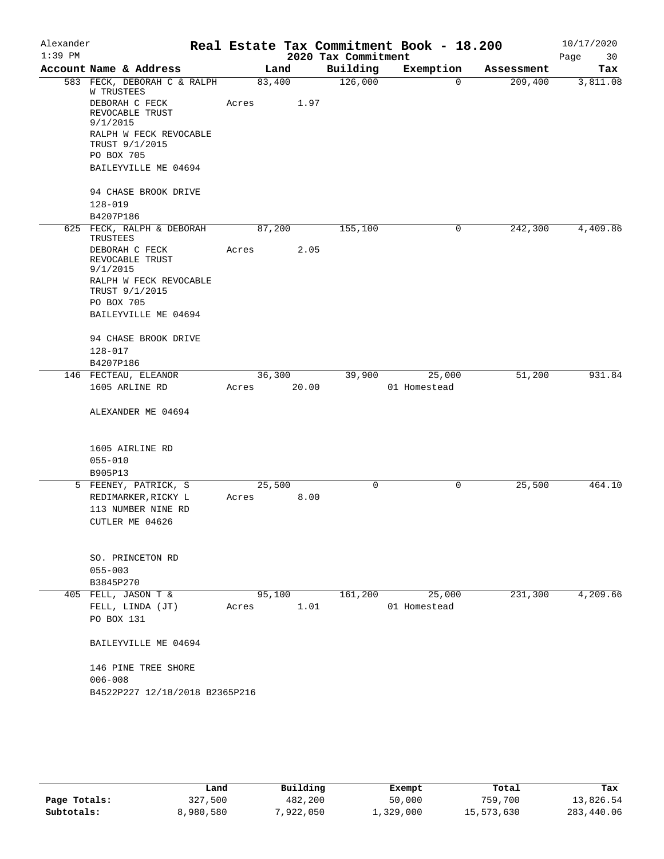| Alexander |                                                        |        |       |                     | Real Estate Tax Commitment Book - 18.200 |            | 10/17/2020 |
|-----------|--------------------------------------------------------|--------|-------|---------------------|------------------------------------------|------------|------------|
| $1:39$ PM |                                                        |        |       | 2020 Tax Commitment |                                          |            | Page<br>30 |
|           | Account Name & Address                                 |        | Land  | Building            | Exemption                                | Assessment | Tax        |
|           | 583 FECK, DEBORAH C & RALPH<br>W TRUSTEES              | 83,400 |       | 126,000             | $\Omega$                                 | 209,400    | 3,811.08   |
|           | DEBORAH C FECK<br>REVOCABLE TRUST<br>9/1/2015          | Acres  | 1.97  |                     |                                          |            |            |
|           | RALPH W FECK REVOCABLE<br>TRUST 9/1/2015<br>PO BOX 705 |        |       |                     |                                          |            |            |
|           | BAILEYVILLE ME 04694                                   |        |       |                     |                                          |            |            |
|           | 94 CHASE BROOK DRIVE                                   |        |       |                     |                                          |            |            |
|           | $128 - 019$                                            |        |       |                     |                                          |            |            |
|           | B4207P186                                              |        |       |                     |                                          |            |            |
|           | 625 FECK, RALPH & DEBORAH<br>TRUSTEES                  | 87,200 |       | 155,100             | 0                                        | 242,300    | 4,409.86   |
|           | DEBORAH C FECK<br>REVOCABLE TRUST<br>9/1/2015          | Acres  | 2.05  |                     |                                          |            |            |
|           | RALPH W FECK REVOCABLE<br>TRUST 9/1/2015               |        |       |                     |                                          |            |            |
|           | PO BOX 705                                             |        |       |                     |                                          |            |            |
|           | BAILEYVILLE ME 04694                                   |        |       |                     |                                          |            |            |
|           | 94 CHASE BROOK DRIVE                                   |        |       |                     |                                          |            |            |
|           | 128-017                                                |        |       |                     |                                          |            |            |
|           | B4207P186                                              |        |       |                     |                                          |            |            |
|           | 146 FECTEAU, ELEANOR                                   | 36,300 |       | 39,900              | 25,000                                   | 51,200     | 931.84     |
|           | 1605 ARLINE RD                                         | Acres  | 20.00 |                     | 01 Homestead                             |            |            |
|           | ALEXANDER ME 04694                                     |        |       |                     |                                          |            |            |
|           | 1605 AIRLINE RD                                        |        |       |                     |                                          |            |            |
|           | $055 - 010$                                            |        |       |                     |                                          |            |            |
|           | B905P13                                                |        |       |                     |                                          |            |            |
|           | 5 FEENEY, PATRICK, S                                   | 25,500 |       | 0                   | $\mathbf 0$                              | 25,500     | 464.10     |
|           | REDIMARKER, RICKY L                                    | Acres  | 8.00  |                     |                                          |            |            |
|           | 113 NUMBER NINE RD                                     |        |       |                     |                                          |            |            |
|           | CUTLER ME 04626                                        |        |       |                     |                                          |            |            |
|           | SO. PRINCETON RD                                       |        |       |                     |                                          |            |            |
|           | $055 - 003$                                            |        |       |                     |                                          |            |            |
|           | B3845P270                                              |        |       |                     |                                          |            |            |
|           | 405 FELL, JASON T &                                    | 95,100 |       | 161,200             | 25,000                                   | 231,300    | 4,209.66   |
|           | FELL, LINDA (JT)                                       | Acres  | 1.01  |                     | 01 Homestead                             |            |            |
|           | PO BOX 131                                             |        |       |                     |                                          |            |            |
|           | BAILEYVILLE ME 04694                                   |        |       |                     |                                          |            |            |
|           | 146 PINE TREE SHORE<br>$006 - 008$                     |        |       |                     |                                          |            |            |
|           | B4522P227 12/18/2018 B2365P216                         |        |       |                     |                                          |            |            |
|           |                                                        |        |       |                     |                                          |            |            |

|              | Land      | Building  | Exempt    | Total      | Tax        |
|--------------|-----------|-----------|-----------|------------|------------|
| Page Totals: | 327,500   | 482,200   | 50,000    | 759,700    | 13,826.54  |
| Subtotals:   | 8,980,580 | 7,922,050 | 1,329,000 | 15,573,630 | 283,440.06 |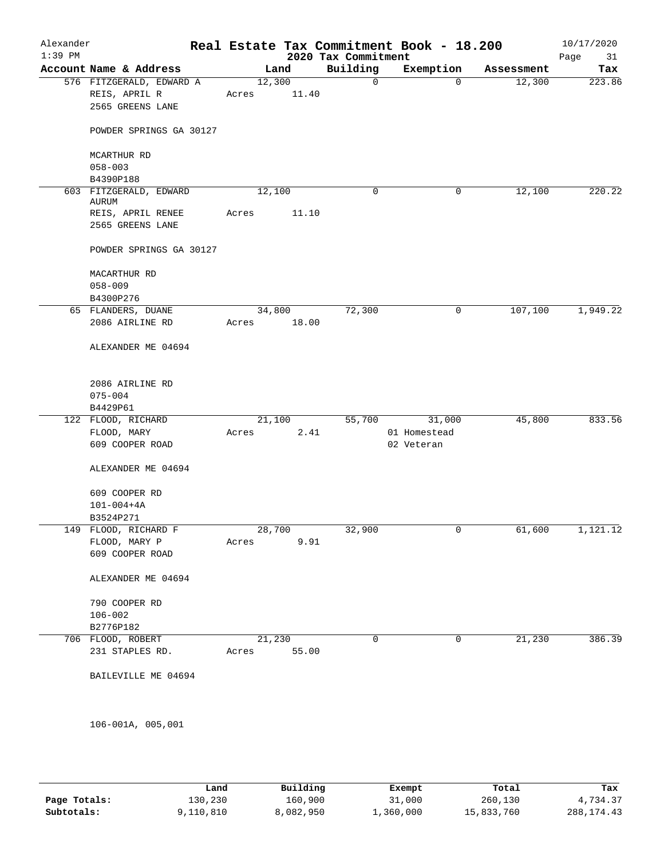| Alexander<br>$1:39$ PM |                                 |        |       | 2020 Tax Commitment | Real Estate Tax Commitment Book - 18.200 |            | 10/17/2020<br>31<br>Page |
|------------------------|---------------------------------|--------|-------|---------------------|------------------------------------------|------------|--------------------------|
|                        | Account Name & Address          |        | Land  | Building            | Exemption                                | Assessment | Tax                      |
|                        | 576 FITZGERALD, EDWARD A        | 12,300 |       | $\mathsf{O}$        | $\mathbf{0}$                             | 12,300     | 223.86                   |
|                        | REIS, APRIL R                   | Acres  | 11.40 |                     |                                          |            |                          |
|                        | 2565 GREENS LANE                |        |       |                     |                                          |            |                          |
|                        | POWDER SPRINGS GA 30127         |        |       |                     |                                          |            |                          |
|                        | MCARTHUR RD                     |        |       |                     |                                          |            |                          |
|                        | $058 - 003$                     |        |       |                     |                                          |            |                          |
|                        | B4390P188                       |        |       |                     |                                          |            |                          |
|                        | 603 FITZGERALD, EDWARD<br>AURUM | 12,100 |       | 0                   | 0                                        | 12,100     | 220.22                   |
|                        | REIS, APRIL RENEE               | Acres  | 11.10 |                     |                                          |            |                          |
|                        | 2565 GREENS LANE                |        |       |                     |                                          |            |                          |
|                        | POWDER SPRINGS GA 30127         |        |       |                     |                                          |            |                          |
|                        | MACARTHUR RD                    |        |       |                     |                                          |            |                          |
|                        | $058 - 009$                     |        |       |                     |                                          |            |                          |
|                        | B4300P276                       |        |       |                     |                                          |            |                          |
|                        | 65 FLANDERS, DUANE              | 34,800 |       | 72,300              | 0                                        | 107,100    | 1,949.22                 |
|                        | 2086 AIRLINE RD                 | Acres  | 18.00 |                     |                                          |            |                          |
|                        | ALEXANDER ME 04694              |        |       |                     |                                          |            |                          |
|                        | 2086 AIRLINE RD<br>$075 - 004$  |        |       |                     |                                          |            |                          |
|                        | B4429P61                        |        |       |                     |                                          |            |                          |
|                        | 122 FLOOD, RICHARD              | 21,100 |       | 55,700              | 31,000                                   | 45,800     | 833.56                   |
|                        | FLOOD, MARY                     | Acres  | 2.41  |                     | 01 Homestead                             |            |                          |
|                        | 609 COOPER ROAD                 |        |       |                     | 02 Veteran                               |            |                          |
|                        | ALEXANDER ME 04694              |        |       |                     |                                          |            |                          |
|                        | 609 COOPER RD                   |        |       |                     |                                          |            |                          |
|                        | $101 - 004 + 4A$                |        |       |                     |                                          |            |                          |
|                        | B3524P271                       |        |       |                     |                                          |            |                          |
| 149                    | FLOOD, RICHARD F                | 28,700 |       | 32,900              | 0                                        | 61,600     | 1,121.12                 |
|                        | FLOOD, MARY P                   | Acres  | 9.91  |                     |                                          |            |                          |
|                        | 609 COOPER ROAD                 |        |       |                     |                                          |            |                          |
|                        | ALEXANDER ME 04694              |        |       |                     |                                          |            |                          |
|                        | 790 COOPER RD                   |        |       |                     |                                          |            |                          |
|                        | $106 - 002$                     |        |       |                     |                                          |            |                          |
|                        | B2776P182                       |        |       |                     |                                          |            |                          |
|                        | 706 FLOOD, ROBERT               | 21,230 |       | 0                   | 0                                        | 21,230     | 386.39                   |
|                        | 231 STAPLES RD.                 | Acres  | 55.00 |                     |                                          |            |                          |
|                        | BAILEVILLE ME 04694             |        |       |                     |                                          |            |                          |
|                        |                                 |        |       |                     |                                          |            |                          |
|                        | 106-001A, 005,001               |        |       |                     |                                          |            |                          |

|              | Land      | Building  | Exempt    | Total      | Tax         |
|--------------|-----------|-----------|-----------|------------|-------------|
| Page Totals: | 130,230   | 160,900   | 31,000    | 260,130    | 4,734.37    |
| Subtotals:   | 9,110,810 | 8,082,950 | ⊥,360,000 | 15,833,760 | 288, 174.43 |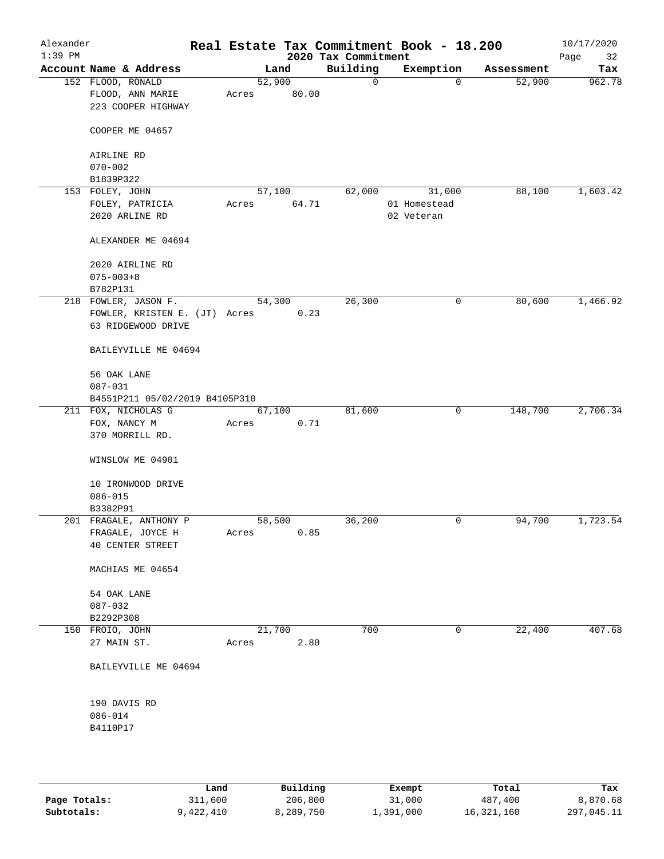| Alexander<br>$1:39$ PM |                                                             |                 |       | 2020 Tax Commitment | Real Estate Tax Commitment Book - 18.200 |            | 10/17/2020<br>Page<br>32 |
|------------------------|-------------------------------------------------------------|-----------------|-------|---------------------|------------------------------------------|------------|--------------------------|
|                        | Account Name & Address                                      |                 | Land  | Building            | Exemption                                | Assessment | Tax                      |
|                        | 152 FLOOD, RONALD<br>FLOOD, ANN MARIE<br>223 COOPER HIGHWAY | 52,900<br>Acres | 80.00 | $\mathbf 0$         | $\mathbf 0$                              | 52,900     | 962.78                   |
|                        | COOPER ME 04657                                             |                 |       |                     |                                          |            |                          |
|                        | AIRLINE RD<br>$070 - 002$                                   |                 |       |                     |                                          |            |                          |
|                        | B1839P322                                                   |                 |       |                     |                                          |            |                          |
|                        | 153 FOLEY, JOHN                                             | 57,100          |       | 62,000              | 31,000                                   | 88,100     | 1,603.42                 |
|                        | FOLEY, PATRICIA                                             | Acres           | 64.71 |                     | 01 Homestead                             |            |                          |
|                        | 2020 ARLINE RD                                              |                 |       |                     | 02 Veteran                               |            |                          |
|                        | ALEXANDER ME 04694                                          |                 |       |                     |                                          |            |                          |
|                        | 2020 AIRLINE RD                                             |                 |       |                     |                                          |            |                          |
|                        | $075 - 003 + 8$                                             |                 |       |                     |                                          |            |                          |
|                        | B782P131                                                    |                 |       |                     |                                          |            |                          |
|                        | 218 FOWLER, JASON F.                                        | 54,300          |       | 26,300              | 0                                        | 80,600     | 1,466.92                 |
|                        | FOWLER, KRISTEN E. (JT) Acres                               |                 | 0.23  |                     |                                          |            |                          |
|                        | 63 RIDGEWOOD DRIVE                                          |                 |       |                     |                                          |            |                          |
|                        | BAILEYVILLE ME 04694                                        |                 |       |                     |                                          |            |                          |
|                        | 56 OAK LANE                                                 |                 |       |                     |                                          |            |                          |
|                        | $087 - 031$                                                 |                 |       |                     |                                          |            |                          |
|                        | B4551P211 05/02/2019 B4105P310                              |                 |       |                     |                                          |            |                          |
|                        | 211 FOX, NICHOLAS G                                         | 67,100          |       | 81,600              | 0                                        | 148,700    | 2,706.34                 |
|                        | FOX, NANCY M<br>370 MORRILL RD.                             | Acres           | 0.71  |                     |                                          |            |                          |
|                        | WINSLOW ME 04901                                            |                 |       |                     |                                          |            |                          |
|                        | 10 IRONWOOD DRIVE                                           |                 |       |                     |                                          |            |                          |
|                        | $086 - 015$                                                 |                 |       |                     |                                          |            |                          |
|                        | B3382P91                                                    |                 |       |                     |                                          |            |                          |
|                        | 201 FRAGALE, ANTHONY P                                      | 58,500          |       | 36,200              | 0                                        | 94,700     | 1,723.54                 |
|                        | FRAGALE, JOYCE H                                            | Acres           | 0.85  |                     |                                          |            |                          |
|                        | 40 CENTER STREET                                            |                 |       |                     |                                          |            |                          |
|                        | MACHIAS ME 04654                                            |                 |       |                     |                                          |            |                          |
|                        | 54 OAK LANE                                                 |                 |       |                     |                                          |            |                          |
|                        | $087 - 032$                                                 |                 |       |                     |                                          |            |                          |
|                        | B2292P308                                                   |                 |       |                     |                                          |            |                          |
|                        | 150 FROIO, JOHN                                             | 21,700          |       | 700                 | 0                                        | 22,400     | 407.68                   |
|                        | 27 MAIN ST.                                                 | Acres           | 2.80  |                     |                                          |            |                          |
|                        | BAILEYVILLE ME 04694                                        |                 |       |                     |                                          |            |                          |
|                        | 190 DAVIS RD                                                |                 |       |                     |                                          |            |                          |
|                        | $086 - 014$                                                 |                 |       |                     |                                          |            |                          |
|                        | B4110P17                                                    |                 |       |                     |                                          |            |                          |
|                        |                                                             |                 |       |                     |                                          |            |                          |
|                        |                                                             |                 |       |                     |                                          |            |                          |

|              | Land      | Building  | Exempt    | Total      | Tax        |
|--------------|-----------|-----------|-----------|------------|------------|
| Page Totals: | 311,600   | 206,800   | 31,000    | 487,400    | 8,870.68   |
| Subtotals:   | 9,422,410 | 8,289,750 | 1,391,000 | 16,321,160 | 297,045.11 |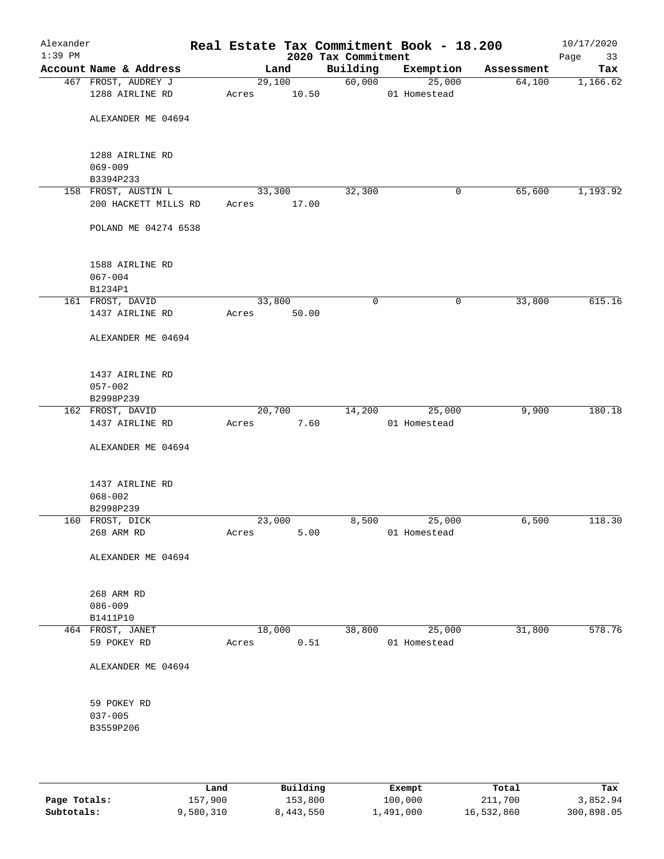| Alexander<br>$1:39$ PM |                                             |       |                | 2020 Tax Commitment | Real Estate Tax Commitment Book - 18.200 |            | 10/17/2020<br>Page<br>33 |
|------------------------|---------------------------------------------|-------|----------------|---------------------|------------------------------------------|------------|--------------------------|
|                        | Account Name & Address                      |       | Land           | Building            | Exemption                                | Assessment | Tax                      |
|                        | 467 FROST, AUDREY J                         |       | 29,100         | 60,000              | 25,000                                   | 64,100     | 1,166.62                 |
|                        | 1288 AIRLINE RD                             | Acres | 10.50          |                     | 01 Homestead                             |            |                          |
|                        | ALEXANDER ME 04694                          |       |                |                     |                                          |            |                          |
|                        | 1288 AIRLINE RD                             |       |                |                     |                                          |            |                          |
|                        | $069 - 009$                                 |       |                |                     |                                          |            |                          |
|                        | B3394P233                                   |       | 33,300         |                     |                                          | 65,600     |                          |
|                        | 158 FROST, AUSTIN L<br>200 HACKETT MILLS RD | Acres | 17.00          | 32,300              | 0                                        |            | 1,193.92                 |
|                        | POLAND ME 04274 6538                        |       |                |                     |                                          |            |                          |
|                        | 1588 AIRLINE RD                             |       |                |                     |                                          |            |                          |
|                        | $067 - 004$<br>B1234P1                      |       |                |                     |                                          |            |                          |
|                        | 161 FROST, DAVID                            |       | 33,800         | $\mathbf 0$         | $\mathsf{O}$                             | 33,800     | 615.16                   |
|                        | 1437 AIRLINE RD                             | Acres | 50.00          |                     |                                          |            |                          |
|                        | ALEXANDER ME 04694                          |       |                |                     |                                          |            |                          |
|                        | 1437 AIRLINE RD                             |       |                |                     |                                          |            |                          |
|                        | $057 - 002$                                 |       |                |                     |                                          |            |                          |
|                        | B2998P239                                   |       |                |                     |                                          |            |                          |
|                        | 162 FROST, DAVID<br>1437 AIRLINE RD         | Acres | 20,700<br>7.60 | 14,200              | 25,000<br>01 Homestead                   | 9,900      | 180.18                   |
|                        |                                             |       |                |                     |                                          |            |                          |
|                        | ALEXANDER ME 04694                          |       |                |                     |                                          |            |                          |
|                        | 1437 AIRLINE RD                             |       |                |                     |                                          |            |                          |
|                        | $068 - 002$                                 |       |                |                     |                                          |            |                          |
|                        | B2998P239                                   |       |                |                     |                                          |            |                          |
|                        | 160 FROST, DICK                             |       | 23,000         | 8,500               | 25,000                                   | 6,500      | 118.30                   |
|                        | 268 ARM RD                                  | Acres | 5.00           |                     | 01 Homestead                             |            |                          |
|                        | ALEXANDER ME 04694                          |       |                |                     |                                          |            |                          |
|                        | 268 ARM RD                                  |       |                |                     |                                          |            |                          |
|                        | $086 - 009$                                 |       |                |                     |                                          |            |                          |
|                        | B1411P10                                    |       |                |                     |                                          |            |                          |
|                        | 464 FROST, JANET                            |       | 18,000         | 38,800              | 25,000                                   | 31,800     | 578.76                   |
|                        | 59 POKEY RD                                 | Acres | 0.51           |                     | 01 Homestead                             |            |                          |
|                        | ALEXANDER ME 04694                          |       |                |                     |                                          |            |                          |
|                        | 59 POKEY RD                                 |       |                |                     |                                          |            |                          |
|                        | $037 - 005$                                 |       |                |                     |                                          |            |                          |
|                        | B3559P206                                   |       |                |                     |                                          |            |                          |
|                        |                                             |       |                |                     |                                          |            |                          |
|                        |                                             |       |                |                     |                                          |            |                          |
|                        |                                             |       |                |                     |                                          |            |                          |

|              | Land      | Building  | Exempt    | Total      | Tax        |
|--------------|-----------|-----------|-----------|------------|------------|
| Page Totals: | 157,900   | 153,800   | 100,000   | 211,700    | 3,852.94   |
| Subtotals:   | 9,580,310 | 8,443,550 | 1,491,000 | 16,532,860 | 300,898.05 |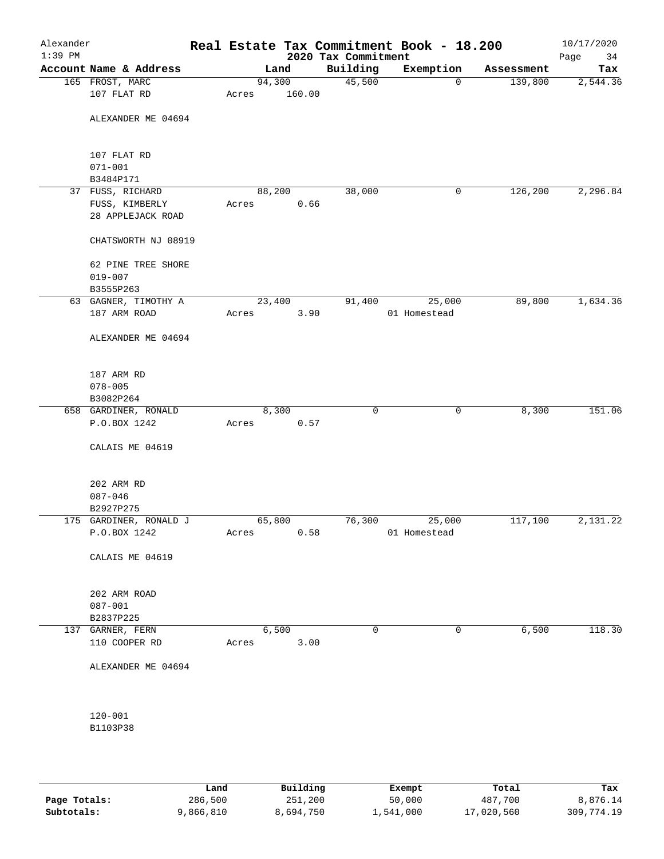| Alexander<br>$1:39$ PM |                            |       |        |        | 2020 Tax Commitment | Real Estate Tax Commitment Book - 18.200 |            | 10/17/2020<br>Page<br>34 |
|------------------------|----------------------------|-------|--------|--------|---------------------|------------------------------------------|------------|--------------------------|
|                        | Account Name & Address     |       | Land   |        | Building            | Exemption                                | Assessment | Tax                      |
|                        | 165 FROST, MARC            |       | 94,300 |        | 45,500              | $\mathbf 0$                              | 139,800    | 2,544.36                 |
|                        | 107 FLAT RD                | Acres |        | 160.00 |                     |                                          |            |                          |
|                        | ALEXANDER ME 04694         |       |        |        |                     |                                          |            |                          |
|                        |                            |       |        |        |                     |                                          |            |                          |
|                        |                            |       |        |        |                     |                                          |            |                          |
|                        | 107 FLAT RD<br>$071 - 001$ |       |        |        |                     |                                          |            |                          |
|                        | B3484P171                  |       |        |        |                     |                                          |            |                          |
|                        | 37 FUSS, RICHARD           |       | 88,200 |        | 38,000              | 0                                        | 126,200    | 2,296.84                 |
|                        | FUSS, KIMBERLY             | Acres |        | 0.66   |                     |                                          |            |                          |
|                        | 28 APPLEJACK ROAD          |       |        |        |                     |                                          |            |                          |
|                        | CHATSWORTH NJ 08919        |       |        |        |                     |                                          |            |                          |
|                        | 62 PINE TREE SHORE         |       |        |        |                     |                                          |            |                          |
|                        | $019 - 007$                |       |        |        |                     |                                          |            |                          |
|                        | B3555P263                  |       |        |        |                     |                                          |            |                          |
|                        | 63 GAGNER, TIMOTHY A       |       | 23,400 |        | 91,400              | 25,000                                   | 89,800     | 1,634.36                 |
|                        | 187 ARM ROAD               | Acres |        | 3.90   |                     | 01 Homestead                             |            |                          |
|                        | ALEXANDER ME 04694         |       |        |        |                     |                                          |            |                          |
|                        |                            |       |        |        |                     |                                          |            |                          |
|                        | 187 ARM RD                 |       |        |        |                     |                                          |            |                          |
|                        | $078 - 005$                |       |        |        |                     |                                          |            |                          |
|                        | B3082P264                  |       |        |        |                     |                                          |            |                          |
|                        | 658 GARDINER, RONALD       |       | 8,300  |        | $\mathbf 0$         | 0                                        | 8,300      | 151.06                   |
|                        | P.O.BOX 1242               | Acres |        | 0.57   |                     |                                          |            |                          |
|                        | CALAIS ME 04619            |       |        |        |                     |                                          |            |                          |
|                        | 202 ARM RD                 |       |        |        |                     |                                          |            |                          |
|                        | $087 - 046$                |       |        |        |                     |                                          |            |                          |
|                        | B2927P275                  |       |        |        |                     |                                          |            |                          |
|                        | 175 GARDINER, RONALD J     |       | 65,800 |        | 76,300              | 25,000                                   | 117,100    | 2,131.22                 |
|                        | P.O.BOX 1242               | Acres |        | 0.58   |                     | 01 Homestead                             |            |                          |
|                        | CALAIS ME 04619            |       |        |        |                     |                                          |            |                          |
|                        | 202 ARM ROAD               |       |        |        |                     |                                          |            |                          |
|                        | $087 - 001$                |       |        |        |                     |                                          |            |                          |
|                        | B2837P225                  |       |        |        |                     |                                          |            |                          |
|                        | 137 GARNER, FERN           |       | 6,500  |        | 0                   | $\mathbf 0$                              | 6,500      | 118.30                   |
|                        | 110 COOPER RD              | Acres |        | 3.00   |                     |                                          |            |                          |
|                        | ALEXANDER ME 04694         |       |        |        |                     |                                          |            |                          |
|                        |                            |       |        |        |                     |                                          |            |                          |
|                        | $120 - 001$                |       |        |        |                     |                                          |            |                          |
|                        | B1103P38                   |       |        |        |                     |                                          |            |                          |
|                        |                            |       |        |        |                     |                                          |            |                          |
|                        |                            |       |        |        |                     |                                          |            |                          |

|              | Land      | Building  | Exempt    | Total      | Tax        |
|--------------|-----------|-----------|-----------|------------|------------|
| Page Totals: | 286,500   | 251,200   | 50,000    | 487,700    | 8,876.14   |
| Subtotals:   | 9,866,810 | 8,694,750 | ⊥,541,000 | 17,020,560 | 309,774.19 |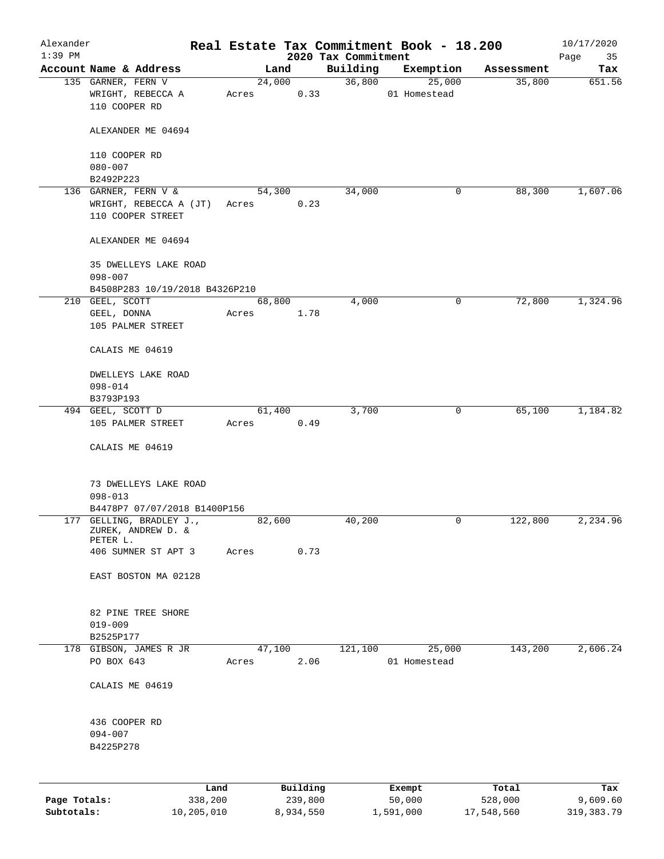| Alexander<br>$1:39$ PM |                                                            |                 |       |                     |      |                                 | Real Estate Tax Commitment Book - 18.200 |              |                  | 10/17/2020        |
|------------------------|------------------------------------------------------------|-----------------|-------|---------------------|------|---------------------------------|------------------------------------------|--------------|------------------|-------------------|
|                        | Account Name & Address                                     |                 |       | Land                |      | 2020 Tax Commitment<br>Building | Exemption                                |              | Assessment       | Page<br>35<br>Tax |
|                        | 135 GARNER, FERN V                                         |                 |       | 24,000              |      | 36,800                          | 25,000                                   |              | 35,800           | 651.56            |
|                        | WRIGHT, REBECCA A<br>110 COOPER RD                         |                 | Acres |                     | 0.33 |                                 | 01 Homestead                             |              |                  |                   |
|                        | ALEXANDER ME 04694                                         |                 |       |                     |      |                                 |                                          |              |                  |                   |
|                        | 110 COOPER RD                                              |                 |       |                     |      |                                 |                                          |              |                  |                   |
|                        | $080 - 007$                                                |                 |       |                     |      |                                 |                                          |              |                  |                   |
|                        | B2492P223<br>136 GARNER, FERN V &                          |                 |       | 54,300              |      | 34,000                          |                                          | 0            | 88,300           | 1,607.06          |
|                        | WRIGHT, REBECCA A (JT)<br>110 COOPER STREET                |                 | Acres |                     | 0.23 |                                 |                                          |              |                  |                   |
|                        | ALEXANDER ME 04694                                         |                 |       |                     |      |                                 |                                          |              |                  |                   |
|                        | 35 DWELLEYS LAKE ROAD                                      |                 |       |                     |      |                                 |                                          |              |                  |                   |
|                        | $098 - 007$<br>B4508P283 10/19/2018 B4326P210              |                 |       |                     |      |                                 |                                          |              |                  |                   |
|                        | 210 GEEL, SCOTT                                            |                 |       | 68,800              |      | 4,000                           |                                          | 0            | 72,800           | 1,324.96          |
|                        | GEEL, DONNA                                                |                 | Acres |                     | 1.78 |                                 |                                          |              |                  |                   |
|                        | 105 PALMER STREET                                          |                 |       |                     |      |                                 |                                          |              |                  |                   |
|                        | CALAIS ME 04619                                            |                 |       |                     |      |                                 |                                          |              |                  |                   |
|                        | DWELLEYS LAKE ROAD                                         |                 |       |                     |      |                                 |                                          |              |                  |                   |
|                        | $098 - 014$                                                |                 |       |                     |      |                                 |                                          |              |                  |                   |
|                        | B3793P193                                                  |                 |       |                     |      |                                 |                                          |              |                  |                   |
|                        | 494 GEEL, SCOTT D                                          |                 |       | 61,400              |      | 3,700                           |                                          | $\mathbf{0}$ | 65,100           | 1,184.82          |
|                        | 105 PALMER STREET                                          |                 | Acres |                     | 0.49 |                                 |                                          |              |                  |                   |
|                        | CALAIS ME 04619                                            |                 |       |                     |      |                                 |                                          |              |                  |                   |
|                        | 73 DWELLEYS LAKE ROAD                                      |                 |       |                     |      |                                 |                                          |              |                  |                   |
|                        | $098 - 013$                                                |                 |       |                     |      |                                 |                                          |              |                  |                   |
|                        | B4478P7 07/07/2018 B1400P156                               |                 |       |                     |      |                                 |                                          |              |                  |                   |
|                        | 177 GELLING, BRADLEY J.,<br>ZUREK, ANDREW D. &<br>PETER L. |                 |       | 82,600              |      | 40,200                          |                                          | 0            | 122,800          | 2,234.96          |
|                        | 406 SUMNER ST APT 3                                        |                 | Acres |                     | 0.73 |                                 |                                          |              |                  |                   |
|                        | EAST BOSTON MA 02128                                       |                 |       |                     |      |                                 |                                          |              |                  |                   |
|                        | 82 PINE TREE SHORE                                         |                 |       |                     |      |                                 |                                          |              |                  |                   |
|                        | $019 - 009$                                                |                 |       |                     |      |                                 |                                          |              |                  |                   |
|                        | B2525P177                                                  |                 |       |                     |      |                                 |                                          |              |                  |                   |
|                        | 178 GIBSON, JAMES R JR<br>PO BOX 643                       |                 | Acres | 47,100              | 2.06 | 121,100                         | 25,000<br>01 Homestead                   |              | 143,200          | 2,606.24          |
|                        | CALAIS ME 04619                                            |                 |       |                     |      |                                 |                                          |              |                  |                   |
|                        | 436 COOPER RD                                              |                 |       |                     |      |                                 |                                          |              |                  |                   |
|                        | $094 - 007$                                                |                 |       |                     |      |                                 |                                          |              |                  |                   |
|                        | B4225P278                                                  |                 |       |                     |      |                                 |                                          |              |                  |                   |
|                        |                                                            |                 |       |                     |      |                                 |                                          |              |                  |                   |
| Page Totals:           |                                                            | Land<br>338,200 |       | Building<br>239,800 |      |                                 | Exempt<br>50,000                         |              | Total<br>528,000 | Tax<br>9,609.60   |
| Subtotals:             |                                                            | 10,205,010      |       | 8,934,550           |      |                                 | 1,591,000                                |              | 17,548,560       | 319, 383.79       |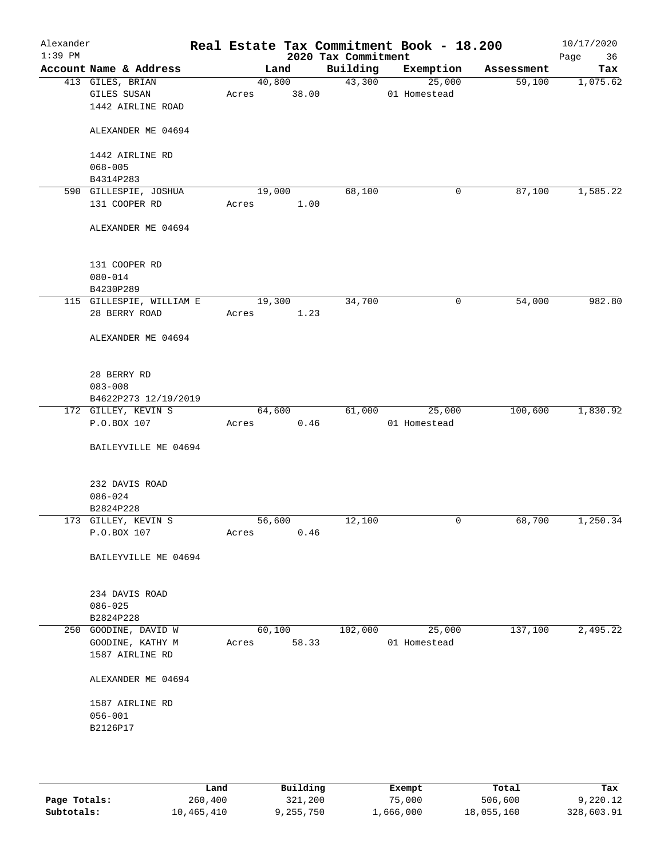| Alexander<br>$1:39$ PM |                                 |       |                 | 2020 Tax Commitment | Real Estate Tax Commitment Book - 18.200 |            | 10/17/2020<br>Page<br>36 |
|------------------------|---------------------------------|-------|-----------------|---------------------|------------------------------------------|------------|--------------------------|
|                        | Account Name & Address          |       | Land            | Building            | Exemption                                | Assessment | Tax                      |
|                        | 413 GILES, BRIAN<br>GILES SUSAN | Acres | 40,800<br>38.00 |                     | 43,300<br>25,000<br>01 Homestead         | 59,100     | 1,075.62                 |
|                        | 1442 AIRLINE ROAD               |       |                 |                     |                                          |            |                          |
|                        | ALEXANDER ME 04694              |       |                 |                     |                                          |            |                          |
|                        | 1442 AIRLINE RD<br>$068 - 005$  |       |                 |                     |                                          |            |                          |
|                        | B4314P283                       |       |                 |                     |                                          |            |                          |
|                        | 590 GILLESPIE, JOSHUA           |       | 19,000          | 68,100              | 0                                        | 87,100     | 1,585.22                 |
|                        | 131 COOPER RD                   | Acres | 1.00            |                     |                                          |            |                          |
|                        | ALEXANDER ME 04694              |       |                 |                     |                                          |            |                          |
|                        | 131 COOPER RD                   |       |                 |                     |                                          |            |                          |
|                        | $080 - 014$<br>B4230P289        |       |                 |                     |                                          |            |                          |
|                        | 115 GILLESPIE, WILLIAM E        |       | 19,300          | 34,700              | 0                                        | 54,000     | 982.80                   |
|                        | 28 BERRY ROAD                   | Acres | 1.23            |                     |                                          |            |                          |
|                        | ALEXANDER ME 04694              |       |                 |                     |                                          |            |                          |
|                        | 28 BERRY RD                     |       |                 |                     |                                          |            |                          |
|                        | $083 - 008$                     |       |                 |                     |                                          |            |                          |
|                        | B4622P273 12/19/2019            |       |                 |                     |                                          |            |                          |
|                        | 172 GILLEY, KEVIN S             |       | 64,600          | 61,000              | 25,000                                   | 100,600    | 1,830.92                 |
|                        | P.O.BOX 107                     | Acres | 0.46            |                     | 01 Homestead                             |            |                          |
|                        | BAILEYVILLE ME 04694            |       |                 |                     |                                          |            |                          |
|                        | 232 DAVIS ROAD                  |       |                 |                     |                                          |            |                          |
|                        | $086 - 024$                     |       |                 |                     |                                          |            |                          |
|                        | B2824P228                       |       |                 |                     |                                          |            |                          |
|                        | 173 GILLEY, KEVIN S             |       | 56,600          | 12,100              | 0                                        | 68,700     | 1,250.34                 |
|                        | P.O.BOX 107                     | Acres | 0.46            |                     |                                          |            |                          |
|                        | BAILEYVILLE ME 04694            |       |                 |                     |                                          |            |                          |
|                        | 234 DAVIS ROAD                  |       |                 |                     |                                          |            |                          |
|                        | $086 - 025$                     |       |                 |                     |                                          |            |                          |
|                        | B2824P228                       |       |                 |                     |                                          |            |                          |
|                        | 250 GOODINE, DAVID W            |       | 60,100          | 102,000             | 25,000                                   | 137,100    | 2,495.22                 |
|                        | GOODINE, KATHY M                | Acres | 58.33           |                     | 01 Homestead                             |            |                          |
|                        | 1587 AIRLINE RD                 |       |                 |                     |                                          |            |                          |
|                        | ALEXANDER ME 04694              |       |                 |                     |                                          |            |                          |
|                        | 1587 AIRLINE RD                 |       |                 |                     |                                          |            |                          |
|                        | $056 - 001$                     |       |                 |                     |                                          |            |                          |
|                        | B2126P17                        |       |                 |                     |                                          |            |                          |
|                        |                                 |       |                 |                     |                                          |            |                          |
|                        |                                 |       |                 |                     |                                          |            |                          |

|              | Land       | Building  | Exempt    | Total      | Tax        |
|--------------|------------|-----------|-----------|------------|------------|
| Page Totals: | 260,400    | 321,200   | 75,000    | 506,600    | 9,220.12   |
| Subtotals:   | 10,465,410 | 9,255,750 | 1,666,000 | 18,055,160 | 328,603.91 |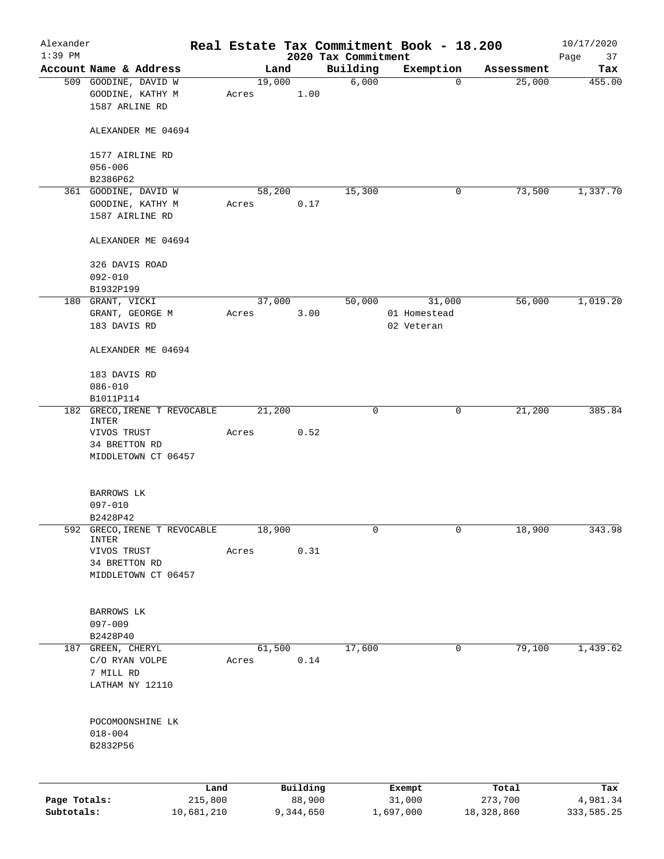| Alexander    |                                   |                 |       |        |                    |                                 | Real Estate Tax Commitment Book - 18.200 |                  | 10/17/2020        |
|--------------|-----------------------------------|-----------------|-------|--------|--------------------|---------------------------------|------------------------------------------|------------------|-------------------|
| $1:39$ PM    | Account Name & Address            |                 |       | Land   |                    | 2020 Tax Commitment<br>Building | Exemption                                | Assessment       | Page<br>37<br>Tax |
|              | 509 GOODINE, DAVID W              |                 |       | 19,000 |                    | 6,000                           | $\mathbf 0$                              | 25,000           | 455.00            |
|              | GOODINE, KATHY M                  |                 | Acres |        | 1.00               |                                 |                                          |                  |                   |
|              | 1587 ARLINE RD                    |                 |       |        |                    |                                 |                                          |                  |                   |
|              |                                   |                 |       |        |                    |                                 |                                          |                  |                   |
|              | ALEXANDER ME 04694                |                 |       |        |                    |                                 |                                          |                  |                   |
|              |                                   |                 |       |        |                    |                                 |                                          |                  |                   |
|              | 1577 AIRLINE RD                   |                 |       |        |                    |                                 |                                          |                  |                   |
|              | $056 - 006$                       |                 |       |        |                    |                                 |                                          |                  |                   |
|              | B2386P62                          |                 |       |        |                    |                                 |                                          |                  |                   |
|              | 361 GOODINE, DAVID W              |                 |       | 58,200 |                    | 15,300                          | 0                                        | 73,500           | 1,337.70          |
|              | GOODINE, KATHY M                  |                 | Acres |        | 0.17               |                                 |                                          |                  |                   |
|              | 1587 AIRLINE RD                   |                 |       |        |                    |                                 |                                          |                  |                   |
|              | ALEXANDER ME 04694                |                 |       |        |                    |                                 |                                          |                  |                   |
|              | 326 DAVIS ROAD                    |                 |       |        |                    |                                 |                                          |                  |                   |
|              | $092 - 010$                       |                 |       |        |                    |                                 |                                          |                  |                   |
|              | B1932P199                         |                 |       |        |                    |                                 |                                          |                  |                   |
|              | 180 GRANT, VICKI                  |                 |       | 37,000 |                    | 50,000                          | 31,000                                   | 56,000           | 1,019.20          |
|              | GRANT, GEORGE M                   |                 | Acres |        | 3.00               |                                 | 01 Homestead                             |                  |                   |
|              | 183 DAVIS RD                      |                 |       |        |                    |                                 | 02 Veteran                               |                  |                   |
|              |                                   |                 |       |        |                    |                                 |                                          |                  |                   |
|              | ALEXANDER ME 04694                |                 |       |        |                    |                                 |                                          |                  |                   |
|              | 183 DAVIS RD                      |                 |       |        |                    |                                 |                                          |                  |                   |
|              | $086 - 010$                       |                 |       |        |                    |                                 |                                          |                  |                   |
|              | B1011P114                         |                 |       |        |                    |                                 |                                          |                  |                   |
|              | 182 GRECO, IRENE T REVOCABLE      |                 |       | 21,200 |                    | 0                               | 0                                        | 21,200           | 385.84            |
|              | INTER                             |                 |       |        |                    |                                 |                                          |                  |                   |
|              | VIVOS TRUST                       |                 | Acres |        | 0.52               |                                 |                                          |                  |                   |
|              | 34 BRETTON RD                     |                 |       |        |                    |                                 |                                          |                  |                   |
|              | MIDDLETOWN CT 06457               |                 |       |        |                    |                                 |                                          |                  |                   |
|              |                                   |                 |       |        |                    |                                 |                                          |                  |                   |
|              | BARROWS LK                        |                 |       |        |                    |                                 |                                          |                  |                   |
|              | $097 - 010$                       |                 |       |        |                    |                                 |                                          |                  |                   |
|              | B2428P42                          |                 |       |        |                    |                                 |                                          |                  |                   |
| 592          | GRECO, IRENE T REVOCABLE<br>INTER |                 |       | 18,900 |                    | 0                               | 0                                        | 18,900           | 343.98            |
|              | VIVOS TRUST                       |                 | Acres |        | 0.31               |                                 |                                          |                  |                   |
|              | 34 BRETTON RD                     |                 |       |        |                    |                                 |                                          |                  |                   |
|              | MIDDLETOWN CT 06457               |                 |       |        |                    |                                 |                                          |                  |                   |
|              |                                   |                 |       |        |                    |                                 |                                          |                  |                   |
|              | BARROWS LK                        |                 |       |        |                    |                                 |                                          |                  |                   |
|              | $097 - 009$                       |                 |       |        |                    |                                 |                                          |                  |                   |
|              | B2428P40                          |                 |       |        |                    |                                 |                                          |                  |                   |
|              | 187 GREEN, CHERYL                 |                 |       | 61,500 |                    | 17,600                          | 0                                        | 79,100           | 1,439.62          |
|              | C/O RYAN VOLPE                    |                 | Acres |        | 0.14               |                                 |                                          |                  |                   |
|              | 7 MILL RD                         |                 |       |        |                    |                                 |                                          |                  |                   |
|              | LATHAM NY 12110                   |                 |       |        |                    |                                 |                                          |                  |                   |
|              |                                   |                 |       |        |                    |                                 |                                          |                  |                   |
|              | POCOMOONSHINE LK                  |                 |       |        |                    |                                 |                                          |                  |                   |
|              | $018 - 004$                       |                 |       |        |                    |                                 |                                          |                  |                   |
|              | B2832P56                          |                 |       |        |                    |                                 |                                          |                  |                   |
|              |                                   |                 |       |        |                    |                                 |                                          |                  |                   |
|              |                                   |                 |       |        |                    |                                 |                                          |                  |                   |
| Page Totals: |                                   | Land<br>215,800 |       |        | Building<br>88,900 |                                 | Exempt<br>31,000                         | Total<br>273,700 | Tax<br>4,981.34   |
| Subtotals:   |                                   | 10,681,210      |       |        | 9,344,650          |                                 | 1,697,000                                | 18,328,860       | 333,585.25        |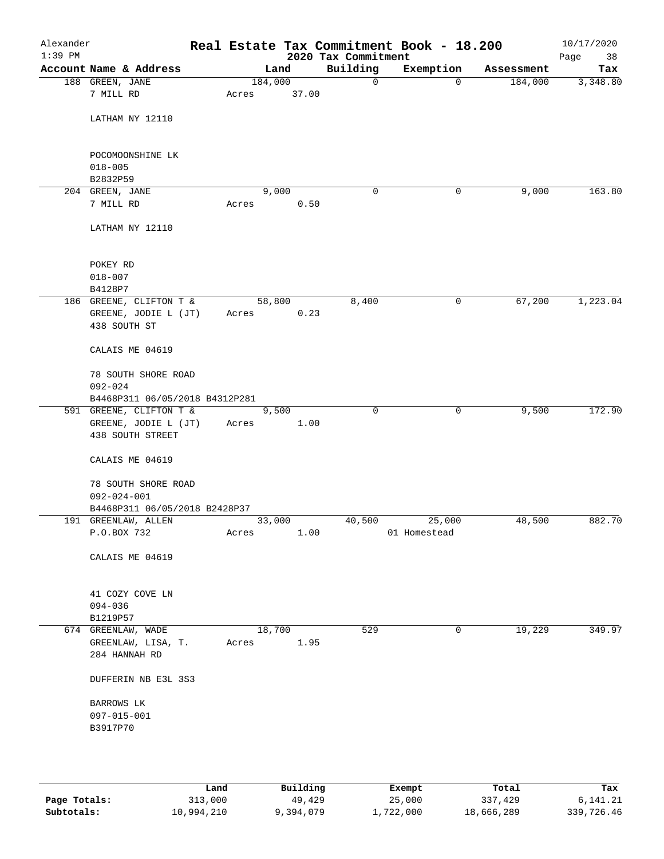| Alexander<br>$1:39$ PM |                                                 |         |               | 2020 Tax Commitment | Real Estate Tax Commitment Book - 18.200 |            | 10/17/2020<br>Page<br>38 |
|------------------------|-------------------------------------------------|---------|---------------|---------------------|------------------------------------------|------------|--------------------------|
|                        | Account Name & Address                          |         | Land          | Building            | Exemption                                | Assessment | Tax                      |
|                        | 188 GREEN, JANE                                 | 184,000 |               | 0                   | $\mathbf 0$                              | 184,000    | 3,348.80                 |
|                        | 7 MILL RD                                       | Acres   | 37.00         |                     |                                          |            |                          |
|                        |                                                 |         |               |                     |                                          |            |                          |
|                        | LATHAM NY 12110                                 |         |               |                     |                                          |            |                          |
|                        |                                                 |         |               |                     |                                          |            |                          |
|                        | POCOMOONSHINE LK                                |         |               |                     |                                          |            |                          |
|                        | $018 - 005$                                     |         |               |                     |                                          |            |                          |
|                        | B2832P59                                        |         |               |                     |                                          |            |                          |
|                        | 204 GREEN, JANE                                 |         | 9,000         | 0                   | 0                                        | 9,000      | 163.80                   |
|                        | 7 MILL RD                                       | Acres   | 0.50          |                     |                                          |            |                          |
|                        |                                                 |         |               |                     |                                          |            |                          |
|                        | LATHAM NY 12110                                 |         |               |                     |                                          |            |                          |
|                        |                                                 |         |               |                     |                                          |            |                          |
|                        |                                                 |         |               |                     |                                          |            |                          |
|                        | POKEY RD<br>$018 - 007$                         |         |               |                     |                                          |            |                          |
|                        | B4128P7                                         |         |               |                     |                                          |            |                          |
|                        | 186 GREENE, CLIFTON T &                         |         | 58,800        | 8,400               | 0                                        | 67,200     | 1,223.04                 |
|                        | GREENE, JODIE L (JT)                            | Acres   | 0.23          |                     |                                          |            |                          |
|                        | 438 SOUTH ST                                    |         |               |                     |                                          |            |                          |
|                        |                                                 |         |               |                     |                                          |            |                          |
|                        | CALAIS ME 04619                                 |         |               |                     |                                          |            |                          |
|                        |                                                 |         |               |                     |                                          |            |                          |
|                        | 78 SOUTH SHORE ROAD                             |         |               |                     |                                          |            |                          |
|                        | $092 - 024$                                     |         |               |                     |                                          |            |                          |
|                        | B4468P311 06/05/2018 B4312P281                  |         |               |                     |                                          |            |                          |
|                        | 591 GREENE, CLIFTON T &<br>GREENE, JODIE L (JT) | Acres   | 9,500<br>1.00 | $\Omega$            | $\mathbf 0$                              | 9,500      | 172.90                   |
|                        | 438 SOUTH STREET                                |         |               |                     |                                          |            |                          |
|                        |                                                 |         |               |                     |                                          |            |                          |
|                        | CALAIS ME 04619                                 |         |               |                     |                                          |            |                          |
|                        |                                                 |         |               |                     |                                          |            |                          |
|                        | 78 SOUTH SHORE ROAD                             |         |               |                     |                                          |            |                          |
|                        | $092 - 024 - 001$                               |         |               |                     |                                          |            |                          |
|                        | B4468P311 06/05/2018 B2428P37                   |         |               |                     |                                          |            |                          |
|                        | 191 GREENLAW, ALLEN                             |         | 33,000        | 40,500              | 25,000                                   | 48,500     | 882.70                   |
|                        | P.O.BOX 732                                     | Acres   | 1.00          |                     | 01 Homestead                             |            |                          |
|                        | CALAIS ME 04619                                 |         |               |                     |                                          |            |                          |
|                        |                                                 |         |               |                     |                                          |            |                          |
|                        |                                                 |         |               |                     |                                          |            |                          |
|                        | 41 COZY COVE LN                                 |         |               |                     |                                          |            |                          |
|                        | $094 - 036$                                     |         |               |                     |                                          |            |                          |
|                        | B1219P57                                        |         |               |                     |                                          |            |                          |
|                        | 674 GREENLAW, WADE                              |         | 18,700        | 529                 | 0                                        | 19,229     | 349.97                   |
|                        | GREENLAW, LISA, T.                              | Acres   | 1.95          |                     |                                          |            |                          |
|                        | 284 HANNAH RD                                   |         |               |                     |                                          |            |                          |
|                        | DUFFERIN NB E3L 3S3                             |         |               |                     |                                          |            |                          |
|                        |                                                 |         |               |                     |                                          |            |                          |
|                        | BARROWS LK                                      |         |               |                     |                                          |            |                          |
|                        | 097-015-001                                     |         |               |                     |                                          |            |                          |
|                        | B3917P70                                        |         |               |                     |                                          |            |                          |
|                        |                                                 |         |               |                     |                                          |            |                          |
|                        |                                                 |         |               |                     |                                          |            |                          |
|                        |                                                 |         |               |                     |                                          |            |                          |
|                        |                                                 |         |               |                     |                                          |            |                          |

|              | Land       | Building  | Exempt    | Total      | Tax        |
|--------------|------------|-----------|-----------|------------|------------|
| Page Totals: | 313,000    | 49,429    | 25,000    | 337,429    | 6,141.21   |
| Subtotals:   | 10,994,210 | 9,394,079 | 1,722,000 | 18,666,289 | 339,726.46 |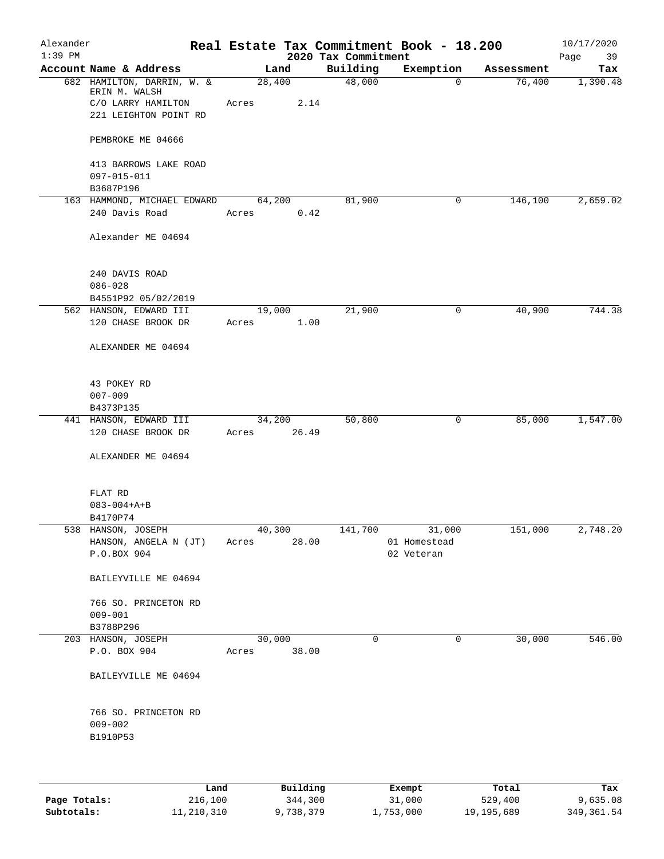| Alexander |                                                                   |                         |       |                     | Real Estate Tax Commitment Book - 18.200 |                      | 10/17/2020      |
|-----------|-------------------------------------------------------------------|-------------------------|-------|---------------------|------------------------------------------|----------------------|-----------------|
| $1:39$ PM | Account Name & Address                                            |                         |       | 2020 Tax Commitment |                                          |                      | Page<br>39      |
|           | 682 HAMILTON, DARRIN, W. &<br>ERIN M. WALSH<br>C/O LARRY HAMILTON | Land<br>28,400<br>Acres | 2.14  | Building<br>48,000  | Exemption<br>$\mathbf 0$                 | Assessment<br>76,400 | Tax<br>1,390.48 |
|           | 221 LEIGHTON POINT RD<br>PEMBROKE ME 04666                        |                         |       |                     |                                          |                      |                 |
|           |                                                                   |                         |       |                     |                                          |                      |                 |
|           | 413 BARROWS LAKE ROAD<br>$097 - 015 - 011$                        |                         |       |                     |                                          |                      |                 |
|           | B3687P196                                                         | 64,200                  |       | 81,900              | $\mathbf 0$                              |                      | 2,659.02        |
|           | 163 HAMMOND, MICHAEL EDWARD<br>240 Davis Road                     | Acres                   | 0.42  |                     |                                          | 146,100              |                 |
|           | Alexander ME 04694                                                |                         |       |                     |                                          |                      |                 |
|           | 240 DAVIS ROAD                                                    |                         |       |                     |                                          |                      |                 |
|           | $086 - 028$                                                       |                         |       |                     |                                          |                      |                 |
|           | B4551P92 05/02/2019                                               |                         |       |                     |                                          |                      | 744.38          |
|           | 562 HANSON, EDWARD III<br>120 CHASE BROOK DR                      | 19,000<br>Acres         | 1.00  | 21,900              | 0                                        | 40,900               |                 |
|           | ALEXANDER ME 04694                                                |                         |       |                     |                                          |                      |                 |
|           | 43 POKEY RD<br>$007 - 009$                                        |                         |       |                     |                                          |                      |                 |
|           | B4373P135                                                         |                         |       |                     |                                          |                      |                 |
|           | 441 HANSON, EDWARD III                                            | 34,200                  |       | 50,800              | 0                                        | 85,000               | 1,547.00        |
|           | 120 CHASE BROOK DR                                                | Acres                   | 26.49 |                     |                                          |                      |                 |
|           | ALEXANDER ME 04694                                                |                         |       |                     |                                          |                      |                 |
|           | FLAT RD                                                           |                         |       |                     |                                          |                      |                 |
|           | $083 - 004 + A + B$                                               |                         |       |                     |                                          |                      |                 |
|           | B4170P74                                                          |                         |       |                     |                                          |                      |                 |
|           | 538 HANSON, JOSEPH                                                | 40,300                  |       | 141,700             | 31,000                                   | 151,000              | 2,748.20        |
|           | HANSON, ANGELA N (JT)<br>P.O.BOX 904                              | Acres                   | 28.00 |                     | 01 Homestead<br>02 Veteran               |                      |                 |
|           | BAILEYVILLE ME 04694                                              |                         |       |                     |                                          |                      |                 |
|           | 766 SO. PRINCETON RD<br>$009 - 001$                               |                         |       |                     |                                          |                      |                 |
|           | B3788P296                                                         |                         |       |                     |                                          |                      |                 |
|           | 203 HANSON, JOSEPH                                                | 30,000                  |       | 0                   | 0                                        | 30,000               | 546.00          |
|           | P.O. BOX 904                                                      | Acres                   | 38.00 |                     |                                          |                      |                 |
|           | BAILEYVILLE ME 04694                                              |                         |       |                     |                                          |                      |                 |
|           | 766 SO. PRINCETON RD<br>$009 - 002$<br>B1910P53                   |                         |       |                     |                                          |                      |                 |
|           |                                                                   |                         |       |                     |                                          |                      |                 |
|           |                                                                   |                         |       |                     |                                          |                      |                 |

|              | Land       | Building  | Exempt    | Total      | Tax         |
|--------------|------------|-----------|-----------|------------|-------------|
| Page Totals: | 216,100    | 344,300   | 31,000    | 529,400    | 9,635.08    |
| Subtotals:   | 11,210,310 | 9,738,379 | 1,753,000 | 19,195,689 | 349, 361.54 |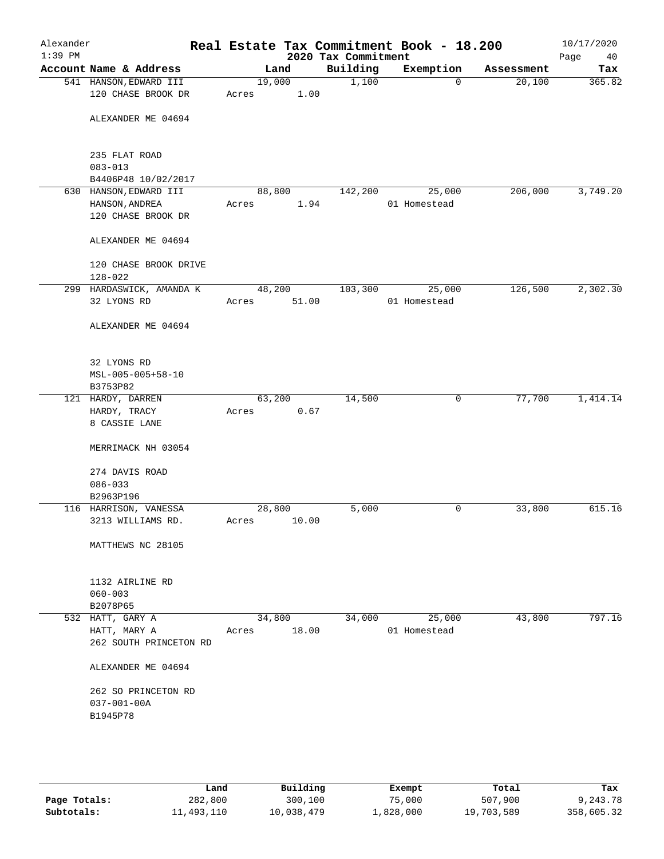| Alexander<br>$1:39$ PM |                                                                |       |                 | 2020 Tax Commitment | Real Estate Tax Commitment Book - 18.200 |            | 10/17/2020<br>Page<br>40 |
|------------------------|----------------------------------------------------------------|-------|-----------------|---------------------|------------------------------------------|------------|--------------------------|
|                        | Account Name & Address                                         |       | Land            | Building            | Exemption                                | Assessment | Tax                      |
|                        | 541 HANSON, EDWARD III<br>120 CHASE BROOK DR                   | Acres | 19,000<br>1.00  | 1,100               | $\mathbf 0$                              | 20,100     | 365.82                   |
|                        | ALEXANDER ME 04694                                             |       |                 |                     |                                          |            |                          |
|                        | 235 FLAT ROAD<br>$083 - 013$                                   |       |                 |                     |                                          |            |                          |
|                        | B4406P48 10/02/2017                                            |       |                 |                     |                                          |            |                          |
|                        | 630 HANSON, EDWARD III<br>HANSON, ANDREA<br>120 CHASE BROOK DR | Acres | 88,800<br>1.94  | 142,200             | 25,000<br>01 Homestead                   | 206,000    | 3,749.20                 |
|                        | ALEXANDER ME 04694                                             |       |                 |                     |                                          |            |                          |
|                        | 120 CHASE BROOK DRIVE<br>$128 - 022$                           |       |                 |                     |                                          |            |                          |
|                        | 299 HARDASWICK, AMANDA K                                       |       | 48,200          | 103,300             | 25,000                                   | 126,500    | 2,302.30                 |
|                        | 32 LYONS RD                                                    | Acres | 51.00           |                     | 01 Homestead                             |            |                          |
|                        | ALEXANDER ME 04694                                             |       |                 |                     |                                          |            |                          |
|                        | 32 LYONS RD<br>MSL-005-005+58-10                               |       |                 |                     |                                          |            |                          |
|                        | B3753P82                                                       |       |                 |                     |                                          |            |                          |
|                        | 121 HARDY, DARREN                                              |       | 63,200          | 14,500              | 0                                        | 77,700     | 1,414.14                 |
|                        | HARDY, TRACY<br>8 CASSIE LANE                                  | Acres | 0.67            |                     |                                          |            |                          |
|                        | MERRIMACK NH 03054                                             |       |                 |                     |                                          |            |                          |
|                        | 274 DAVIS ROAD                                                 |       |                 |                     |                                          |            |                          |
|                        | $086 - 033$                                                    |       |                 |                     |                                          |            |                          |
|                        | B2963P196                                                      |       |                 |                     |                                          |            |                          |
|                        | 116 HARRISON, VANESSA<br>3213 WILLIAMS RD.                     | Acres | 28,800<br>10.00 | 5,000               | 0                                        | 33,800     | 615.16                   |
|                        | MATTHEWS NC 28105                                              |       |                 |                     |                                          |            |                          |
|                        | 1132 AIRLINE RD<br>$060 - 003$                                 |       |                 |                     |                                          |            |                          |
|                        | B2078P65                                                       |       |                 |                     |                                          |            |                          |
|                        | 532 HATT, GARY A<br>HATT, MARY A<br>262 SOUTH PRINCETON RD     | Acres | 34,800<br>18.00 | 34,000              | 25,000<br>01 Homestead                   | 43,800     | 797.16                   |
|                        | ALEXANDER ME 04694                                             |       |                 |                     |                                          |            |                          |
|                        | 262 SO PRINCETON RD<br>$037 - 001 - 00A$                       |       |                 |                     |                                          |            |                          |
|                        | B1945P78                                                       |       |                 |                     |                                          |            |                          |

|              | Land       | Building   | Exempt    | Total      | Tax        |
|--------------|------------|------------|-----------|------------|------------|
| Page Totals: | 282,800    | 300,100    | 75,000    | 507,900    | 9,243.78   |
| Subtotals:   | 11,493,110 | 10,038,479 | 1,828,000 | 19,703,589 | 358,605.32 |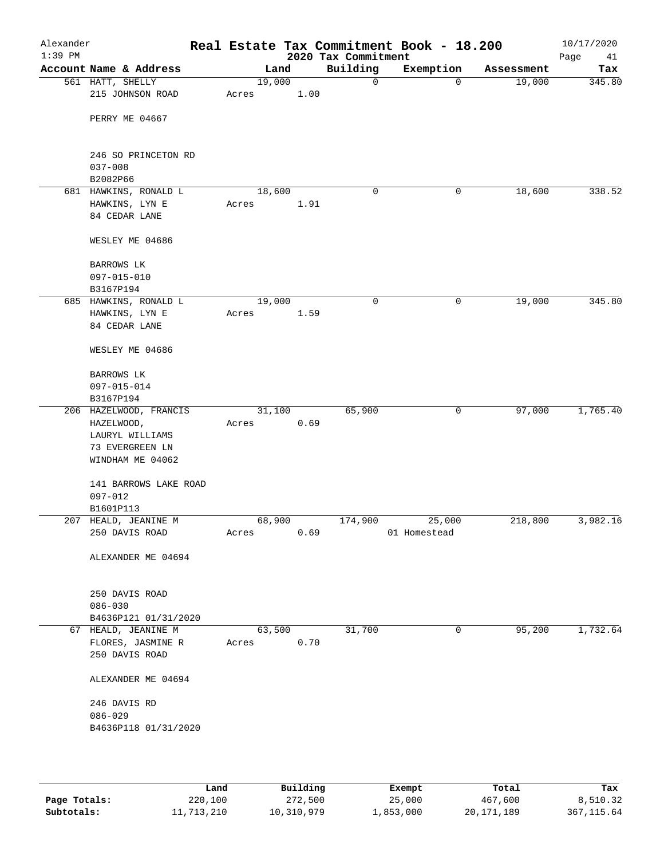| Alexander<br>$1:39$ PM |                                     |        |      | 2020 Tax Commitment | Real Estate Tax Commitment Book - 18.200 |            | 10/17/2020<br>Page<br>41 |
|------------------------|-------------------------------------|--------|------|---------------------|------------------------------------------|------------|--------------------------|
|                        | Account Name & Address              | Land   |      | Building            | Exemption                                | Assessment | Tax                      |
|                        | 561 HATT, SHELLY                    | 19,000 |      | 0                   | 0                                        | 19,000     | 345.80                   |
|                        | 215 JOHNSON ROAD                    | Acres  | 1.00 |                     |                                          |            |                          |
|                        | PERRY ME 04667                      |        |      |                     |                                          |            |                          |
|                        | 246 SO PRINCETON RD                 |        |      |                     |                                          |            |                          |
|                        | $037 - 008$                         |        |      |                     |                                          |            |                          |
|                        | B2082P66                            |        |      |                     |                                          |            |                          |
|                        | 681 HAWKINS, RONALD L               | 18,600 |      | 0                   | 0                                        | 18,600     | 338.52                   |
|                        | HAWKINS, LYN E<br>84 CEDAR LANE     | Acres  | 1.91 |                     |                                          |            |                          |
|                        |                                     |        |      |                     |                                          |            |                          |
|                        | WESLEY ME 04686                     |        |      |                     |                                          |            |                          |
|                        | BARROWS LK                          |        |      |                     |                                          |            |                          |
|                        | $097 - 015 - 010$                   |        |      |                     |                                          |            |                          |
|                        | B3167P194                           |        |      |                     |                                          |            |                          |
|                        | 685 HAWKINS, RONALD L               | 19,000 |      | $\mathbf 0$         | 0                                        | 19,000     | 345.80                   |
|                        | HAWKINS, LYN E                      | Acres  | 1.59 |                     |                                          |            |                          |
|                        | 84 CEDAR LANE                       |        |      |                     |                                          |            |                          |
|                        | WESLEY ME 04686                     |        |      |                     |                                          |            |                          |
|                        | BARROWS LK                          |        |      |                     |                                          |            |                          |
|                        | 097-015-014                         |        |      |                     |                                          |            |                          |
|                        | B3167P194                           |        |      |                     |                                          |            |                          |
|                        | 206 HAZELWOOD, FRANCIS              | 31,100 |      | 65,900              | 0                                        | 97,000     | 1,765.40                 |
|                        | HAZELWOOD,                          | Acres  | 0.69 |                     |                                          |            |                          |
|                        | LAURYL WILLIAMS                     |        |      |                     |                                          |            |                          |
|                        | 73 EVERGREEN LN<br>WINDHAM ME 04062 |        |      |                     |                                          |            |                          |
|                        |                                     |        |      |                     |                                          |            |                          |
|                        | 141 BARROWS LAKE ROAD               |        |      |                     |                                          |            |                          |
|                        | $097 - 012$                         |        |      |                     |                                          |            |                          |
|                        | B1601P113                           |        |      |                     |                                          |            |                          |
|                        | 207 HEALD, JEANINE M                | 68,900 |      | 174,900             | 25,000                                   | 218,800    | 3,982.16                 |
|                        | 250 DAVIS ROAD                      | Acres  | 0.69 |                     | 01 Homestead                             |            |                          |
|                        | ALEXANDER ME 04694                  |        |      |                     |                                          |            |                          |
|                        |                                     |        |      |                     |                                          |            |                          |
|                        | 250 DAVIS ROAD<br>$086 - 030$       |        |      |                     |                                          |            |                          |
|                        | B4636P121 01/31/2020                |        |      |                     |                                          |            |                          |
|                        | 67 HEALD, JEANINE M                 | 63,500 |      | 31,700              | 0                                        | 95,200     | 1,732.64                 |
|                        | FLORES, JASMINE R                   | Acres  | 0.70 |                     |                                          |            |                          |
|                        | 250 DAVIS ROAD                      |        |      |                     |                                          |            |                          |
|                        | ALEXANDER ME 04694                  |        |      |                     |                                          |            |                          |
|                        | 246 DAVIS RD                        |        |      |                     |                                          |            |                          |
|                        | $086 - 029$                         |        |      |                     |                                          |            |                          |
|                        | B4636P118 01/31/2020                |        |      |                     |                                          |            |                          |
|                        |                                     |        |      |                     |                                          |            |                          |
|                        |                                     |        |      |                     |                                          |            |                          |
|                        |                                     |        |      |                     |                                          |            |                          |

|              | Land       | Building   | Exempt    | Total        | Tax         |
|--------------|------------|------------|-----------|--------------|-------------|
| Page Totals: | 220,100    | 272,500    | 25,000    | 467,600      | 8,510.32    |
| Subtotals:   | 11,713,210 | 10,310,979 | ⊥,853,000 | 20, 171, 189 | 367, 115.64 |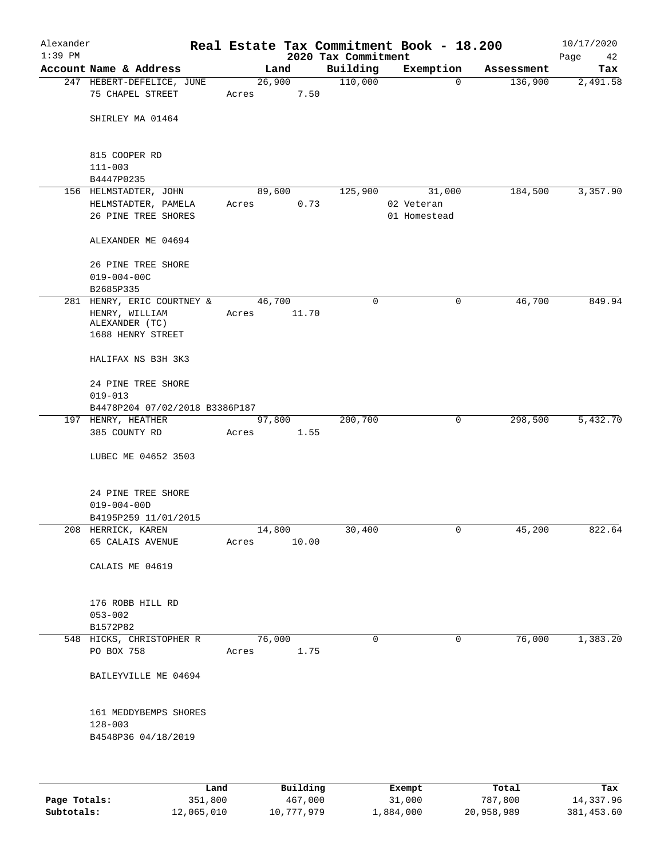| Alexander<br>$1:39$ PM |                                                       |       |                 | 2020 Tax Commitment | Real Estate Tax Commitment Book - 18.200 |            | 10/17/2020        |
|------------------------|-------------------------------------------------------|-------|-----------------|---------------------|------------------------------------------|------------|-------------------|
|                        | Account Name & Address                                |       | Land            | Building            | Exemption                                | Assessment | Page<br>42<br>Tax |
|                        | 247 HEBERT-DEFELICE, JUNE                             |       | 26,900          | 110,000             | $\mathbf 0$                              | 136,900    | 2,491.58          |
|                        | 75 CHAPEL STREET                                      | Acres | 7.50            |                     |                                          |            |                   |
|                        | SHIRLEY MA 01464                                      |       |                 |                     |                                          |            |                   |
|                        | 815 COOPER RD                                         |       |                 |                     |                                          |            |                   |
|                        | $111 - 003$<br>B4447P0235                             |       |                 |                     |                                          |            |                   |
|                        | 156 HELMSTADTER, JOHN                                 |       | 89,600          | 125,900             | 31,000                                   | 184,500    | 3,357.90          |
|                        | HELMSTADTER, PAMELA<br>26 PINE TREE SHORES            | Acres | 0.73            |                     | 02 Veteran<br>01 Homestead               |            |                   |
|                        | ALEXANDER ME 04694                                    |       |                 |                     |                                          |            |                   |
|                        | 26 PINE TREE SHORE<br>$019 - 004 - 00C$               |       |                 |                     |                                          |            |                   |
|                        | B2685P335<br>281 HENRY, ERIC COURTNEY &               |       | 46,700          | 0                   | 0                                        | 46,700     | 849.94            |
|                        | HENRY, WILLIAM<br>ALEXANDER (TC)<br>1688 HENRY STREET | Acres | 11.70           |                     |                                          |            |                   |
|                        | HALIFAX NS B3H 3K3                                    |       |                 |                     |                                          |            |                   |
|                        | 24 PINE TREE SHORE                                    |       |                 |                     |                                          |            |                   |
|                        | $019 - 013$<br>B4478P204 07/02/2018 B3386P187         |       |                 |                     |                                          |            |                   |
|                        | 197 HENRY, HEATHER                                    |       | 97,800          | 200,700             | 0                                        | 298,500    | 5,432.70          |
|                        | 385 COUNTY RD                                         | Acres | 1.55            |                     |                                          |            |                   |
|                        | LUBEC ME 04652 3503                                   |       |                 |                     |                                          |            |                   |
|                        | 24 PINE TREE SHORE                                    |       |                 |                     |                                          |            |                   |
|                        | $019 - 004 - 00D$                                     |       |                 |                     |                                          |            |                   |
|                        | B4195P259 11/01/2015                                  |       |                 |                     |                                          |            |                   |
|                        | 208 HERRICK, KAREN<br>65 CALAIS AVENUE                | Acres | 14,800<br>10.00 | 30,400              | 0                                        | 45,200     | 822.64            |
|                        | CALAIS ME 04619                                       |       |                 |                     |                                          |            |                   |
|                        | 176 ROBB HILL RD                                      |       |                 |                     |                                          |            |                   |
|                        | $053 - 002$                                           |       |                 |                     |                                          |            |                   |
|                        | B1572P82                                              |       |                 |                     |                                          |            |                   |
|                        | 548 HICKS, CHRISTOPHER R<br>PO BOX 758                | Acres | 76,000<br>1.75  | 0                   | 0                                        | 76,000     | 1,383.20          |
|                        | BAILEYVILLE ME 04694                                  |       |                 |                     |                                          |            |                   |
|                        | 161 MEDDYBEMPS SHORES                                 |       |                 |                     |                                          |            |                   |
|                        | $128 - 003$<br>B4548P36 04/18/2019                    |       |                 |                     |                                          |            |                   |
|                        |                                                       |       |                 |                     |                                          |            |                   |
|                        | Land,                                                 |       | Building        |                     | <b>Exempt</b>                            | Total      | Tax               |

|              | Land       | Building   | Exempt    | Total      | Tax        |
|--------------|------------|------------|-----------|------------|------------|
| Page Totals: | 351,800    | 467,000    | 31,000    | 787,800    | 14,337.96  |
| Subtotals:   | 12,065,010 | 10,777,979 | 1,884,000 | 20,958,989 | 381,453.60 |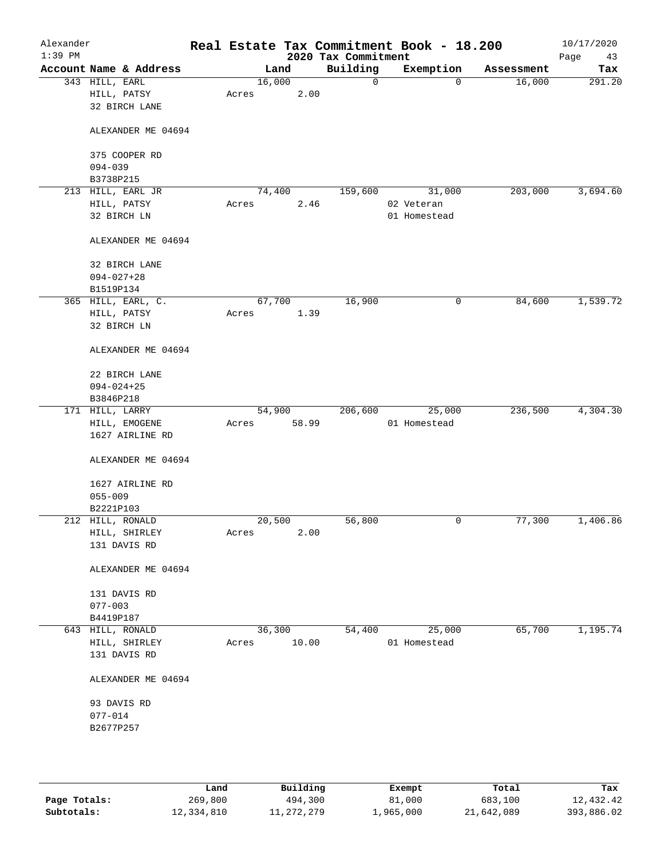| Alexander<br>$1:39$ PM |                               |        |       | Real Estate Tax Commitment Book - 18.200<br>2020 Tax Commitment |              |             |            | 10/17/2020<br>Page<br>43 |
|------------------------|-------------------------------|--------|-------|-----------------------------------------------------------------|--------------|-------------|------------|--------------------------|
|                        | Account Name & Address        |        | Land  | Building                                                        | Exemption    |             | Assessment | Tax                      |
|                        | 343 HILL, EARL                | 16,000 |       | 0                                                               |              | $\mathbf 0$ | 16,000     | 291.20                   |
|                        | HILL, PATSY                   | Acres  | 2.00  |                                                                 |              |             |            |                          |
|                        | 32 BIRCH LANE                 |        |       |                                                                 |              |             |            |                          |
|                        |                               |        |       |                                                                 |              |             |            |                          |
|                        | ALEXANDER ME 04694            |        |       |                                                                 |              |             |            |                          |
|                        |                               |        |       |                                                                 |              |             |            |                          |
|                        | 375 COOPER RD                 |        |       |                                                                 |              |             |            |                          |
|                        | $094 - 039$                   |        |       |                                                                 |              |             |            |                          |
|                        | B3738P215                     |        |       |                                                                 |              |             |            |                          |
|                        | 213 HILL, EARL JR             | 74,400 |       | 159,600                                                         |              | 31,000      | 203,000    | 3,694.60                 |
|                        | HILL, PATSY                   | Acres  | 2.46  |                                                                 | 02 Veteran   |             |            |                          |
|                        | 32 BIRCH LN                   |        |       |                                                                 | 01 Homestead |             |            |                          |
|                        |                               |        |       |                                                                 |              |             |            |                          |
|                        | ALEXANDER ME 04694            |        |       |                                                                 |              |             |            |                          |
|                        |                               |        |       |                                                                 |              |             |            |                          |
|                        | 32 BIRCH LANE                 |        |       |                                                                 |              |             |            |                          |
|                        | $094 - 027 + 28$              |        |       |                                                                 |              |             |            |                          |
|                        | B1519P134                     |        |       |                                                                 |              |             |            |                          |
|                        | 365 HILL, EARL, C.            | 67,700 |       | 16,900                                                          |              | 0           | 84,600     | 1,539.72                 |
|                        | HILL, PATSY                   | Acres  | 1.39  |                                                                 |              |             |            |                          |
|                        | 32 BIRCH LN                   |        |       |                                                                 |              |             |            |                          |
|                        |                               |        |       |                                                                 |              |             |            |                          |
|                        | ALEXANDER ME 04694            |        |       |                                                                 |              |             |            |                          |
|                        |                               |        |       |                                                                 |              |             |            |                          |
|                        | 22 BIRCH LANE                 |        |       |                                                                 |              |             |            |                          |
|                        | $094 - 024 + 25$<br>B3846P218 |        |       |                                                                 |              |             |            |                          |
|                        | 171 HILL, LARRY               | 54,900 |       | 206,600                                                         |              | 25,000      | 236,500    | 4,304.30                 |
|                        | HILL, EMOGENE                 | Acres  | 58.99 |                                                                 | 01 Homestead |             |            |                          |
|                        | 1627 AIRLINE RD               |        |       |                                                                 |              |             |            |                          |
|                        |                               |        |       |                                                                 |              |             |            |                          |
|                        | ALEXANDER ME 04694            |        |       |                                                                 |              |             |            |                          |
|                        |                               |        |       |                                                                 |              |             |            |                          |
|                        | 1627 AIRLINE RD               |        |       |                                                                 |              |             |            |                          |
|                        | $055 - 009$                   |        |       |                                                                 |              |             |            |                          |
|                        | B2221P103                     |        |       |                                                                 |              |             |            |                          |
|                        | 212 HILL, RONALD              | 20,500 |       | 56,800                                                          |              | 0           | 77,300     | 1,406.86                 |
|                        | HILL, SHIRLEY                 | Acres  | 2.00  |                                                                 |              |             |            |                          |
|                        | 131 DAVIS RD                  |        |       |                                                                 |              |             |            |                          |
|                        |                               |        |       |                                                                 |              |             |            |                          |
|                        | ALEXANDER ME 04694            |        |       |                                                                 |              |             |            |                          |
|                        |                               |        |       |                                                                 |              |             |            |                          |
|                        | 131 DAVIS RD                  |        |       |                                                                 |              |             |            |                          |
|                        | $077 - 003$                   |        |       |                                                                 |              |             |            |                          |
|                        | B4419P187                     |        |       |                                                                 |              |             |            |                          |
|                        | 643 HILL, RONALD              | 36,300 |       | 54,400                                                          |              | 25,000      | 65,700     | 1,195.74                 |
|                        | HILL, SHIRLEY                 | Acres  | 10.00 |                                                                 | 01 Homestead |             |            |                          |
|                        | 131 DAVIS RD                  |        |       |                                                                 |              |             |            |                          |
|                        |                               |        |       |                                                                 |              |             |            |                          |
|                        | ALEXANDER ME 04694            |        |       |                                                                 |              |             |            |                          |
|                        |                               |        |       |                                                                 |              |             |            |                          |
|                        | 93 DAVIS RD                   |        |       |                                                                 |              |             |            |                          |
|                        | $077 - 014$                   |        |       |                                                                 |              |             |            |                          |
|                        | B2677P257                     |        |       |                                                                 |              |             |            |                          |
|                        |                               |        |       |                                                                 |              |             |            |                          |
|                        |                               |        |       |                                                                 |              |             |            |                          |
|                        |                               |        |       |                                                                 |              |             |            |                          |
|                        |                               |        |       |                                                                 |              |             |            |                          |

|              | Land       | Building   | Exempt    | Total      | Tax        |
|--------------|------------|------------|-----------|------------|------------|
| Page Totals: | 269,800    | 494,300    | 81,000    | 683,100    | 12,432.42  |
| Subtotals:   | 12,334,810 | 11,272,279 | 1,965,000 | 21,642,089 | 393,886.02 |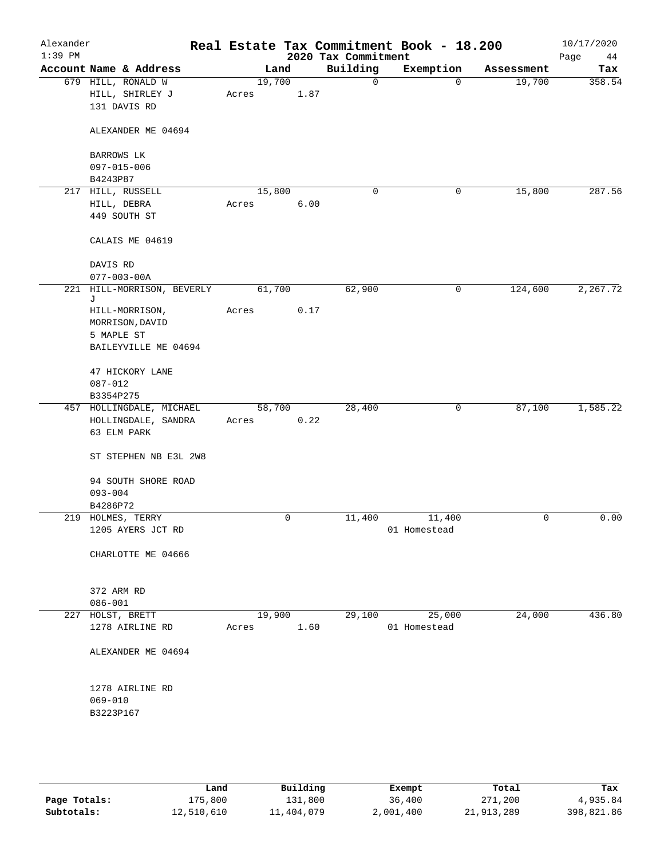| Alexander<br>$1:39$ PM |                                                                              |       |        |      | 2020 Tax Commitment | Real Estate Tax Commitment Book - 18.200 |            | 10/17/2020<br>Page<br>44 |
|------------------------|------------------------------------------------------------------------------|-------|--------|------|---------------------|------------------------------------------|------------|--------------------------|
|                        | Account Name & Address                                                       |       | Land   |      | Building            | Exemption                                | Assessment | Tax                      |
|                        | 679 HILL, RONALD W<br>HILL, SHIRLEY J<br>131 DAVIS RD                        | Acres | 19,700 | 1.87 | $\mathbf 0$         | $\mathbf 0$                              | 19,700     | 358.54                   |
|                        | ALEXANDER ME 04694                                                           |       |        |      |                     |                                          |            |                          |
|                        | BARROWS LK<br>097-015-006                                                    |       |        |      |                     |                                          |            |                          |
|                        | B4243P87                                                                     |       |        |      |                     |                                          |            |                          |
|                        | 217 HILL, RUSSELL                                                            |       | 15,800 |      | 0                   | 0                                        | 15,800     | 287.56                   |
|                        | HILL, DEBRA<br>449 SOUTH ST                                                  | Acres |        | 6.00 |                     |                                          |            |                          |
|                        | CALAIS ME 04619                                                              |       |        |      |                     |                                          |            |                          |
|                        | DAVIS RD<br>$077 - 003 - 00A$                                                |       |        |      |                     |                                          |            |                          |
|                        | 221 HILL-MORRISON, BEVERLY                                                   |       | 61,700 |      | 62,900              | 0                                        | 124,600    | 2,267.72                 |
|                        | J<br>HILL-MORRISON,<br>MORRISON, DAVID<br>5 MAPLE ST<br>BAILEYVILLE ME 04694 | Acres |        | 0.17 |                     |                                          |            |                          |
|                        | 47 HICKORY LANE<br>$087 - 012$<br>B3354P275                                  |       |        |      |                     |                                          |            |                          |
|                        | 457 HOLLINGDALE, MICHAEL                                                     |       | 58,700 |      | 28,400              | 0                                        | 87,100     | 1,585.22                 |
|                        | HOLLINGDALE, SANDRA<br>63 ELM PARK                                           | Acres |        | 0.22 |                     |                                          |            |                          |
|                        | ST STEPHEN NB E3L 2W8                                                        |       |        |      |                     |                                          |            |                          |
|                        | 94 SOUTH SHORE ROAD                                                          |       |        |      |                     |                                          |            |                          |
|                        | $093 - 004$                                                                  |       |        |      |                     |                                          |            |                          |
|                        | B4286P72                                                                     |       |        |      |                     |                                          |            |                          |
|                        | 219 HOLMES, TERRY<br>1205 AYERS JCT RD                                       |       | 0      |      | 11,400              | 11,400<br>01 Homestead                   | 0          | 0.00                     |
|                        | CHARLOTTE ME 04666                                                           |       |        |      |                     |                                          |            |                          |
|                        | 372 ARM RD<br>$086 - 001$                                                    |       |        |      |                     |                                          |            |                          |
|                        | 227 HOLST, BRETT                                                             |       | 19,900 |      | 29,100              | 25,000                                   | 24,000     | 436.80                   |
|                        | 1278 AIRLINE RD                                                              | Acres |        | 1.60 |                     | 01 Homestead                             |            |                          |
|                        | ALEXANDER ME 04694                                                           |       |        |      |                     |                                          |            |                          |
|                        | 1278 AIRLINE RD<br>$069 - 010$<br>B3223P167                                  |       |        |      |                     |                                          |            |                          |
|                        |                                                                              |       |        |      |                     |                                          |            |                          |

|              | Land       | Building   | Exempt    | Total      | Tax        |
|--------------|------------|------------|-----------|------------|------------|
| Page Totals: | 175,800    | 131,800    | 36,400    | 271,200    | 4,935.84   |
| Subtotals:   | 12,510,610 | 11,404,079 | 2,001,400 | 21,913,289 | 398,821.86 |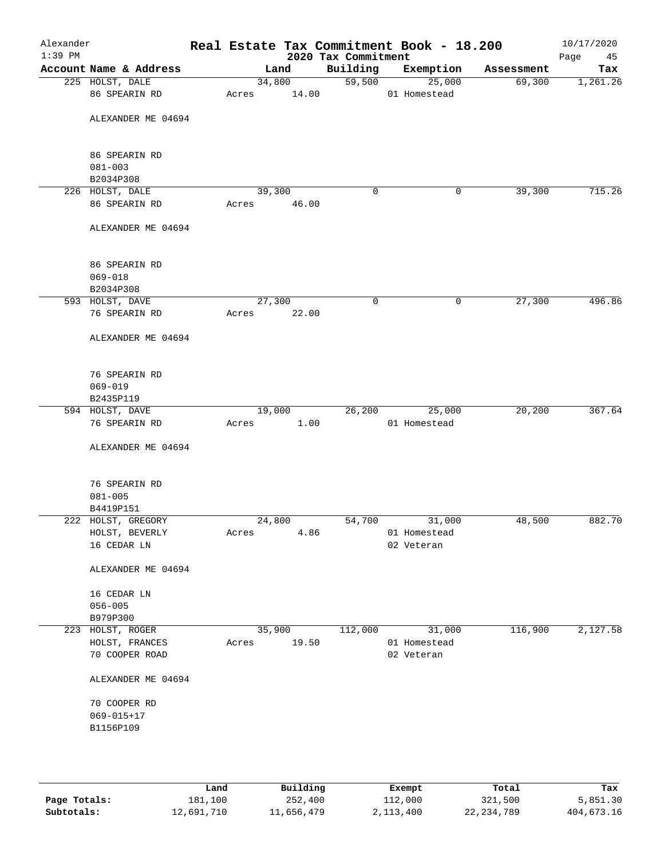| Alexander<br>$1:39$ PM |                                  |       |        |       | 2020 Tax Commitment | Real Estate Tax Commitment Book - 18.200 |            | 10/17/2020<br>Page |
|------------------------|----------------------------------|-------|--------|-------|---------------------|------------------------------------------|------------|--------------------|
|                        | Account Name & Address           |       | Land   |       | Building            | Exemption                                | Assessment | 45<br>Tax          |
|                        | 225 HOLST, DALE                  |       | 34,800 |       | 59,500              | 25,000                                   | 69,300     | 1,261.26           |
|                        | 86 SPEARIN RD                    | Acres |        | 14.00 |                     | 01 Homestead                             |            |                    |
|                        | ALEXANDER ME 04694               |       |        |       |                     |                                          |            |                    |
|                        | 86 SPEARIN RD                    |       |        |       |                     |                                          |            |                    |
|                        | $081 - 003$<br>B2034P308         |       |        |       |                     |                                          |            |                    |
|                        | 226 HOLST, DALE                  |       | 39,300 |       | 0                   | 0                                        | 39,300     | 715.26             |
|                        | 86 SPEARIN RD                    | Acres |        | 46.00 |                     |                                          |            |                    |
|                        | ALEXANDER ME 04694               |       |        |       |                     |                                          |            |                    |
|                        | 86 SPEARIN RD                    |       |        |       |                     |                                          |            |                    |
|                        | $069 - 018$                      |       |        |       |                     |                                          |            |                    |
|                        | B2034P308<br>593 HOLST, DAVE     |       | 27,300 |       | 0                   | 0                                        | 27,300     | 496.86             |
|                        | 76 SPEARIN RD                    | Acres |        | 22.00 |                     |                                          |            |                    |
|                        | ALEXANDER ME 04694               |       |        |       |                     |                                          |            |                    |
|                        | 76 SPEARIN RD                    |       |        |       |                     |                                          |            |                    |
|                        | $069 - 019$                      |       |        |       |                     |                                          |            |                    |
|                        | B2435P119                        |       |        |       |                     |                                          |            |                    |
|                        | 594 HOLST, DAVE<br>76 SPEARIN RD | Acres | 19,000 | 1.00  | 26,200              | 25,000<br>01 Homestead                   | 20,200     | 367.64             |
|                        | ALEXANDER ME 04694               |       |        |       |                     |                                          |            |                    |
|                        | 76 SPEARIN RD                    |       |        |       |                     |                                          |            |                    |
|                        | $081 - 005$                      |       |        |       |                     |                                          |            |                    |
|                        | B4419P151                        |       |        |       |                     |                                          |            |                    |
|                        | 222 HOLST, GREGORY               |       | 24,800 |       | 54,700              | 31,000                                   | 48,500     | 882.70             |
|                        | HOLST, BEVERLY                   | Acres |        | 4.86  |                     | 01 Homestead                             |            |                    |
|                        | 16 CEDAR LN                      |       |        |       |                     | 02 Veteran                               |            |                    |
|                        | ALEXANDER ME 04694               |       |        |       |                     |                                          |            |                    |
|                        | 16 CEDAR LN                      |       |        |       |                     |                                          |            |                    |
|                        | $056 - 005$                      |       |        |       |                     |                                          |            |                    |
|                        | B979P300<br>223 HOLST, ROGER     |       | 35,900 |       | 112,000             | 31,000                                   | 116,900    | 2,127.58           |
|                        | HOLST, FRANCES                   | Acres |        | 19.50 |                     | 01 Homestead                             |            |                    |
|                        | 70 COOPER ROAD                   |       |        |       |                     | 02 Veteran                               |            |                    |
|                        | ALEXANDER ME 04694               |       |        |       |                     |                                          |            |                    |
|                        | 70 COOPER RD                     |       |        |       |                     |                                          |            |                    |
|                        | $069 - 015 + 17$                 |       |        |       |                     |                                          |            |                    |
|                        | B1156P109                        |       |        |       |                     |                                          |            |                    |
|                        |                                  |       |        |       |                     |                                          |            |                    |
|                        |                                  |       |        |       |                     |                                          |            |                    |
|                        |                                  |       |        |       |                     |                                          |            |                    |

|              | Land       | Building   | Exempt    | Total        | Tax        |
|--------------|------------|------------|-----------|--------------|------------|
| Page Totals: | 181,100    | 252,400    | 112,000   | 321,500      | 5,851.30   |
| Subtotals:   | 12,691,710 | 11,656,479 | 2,113,400 | 22, 234, 789 | 404,673.16 |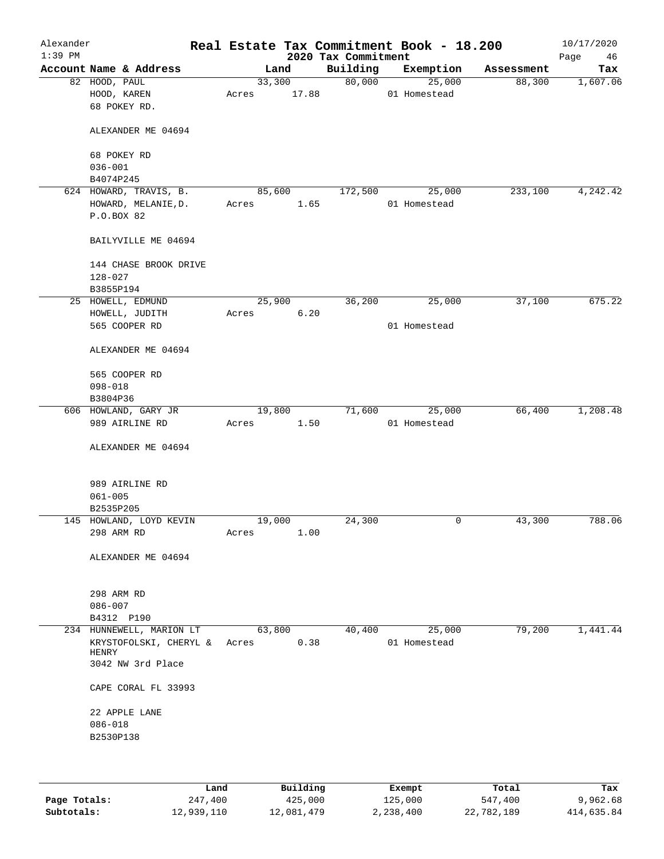| Alexander<br>$1:39$ PM |                                                             |                 |       | 2020 Tax Commitment | Real Estate Tax Commitment Book - 18.200 |            | 10/17/2020<br>Page<br>46 |
|------------------------|-------------------------------------------------------------|-----------------|-------|---------------------|------------------------------------------|------------|--------------------------|
|                        | Account Name & Address                                      |                 | Land  | Building            | Exemption                                | Assessment | Tax                      |
|                        | 82 HOOD, PAUL<br>HOOD, KAREN<br>68 POKEY RD.                | 33,300<br>Acres | 17.88 | 80,000              | 25,000<br>01 Homestead                   | 88,300     | 1,607.06                 |
|                        | ALEXANDER ME 04694                                          |                 |       |                     |                                          |            |                          |
|                        | 68 POKEY RD                                                 |                 |       |                     |                                          |            |                          |
|                        | $036 - 001$                                                 |                 |       |                     |                                          |            |                          |
|                        | B4074P245<br>624 HOWARD, TRAVIS, B.                         | 85,600          |       | 172,500             | 25,000                                   | 233,100    |                          |
|                        | HOWARD, MELANIE, D.                                         | Acres           | 1.65  |                     | 01 Homestead                             |            | 4,242.42                 |
|                        | P.O.BOX 82                                                  |                 |       |                     |                                          |            |                          |
|                        | BAILYVILLE ME 04694                                         |                 |       |                     |                                          |            |                          |
|                        | 144 CHASE BROOK DRIVE                                       |                 |       |                     |                                          |            |                          |
|                        | $128 - 027$                                                 |                 |       |                     |                                          |            |                          |
|                        | B3855P194<br>25 HOWELL, EDMUND                              | 25,900          |       | 36,200              | 25,000                                   | 37,100     | 675.22                   |
|                        | HOWELL, JUDITH                                              | Acres           | 6.20  |                     |                                          |            |                          |
|                        | 565 COOPER RD                                               |                 |       |                     | 01 Homestead                             |            |                          |
|                        | ALEXANDER ME 04694                                          |                 |       |                     |                                          |            |                          |
|                        | 565 COOPER RD                                               |                 |       |                     |                                          |            |                          |
|                        | $098 - 018$                                                 |                 |       |                     |                                          |            |                          |
|                        | B3804P36                                                    |                 |       |                     |                                          |            |                          |
|                        | 606 HOWLAND, GARY JR                                        | 19,800          |       | 71,600              | 25,000                                   | 66,400     | 1,208.48                 |
|                        | 989 AIRLINE RD                                              | Acres           | 1.50  |                     | 01 Homestead                             |            |                          |
|                        | ALEXANDER ME 04694                                          |                 |       |                     |                                          |            |                          |
|                        | 989 AIRLINE RD                                              |                 |       |                     |                                          |            |                          |
|                        | $061 - 005$                                                 |                 |       |                     |                                          |            |                          |
|                        | B2535P205                                                   |                 |       |                     |                                          |            |                          |
|                        | 145 HOWLAND, LOYD KEVIN<br>298 ARM RD                       | 19,000<br>Acres | 1.00  | 24,300              | 0                                        | 43,300     | 788.06                   |
|                        |                                                             |                 |       |                     |                                          |            |                          |
|                        | ALEXANDER ME 04694                                          |                 |       |                     |                                          |            |                          |
|                        | 298 ARM RD                                                  |                 |       |                     |                                          |            |                          |
|                        | $086 - 007$                                                 |                 |       |                     |                                          |            |                          |
|                        | B4312 P190                                                  |                 |       |                     |                                          |            |                          |
|                        | 234 HUNNEWELL, MARION LT<br>KRYSTOFOLSKI, CHERYL &<br>HENRY | 63,800<br>Acres | 0.38  | 40,400              | 25,000<br>01 Homestead                   | 79,200     | 1,441.44                 |
|                        | 3042 NW 3rd Place                                           |                 |       |                     |                                          |            |                          |
|                        | CAPE CORAL FL 33993                                         |                 |       |                     |                                          |            |                          |
|                        | 22 APPLE LANE                                               |                 |       |                     |                                          |            |                          |
|                        | $086 - 018$                                                 |                 |       |                     |                                          |            |                          |
|                        | B2530P138                                                   |                 |       |                     |                                          |            |                          |
|                        |                                                             |                 |       |                     |                                          |            |                          |
|                        |                                                             |                 |       |                     |                                          |            |                          |

|              | Land       | Building   | Exempt    | Total      | Tax        |
|--------------|------------|------------|-----------|------------|------------|
| Page Totals: | 247,400    | 425,000    | 125,000   | 547,400    | 9,962.68   |
| Subtotals:   | 12,939,110 | 12,081,479 | 2,238,400 | 22,782,189 | 414,635.84 |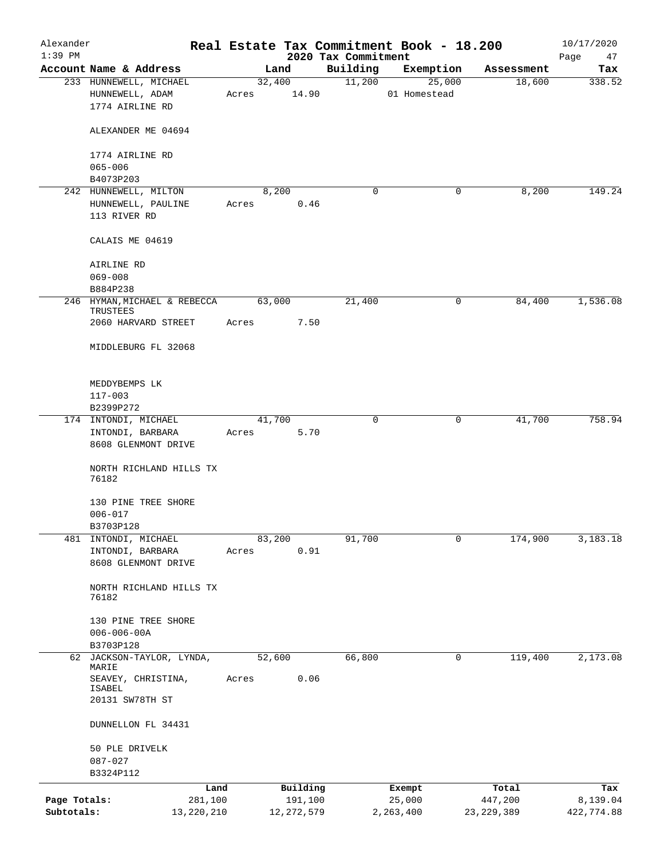| Alexander<br>$1:39$ PM |                              |       |        |              | 2020 Tax Commitment | Real Estate Tax Commitment Book - 18.200 |              | 10/17/2020        |
|------------------------|------------------------------|-------|--------|--------------|---------------------|------------------------------------------|--------------|-------------------|
|                        | Account Name & Address       |       | Land   |              | Building            | Exemption                                | Assessment   | Page<br>47<br>Tax |
|                        | 233 HUNNEWELL, MICHAEL       |       | 32,400 |              | 11,200              | 25,000                                   | 18,600       | 338.52            |
|                        | HUNNEWELL, ADAM              | Acres |        | 14.90        |                     | 01 Homestead                             |              |                   |
|                        | 1774 AIRLINE RD              |       |        |              |                     |                                          |              |                   |
|                        |                              |       |        |              |                     |                                          |              |                   |
|                        |                              |       |        |              |                     |                                          |              |                   |
|                        | ALEXANDER ME 04694           |       |        |              |                     |                                          |              |                   |
|                        |                              |       |        |              |                     |                                          |              |                   |
|                        | 1774 AIRLINE RD              |       |        |              |                     |                                          |              |                   |
|                        | $065 - 006$                  |       |        |              |                     |                                          |              |                   |
|                        | B4073P203                    |       |        |              |                     |                                          |              |                   |
|                        | 242 HUNNEWELL, MILTON        |       | 8,200  |              | 0                   | 0                                        | 8,200        | 149.24            |
|                        | HUNNEWELL, PAULINE           | Acres |        | 0.46         |                     |                                          |              |                   |
|                        | 113 RIVER RD                 |       |        |              |                     |                                          |              |                   |
|                        |                              |       |        |              |                     |                                          |              |                   |
|                        | CALAIS ME 04619              |       |        |              |                     |                                          |              |                   |
|                        |                              |       |        |              |                     |                                          |              |                   |
|                        | AIRLINE RD                   |       |        |              |                     |                                          |              |                   |
|                        | $069 - 008$                  |       |        |              |                     |                                          |              |                   |
|                        | B884P238                     |       |        |              |                     |                                          |              |                   |
|                        | 246 HYMAN, MICHAEL & REBECCA |       | 63,000 |              | 21,400              | 0                                        | 84,400       | 1,536.08          |
|                        | TRUSTEES                     |       |        |              |                     |                                          |              |                   |
|                        | 2060 HARVARD STREET          | Acres |        | 7.50         |                     |                                          |              |                   |
|                        |                              |       |        |              |                     |                                          |              |                   |
|                        | MIDDLEBURG FL 32068          |       |        |              |                     |                                          |              |                   |
|                        |                              |       |        |              |                     |                                          |              |                   |
|                        |                              |       |        |              |                     |                                          |              |                   |
|                        | MEDDYBEMPS LK                |       |        |              |                     |                                          |              |                   |
|                        | $117 - 003$                  |       |        |              |                     |                                          |              |                   |
|                        | B2399P272                    |       |        |              |                     |                                          |              |                   |
|                        |                              |       |        |              |                     |                                          |              | 758.94            |
|                        | 174 INTONDI, MICHAEL         |       | 41,700 |              | 0                   | 0                                        | 41,700       |                   |
|                        | INTONDI, BARBARA             | Acres |        | 5.70         |                     |                                          |              |                   |
|                        | 8608 GLENMONT DRIVE          |       |        |              |                     |                                          |              |                   |
|                        |                              |       |        |              |                     |                                          |              |                   |
|                        | NORTH RICHLAND HILLS TX      |       |        |              |                     |                                          |              |                   |
|                        | 76182                        |       |        |              |                     |                                          |              |                   |
|                        |                              |       |        |              |                     |                                          |              |                   |
|                        | 130 PINE TREE SHORE          |       |        |              |                     |                                          |              |                   |
|                        | $006 - 017$                  |       |        |              |                     |                                          |              |                   |
|                        | B3703P128                    |       |        |              |                     |                                          |              |                   |
| 481                    | INTONDI, MICHAEL             |       | 83,200 |              | 91,700              | 0                                        | 174,900      | 3,183.18          |
|                        | INTONDI, BARBARA             | Acres |        | 0.91         |                     |                                          |              |                   |
|                        | 8608 GLENMONT DRIVE          |       |        |              |                     |                                          |              |                   |
|                        |                              |       |        |              |                     |                                          |              |                   |
|                        | NORTH RICHLAND HILLS TX      |       |        |              |                     |                                          |              |                   |
|                        | 76182                        |       |        |              |                     |                                          |              |                   |
|                        |                              |       |        |              |                     |                                          |              |                   |
|                        | 130 PINE TREE SHORE          |       |        |              |                     |                                          |              |                   |
|                        | $006 - 006 - 00A$            |       |        |              |                     |                                          |              |                   |
|                        | B3703P128                    |       |        |              |                     |                                          |              |                   |
|                        | 62 JACKSON-TAYLOR, LYNDA,    |       | 52,600 |              | 66,800              | 0                                        | 119,400      | 2,173.08          |
|                        | MARIE                        |       |        |              |                     |                                          |              |                   |
|                        | SEAVEY, CHRISTINA,           | Acres |        | 0.06         |                     |                                          |              |                   |
|                        | ISABEL                       |       |        |              |                     |                                          |              |                   |
|                        | 20131 SW78TH ST              |       |        |              |                     |                                          |              |                   |
|                        |                              |       |        |              |                     |                                          |              |                   |
|                        | DUNNELLON FL 34431           |       |        |              |                     |                                          |              |                   |
|                        |                              |       |        |              |                     |                                          |              |                   |
|                        | 50 PLE DRIVELK               |       |        |              |                     |                                          |              |                   |
|                        | $087 - 027$                  |       |        |              |                     |                                          |              |                   |
|                        | B3324P112                    |       |        |              |                     |                                          |              |                   |
|                        | Land                         |       |        | Building     |                     | Exempt                                   | Total        | Tax               |
| Page Totals:           | 281,100                      |       |        | 191,100      |                     | 25,000                                   | 447,200      | 8,139.04          |
| Subtotals:             | 13, 220, 210                 |       |        | 12, 272, 579 |                     | 2,263,400                                | 23, 229, 389 | 422,774.88        |
|                        |                              |       |        |              |                     |                                          |              |                   |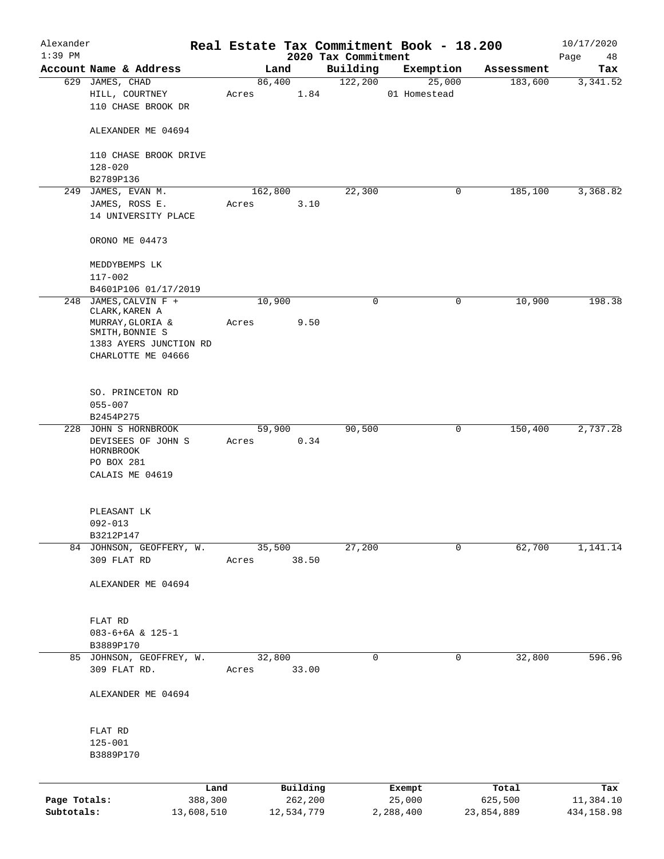| Alexander    |                                               |            |         |                 |                      | Real Estate Tax Commitment Book - 18.200 |                       | 10/17/2020      |
|--------------|-----------------------------------------------|------------|---------|-----------------|----------------------|------------------------------------------|-----------------------|-----------------|
| $1:39$ PM    | Account Name & Address                        |            |         |                 | 2020 Tax Commitment  |                                          |                       | Page<br>48      |
|              | 629 JAMES, CHAD                               |            |         | Land<br>86,400  | Building<br>122, 200 | Exemption<br>25,000                      | Assessment<br>183,600 | Tax<br>3,341.52 |
|              | HILL, COURTNEY<br>110 CHASE BROOK DR          |            | Acres   | 1.84            |                      | 01 Homestead                             |                       |                 |
|              | ALEXANDER ME 04694                            |            |         |                 |                      |                                          |                       |                 |
|              | 110 CHASE BROOK DRIVE<br>$128 - 020$          |            |         |                 |                      |                                          |                       |                 |
|              | B2789P136                                     |            |         |                 |                      |                                          |                       |                 |
|              | 249 JAMES, EVAN M.                            |            | 162,800 |                 | 22,300               | 0                                        | 185,100               | 3,368.82        |
|              | JAMES, ROSS E.<br>14 UNIVERSITY PLACE         |            | Acres   | 3.10            |                      |                                          |                       |                 |
|              | ORONO ME 04473                                |            |         |                 |                      |                                          |                       |                 |
|              | MEDDYBEMPS LK<br>$117 - 002$                  |            |         |                 |                      |                                          |                       |                 |
|              | B4601P106 01/17/2019                          |            |         |                 |                      |                                          |                       |                 |
|              | 248 JAMES, CALVIN F +<br>CLARK, KAREN A       |            |         | 10,900          | $\mathbf 0$          | 0                                        | 10,900                | 198.38          |
|              | MURRAY, GLORIA &<br>SMITH, BONNIE S           |            | Acres   | 9.50            |                      |                                          |                       |                 |
|              | 1383 AYERS JUNCTION RD<br>CHARLOTTE ME 04666  |            |         |                 |                      |                                          |                       |                 |
|              | SO. PRINCETON RD                              |            |         |                 |                      |                                          |                       |                 |
|              | $055 - 007$<br>B2454P275                      |            |         |                 |                      |                                          |                       |                 |
|              | 228 JOHN S HORNBROOK                          |            |         | 59,900          | 90,500               | 0                                        | 150,400               | 2,737.28        |
|              | DEVISEES OF JOHN S<br>HORNBROOK<br>PO BOX 281 |            | Acres   | 0.34            |                      |                                          |                       |                 |
|              | CALAIS ME 04619                               |            |         |                 |                      |                                          |                       |                 |
|              | PLEASANT LK<br>$092 - 013$                    |            |         |                 |                      |                                          |                       |                 |
|              | B3212P147                                     |            |         |                 |                      |                                          |                       |                 |
|              | 84 JOHNSON, GEOFFERY, W.                      |            |         | 35,500          | 27,200               | 0                                        | 62,700                | 1,141.14        |
|              | 309 FLAT RD                                   |            | Acres   | 38.50           |                      |                                          |                       |                 |
|              | ALEXANDER ME 04694                            |            |         |                 |                      |                                          |                       |                 |
|              | FLAT RD                                       |            |         |                 |                      |                                          |                       |                 |
|              | $083 - 6 + 6A & 125 - 1$                      |            |         |                 |                      |                                          |                       |                 |
|              | B3889P170                                     |            |         |                 |                      |                                          |                       |                 |
|              | 85 JOHNSON, GEOFFREY, W.<br>309 FLAT RD.      |            | Acres   | 32,800<br>33.00 | 0                    | 0                                        | 32,800                | 596.96          |
|              | ALEXANDER ME 04694                            |            |         |                 |                      |                                          |                       |                 |
|              | FLAT RD                                       |            |         |                 |                      |                                          |                       |                 |
|              | $125 - 001$                                   |            |         |                 |                      |                                          |                       |                 |
|              | B3889P170                                     |            |         |                 |                      |                                          |                       |                 |
|              |                                               | Land       |         | Building        |                      | Exempt                                   | Total                 | Tax             |
| Page Totals: |                                               | 388,300    |         | 262,200         |                      | 25,000                                   | 625,500               | 11,384.10       |
| Subtotals:   |                                               | 13,608,510 |         | 12,534,779      |                      | 2,288,400                                | 23,854,889            | 434, 158.98     |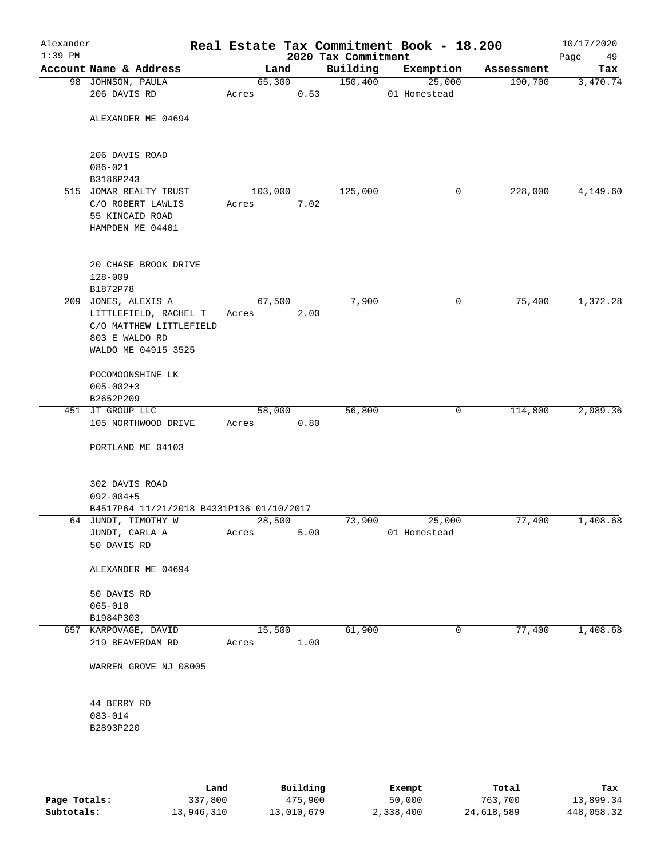| Alexander<br>$1:39$ PM |                                                                 |                 |      | 2020 Tax Commitment | Real Estate Tax Commitment Book - 18.200 |            | 10/17/2020<br>Page<br>49 |
|------------------------|-----------------------------------------------------------------|-----------------|------|---------------------|------------------------------------------|------------|--------------------------|
|                        | Account Name & Address                                          | Land            |      | Building            | Exemption                                | Assessment | Tax                      |
|                        | 98 JOHNSON, PAULA<br>206 DAVIS RD                               | 65,300<br>Acres | 0.53 | 150,400             | 25,000<br>01 Homestead                   | 190,700    | 3,470.74                 |
|                        | ALEXANDER ME 04694                                              |                 |      |                     |                                          |            |                          |
|                        |                                                                 |                 |      |                     |                                          |            |                          |
|                        | 206 DAVIS ROAD<br>$086 - 021$                                   |                 |      |                     |                                          |            |                          |
|                        | B3186P243                                                       |                 |      |                     |                                          |            |                          |
|                        | 515 JOMAR REALTY TRUST                                          | 103,000         |      | 125,000             | 0                                        | 228,000    | 4,149.60                 |
|                        | C/O ROBERT LAWLIS                                               | Acres           | 7.02 |                     |                                          |            |                          |
|                        | 55 KINCAID ROAD<br>HAMPDEN ME 04401                             |                 |      |                     |                                          |            |                          |
|                        | 20 CHASE BROOK DRIVE                                            |                 |      |                     |                                          |            |                          |
|                        | $128 - 009$<br>B1872P78                                         |                 |      |                     |                                          |            |                          |
|                        | 209 JONES, ALEXIS A                                             | 67,500          |      | 7,900               | 0                                        | 75,400     | 1,372.28                 |
|                        | LITTLEFIELD, RACHEL T                                           | Acres           | 2.00 |                     |                                          |            |                          |
|                        | C/O MATTHEW LITTLEFIELD                                         |                 |      |                     |                                          |            |                          |
|                        | 803 E WALDO RD                                                  |                 |      |                     |                                          |            |                          |
|                        | WALDO ME 04915 3525                                             |                 |      |                     |                                          |            |                          |
|                        | POCOMOONSHINE LK                                                |                 |      |                     |                                          |            |                          |
|                        | $005 - 002 + 3$                                                 |                 |      |                     |                                          |            |                          |
|                        | B2652P209                                                       |                 |      |                     |                                          |            |                          |
|                        | 451 JT GROUP LLC                                                | 58,000          |      | 56,800              | 0                                        | 114,800    | 2,089.36                 |
|                        | 105 NORTHWOOD DRIVE                                             | Acres           | 0.80 |                     |                                          |            |                          |
|                        | PORTLAND ME 04103                                               |                 |      |                     |                                          |            |                          |
|                        | 302 DAVIS ROAD                                                  |                 |      |                     |                                          |            |                          |
|                        | $092 - 004 + 5$                                                 |                 |      |                     |                                          |            |                          |
|                        | B4517P64 11/21/2018 B4331P136 01/10/2017<br>64 JUNDT, TIMOTHY W |                 |      |                     |                                          |            | 1,408.68                 |
|                        |                                                                 | 28,500          |      | 73,900              | 25,000                                   | 77,400     |                          |
|                        | JUNDT, CARLA A<br>50 DAVIS RD                                   | Acres           | 5.00 |                     | 01 Homestead                             |            |                          |
|                        | ALEXANDER ME 04694                                              |                 |      |                     |                                          |            |                          |
|                        | 50 DAVIS RD                                                     |                 |      |                     |                                          |            |                          |
|                        | $065 - 010$                                                     |                 |      |                     |                                          |            |                          |
|                        | B1984P303                                                       |                 |      |                     |                                          |            |                          |
|                        | 657 KARPOVAGE, DAVID                                            | 15,500          |      | 61,900              | $\mathbf 0$                              | 77,400     | 1,408.68                 |
|                        | 219 BEAVERDAM RD                                                | Acres           | 1.00 |                     |                                          |            |                          |
|                        | WARREN GROVE NJ 08005                                           |                 |      |                     |                                          |            |                          |
|                        | 44 BERRY RD                                                     |                 |      |                     |                                          |            |                          |
|                        | $083 - 014$                                                     |                 |      |                     |                                          |            |                          |
|                        | B2893P220                                                       |                 |      |                     |                                          |            |                          |
|                        |                                                                 |                 |      |                     |                                          |            |                          |

|              | Land       | Building   | Exempt    | Total      | Tax        |
|--------------|------------|------------|-----------|------------|------------|
| Page Totals: | 337,800    | 475,900    | 50,000    | 763,700    | 13,899.34  |
| Subtotals:   | 13,946,310 | 13,010,679 | 2,338,400 | 24,618,589 | 448,058.32 |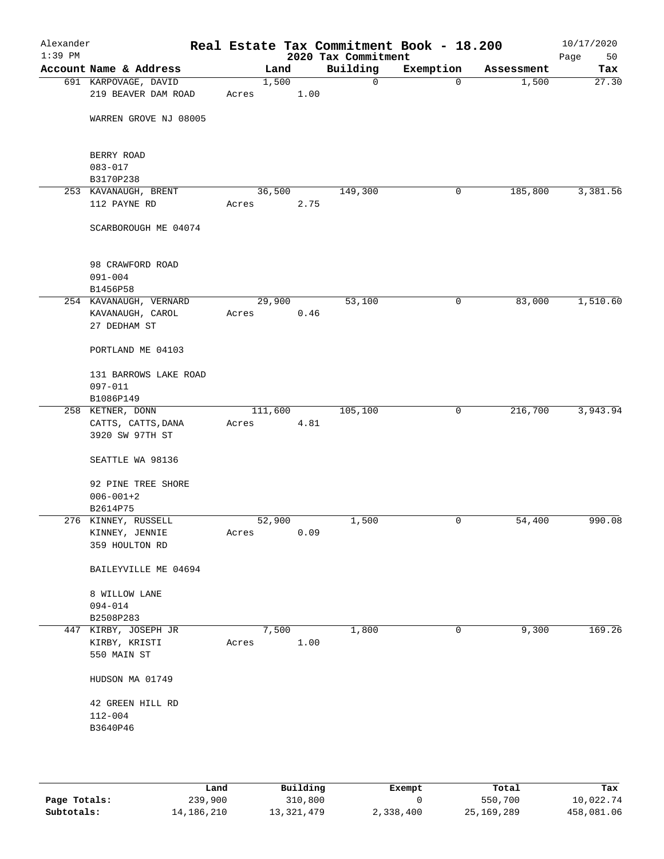|                                  |         |      | 2020 Tax Commitment |           |            | Page<br>50 |
|----------------------------------|---------|------|---------------------|-----------|------------|------------|
| Account Name & Address           | Land    |      | Building            | Exemption | Assessment | Tax        |
| 691 KARPOVAGE, DAVID             | 1,500   |      | 0                   | $\Omega$  | 1,500      | 27.30      |
| 219 BEAVER DAM ROAD              | Acres   | 1.00 |                     |           |            |            |
|                                  |         |      |                     |           |            |            |
| WARREN GROVE NJ 08005            |         |      |                     |           |            |            |
|                                  |         |      |                     |           |            |            |
| BERRY ROAD<br>$083 - 017$        |         |      |                     |           |            |            |
| B3170P238                        |         |      |                     |           |            |            |
| 253 KAVANAUGH, BRENT             | 36,500  |      | 149,300             | 0         | 185,800    | 3,381.56   |
| 112 PAYNE RD                     | Acres   | 2.75 |                     |           |            |            |
| SCARBOROUGH ME 04074             |         |      |                     |           |            |            |
|                                  |         |      |                     |           |            |            |
| 98 CRAWFORD ROAD                 |         |      |                     |           |            |            |
| $091 - 004$                      |         |      |                     |           |            |            |
| B1456P58                         |         |      |                     |           |            |            |
| 254 KAVANAUGH, VERNARD           | 29,900  |      | 53,100              | 0         | 83,000     | 1,510.60   |
| KAVANAUGH, CAROL<br>27 DEDHAM ST | Acres   | 0.46 |                     |           |            |            |
|                                  |         |      |                     |           |            |            |
| PORTLAND ME 04103                |         |      |                     |           |            |            |
| 131 BARROWS LAKE ROAD            |         |      |                     |           |            |            |
| $097 - 011$                      |         |      |                     |           |            |            |
| B1086P149                        |         |      |                     |           |            |            |
| 258 KETNER, DONN                 | 111,600 |      | 105,100             | 0         | 216,700    | 3,943.94   |
| CATTS, CATTS, DANA               | Acres   | 4.81 |                     |           |            |            |
| 3920 SW 97TH ST                  |         |      |                     |           |            |            |
| SEATTLE WA 98136                 |         |      |                     |           |            |            |
| 92 PINE TREE SHORE               |         |      |                     |           |            |            |
| $006 - 001 + 2$                  |         |      |                     |           |            |            |
| B2614P75                         |         |      |                     |           |            |            |
| 276 KINNEY, RUSSELL              | 52,900  |      | 1,500               | 0         | 54,400     | 990.08     |
| KINNEY, JENNIE                   | Acres   | 0.09 |                     |           |            |            |
| 359 HOULTON RD                   |         |      |                     |           |            |            |
| BAILEYVILLE ME 04694             |         |      |                     |           |            |            |
| 8 WILLOW LANE                    |         |      |                     |           |            |            |
| 094-014                          |         |      |                     |           |            |            |
| B2508P283                        |         |      |                     |           |            |            |
| 447 KIRBY, JOSEPH JR             | 7,500   |      | 1,800               | 0         | 9,300      | 169.26     |
| KIRBY, KRISTI                    | Acres   | 1.00 |                     |           |            |            |
| 550 MAIN ST                      |         |      |                     |           |            |            |
| HUDSON MA 01749                  |         |      |                     |           |            |            |
|                                  |         |      |                     |           |            |            |
| 42 GREEN HILL RD                 |         |      |                     |           |            |            |
| $112 - 004$                      |         |      |                     |           |            |            |
| B3640P46                         |         |      |                     |           |            |            |
|                                  |         |      |                     |           |            |            |
|                                  |         |      |                     |           |            |            |

|              | Land       | Building     | Exempt    | Total        | Tax        |
|--------------|------------|--------------|-----------|--------------|------------|
| Page Totals: | 239,900    | 310,800      |           | 550,700      | 10,022.74  |
| Subtotals:   | 14,186,210 | 13, 321, 479 | 2,338,400 | 25, 169, 289 | 458,081.06 |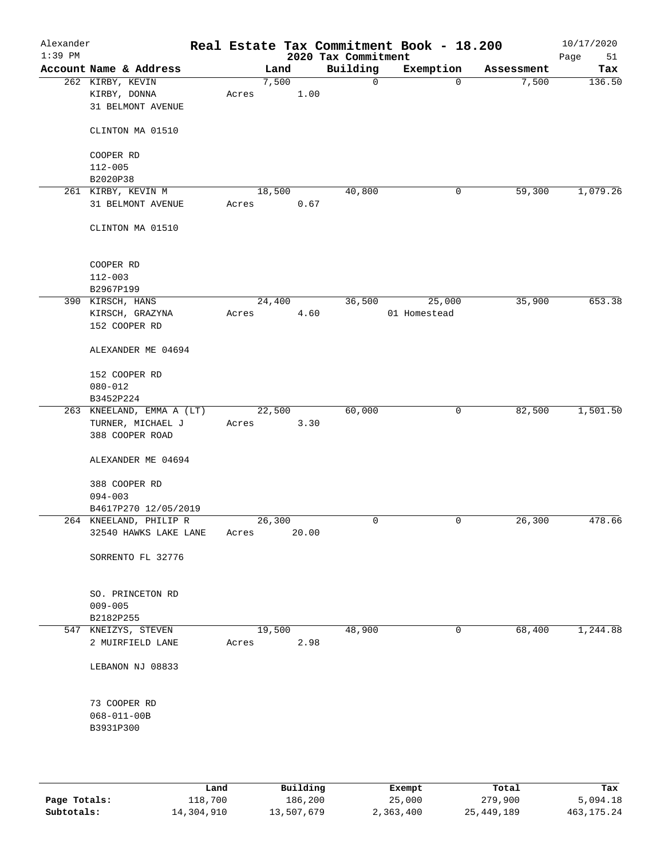| Alexander<br>$1:39$ PM |                                  |        |       |       | 2020 Tax Commitment | Real Estate Tax Commitment Book - 18.200 |            | 10/17/2020<br>Page<br>51 |
|------------------------|----------------------------------|--------|-------|-------|---------------------|------------------------------------------|------------|--------------------------|
|                        | Account Name & Address           |        | Land  |       | Building            | Exemption                                | Assessment | Tax                      |
|                        | 262 KIRBY, KEVIN                 |        | 7,500 |       | 0                   | $\mathbf 0$                              | 7,500      | 136.50                   |
|                        | KIRBY, DONNA                     | Acres  |       | 1.00  |                     |                                          |            |                          |
|                        | 31 BELMONT AVENUE                |        |       |       |                     |                                          |            |                          |
|                        |                                  |        |       |       |                     |                                          |            |                          |
|                        | CLINTON MA 01510                 |        |       |       |                     |                                          |            |                          |
|                        | COOPER RD                        |        |       |       |                     |                                          |            |                          |
|                        | $112 - 005$                      |        |       |       |                     |                                          |            |                          |
|                        | B2020P38                         |        |       |       |                     |                                          |            |                          |
|                        | 261 KIRBY, KEVIN M               | 18,500 |       |       | 40,800              | 0                                        | 59,300     | 1,079.26                 |
|                        | 31 BELMONT AVENUE                | Acres  |       | 0.67  |                     |                                          |            |                          |
|                        | CLINTON MA 01510                 |        |       |       |                     |                                          |            |                          |
|                        | COOPER RD                        |        |       |       |                     |                                          |            |                          |
|                        | $112 - 003$                      |        |       |       |                     |                                          |            |                          |
|                        | B2967P199                        |        |       |       |                     |                                          |            |                          |
|                        | 390 KIRSCH, HANS                 | 24,400 |       |       | 36,500              | 25,000                                   | 35,900     | 653.38                   |
|                        | KIRSCH, GRAZYNA<br>152 COOPER RD | Acres  |       | 4.60  |                     | 01 Homestead                             |            |                          |
|                        | ALEXANDER ME 04694               |        |       |       |                     |                                          |            |                          |
|                        |                                  |        |       |       |                     |                                          |            |                          |
|                        | 152 COOPER RD<br>$080 - 012$     |        |       |       |                     |                                          |            |                          |
|                        | B3452P224                        |        |       |       |                     |                                          |            |                          |
|                        | 263 KNEELAND, EMMA A (LT)        | 22,500 |       |       | 60,000              | 0                                        | 82,500     | 1,501.50                 |
|                        | TURNER, MICHAEL J                | Acres  |       | 3.30  |                     |                                          |            |                          |
|                        | 388 COOPER ROAD                  |        |       |       |                     |                                          |            |                          |
|                        | ALEXANDER ME 04694               |        |       |       |                     |                                          |            |                          |
|                        | 388 COOPER RD                    |        |       |       |                     |                                          |            |                          |
|                        | $094 - 003$                      |        |       |       |                     |                                          |            |                          |
|                        | B4617P270 12/05/2019             |        |       |       |                     |                                          |            |                          |
|                        | 264 KNEELAND, PHILIP R           | 26,300 |       |       | 0                   | 0                                        | 26,300     | 478.66                   |
|                        | 32540 HAWKS LAKE LANE            | Acres  |       | 20.00 |                     |                                          |            |                          |
|                        | SORRENTO FL 32776                |        |       |       |                     |                                          |            |                          |
|                        |                                  |        |       |       |                     |                                          |            |                          |
|                        | SO. PRINCETON RD                 |        |       |       |                     |                                          |            |                          |
|                        | $009 - 005$                      |        |       |       |                     |                                          |            |                          |
|                        | B2182P255                        |        |       |       |                     |                                          |            |                          |
|                        | 547 KNEIZYS, STEVEN              | 19,500 |       |       | 48,900              | 0                                        | 68,400     | 1,244.88                 |
|                        | 2 MUIRFIELD LANE                 | Acres  |       | 2.98  |                     |                                          |            |                          |
|                        | LEBANON NJ 08833                 |        |       |       |                     |                                          |            |                          |
|                        | 73 COOPER RD                     |        |       |       |                     |                                          |            |                          |
|                        | $068 - 011 - 00B$                |        |       |       |                     |                                          |            |                          |
|                        | B3931P300                        |        |       |       |                     |                                          |            |                          |
|                        |                                  |        |       |       |                     |                                          |            |                          |
|                        |                                  |        |       |       |                     |                                          |            |                          |
|                        |                                  |        |       |       |                     |                                          |            |                          |

|              | Land       | Building   | Exempt    | Total        | Tax          |
|--------------|------------|------------|-----------|--------------|--------------|
| Page Totals: | 118,700    | 186,200    | 25,000    | 279,900      | 5,094.18     |
| Subtotals:   | 14,304,910 | 13,507,679 | 2,363,400 | 25, 449, 189 | 463, 175. 24 |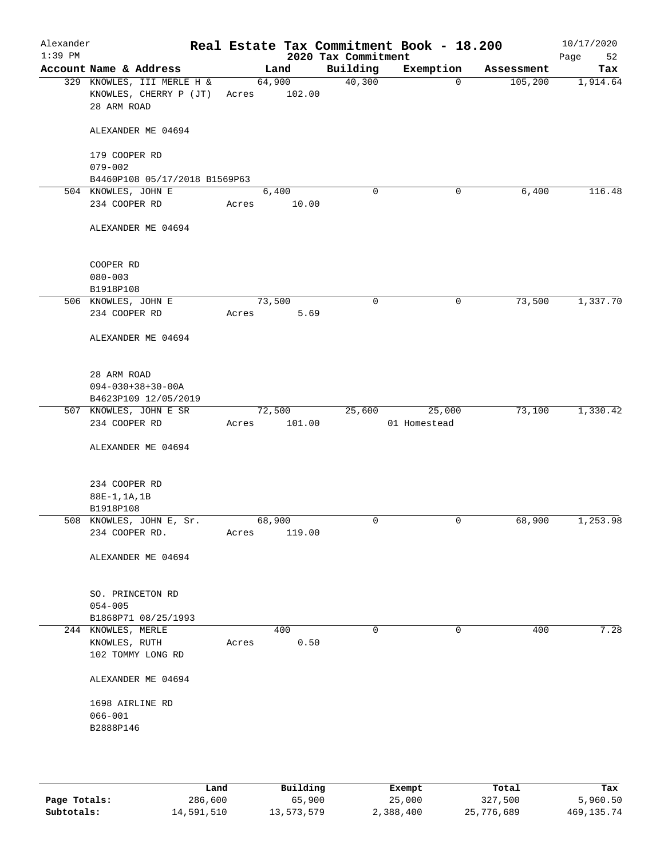| Alexander<br>$1:39$ PM |                                                                     |       |                  | 2020 Tax Commitment | Real Estate Tax Commitment Book - 18.200 |            | 10/17/2020<br>Page<br>52 |
|------------------------|---------------------------------------------------------------------|-------|------------------|---------------------|------------------------------------------|------------|--------------------------|
|                        | Account Name & Address                                              |       | Land             | Building            | Exemption                                | Assessment | Tax                      |
|                        | 329 KNOWLES, III MERLE H &<br>KNOWLES, CHERRY P (JT)<br>28 ARM ROAD | Acres | 64,900<br>102.00 | 40,300              | $\mathbf 0$                              | 105, 200   | 1,914.64                 |
|                        | ALEXANDER ME 04694                                                  |       |                  |                     |                                          |            |                          |
|                        | 179 COOPER RD<br>$079 - 002$                                        |       |                  |                     |                                          |            |                          |
|                        | B4460P108 05/17/2018 B1569P63                                       |       |                  |                     |                                          |            |                          |
|                        | 504 KNOWLES, JOHN E                                                 |       | 6,400            | $\mathbf 0$         | 0                                        | 6,400      | 116.48                   |
|                        | 234 COOPER RD                                                       | Acres | 10.00            |                     |                                          |            |                          |
|                        | ALEXANDER ME 04694                                                  |       |                  |                     |                                          |            |                          |
|                        | COOPER RD                                                           |       |                  |                     |                                          |            |                          |
|                        | $080 - 003$                                                         |       |                  |                     |                                          |            |                          |
|                        | B1918P108                                                           |       |                  |                     |                                          |            |                          |
|                        | 506 KNOWLES, JOHN E                                                 |       | 73,500           | 0                   | 0                                        | 73,500     | 1,337.70                 |
|                        | 234 COOPER RD                                                       | Acres | 5.69             |                     |                                          |            |                          |
|                        | ALEXANDER ME 04694                                                  |       |                  |                     |                                          |            |                          |
|                        | 28 ARM ROAD                                                         |       |                  |                     |                                          |            |                          |
|                        | $094 - 030 + 38 + 30 - 00A$                                         |       |                  |                     |                                          |            |                          |
|                        | B4623P109 12/05/2019                                                |       |                  |                     |                                          |            |                          |
|                        | 507 KNOWLES, JOHN E SR                                              |       | 72,500           | 25,600              | 25,000                                   | 73,100     | 1,330.42                 |
|                        | 234 COOPER RD                                                       | Acres | 101.00           |                     | 01 Homestead                             |            |                          |
|                        | ALEXANDER ME 04694                                                  |       |                  |                     |                                          |            |                          |
|                        | 234 COOPER RD                                                       |       |                  |                     |                                          |            |                          |
|                        | 88E-1, 1A, 1B                                                       |       |                  |                     |                                          |            |                          |
|                        | B1918P108                                                           |       |                  |                     |                                          |            |                          |
|                        | 508 KNOWLES, JOHN E, Sr.                                            |       | 68,900           | 0                   | 0                                        | 68,900     | 1,253.98                 |
|                        | 234 COOPER RD.                                                      | Acres | 119.00           |                     |                                          |            |                          |
|                        | ALEXANDER ME 04694                                                  |       |                  |                     |                                          |            |                          |
|                        | SO. PRINCETON RD<br>$054 - 005$                                     |       |                  |                     |                                          |            |                          |
|                        | B1868P71 08/25/1993                                                 |       |                  |                     |                                          |            |                          |
|                        | 244 KNOWLES, MERLE                                                  |       | 400              | 0                   | 0                                        | 400        | 7.28                     |
|                        | KNOWLES, RUTH<br>102 TOMMY LONG RD                                  | Acres | 0.50             |                     |                                          |            |                          |
|                        | ALEXANDER ME 04694                                                  |       |                  |                     |                                          |            |                          |
|                        | 1698 AIRLINE RD                                                     |       |                  |                     |                                          |            |                          |
|                        | $066 - 001$                                                         |       |                  |                     |                                          |            |                          |
|                        | B2888P146                                                           |       |                  |                     |                                          |            |                          |
|                        |                                                                     |       |                  |                     |                                          |            |                          |
|                        |                                                                     |       |                  |                     |                                          |            |                          |
|                        |                                                                     |       |                  |                     |                                          |            |                          |

|              | Land       | Building   | Exempt    | Total      | Tax          |
|--------------|------------|------------|-----------|------------|--------------|
| Page Totals: | 286,600    | 65,900     | 25,000    | 327,500    | 5,960.50     |
| Subtotals:   | 14,591,510 | 13,573,579 | 2,388,400 | 25,776,689 | 469, 135. 74 |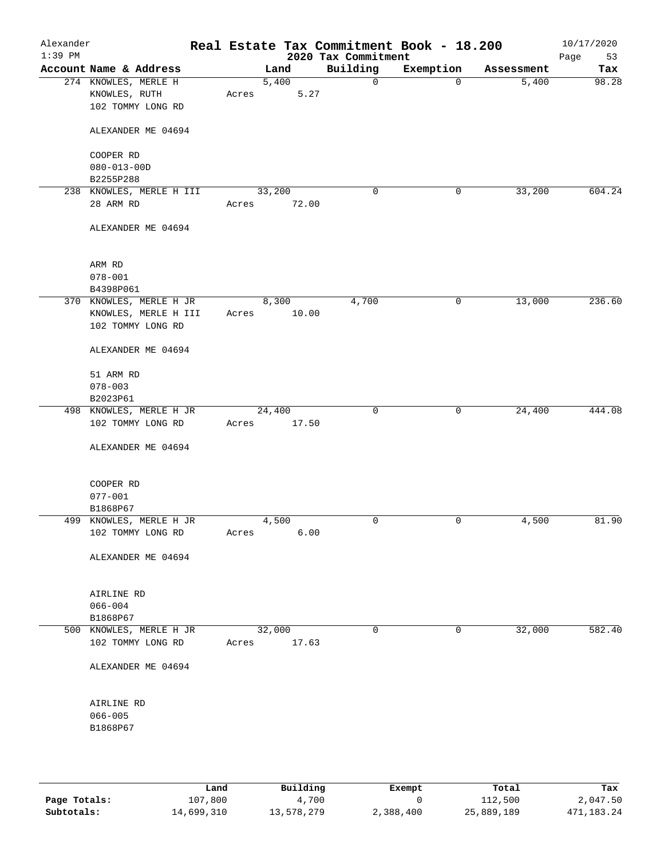| Alexander<br>$1:39$ PM |                                                            |       |                 | 2020 Tax Commitment | Real Estate Tax Commitment Book - 18.200 |            | 10/17/2020<br>Page<br>53 |
|------------------------|------------------------------------------------------------|-------|-----------------|---------------------|------------------------------------------|------------|--------------------------|
|                        | Account Name & Address                                     |       | Land            | Building            | Exemption                                | Assessment | Tax                      |
|                        | 274 KNOWLES, MERLE H<br>KNOWLES, RUTH<br>102 TOMMY LONG RD | Acres | 5,400<br>5.27   | 0                   | $\mathbf 0$                              | 5,400      | 98.28                    |
|                        | ALEXANDER ME 04694                                         |       |                 |                     |                                          |            |                          |
|                        | COOPER RD                                                  |       |                 |                     |                                          |            |                          |
|                        | $080 - 013 - 00D$                                          |       |                 |                     |                                          |            |                          |
|                        | B2255P288                                                  |       |                 |                     |                                          |            |                          |
|                        | 238 KNOWLES, MERLE H III                                   |       | 33,200          | 0                   | 0                                        | 33,200     | 604.24                   |
|                        | 28 ARM RD                                                  | Acres | 72.00           |                     |                                          |            |                          |
|                        | ALEXANDER ME 04694                                         |       |                 |                     |                                          |            |                          |
|                        | ARM RD                                                     |       |                 |                     |                                          |            |                          |
|                        | $078 - 001$                                                |       |                 |                     |                                          |            |                          |
|                        | B4398P061                                                  |       |                 |                     |                                          |            |                          |
|                        | 370 KNOWLES, MERLE H JR<br>KNOWLES, MERLE H III            | Acres | 8,300<br>10.00  | 4,700               | 0                                        | 13,000     | 236.60                   |
|                        | 102 TOMMY LONG RD                                          |       |                 |                     |                                          |            |                          |
|                        | ALEXANDER ME 04694                                         |       |                 |                     |                                          |            |                          |
|                        | 51 ARM RD                                                  |       |                 |                     |                                          |            |                          |
|                        | $078 - 003$                                                |       |                 |                     |                                          |            |                          |
|                        | B2023P61                                                   |       |                 |                     |                                          |            |                          |
|                        | 498 KNOWLES, MERLE H JR                                    |       | 24,400          | $\mathbf 0$         | 0                                        | 24,400     | 444.08                   |
|                        | 102 TOMMY LONG RD                                          | Acres | 17.50           |                     |                                          |            |                          |
|                        | ALEXANDER ME 04694                                         |       |                 |                     |                                          |            |                          |
|                        | COOPER RD                                                  |       |                 |                     |                                          |            |                          |
|                        | $077 - 001$                                                |       |                 |                     |                                          |            |                          |
|                        | B1868P67                                                   |       |                 |                     |                                          |            |                          |
|                        | 499 KNOWLES, MERLE H JR<br>102 TOMMY LONG RD               | Acres | 4,500<br>6.00   | 0                   | 0                                        | 4,500      | 81.90                    |
|                        |                                                            |       |                 |                     |                                          |            |                          |
|                        | ALEXANDER ME 04694                                         |       |                 |                     |                                          |            |                          |
|                        | AIRLINE RD                                                 |       |                 |                     |                                          |            |                          |
|                        | $066 - 004$                                                |       |                 |                     |                                          |            |                          |
|                        | B1868P67                                                   |       |                 |                     |                                          |            |                          |
|                        | 500 KNOWLES, MERLE H JR<br>102 TOMMY LONG RD               | Acres | 32,000<br>17.63 | 0                   | $\mathbf 0$                              | 32,000     | 582.40                   |
|                        |                                                            |       |                 |                     |                                          |            |                          |
|                        | ALEXANDER ME 04694                                         |       |                 |                     |                                          |            |                          |
|                        | AIRLINE RD                                                 |       |                 |                     |                                          |            |                          |
|                        | $066 - 005$                                                |       |                 |                     |                                          |            |                          |
|                        | B1868P67                                                   |       |                 |                     |                                          |            |                          |
|                        |                                                            |       |                 |                     |                                          |            |                          |
|                        |                                                            |       |                 |                     |                                          |            |                          |
|                        |                                                            |       |                 |                     |                                          |            |                          |

|              | Land       | Building   | Exempt    | Total      | Tax        |
|--------------|------------|------------|-----------|------------|------------|
| Page Totals: | 107,800    | 4,700      |           | 112,500    | 2,047.50   |
| Subtotals:   | 14,699,310 | 13,578,279 | 2,388,400 | 25,889,189 | 471,183.24 |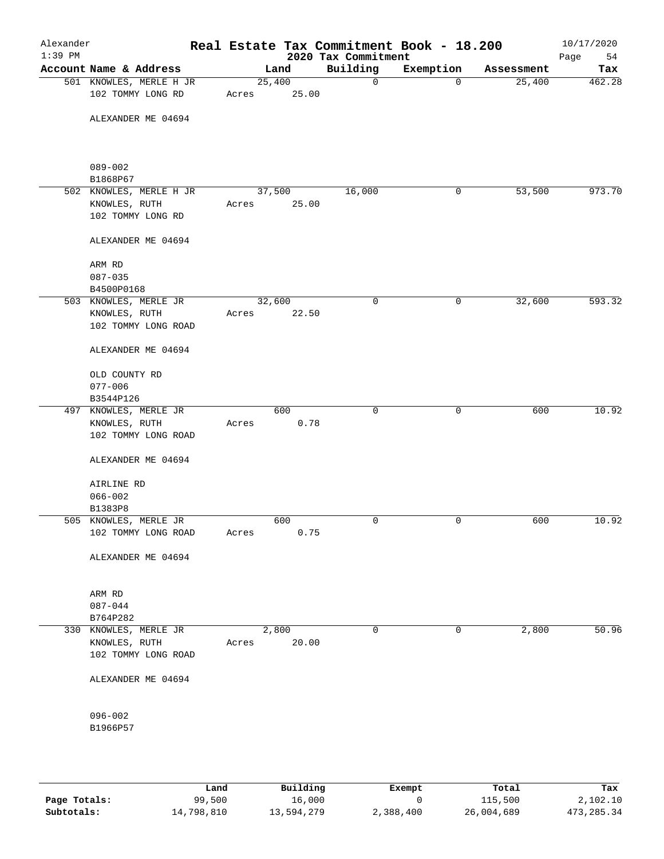| Alexander<br>$1:39$ PM |                                              |                 |             | Real Estate Tax Commitment Book - 18.200<br>2020 Tax Commitment |             |            | 10/17/2020<br>Page<br>54 |
|------------------------|----------------------------------------------|-----------------|-------------|-----------------------------------------------------------------|-------------|------------|--------------------------|
|                        | Account Name & Address                       |                 | Land        | Building                                                        | Exemption   | Assessment | Tax                      |
|                        | 501 KNOWLES, MERLE H JR<br>102 TOMMY LONG RD | 25,400<br>Acres | 25.00       | 0                                                               | $\mathbf 0$ | 25,400     | 462.28                   |
|                        | ALEXANDER ME 04694                           |                 |             |                                                                 |             |            |                          |
|                        | $089 - 002$<br>B1868P67                      |                 |             |                                                                 |             |            |                          |
|                        | 502 KNOWLES, MERLE H JR                      | 37,500          |             | 16,000                                                          | 0           | 53,500     | 973.70                   |
|                        | KNOWLES, RUTH<br>102 TOMMY LONG RD           | Acres           | 25.00       |                                                                 |             |            |                          |
|                        | ALEXANDER ME 04694                           |                 |             |                                                                 |             |            |                          |
|                        | ARM RD                                       |                 |             |                                                                 |             |            |                          |
|                        | $087 - 035$<br>B4500P0168                    |                 |             |                                                                 |             |            |                          |
|                        | 503 KNOWLES, MERLE JR                        | 32,600          |             | $\mathbf 0$                                                     | 0           | 32,600     | 593.32                   |
|                        | KNOWLES, RUTH<br>102 TOMMY LONG ROAD         | Acres           | 22.50       |                                                                 |             |            |                          |
|                        | ALEXANDER ME 04694                           |                 |             |                                                                 |             |            |                          |
|                        | OLD COUNTY RD<br>$077 - 006$                 |                 |             |                                                                 |             |            |                          |
|                        | B3544P126                                    |                 |             |                                                                 |             |            |                          |
|                        | 497 KNOWLES, MERLE JR                        |                 | 600         | $\mathbf 0$                                                     | $\mathbf 0$ | 600        | 10.92                    |
|                        | KNOWLES, RUTH<br>102 TOMMY LONG ROAD         | Acres           | 0.78        |                                                                 |             |            |                          |
|                        | ALEXANDER ME 04694                           |                 |             |                                                                 |             |            |                          |
|                        | AIRLINE RD                                   |                 |             |                                                                 |             |            |                          |
|                        | $066 - 002$                                  |                 |             |                                                                 |             |            |                          |
|                        | B1383P8                                      |                 |             |                                                                 |             |            |                          |
|                        | 505 KNOWLES, MERLE JR<br>102 TOMMY LONG ROAD | Acres           | 600<br>0.75 | 0                                                               | 0           | 600        | 10.92                    |
|                        | ALEXANDER ME 04694                           |                 |             |                                                                 |             |            |                          |
|                        | ARM RD                                       |                 |             |                                                                 |             |            |                          |
|                        | $087 - 044$                                  |                 |             |                                                                 |             |            |                          |
|                        | B764P282                                     |                 |             |                                                                 |             |            |                          |
|                        | 330 KNOWLES, MERLE JR                        | 2,800           |             | 0                                                               | $\mathbf 0$ | 2,800      | 50.96                    |
|                        | KNOWLES, RUTH<br>102 TOMMY LONG ROAD         | Acres           | 20.00       |                                                                 |             |            |                          |
|                        | ALEXANDER ME 04694                           |                 |             |                                                                 |             |            |                          |
|                        | $096 - 002$                                  |                 |             |                                                                 |             |            |                          |
|                        | B1966P57                                     |                 |             |                                                                 |             |            |                          |
|                        |                                              |                 |             |                                                                 |             |            |                          |

|              | Land       | Building   | Exempt    | Total      | Tax        |
|--------------|------------|------------|-----------|------------|------------|
| Page Totals: | 99,500     | 16,000     |           | 115,500    | 2,102.10   |
| Subtotals:   | 14,798,810 | 13,594,279 | 2,388,400 | 26,004,689 | 473,285.34 |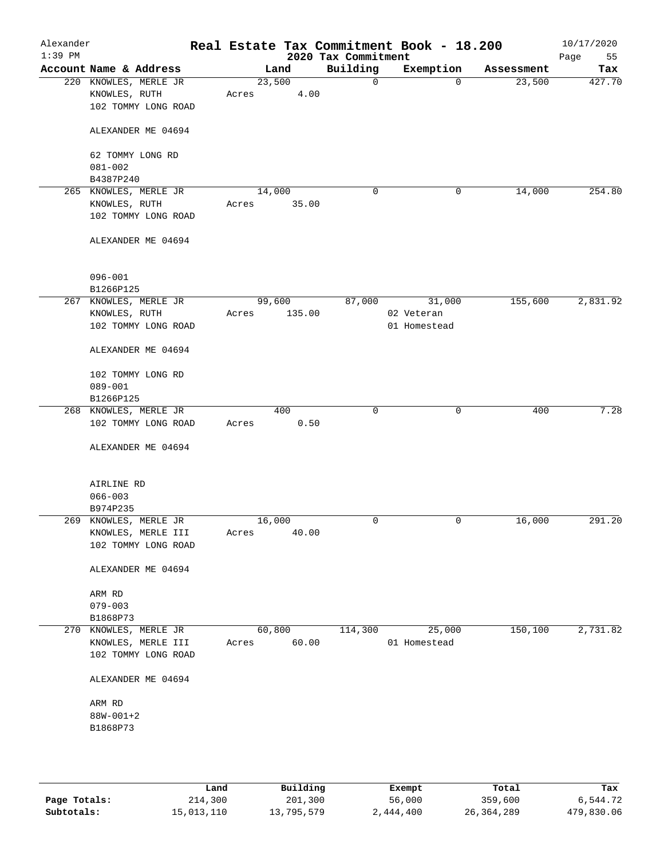| Alexander<br>$1:39$ PM |                                                               | Real Estate Tax Commitment Book - 18.200 | 2020 Tax Commitment |                            |            | 10/17/2020<br>Page<br>55 |
|------------------------|---------------------------------------------------------------|------------------------------------------|---------------------|----------------------------|------------|--------------------------|
|                        | Account Name & Address                                        | Land                                     | Building            | Exemption                  | Assessment | Tax                      |
|                        | 220 KNOWLES, MERLE JR<br>KNOWLES, RUTH<br>102 TOMMY LONG ROAD | 23,500<br>4.00<br>Acres                  | $\mathbf 0$         | 0                          | 23,500     | 427.70                   |
|                        | ALEXANDER ME 04694                                            |                                          |                     |                            |            |                          |
|                        | 62 TOMMY LONG RD<br>$081 - 002$<br>B4387P240                  |                                          |                     |                            |            |                          |
|                        | 265 KNOWLES, MERLE JR                                         | 14,000                                   | 0                   | 0                          | 14,000     | 254.80                   |
|                        | KNOWLES, RUTH<br>102 TOMMY LONG ROAD                          | 35.00<br>Acres                           |                     |                            |            |                          |
|                        | ALEXANDER ME 04694                                            |                                          |                     |                            |            |                          |
|                        | $096 - 001$<br>B1266P125                                      |                                          |                     |                            |            |                          |
|                        | 267 KNOWLES, MERLE JR                                         | 99,600                                   | 87,000              | 31,000                     | 155,600    | 2,831.92                 |
|                        | KNOWLES, RUTH<br>102 TOMMY LONG ROAD                          | 135.00<br>Acres                          |                     | 02 Veteran<br>01 Homestead |            |                          |
|                        | ALEXANDER ME 04694                                            |                                          |                     |                            |            |                          |
|                        | 102 TOMMY LONG RD<br>$089 - 001$                              |                                          |                     |                            |            |                          |
|                        | B1266P125                                                     |                                          |                     |                            |            |                          |
|                        | 268 KNOWLES, MERLE JR                                         | 400                                      | $\mathbf 0$         | $\mathbf 0$                | 400        | 7.28                     |
|                        | 102 TOMMY LONG ROAD                                           | 0.50<br>Acres                            |                     |                            |            |                          |
|                        | ALEXANDER ME 04694                                            |                                          |                     |                            |            |                          |
|                        | AIRLINE RD                                                    |                                          |                     |                            |            |                          |
|                        | $066 - 003$                                                   |                                          |                     |                            |            |                          |
|                        | B974P235<br>269 KNOWLES, MERLE JR                             | 16,000                                   | 0                   | 0                          | 16,000     | 291.20                   |
|                        | KNOWLES, MERLE III                                            | 40.00<br>Acres                           |                     |                            |            |                          |
|                        | 102 TOMMY LONG ROAD                                           |                                          |                     |                            |            |                          |
|                        | ALEXANDER ME 04694                                            |                                          |                     |                            |            |                          |
|                        | ARM RD                                                        |                                          |                     |                            |            |                          |
|                        | $079 - 003$                                                   |                                          |                     |                            |            |                          |
|                        | B1868P73<br>270 KNOWLES, MERLE JR                             | 60,800                                   | 114,300             | 25,000                     | 150, 100   | 2,731.82                 |
|                        | KNOWLES, MERLE III                                            | 60.00<br>Acres                           |                     | 01 Homestead               |            |                          |
|                        | 102 TOMMY LONG ROAD                                           |                                          |                     |                            |            |                          |
|                        | ALEXANDER ME 04694                                            |                                          |                     |                            |            |                          |
|                        | ARM RD                                                        |                                          |                     |                            |            |                          |
|                        | $88W - 001 + 2$                                               |                                          |                     |                            |            |                          |
|                        | B1868P73                                                      |                                          |                     |                            |            |                          |
|                        |                                                               |                                          |                     |                            |            |                          |
|                        |                                                               |                                          |                     |                            |            |                          |

|              | Land       | Building   | Exempt    | Total      | Tax        |
|--------------|------------|------------|-----------|------------|------------|
| Page Totals: | 214,300    | 201,300    | 56,000    | 359,600    | 6,544.72   |
| Subtotals:   | 15,013,110 | 13,795,579 | 2,444,400 | 26,364,289 | 479,830.06 |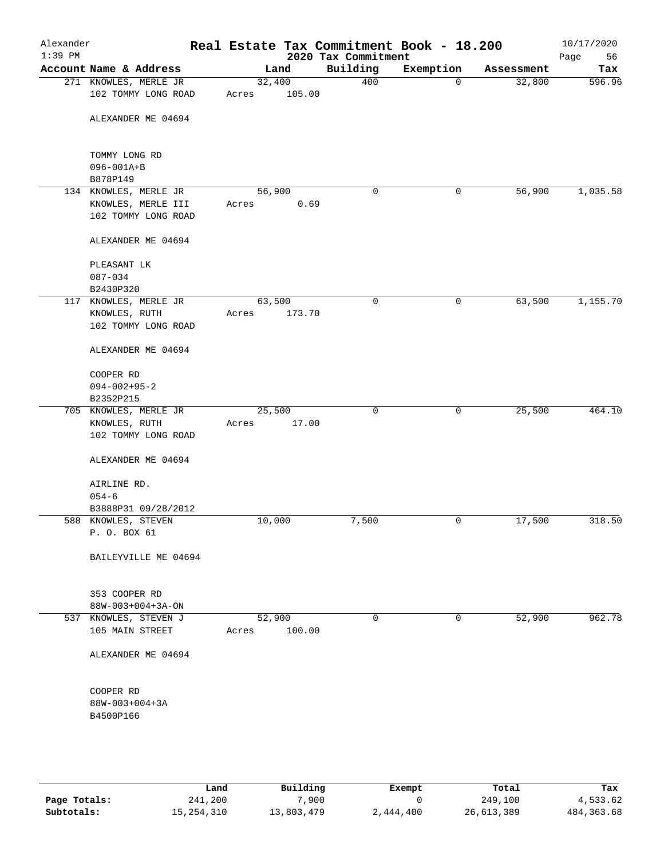| Alexander<br>$1:39$ PM |                                                                    |       |                  | 2020 Tax Commitment | Real Estate Tax Commitment Book - 18.200 |            | 10/17/2020<br>Page<br>56 |
|------------------------|--------------------------------------------------------------------|-------|------------------|---------------------|------------------------------------------|------------|--------------------------|
|                        | Account Name & Address                                             |       | Land             | Building            | Exemption                                | Assessment | Tax                      |
|                        | 271 KNOWLES, MERLE JR<br>102 TOMMY LONG ROAD                       | Acres | 32,400<br>105.00 | 400                 | $\mathbf 0$                              | 32,800     | 596.96                   |
|                        | ALEXANDER ME 04694                                                 |       |                  |                     |                                          |            |                          |
|                        | TOMMY LONG RD<br>096-001A+B                                        |       |                  |                     |                                          |            |                          |
|                        | B878P149                                                           |       |                  |                     |                                          |            |                          |
|                        | 134 KNOWLES, MERLE JR<br>KNOWLES, MERLE III<br>102 TOMMY LONG ROAD | Acres | 56,900<br>0.69   | 0                   | 0                                        | 56,900     | 1,035.58                 |
|                        | ALEXANDER ME 04694                                                 |       |                  |                     |                                          |            |                          |
|                        | PLEASANT LK<br>087-034<br>B2430P320                                |       |                  |                     |                                          |            |                          |
|                        | 117 KNOWLES, MERLE JR                                              |       | 63,500           | 0                   | 0                                        | 63,500     | 1,155.70                 |
|                        | KNOWLES, RUTH<br>102 TOMMY LONG ROAD                               | Acres | 173.70           |                     |                                          |            |                          |
|                        | ALEXANDER ME 04694                                                 |       |                  |                     |                                          |            |                          |
|                        | COOPER RD<br>$094 - 002 + 95 - 2$<br>B2352P215                     |       |                  |                     |                                          |            |                          |
|                        | 705 KNOWLES, MERLE JR<br>KNOWLES, RUTH<br>102 TOMMY LONG ROAD      | Acres | 25,500<br>17.00  | $\mathbf 0$         | $\mathbf 0$                              | 25,500     | 464.10                   |
|                        | ALEXANDER ME 04694                                                 |       |                  |                     |                                          |            |                          |
|                        | AIRLINE RD.<br>$054 - 6$                                           |       |                  |                     |                                          |            |                          |
|                        | B3888P31 09/28/2012                                                |       |                  |                     |                                          |            |                          |
|                        | 588 KNOWLES, STEVEN<br>P. O. BOX 61                                |       | 10,000           | 7,500               | 0                                        | 17,500     | 318.50                   |
|                        | BAILEYVILLE ME 04694                                               |       |                  |                     |                                          |            |                          |
|                        | 353 COOPER RD<br>88W-003+004+3A-ON                                 |       |                  |                     |                                          |            |                          |
|                        | 537 KNOWLES, STEVEN J<br>105 MAIN STREET                           | Acres | 52,900<br>100.00 | 0                   | $\mathbf 0$                              | 52,900     | 962.78                   |
|                        | ALEXANDER ME 04694                                                 |       |                  |                     |                                          |            |                          |
|                        | COOPER RD<br>$88W - 003 + 004 + 3A$<br>B4500P166                   |       |                  |                     |                                          |            |                          |
|                        |                                                                    |       |                  |                     |                                          |            |                          |

|              | Land       | Building   | Exempt    | Total      | Tax          |
|--------------|------------|------------|-----------|------------|--------------|
| Page Totals: | 241,200    | ,900       |           | 249,100    | 4,533.62     |
| Subtotals:   | 15,254,310 | 13,803,479 | 2,444,400 | 26,613,389 | 484, 363. 68 |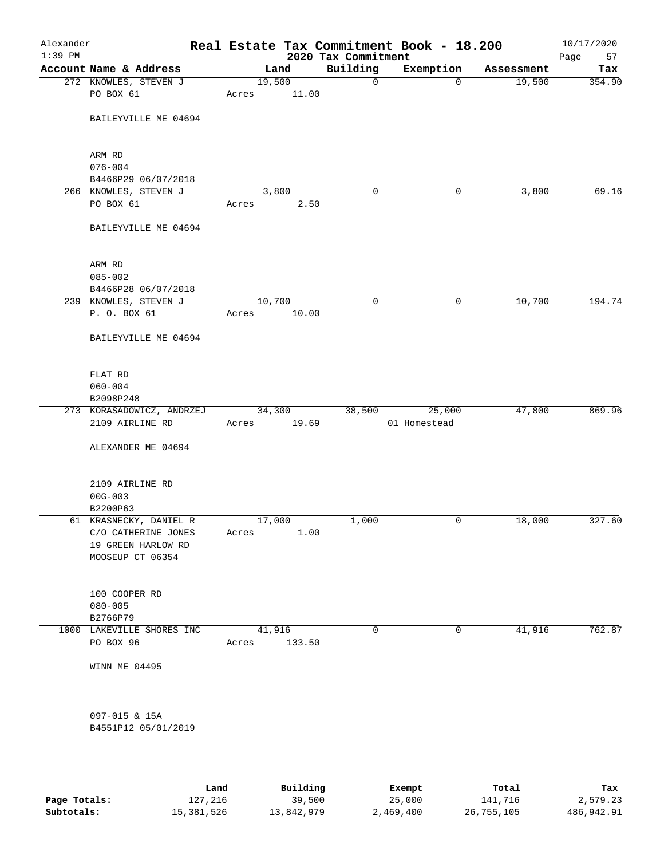| Building<br>Exemption<br>Account Name & Address<br>Land<br>Assessment<br>19,500<br>272 KNOWLES, STEVEN J<br>$\mathbf 0$<br>19,500<br>$\Omega$<br>PO BOX 61<br>11.00<br>Acres<br>BAILEYVILLE ME 04694<br>ARM RD<br>$076 - 004$<br>B4466P29 06/07/2018<br>266 KNOWLES, STEVEN J<br>3,800<br>$\mathbf 0$<br>3,800<br>0<br>PO BOX 61<br>Acres<br>2.50<br>BAILEYVILLE ME 04694<br>ARM RD<br>$085 - 002$<br>B4466P28 06/07/2018<br>10,700<br>239 KNOWLES, STEVEN J<br>10,700<br>0<br>0<br>P. O. BOX 61<br>10.00<br>Acres<br>BAILEYVILLE ME 04694<br>FLAT RD<br>$060 - 004$<br>B2098P248<br>47,800<br>34,300<br>38,500<br>25,000<br>273 KORASADOWICZ, ANDRZEJ<br>2109 AIRLINE RD<br>Acres 19.69<br>01 Homestead<br>ALEXANDER ME 04694<br>2109 AIRLINE RD<br>$00G - 003$<br>B2200P63<br>61 KRASNECKY, DANIEL R<br>17,000<br>1,000<br>18,000<br>0<br>1.00<br>C/O CATHERINE JONES<br>Acres<br>19 GREEN HARLOW RD<br>MOOSEUP CT 06354<br>100 COOPER RD<br>$080 - 005$<br>B2766P79<br>41,916<br>41,916<br>0<br>$\mathbf 0$<br>1000 LAKEVILLE SHORES INC | 10/17/2020<br>Page<br>57 |  | 2020 Tax Commitment | Real Estate Tax Commitment Book - 18.200 | Alexander<br>$1:39$ PM |
|---------------------------------------------------------------------------------------------------------------------------------------------------------------------------------------------------------------------------------------------------------------------------------------------------------------------------------------------------------------------------------------------------------------------------------------------------------------------------------------------------------------------------------------------------------------------------------------------------------------------------------------------------------------------------------------------------------------------------------------------------------------------------------------------------------------------------------------------------------------------------------------------------------------------------------------------------------------------------------------------------------------------------------------------|--------------------------|--|---------------------|------------------------------------------|------------------------|
|                                                                                                                                                                                                                                                                                                                                                                                                                                                                                                                                                                                                                                                                                                                                                                                                                                                                                                                                                                                                                                             | Tax                      |  |                     |                                          |                        |
|                                                                                                                                                                                                                                                                                                                                                                                                                                                                                                                                                                                                                                                                                                                                                                                                                                                                                                                                                                                                                                             | 354.90                   |  |                     |                                          |                        |
|                                                                                                                                                                                                                                                                                                                                                                                                                                                                                                                                                                                                                                                                                                                                                                                                                                                                                                                                                                                                                                             |                          |  |                     |                                          |                        |
|                                                                                                                                                                                                                                                                                                                                                                                                                                                                                                                                                                                                                                                                                                                                                                                                                                                                                                                                                                                                                                             |                          |  |                     |                                          |                        |
|                                                                                                                                                                                                                                                                                                                                                                                                                                                                                                                                                                                                                                                                                                                                                                                                                                                                                                                                                                                                                                             |                          |  |                     |                                          |                        |
|                                                                                                                                                                                                                                                                                                                                                                                                                                                                                                                                                                                                                                                                                                                                                                                                                                                                                                                                                                                                                                             |                          |  |                     |                                          |                        |
|                                                                                                                                                                                                                                                                                                                                                                                                                                                                                                                                                                                                                                                                                                                                                                                                                                                                                                                                                                                                                                             | 69.16                    |  |                     |                                          |                        |
|                                                                                                                                                                                                                                                                                                                                                                                                                                                                                                                                                                                                                                                                                                                                                                                                                                                                                                                                                                                                                                             |                          |  |                     |                                          |                        |
|                                                                                                                                                                                                                                                                                                                                                                                                                                                                                                                                                                                                                                                                                                                                                                                                                                                                                                                                                                                                                                             |                          |  |                     |                                          |                        |
|                                                                                                                                                                                                                                                                                                                                                                                                                                                                                                                                                                                                                                                                                                                                                                                                                                                                                                                                                                                                                                             |                          |  |                     |                                          |                        |
|                                                                                                                                                                                                                                                                                                                                                                                                                                                                                                                                                                                                                                                                                                                                                                                                                                                                                                                                                                                                                                             |                          |  |                     |                                          |                        |
|                                                                                                                                                                                                                                                                                                                                                                                                                                                                                                                                                                                                                                                                                                                                                                                                                                                                                                                                                                                                                                             |                          |  |                     |                                          |                        |
|                                                                                                                                                                                                                                                                                                                                                                                                                                                                                                                                                                                                                                                                                                                                                                                                                                                                                                                                                                                                                                             | 194.74                   |  |                     |                                          |                        |
|                                                                                                                                                                                                                                                                                                                                                                                                                                                                                                                                                                                                                                                                                                                                                                                                                                                                                                                                                                                                                                             |                          |  |                     |                                          |                        |
|                                                                                                                                                                                                                                                                                                                                                                                                                                                                                                                                                                                                                                                                                                                                                                                                                                                                                                                                                                                                                                             |                          |  |                     |                                          |                        |
|                                                                                                                                                                                                                                                                                                                                                                                                                                                                                                                                                                                                                                                                                                                                                                                                                                                                                                                                                                                                                                             |                          |  |                     |                                          |                        |
|                                                                                                                                                                                                                                                                                                                                                                                                                                                                                                                                                                                                                                                                                                                                                                                                                                                                                                                                                                                                                                             |                          |  |                     |                                          |                        |
|                                                                                                                                                                                                                                                                                                                                                                                                                                                                                                                                                                                                                                                                                                                                                                                                                                                                                                                                                                                                                                             |                          |  |                     |                                          |                        |
|                                                                                                                                                                                                                                                                                                                                                                                                                                                                                                                                                                                                                                                                                                                                                                                                                                                                                                                                                                                                                                             |                          |  |                     |                                          |                        |
|                                                                                                                                                                                                                                                                                                                                                                                                                                                                                                                                                                                                                                                                                                                                                                                                                                                                                                                                                                                                                                             | 869.96                   |  |                     |                                          |                        |
|                                                                                                                                                                                                                                                                                                                                                                                                                                                                                                                                                                                                                                                                                                                                                                                                                                                                                                                                                                                                                                             |                          |  |                     |                                          |                        |
|                                                                                                                                                                                                                                                                                                                                                                                                                                                                                                                                                                                                                                                                                                                                                                                                                                                                                                                                                                                                                                             |                          |  |                     |                                          |                        |
|                                                                                                                                                                                                                                                                                                                                                                                                                                                                                                                                                                                                                                                                                                                                                                                                                                                                                                                                                                                                                                             |                          |  |                     |                                          |                        |
|                                                                                                                                                                                                                                                                                                                                                                                                                                                                                                                                                                                                                                                                                                                                                                                                                                                                                                                                                                                                                                             |                          |  |                     |                                          |                        |
|                                                                                                                                                                                                                                                                                                                                                                                                                                                                                                                                                                                                                                                                                                                                                                                                                                                                                                                                                                                                                                             |                          |  |                     |                                          |                        |
|                                                                                                                                                                                                                                                                                                                                                                                                                                                                                                                                                                                                                                                                                                                                                                                                                                                                                                                                                                                                                                             | 327.60                   |  |                     |                                          |                        |
|                                                                                                                                                                                                                                                                                                                                                                                                                                                                                                                                                                                                                                                                                                                                                                                                                                                                                                                                                                                                                                             |                          |  |                     |                                          |                        |
|                                                                                                                                                                                                                                                                                                                                                                                                                                                                                                                                                                                                                                                                                                                                                                                                                                                                                                                                                                                                                                             |                          |  |                     |                                          |                        |
|                                                                                                                                                                                                                                                                                                                                                                                                                                                                                                                                                                                                                                                                                                                                                                                                                                                                                                                                                                                                                                             |                          |  |                     |                                          |                        |
|                                                                                                                                                                                                                                                                                                                                                                                                                                                                                                                                                                                                                                                                                                                                                                                                                                                                                                                                                                                                                                             |                          |  |                     |                                          |                        |
|                                                                                                                                                                                                                                                                                                                                                                                                                                                                                                                                                                                                                                                                                                                                                                                                                                                                                                                                                                                                                                             |                          |  |                     |                                          |                        |
|                                                                                                                                                                                                                                                                                                                                                                                                                                                                                                                                                                                                                                                                                                                                                                                                                                                                                                                                                                                                                                             | 762.87                   |  |                     |                                          |                        |
| PO BOX 96<br>133.50<br>Acres                                                                                                                                                                                                                                                                                                                                                                                                                                                                                                                                                                                                                                                                                                                                                                                                                                                                                                                                                                                                                |                          |  |                     |                                          |                        |
| WINN ME 04495                                                                                                                                                                                                                                                                                                                                                                                                                                                                                                                                                                                                                                                                                                                                                                                                                                                                                                                                                                                                                               |                          |  |                     |                                          |                        |
| 097-015 & 15A                                                                                                                                                                                                                                                                                                                                                                                                                                                                                                                                                                                                                                                                                                                                                                                                                                                                                                                                                                                                                               |                          |  |                     |                                          |                        |
| B4551P12 05/01/2019                                                                                                                                                                                                                                                                                                                                                                                                                                                                                                                                                                                                                                                                                                                                                                                                                                                                                                                                                                                                                         |                          |  |                     |                                          |                        |
|                                                                                                                                                                                                                                                                                                                                                                                                                                                                                                                                                                                                                                                                                                                                                                                                                                                                                                                                                                                                                                             |                          |  |                     |                                          |                        |
|                                                                                                                                                                                                                                                                                                                                                                                                                                                                                                                                                                                                                                                                                                                                                                                                                                                                                                                                                                                                                                             |                          |  |                     |                                          |                        |

|              | Land       | Building   | Exempt    | Total      | Tax        |
|--------------|------------|------------|-----------|------------|------------|
| Page Totals: | 127,216    | 39,500     | 25,000    | 141,716    | 2,579.23   |
| Subtotals:   | 15,381,526 | 13,842,979 | 2,469,400 | 26,755,105 | 486,942.91 |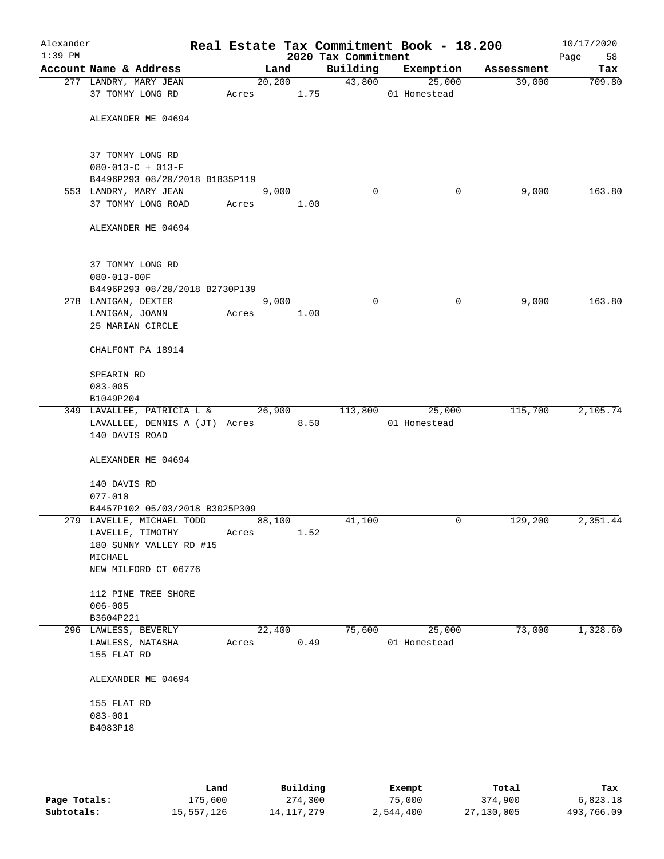| Alexander<br>$1:39$ PM |                                                      |       |            |      | 2020 Tax Commitment | Real Estate Tax Commitment Book - 18.200 |            | 10/17/2020<br>58<br>Page |
|------------------------|------------------------------------------------------|-------|------------|------|---------------------|------------------------------------------|------------|--------------------------|
|                        | Account Name & Address                               |       | Land       |      | Building            | Exemption                                | Assessment | Tax                      |
|                        | 277 LANDRY, MARY JEAN                                |       | 20,200     |      | 43,800              | 25,000                                   | 39,000     | 709.80                   |
|                        | 37 TOMMY LONG RD                                     |       | Acres 1.75 |      |                     | 01 Homestead                             |            |                          |
|                        | ALEXANDER ME 04694                                   |       |            |      |                     |                                          |            |                          |
|                        | 37 TOMMY LONG RD<br>$080 - 013 - C + 013 - F$        |       |            |      |                     |                                          |            |                          |
|                        | B4496P293 08/20/2018 B1835P119                       |       |            |      |                     |                                          |            |                          |
|                        | 553 LANDRY, MARY JEAN                                |       | 9,000      |      | $\Omega$            | 0                                        | 9,000      | 163.80                   |
|                        | 37 TOMMY LONG ROAD                                   | Acres |            | 1.00 |                     |                                          |            |                          |
|                        | ALEXANDER ME 04694                                   |       |            |      |                     |                                          |            |                          |
|                        | 37 TOMMY LONG RD                                     |       |            |      |                     |                                          |            |                          |
|                        | $080 - 013 - 00F$                                    |       |            |      |                     |                                          |            |                          |
|                        | B4496P293 08/20/2018 B2730P139                       |       | 9,000      |      |                     |                                          |            |                          |
|                        | 278 LANIGAN, DEXTER                                  |       |            |      | $\mathbf 0$         | 0                                        | 9,000      | 163.80                   |
|                        | LANIGAN, JOANN<br>25 MARIAN CIRCLE                   | Acres |            | 1.00 |                     |                                          |            |                          |
|                        | CHALFONT PA 18914                                    |       |            |      |                     |                                          |            |                          |
|                        | SPEARIN RD                                           |       |            |      |                     |                                          |            |                          |
|                        | $083 - 005$                                          |       |            |      |                     |                                          |            |                          |
|                        | B1049P204                                            |       |            |      |                     |                                          |            |                          |
|                        | 349 LAVALLEE, PATRICIA L & 26,900                    |       |            |      | 113,800             | 25,000                                   | 115,700    | 2,105.74                 |
|                        | LAVALLEE, DENNIS A (JT) Acres 8.50<br>140 DAVIS ROAD |       |            |      |                     | 01 Homestead                             |            |                          |
|                        | ALEXANDER ME 04694                                   |       |            |      |                     |                                          |            |                          |
|                        | 140 DAVIS RD<br>$077 - 010$                          |       |            |      |                     |                                          |            |                          |
|                        | B4457P102 05/03/2018 B3025P309                       |       |            |      |                     |                                          |            |                          |
|                        | 279 LAVELLE, MICHAEL TODD                            |       | 88,100     |      | 41,100              | 0                                        | 129,200    | 2,351.44                 |
|                        | LAVELLE, TIMOTHY                                     | Acres |            | 1.52 |                     |                                          |            |                          |
|                        | 180 SUNNY VALLEY RD #15                              |       |            |      |                     |                                          |            |                          |
|                        | MICHAEL<br>NEW MILFORD CT 06776                      |       |            |      |                     |                                          |            |                          |
|                        | 112 PINE TREE SHORE                                  |       |            |      |                     |                                          |            |                          |
|                        | $006 - 005$                                          |       |            |      |                     |                                          |            |                          |
|                        | B3604P221                                            |       |            |      |                     |                                          |            |                          |
|                        | 296 LAWLESS, BEVERLY                                 |       | 22,400     |      | 75,600              | 25,000                                   | 73,000     | 1,328.60                 |
|                        | LAWLESS, NATASHA                                     | Acres |            | 0.49 |                     | 01 Homestead                             |            |                          |
|                        | 155 FLAT RD                                          |       |            |      |                     |                                          |            |                          |
|                        | ALEXANDER ME 04694                                   |       |            |      |                     |                                          |            |                          |
|                        | 155 FLAT RD                                          |       |            |      |                     |                                          |            |                          |
|                        | $083 - 001$                                          |       |            |      |                     |                                          |            |                          |
|                        | B4083P18                                             |       |            |      |                     |                                          |            |                          |
|                        |                                                      |       |            |      |                     |                                          |            |                          |
|                        |                                                      |       |            |      |                     |                                          |            |                          |

|              | Land       | Building   | Exempt    | Total      | Tax        |
|--------------|------------|------------|-----------|------------|------------|
| Page Totals: | .75,600    | 274,300    | 75,000    | 374,900    | 6,823.18   |
| Subtotals:   | 15,557,126 | 14,117,279 | 2,544,400 | 27,130,005 | 493,766.09 |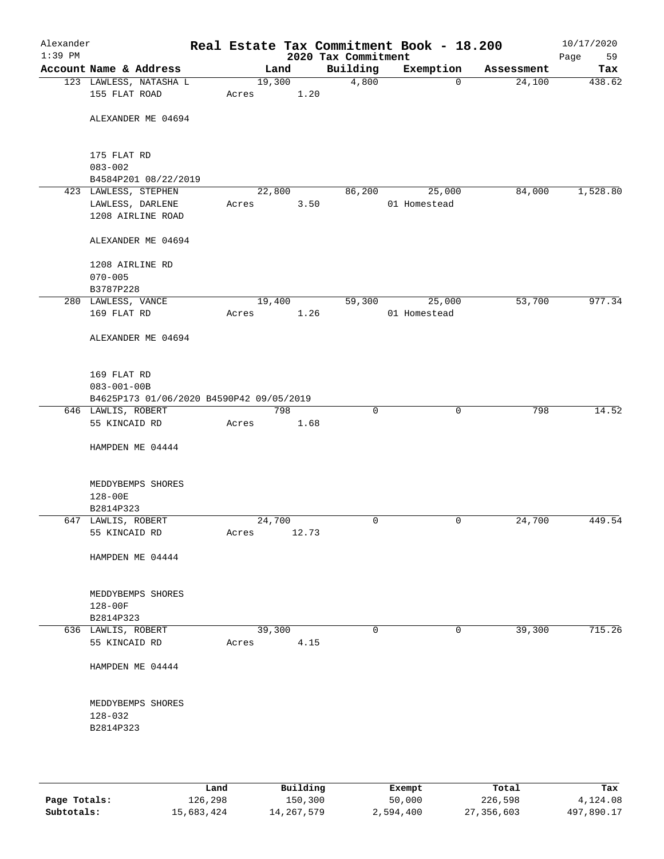| Alexander<br>$1:39$ PM |                                          |        |        |                                 | Real Estate Tax Commitment Book - 18.200 |            | 10/17/2020        |
|------------------------|------------------------------------------|--------|--------|---------------------------------|------------------------------------------|------------|-------------------|
|                        | Account Name & Address                   |        | Land   | 2020 Tax Commitment<br>Building | Exemption                                | Assessment | Page<br>59<br>Tax |
|                        | 123 LAWLESS, NATASHA L                   |        | 19,300 | 4,800                           | $\mathbf 0$                              | 24,100     | 438.62            |
|                        | 155 FLAT ROAD                            | Acres  | 1.20   |                                 |                                          |            |                   |
|                        | ALEXANDER ME 04694                       |        |        |                                 |                                          |            |                   |
|                        | 175 FLAT RD                              |        |        |                                 |                                          |            |                   |
|                        | $083 - 002$                              |        |        |                                 |                                          |            |                   |
|                        | B4584P201 08/22/2019                     |        |        |                                 |                                          |            |                   |
|                        | 423 LAWLESS, STEPHEN                     | 22,800 |        | 86, 200                         | 25,000                                   | 84,000     | 1,528.80          |
|                        | LAWLESS, DARLENE<br>1208 AIRLINE ROAD    | Acres  | 3.50   |                                 | 01 Homestead                             |            |                   |
|                        | ALEXANDER ME 04694                       |        |        |                                 |                                          |            |                   |
|                        | 1208 AIRLINE RD                          |        |        |                                 |                                          |            |                   |
|                        | $070 - 005$<br>B3787P228                 |        |        |                                 |                                          |            |                   |
|                        | 280 LAWLESS, VANCE                       | 19,400 |        | 59,300                          | 25,000                                   | 53,700     | 977.34            |
|                        | 169 FLAT RD                              | Acres  | 1.26   |                                 | 01 Homestead                             |            |                   |
|                        | ALEXANDER ME 04694                       |        |        |                                 |                                          |            |                   |
|                        | 169 FLAT RD                              |        |        |                                 |                                          |            |                   |
|                        | $083 - 001 - 00B$                        |        |        |                                 |                                          |            |                   |
|                        | B4625P173 01/06/2020 B4590P42 09/05/2019 |        |        |                                 |                                          |            |                   |
|                        | 646 LAWLIS, ROBERT                       |        | 798    | $\mathbf 0$                     | $\mathbf 0$                              | 798        | 14.52             |
|                        | 55 KINCAID RD                            | Acres  | 1.68   |                                 |                                          |            |                   |
|                        | HAMPDEN ME 04444                         |        |        |                                 |                                          |            |                   |
|                        | MEDDYBEMPS SHORES                        |        |        |                                 |                                          |            |                   |
|                        | $128 - 00E$                              |        |        |                                 |                                          |            |                   |
|                        | B2814P323                                |        |        |                                 |                                          |            |                   |
|                        | 647 LAWLIS, ROBERT                       | 24,700 |        | $\mathbf 0$                     | 0                                        | 24,700     | 449.54            |
|                        | 55 KINCAID RD                            | Acres  | 12.73  |                                 |                                          |            |                   |
|                        | HAMPDEN ME 04444                         |        |        |                                 |                                          |            |                   |
|                        | MEDDYBEMPS SHORES                        |        |        |                                 |                                          |            |                   |
|                        | $128 - 00F$<br>B2814P323                 |        |        |                                 |                                          |            |                   |
|                        | 636 LAWLIS, ROBERT                       | 39,300 |        | $\mathbf 0$                     | 0                                        | 39,300     | 715.26            |
|                        | 55 KINCAID RD                            | Acres  | 4.15   |                                 |                                          |            |                   |
|                        | HAMPDEN ME 04444                         |        |        |                                 |                                          |            |                   |
|                        | MEDDYBEMPS SHORES                        |        |        |                                 |                                          |            |                   |
|                        | $128 - 032$                              |        |        |                                 |                                          |            |                   |
|                        | B2814P323                                |        |        |                                 |                                          |            |                   |
|                        |                                          |        |        |                                 |                                          |            |                   |
|                        |                                          |        |        |                                 |                                          |            |                   |

|              | Land       | Building     | Exempt    | Total      | Tax        |
|--------------|------------|--------------|-----------|------------|------------|
| Page Totals: | 126,298    | 150,300      | 50,000    | 226,598    | 4,124.08   |
| Subtotals:   | 15,683,424 | 14, 267, 579 | 2,594,400 | 27,356,603 | 497,890.17 |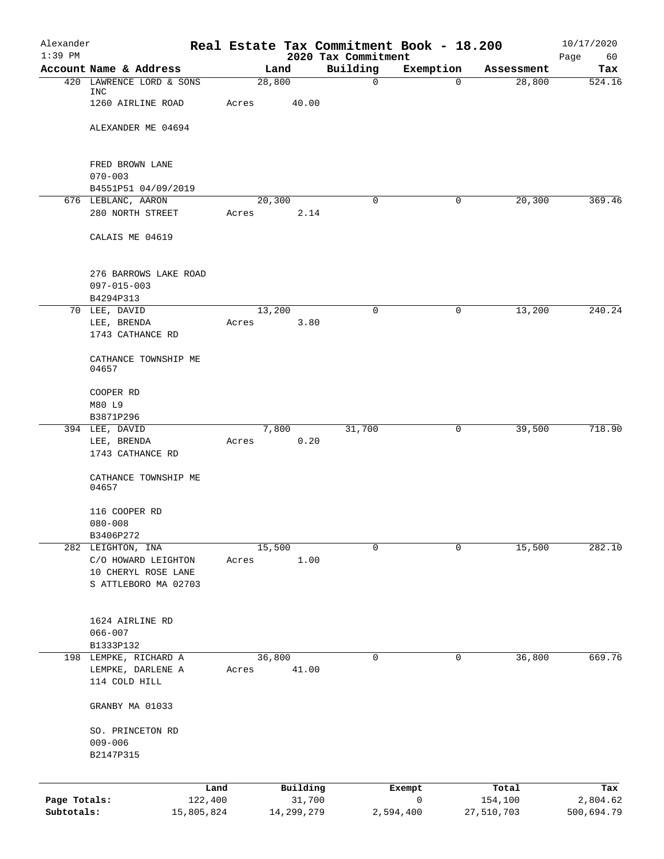| Alexander                  |                                            | Real Estate Tax Commitment Book - 18.200 |                                 |                |                       | 10/17/2020             |
|----------------------------|--------------------------------------------|------------------------------------------|---------------------------------|----------------|-----------------------|------------------------|
| $1:39$ PM                  | Account Name & Address                     | Land                                     | 2020 Tax Commitment<br>Building | Exemption      | Assessment            | Page<br>60<br>Tax      |
|                            | 420 LAWRENCE LORD & SONS                   | 28,800                                   | $\mathbf 0$                     | $\mathbf 0$    | 28,800                | 524.16                 |
|                            | INC<br>1260 AIRLINE ROAD                   | 40.00<br>Acres                           |                                 |                |                       |                        |
|                            | ALEXANDER ME 04694                         |                                          |                                 |                |                       |                        |
|                            | FRED BROWN LANE                            |                                          |                                 |                |                       |                        |
|                            | $070 - 003$<br>B4551P51 04/09/2019         |                                          |                                 |                |                       |                        |
|                            | 676 LEBLANC, AARON                         | 20,300                                   | $\mathbf 0$                     | 0              | 20,300                | 369.46                 |
|                            | 280 NORTH STREET                           | Acres                                    | 2.14                            |                |                       |                        |
|                            | CALAIS ME 04619                            |                                          |                                 |                |                       |                        |
|                            | 276 BARROWS LAKE ROAD<br>$097 - 015 - 003$ |                                          |                                 |                |                       |                        |
|                            | B4294P313                                  |                                          |                                 |                |                       |                        |
|                            | 70 LEE, DAVID<br>LEE, BRENDA               | 13,200<br>Acres                          | $\mathbf 0$<br>3.80             | 0              | 13,200                | 240.24                 |
|                            | 1743 CATHANCE RD                           |                                          |                                 |                |                       |                        |
|                            | CATHANCE TOWNSHIP ME<br>04657              |                                          |                                 |                |                       |                        |
|                            | COOPER RD                                  |                                          |                                 |                |                       |                        |
|                            | M80 L9                                     |                                          |                                 |                |                       |                        |
|                            | B3871P296<br>394 LEE, DAVID                | 7,800                                    | 31,700                          | 0              | 39,500                | 718.90                 |
|                            | LEE, BRENDA                                | Acres                                    | 0.20                            |                |                       |                        |
|                            | 1743 CATHANCE RD                           |                                          |                                 |                |                       |                        |
|                            | CATHANCE TOWNSHIP ME<br>04657              |                                          |                                 |                |                       |                        |
|                            | 116 COOPER RD                              |                                          |                                 |                |                       |                        |
|                            | $080 - 008$                                |                                          |                                 |                |                       |                        |
|                            | B3406P272<br>282 LEIGHTON, INA             | 15,500                                   | $\mathbf 0$                     | $\mathbf 0$    | 15,500                | 282.10                 |
|                            | C/O HOWARD LEIGHTON                        | Acres                                    | 1.00                            |                |                       |                        |
|                            | 10 CHERYL ROSE LANE                        |                                          |                                 |                |                       |                        |
|                            | S ATTLEBORO MA 02703                       |                                          |                                 |                |                       |                        |
|                            | 1624 AIRLINE RD                            |                                          |                                 |                |                       |                        |
|                            | $066 - 007$                                |                                          |                                 |                |                       |                        |
|                            | B1333P132                                  |                                          |                                 |                |                       |                        |
|                            | 198 LEMPKE, RICHARD A                      | 36,800                                   | 0                               | 0              | 36,800                | 669.76                 |
|                            | LEMPKE, DARLENE A<br>114 COLD HILL         | 41.00<br>Acres                           |                                 |                |                       |                        |
|                            | GRANBY MA 01033                            |                                          |                                 |                |                       |                        |
|                            | SO. PRINCETON RD                           |                                          |                                 |                |                       |                        |
|                            | $009 - 006$                                |                                          |                                 |                |                       |                        |
|                            | B2147P315                                  |                                          |                                 |                |                       |                        |
|                            | Land                                       | Building                                 |                                 | Exempt         | Total                 | Tax                    |
| Page Totals:<br>Subtotals: | 122,400<br>15,805,824                      | 14,299,279                               | 31,700                          | 0<br>2,594,400 | 154,100<br>27,510,703 | 2,804.62<br>500,694.79 |
|                            |                                            |                                          |                                 |                |                       |                        |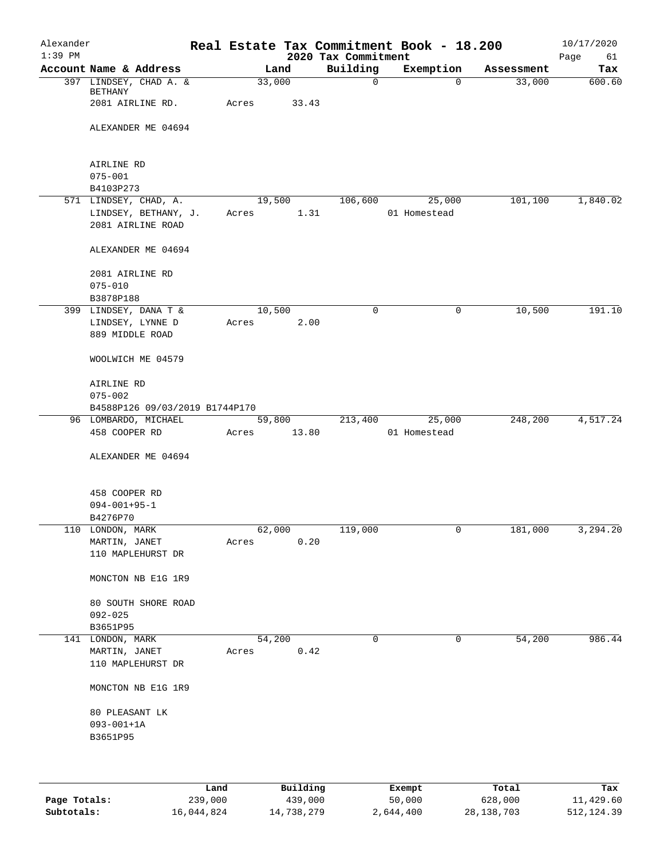| Alexander<br>$1:39$ PM |                                    |       |             | 2020 Tax Commitment | Real Estate Tax Commitment Book - 18.200 |            | 10/17/2020<br>Page<br>61 |
|------------------------|------------------------------------|-------|-------------|---------------------|------------------------------------------|------------|--------------------------|
|                        | Account Name & Address             |       | Land        | Building            | Exemption                                | Assessment | Tax                      |
|                        | 397 LINDSEY, CHAD A. &             |       | 33,000      | $\mathbf 0$         | $\Omega$                                 | 33,000     | 600.60                   |
|                        | BETHANY                            |       |             |                     |                                          |            |                          |
|                        | 2081 AIRLINE RD.                   | Acres | 33.43       |                     |                                          |            |                          |
|                        |                                    |       |             |                     |                                          |            |                          |
|                        | ALEXANDER ME 04694                 |       |             |                     |                                          |            |                          |
|                        |                                    |       |             |                     |                                          |            |                          |
|                        |                                    |       |             |                     |                                          |            |                          |
|                        | AIRLINE RD                         |       |             |                     |                                          |            |                          |
|                        | $075 - 001$                        |       |             |                     |                                          |            |                          |
|                        | B4103P273                          |       |             |                     |                                          |            |                          |
|                        | 571 LINDSEY, CHAD, A.              |       | 19,500      | 106,600             | 25,000                                   | 101,100    | 1,840.02                 |
|                        | LINDSEY, BETHANY, J.               | Acres | 1.31        |                     | 01 Homestead                             |            |                          |
|                        | 2081 AIRLINE ROAD                  |       |             |                     |                                          |            |                          |
|                        |                                    |       |             |                     |                                          |            |                          |
|                        | ALEXANDER ME 04694                 |       |             |                     |                                          |            |                          |
|                        |                                    |       |             |                     |                                          |            |                          |
|                        | 2081 AIRLINE RD                    |       |             |                     |                                          |            |                          |
|                        | $075 - 010$                        |       |             |                     |                                          |            |                          |
|                        | B3878P188                          |       |             |                     |                                          |            |                          |
|                        | 399 LINDSEY, DANA T &              |       | 10,500      | $\mathbf 0$         | 0                                        | 10,500     | 191.10                   |
|                        | LINDSEY, LYNNE D                   | Acres | 2.00        |                     |                                          |            |                          |
|                        | 889 MIDDLE ROAD                    |       |             |                     |                                          |            |                          |
|                        |                                    |       |             |                     |                                          |            |                          |
|                        | WOOLWICH ME 04579                  |       |             |                     |                                          |            |                          |
|                        |                                    |       |             |                     |                                          |            |                          |
|                        | AIRLINE RD                         |       |             |                     |                                          |            |                          |
|                        | $075 - 002$                        |       |             |                     |                                          |            |                          |
|                        | B4588P126 09/03/2019 B1744P170     |       |             |                     |                                          |            |                          |
|                        | 96 LOMBARDO, MICHAEL               |       | 59,800      | 213,400             | 25,000                                   | 248,200    | 4,517.24                 |
|                        | 458 COOPER RD                      | Acres | 13.80       |                     | 01 Homestead                             |            |                          |
|                        |                                    |       |             |                     |                                          |            |                          |
|                        | ALEXANDER ME 04694                 |       |             |                     |                                          |            |                          |
|                        |                                    |       |             |                     |                                          |            |                          |
|                        |                                    |       |             |                     |                                          |            |                          |
|                        | 458 COOPER RD                      |       |             |                     |                                          |            |                          |
|                        | $094 - 001 + 95 - 1$               |       |             |                     |                                          |            |                          |
|                        | B4276P70                           |       |             |                     |                                          |            |                          |
|                        | 110 LONDON, MARK                   |       | 62,000      | 119,000             | 0                                        | 181,000    | 3,294.20                 |
|                        | MARTIN, JANET                      | Acres | 0.20        |                     |                                          |            |                          |
|                        | 110 MAPLEHURST DR                  |       |             |                     |                                          |            |                          |
|                        |                                    |       |             |                     |                                          |            |                          |
|                        | MONCTON NB E1G 1R9                 |       |             |                     |                                          |            |                          |
|                        |                                    |       |             |                     |                                          |            |                          |
|                        |                                    |       |             |                     |                                          |            |                          |
|                        | 80 SOUTH SHORE ROAD<br>$092 - 025$ |       |             |                     |                                          |            |                          |
|                        |                                    |       |             |                     |                                          |            |                          |
|                        | B3651P95                           |       |             |                     |                                          |            |                          |
|                        | 141 LONDON, MARK                   |       | 54,200      | 0                   | 0                                        | 54,200     | 986.44                   |
|                        | MARTIN, JANET                      | Acres | 0.42        |                     |                                          |            |                          |
|                        | 110 MAPLEHURST DR                  |       |             |                     |                                          |            |                          |
|                        |                                    |       |             |                     |                                          |            |                          |
|                        | MONCTON NB E1G 1R9                 |       |             |                     |                                          |            |                          |
|                        |                                    |       |             |                     |                                          |            |                          |
|                        | 80 PLEASANT LK                     |       |             |                     |                                          |            |                          |
|                        | $093 - 001 + 1A$                   |       |             |                     |                                          |            |                          |
|                        | B3651P95                           |       |             |                     |                                          |            |                          |
|                        |                                    |       |             |                     |                                          |            |                          |
|                        |                                    |       |             |                     |                                          |            |                          |
|                        |                                    |       |             |                     |                                          |            |                          |
|                        |                                    | Land  | $P1$ ilding |                     | <b>Fromnt</b>                            | $T$ ctal   | Tav                      |

|              | Land       | Building   | Exempt    | Total        | Tax          |
|--------------|------------|------------|-----------|--------------|--------------|
| Page Totals: | 239,000    | 439,000    | 50,000    | 628,000      | 11,429.60    |
| Subtotals:   | 16,044,824 | 14,738,279 | 2,644,400 | 28, 138, 703 | 512, 124, 39 |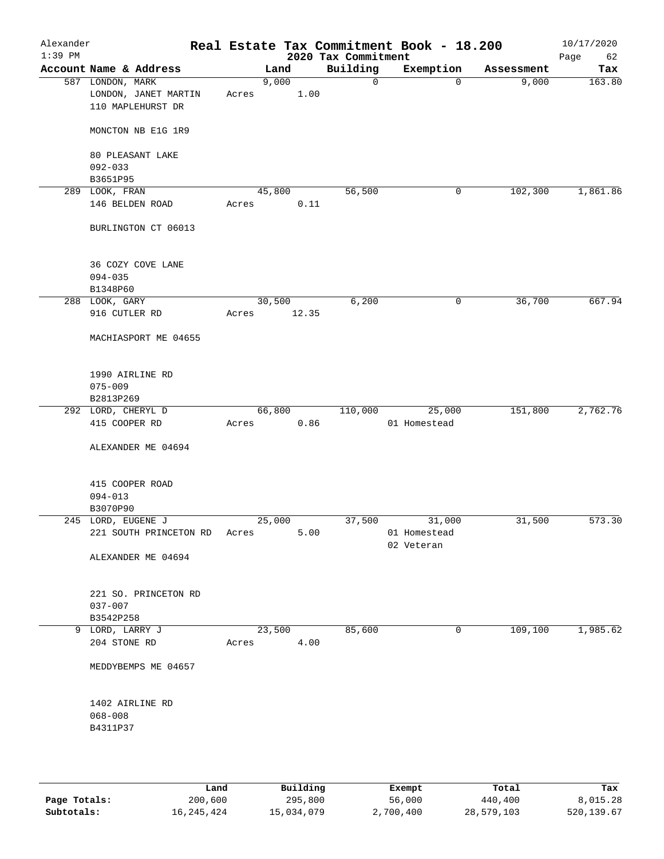| Alexander<br>$1:39$ PM |                                                               |        |               | 2020 Tax Commitment | Real Estate Tax Commitment Book - 18.200 |            | 10/17/2020<br>Page<br>62 |
|------------------------|---------------------------------------------------------------|--------|---------------|---------------------|------------------------------------------|------------|--------------------------|
|                        | Account Name & Address                                        |        | Land          | Building            | Exemption                                | Assessment | Tax                      |
|                        | 587 LONDON, MARK<br>LONDON, JANET MARTIN<br>110 MAPLEHURST DR | Acres  | 9,000<br>1.00 | 0                   | $\mathbf 0$                              | 9,000      | 163.80                   |
|                        | MONCTON NB E1G 1R9                                            |        |               |                     |                                          |            |                          |
|                        | 80 PLEASANT LAKE<br>$092 - 033$                               |        |               |                     |                                          |            |                          |
|                        | B3651P95                                                      |        |               |                     |                                          |            |                          |
|                        | 289 LOOK, FRAN                                                | 45,800 |               | 56,500              | 0                                        | 102,300    | 1,861.86                 |
|                        | 146 BELDEN ROAD                                               | Acres  | 0.11          |                     |                                          |            |                          |
|                        | BURLINGTON CT 06013                                           |        |               |                     |                                          |            |                          |
|                        | 36 COZY COVE LANE                                             |        |               |                     |                                          |            |                          |
|                        | $094 - 035$                                                   |        |               |                     |                                          |            |                          |
|                        | B1348P60                                                      |        |               |                     |                                          |            |                          |
|                        | 288 LOOK, GARY                                                | 30,500 |               | 6,200               | 0                                        | 36,700     | 667.94                   |
|                        | 916 CUTLER RD                                                 | Acres  | 12.35         |                     |                                          |            |                          |
|                        | MACHIASPORT ME 04655                                          |        |               |                     |                                          |            |                          |
|                        | 1990 AIRLINE RD                                               |        |               |                     |                                          |            |                          |
|                        | $075 - 009$                                                   |        |               |                     |                                          |            |                          |
|                        | B2813P269                                                     |        |               |                     |                                          |            |                          |
|                        | 292 LORD, CHERYL D                                            |        | 66,800        | 110,000             | 25,000                                   | 151,800    | 2,762.76                 |
|                        | 415 COOPER RD                                                 | Acres  | 0.86          |                     | 01 Homestead                             |            |                          |
|                        | ALEXANDER ME 04694                                            |        |               |                     |                                          |            |                          |
|                        | 415 COOPER ROAD                                               |        |               |                     |                                          |            |                          |
|                        | $094 - 013$                                                   |        |               |                     |                                          |            |                          |
|                        | B3070P90                                                      |        |               |                     |                                          |            |                          |
|                        | 245 LORD, EUGENE J                                            | 25,000 |               | 37,500              | 31,000                                   | 31,500     | 573.30                   |
|                        | 221 SOUTH PRINCETON RD Acres                                  |        | 5.00          |                     | 01 Homestead<br>02 Veteran               |            |                          |
|                        | ALEXANDER ME 04694                                            |        |               |                     |                                          |            |                          |
|                        | 221 SO. PRINCETON RD                                          |        |               |                     |                                          |            |                          |
|                        | $037 - 007$                                                   |        |               |                     |                                          |            |                          |
|                        | B3542P258                                                     |        |               |                     |                                          |            |                          |
|                        | 9 LORD, LARRY J                                               | 23,500 |               | 85,600              | 0                                        | 109, 100   | 1,985.62                 |
|                        | 204 STONE RD                                                  | Acres  | 4.00          |                     |                                          |            |                          |
|                        | MEDDYBEMPS ME 04657                                           |        |               |                     |                                          |            |                          |
|                        | 1402 AIRLINE RD                                               |        |               |                     |                                          |            |                          |
|                        | $068 - 008$                                                   |        |               |                     |                                          |            |                          |
|                        | B4311P37                                                      |        |               |                     |                                          |            |                          |
|                        |                                                               |        |               |                     |                                          |            |                          |
|                        |                                                               |        |               |                     |                                          |            |                          |

|              | Land       | Building   | Exempt    | Total      | Tax        |
|--------------|------------|------------|-----------|------------|------------|
| Page Totals: | 200,600    | 295,800    | 56,000    | 440,400    | 8,015.28   |
| Subtotals:   | 16,245,424 | 15,034,079 | 2,700,400 | 28,579,103 | 520,139.67 |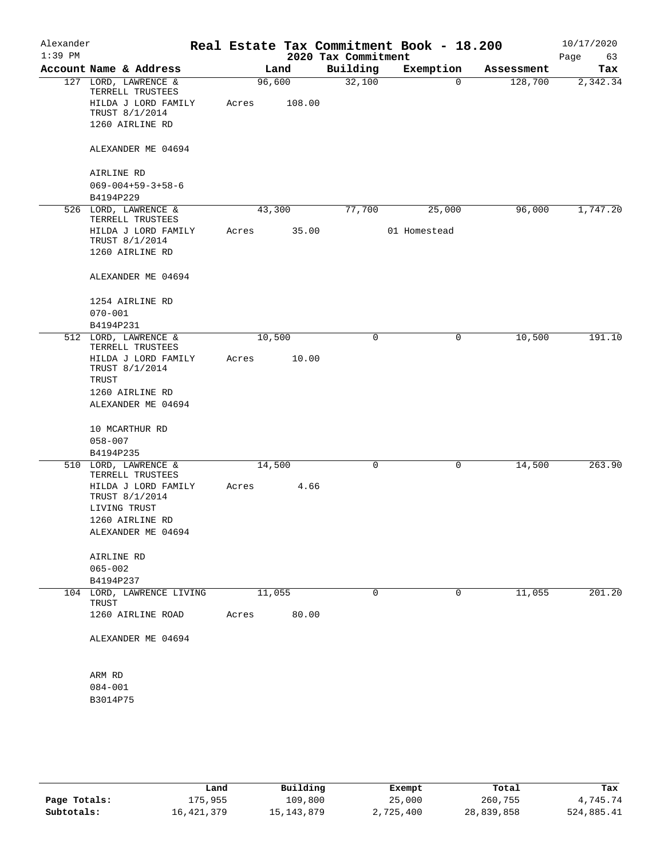| Alexander<br>$1:39$ PM |                                                |       |        |                                 | Real Estate Tax Commitment Book - 18.200 |            | 10/17/2020        |
|------------------------|------------------------------------------------|-------|--------|---------------------------------|------------------------------------------|------------|-------------------|
|                        | Account Name & Address                         |       | Land   | 2020 Tax Commitment<br>Building | Exemption                                | Assessment | Page<br>63<br>Tax |
|                        | 127 LORD, LAWRENCE &<br>TERRELL TRUSTEES       |       | 96,600 | 32,100                          | $\mathbf 0$                              | 128,700    | 2,342.34          |
|                        | HILDA J LORD FAMILY<br>TRUST 8/1/2014          | Acres | 108.00 |                                 |                                          |            |                   |
|                        | 1260 AIRLINE RD                                |       |        |                                 |                                          |            |                   |
|                        | ALEXANDER ME 04694                             |       |        |                                 |                                          |            |                   |
|                        | AIRLINE RD                                     |       |        |                                 |                                          |            |                   |
|                        | $069 - 004 + 59 - 3 + 58 - 6$                  |       |        |                                 |                                          |            |                   |
|                        | B4194P229                                      |       |        |                                 |                                          |            |                   |
|                        | 526 LORD, LAWRENCE &<br>TERRELL TRUSTEES       |       | 43,300 | 77,700                          | 25,000                                   | 96,000     | 1,747.20          |
|                        | HILDA J LORD FAMILY<br>TRUST 8/1/2014          | Acres | 35.00  |                                 | 01 Homestead                             |            |                   |
|                        | 1260 AIRLINE RD                                |       |        |                                 |                                          |            |                   |
|                        | ALEXANDER ME 04694                             |       |        |                                 |                                          |            |                   |
|                        | 1254 AIRLINE RD                                |       |        |                                 |                                          |            |                   |
|                        | $070 - 001$                                    |       |        |                                 |                                          |            |                   |
|                        | B4194P231                                      |       |        |                                 |                                          |            |                   |
|                        | 512 LORD, LAWRENCE &<br>TERRELL TRUSTEES       |       | 10,500 | 0                               | 0                                        | 10,500     | 191.10            |
|                        | HILDA J LORD FAMILY<br>TRUST 8/1/2014<br>TRUST | Acres | 10.00  |                                 |                                          |            |                   |
|                        | 1260 AIRLINE RD                                |       |        |                                 |                                          |            |                   |
|                        | ALEXANDER ME 04694                             |       |        |                                 |                                          |            |                   |
|                        | 10 MCARTHUR RD                                 |       |        |                                 |                                          |            |                   |
|                        | $058 - 007$                                    |       |        |                                 |                                          |            |                   |
|                        | B4194P235                                      |       |        |                                 |                                          |            |                   |
|                        | 510 LORD, LAWRENCE &                           |       | 14,500 | $\mathbf 0$                     | 0                                        | 14,500     | 263.90            |
|                        | TERRELL TRUSTEES<br>HILDA J LORD FAMILY        | Acres | 4.66   |                                 |                                          |            |                   |
|                        | TRUST 8/1/2014<br>LIVING TRUST                 |       |        |                                 |                                          |            |                   |
|                        | 1260 AIRLINE RD                                |       |        |                                 |                                          |            |                   |
|                        | ALEXANDER ME 04694                             |       |        |                                 |                                          |            |                   |
|                        | AIRLINE RD                                     |       |        |                                 |                                          |            |                   |
|                        | $065 - 002$                                    |       |        |                                 |                                          |            |                   |
|                        | B4194P237<br>104 LORD, LAWRENCE LIVING         |       | 11,055 | 0                               | 0                                        | 11,055     | 201.20            |
|                        | TRUST<br>1260 AIRLINE ROAD                     | Acres | 80.00  |                                 |                                          |            |                   |
|                        |                                                |       |        |                                 |                                          |            |                   |
|                        | ALEXANDER ME 04694                             |       |        |                                 |                                          |            |                   |
|                        | ARM RD                                         |       |        |                                 |                                          |            |                   |
|                        | $084 - 001$                                    |       |        |                                 |                                          |            |                   |
|                        | B3014P75                                       |       |        |                                 |                                          |            |                   |
|                        |                                                |       |        |                                 |                                          |            |                   |
|                        |                                                |       |        |                                 |                                          |            |                   |
|                        |                                                |       |        |                                 |                                          |            |                   |

|              | Land       | Building   | Exempt    | Total      | Tax        |
|--------------|------------|------------|-----------|------------|------------|
| Page Totals: | 175,955    | 109,800    | 25,000    | 260,755    | 4,745.74   |
| Subtotals:   | 16,421,379 | 15,143,879 | 2,725,400 | 28,839,858 | 524,885.41 |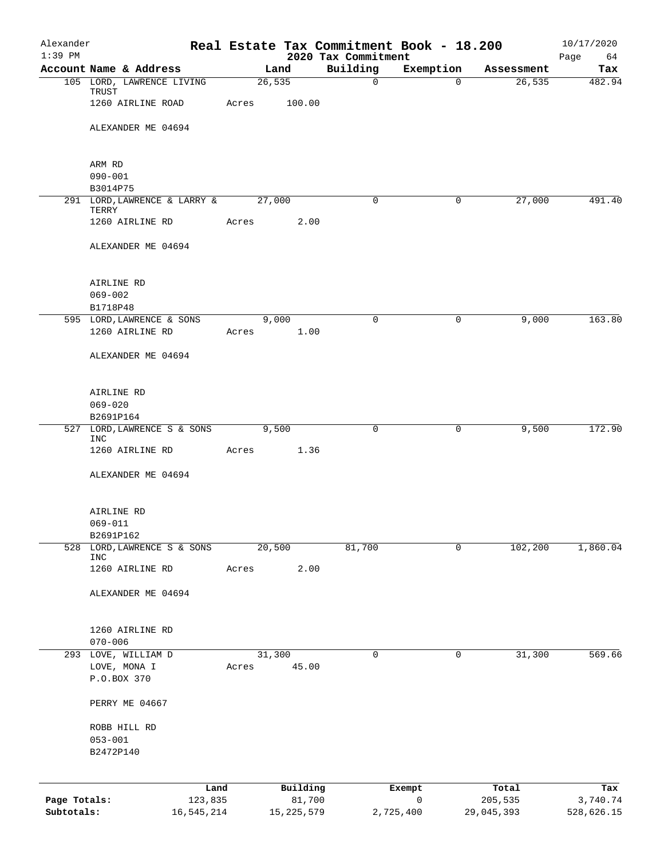| Alexander<br>$1:39$ PM     |                                |                              |       |                        | 2020 Tax Commitment | Real Estate Tax Commitment Book - 18.200 |                       | 10/17/2020<br>Page<br>64 |
|----------------------------|--------------------------------|------------------------------|-------|------------------------|---------------------|------------------------------------------|-----------------------|--------------------------|
|                            | Account Name & Address         |                              |       | Land                   | Building            | Exemption                                | Assessment            | Tax                      |
|                            |                                | 105 LORD, LAWRENCE LIVING    |       | 26,535                 | $\mathbf 0$         | $\Omega$                                 | 26,535                | 482.94                   |
|                            | TRUST                          | 1260 AIRLINE ROAD            | Acres | 100.00                 |                     |                                          |                       |                          |
|                            |                                | ALEXANDER ME 04694           |       |                        |                     |                                          |                       |                          |
|                            | ARM RD                         |                              |       |                        |                     |                                          |                       |                          |
|                            | $090 - 001$                    |                              |       |                        |                     |                                          |                       |                          |
|                            | B3014P75                       |                              |       |                        |                     |                                          |                       |                          |
|                            | TERRY                          | 291 LORD, LAWRENCE & LARRY & |       | 27,000                 | $\mathbf 0$         | $\mathbf 0$                              | 27,000                | 491.40                   |
|                            | 1260 AIRLINE RD                |                              | Acres | 2.00                   |                     |                                          |                       |                          |
|                            |                                | ALEXANDER ME 04694           |       |                        |                     |                                          |                       |                          |
|                            | AIRLINE RD                     |                              |       |                        |                     |                                          |                       |                          |
|                            | $069 - 002$                    |                              |       |                        |                     |                                          |                       |                          |
|                            | B1718P48                       |                              |       |                        |                     |                                          |                       |                          |
|                            | 1260 AIRLINE RD                | 595 LORD, LAWRENCE & SONS    | Acres | 9,000<br>1.00          | $\Omega$            | $\mathbf 0$                              | 9,000                 | 163.80                   |
|                            |                                |                              |       |                        |                     |                                          |                       |                          |
|                            |                                | ALEXANDER ME 04694           |       |                        |                     |                                          |                       |                          |
|                            | AIRLINE RD                     |                              |       |                        |                     |                                          |                       |                          |
|                            | $069 - 020$                    |                              |       |                        |                     |                                          |                       |                          |
|                            | B2691P164                      |                              |       |                        |                     |                                          |                       |                          |
|                            | <b>INC</b>                     | 527 LORD, LAWRENCE S & SONS  |       | 9,500                  | $\mathbf 0$         | 0                                        | 9,500                 | 172.90                   |
|                            | 1260 AIRLINE RD                |                              | Acres | 1.36                   |                     |                                          |                       |                          |
|                            |                                | ALEXANDER ME 04694           |       |                        |                     |                                          |                       |                          |
|                            | AIRLINE RD                     |                              |       |                        |                     |                                          |                       |                          |
|                            | $069 - 011$                    |                              |       |                        |                     |                                          |                       |                          |
|                            | B2691P162                      |                              |       |                        |                     |                                          |                       |                          |
|                            | <b>INC</b>                     | 528 LORD, LAWRENCE S & SONS  |       | 20,500                 | 81,700              | $\mathbf 0$                              | 102,200               | 1,860.04                 |
|                            | 1260 AIRLINE RD                |                              | Acres | 2.00                   |                     |                                          |                       |                          |
|                            |                                | ALEXANDER ME 04694           |       |                        |                     |                                          |                       |                          |
|                            | 1260 AIRLINE RD<br>$070 - 006$ |                              |       |                        |                     |                                          |                       |                          |
|                            | 293 LOVE, WILLIAM D            |                              |       | 31,300                 | $\mathbf 0$         | 0                                        | 31,300                | 569.66                   |
|                            | LOVE, MONA I                   |                              | Acres | 45.00                  |                     |                                          |                       |                          |
|                            | P.O.BOX 370                    |                              |       |                        |                     |                                          |                       |                          |
|                            | PERRY ME 04667                 |                              |       |                        |                     |                                          |                       |                          |
|                            | ROBB HILL RD                   |                              |       |                        |                     |                                          |                       |                          |
|                            | $053 - 001$                    |                              |       |                        |                     |                                          |                       |                          |
|                            | B2472P140                      |                              |       |                        |                     |                                          |                       |                          |
|                            |                                |                              |       |                        |                     |                                          |                       |                          |
|                            |                                | Land                         |       | Building               |                     | Exempt                                   | Total                 | Tax                      |
| Page Totals:<br>Subtotals: |                                | 123,835<br>16,545,214        |       | 81,700<br>15, 225, 579 |                     | 0<br>2,725,400                           | 205,535<br>29,045,393 | 3,740.74<br>528,626.15   |
|                            |                                |                              |       |                        |                     |                                          |                       |                          |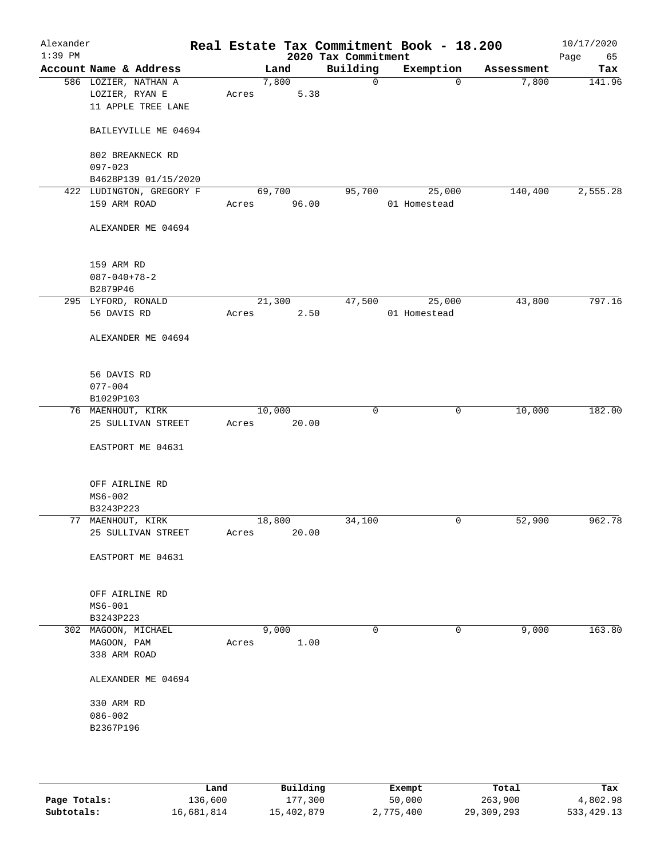| Alexander<br>$1:39$ PM |                                                              |        |               | 2020 Tax Commitment | Real Estate Tax Commitment Book - 18.200 |            | 10/17/2020<br>Page<br>65 |
|------------------------|--------------------------------------------------------------|--------|---------------|---------------------|------------------------------------------|------------|--------------------------|
|                        | Account Name & Address                                       |        | Land          | Building            | Exemption                                | Assessment | Tax                      |
|                        | 586 LOZIER, NATHAN A<br>LOZIER, RYAN E<br>11 APPLE TREE LANE | Acres  | 7,800<br>5.38 | $\mathsf{O}$        | $\mathbf 0$                              | 7,800      | 141.96                   |
|                        | BAILEYVILLE ME 04694                                         |        |               |                     |                                          |            |                          |
|                        | 802 BREAKNECK RD<br>$097 - 023$                              |        |               |                     |                                          |            |                          |
|                        | B4628P139 01/15/2020                                         |        |               |                     |                                          |            |                          |
|                        | 422 LUDINGTON, GREGORY F                                     | 69,700 |               | 95,700              | 25,000                                   | 140,400    | 2,555.28                 |
|                        | 159 ARM ROAD                                                 | Acres  | 96.00         |                     | 01 Homestead                             |            |                          |
|                        | ALEXANDER ME 04694                                           |        |               |                     |                                          |            |                          |
|                        | 159 ARM RD                                                   |        |               |                     |                                          |            |                          |
|                        | $087 - 040 + 78 - 2$                                         |        |               |                     |                                          |            |                          |
|                        | B2879P46                                                     |        |               |                     |                                          |            |                          |
|                        | 295 LYFORD, RONALD                                           | 21,300 |               | 47,500              | 25,000                                   | 43,800     | 797.16                   |
|                        | 56 DAVIS RD                                                  | Acres  | 2.50          |                     | 01 Homestead                             |            |                          |
|                        | ALEXANDER ME 04694                                           |        |               |                     |                                          |            |                          |
|                        | 56 DAVIS RD                                                  |        |               |                     |                                          |            |                          |
|                        | $077 - 004$                                                  |        |               |                     |                                          |            |                          |
|                        | B1029P103                                                    |        |               |                     |                                          |            |                          |
|                        | 76 MAENHOUT, KIRK                                            | 10,000 |               | $\mathbf 0$         | 0                                        | 10,000     | 182.00                   |
|                        | 25 SULLIVAN STREET                                           | Acres  | 20.00         |                     |                                          |            |                          |
|                        | EASTPORT ME 04631                                            |        |               |                     |                                          |            |                          |
|                        | OFF AIRLINE RD                                               |        |               |                     |                                          |            |                          |
|                        | $MS6 - 002$                                                  |        |               |                     |                                          |            |                          |
|                        | B3243P223                                                    |        |               |                     |                                          |            |                          |
|                        | 77 MAENHOUT, KIRK                                            | 18,800 |               | 34,100              | 0                                        | 52,900     | 962.78                   |
|                        | 25 SULLIVAN STREET                                           | Acres  | 20.00         |                     |                                          |            |                          |
|                        | EASTPORT ME 04631                                            |        |               |                     |                                          |            |                          |
|                        | OFF AIRLINE RD                                               |        |               |                     |                                          |            |                          |
|                        | $MS6-001$                                                    |        |               |                     |                                          |            |                          |
|                        | B3243P223                                                    |        |               |                     |                                          |            |                          |
|                        | 302 MAGOON, MICHAEL                                          |        | 9,000         | $\mathbf 0$         | 0                                        | 9,000      | 163.80                   |
|                        | MAGOON, PAM                                                  | Acres  | 1.00          |                     |                                          |            |                          |
|                        | 338 ARM ROAD                                                 |        |               |                     |                                          |            |                          |
|                        | ALEXANDER ME 04694                                           |        |               |                     |                                          |            |                          |
|                        | 330 ARM RD                                                   |        |               |                     |                                          |            |                          |
|                        | $086 - 002$                                                  |        |               |                     |                                          |            |                          |
|                        | B2367P196                                                    |        |               |                     |                                          |            |                          |
|                        |                                                              |        |               |                     |                                          |            |                          |
|                        |                                                              |        |               |                     |                                          |            |                          |

|              | Land       | Building   | Exempt    | Total      | Tax          |
|--------------|------------|------------|-----------|------------|--------------|
| Page Totals: | 136,600    | 177,300    | 50,000    | 263,900    | 4,802.98     |
| Subtotals:   | 16,681,814 | 15,402,879 | 2,775,400 | 29,309,293 | 533, 429. 13 |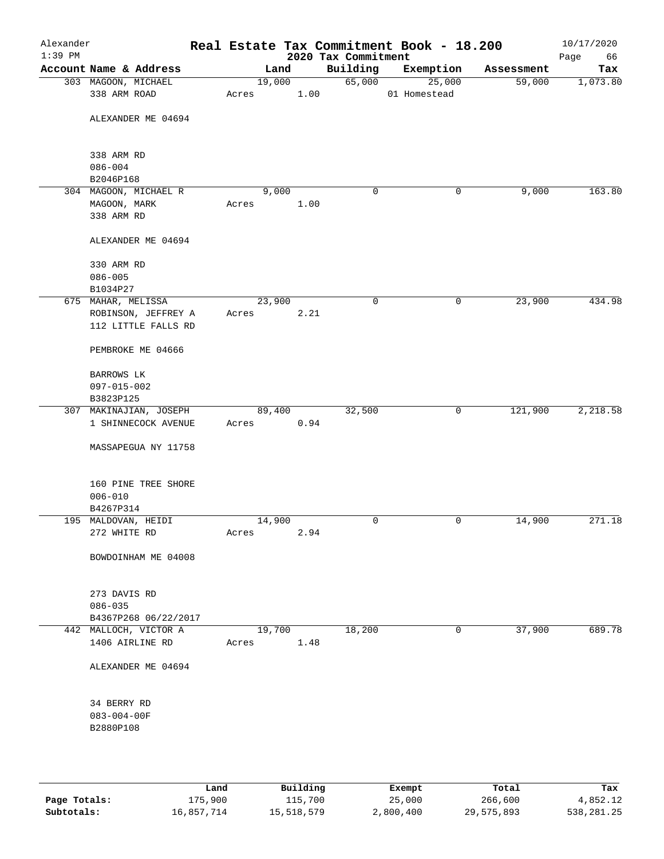| Alexander<br>$1:39$ PM |                                          |       |        |      | 2020 Tax Commitment | Real Estate Tax Commitment Book - 18.200 |            | 10/17/2020<br>Page<br>66 |
|------------------------|------------------------------------------|-------|--------|------|---------------------|------------------------------------------|------------|--------------------------|
|                        | Account Name & Address                   |       | Land   |      | Building            | Exemption                                | Assessment | Tax                      |
|                        | 303 MAGOON, MICHAEL                      |       | 19,000 |      | 65,000              | 25,000                                   | 59,000     | 1,073.80                 |
|                        | 338 ARM ROAD                             | Acres |        | 1.00 |                     | 01 Homestead                             |            |                          |
|                        | ALEXANDER ME 04694                       |       |        |      |                     |                                          |            |                          |
|                        | 338 ARM RD                               |       |        |      |                     |                                          |            |                          |
|                        | $086 - 004$                              |       |        |      |                     |                                          |            |                          |
|                        | B2046P168                                |       |        |      |                     |                                          |            |                          |
|                        | 304 MAGOON, MICHAEL R                    |       | 9,000  |      | 0                   | 0                                        | 9,000      | 163.80                   |
|                        | MAGOON, MARK                             | Acres |        | 1.00 |                     |                                          |            |                          |
|                        | 338 ARM RD                               |       |        |      |                     |                                          |            |                          |
|                        | ALEXANDER ME 04694                       |       |        |      |                     |                                          |            |                          |
|                        | 330 ARM RD                               |       |        |      |                     |                                          |            |                          |
|                        | $086 - 005$                              |       |        |      |                     |                                          |            |                          |
|                        | B1034P27                                 |       |        |      |                     |                                          |            |                          |
|                        | 675 MAHAR, MELISSA                       |       | 23,900 |      | $\mathbf 0$         | 0                                        | 23,900     | 434.98                   |
|                        | ROBINSON, JEFFREY A                      | Acres |        | 2.21 |                     |                                          |            |                          |
|                        | 112 LITTLE FALLS RD                      |       |        |      |                     |                                          |            |                          |
|                        | PEMBROKE ME 04666                        |       |        |      |                     |                                          |            |                          |
|                        | BARROWS LK                               |       |        |      |                     |                                          |            |                          |
|                        | 097-015-002                              |       |        |      |                     |                                          |            |                          |
|                        | B3823P125                                |       |        |      |                     |                                          |            |                          |
|                        | 307 MAKINAJIAN, JOSEPH                   |       | 89,400 |      | 32,500              | 0                                        | 121,900    | 2,218.58                 |
|                        | 1 SHINNECOCK AVENUE                      | Acres |        | 0.94 |                     |                                          |            |                          |
|                        |                                          |       |        |      |                     |                                          |            |                          |
|                        | MASSAPEGUA NY 11758                      |       |        |      |                     |                                          |            |                          |
|                        | 160 PINE TREE SHORE                      |       |        |      |                     |                                          |            |                          |
|                        | $006 - 010$                              |       |        |      |                     |                                          |            |                          |
|                        | B4267P314                                |       |        |      |                     |                                          |            |                          |
|                        | 195 MALDOVAN, HEIDI                      |       | 14,900 |      | 0                   | 0                                        | 14,900     | 271.18                   |
|                        | 272 WHITE RD                             | Acres |        | 2.94 |                     |                                          |            |                          |
|                        | BOWDOINHAM ME 04008                      |       |        |      |                     |                                          |            |                          |
|                        |                                          |       |        |      |                     |                                          |            |                          |
|                        | 273 DAVIS RD                             |       |        |      |                     |                                          |            |                          |
|                        | $086 - 035$                              |       |        |      |                     |                                          |            |                          |
|                        | B4367P268 06/22/2017                     |       |        |      |                     |                                          |            |                          |
|                        | 442 MALLOCH, VICTOR A<br>1406 AIRLINE RD | Acres | 19,700 | 1.48 | 18,200              | 0                                        | 37,900     | 689.78                   |
|                        |                                          |       |        |      |                     |                                          |            |                          |
|                        | ALEXANDER ME 04694                       |       |        |      |                     |                                          |            |                          |
|                        | 34 BERRY RD                              |       |        |      |                     |                                          |            |                          |
|                        | $083 - 004 - 00F$                        |       |        |      |                     |                                          |            |                          |
|                        | B2880P108                                |       |        |      |                     |                                          |            |                          |
|                        |                                          |       |        |      |                     |                                          |            |                          |
|                        |                                          |       |        |      |                     |                                          |            |                          |
|                        |                                          |       |        |      |                     |                                          |            |                          |

|              | Land       | Building   | Exempt    | Total      | Tax          |
|--------------|------------|------------|-----------|------------|--------------|
| Page Totals: | 175,900    | 115,700    | 25,000    | 266,600    | 4,852.12     |
| Subtotals:   | 16,857,714 | 15,518,579 | 2,800,400 | 29,575,893 | 538, 281, 25 |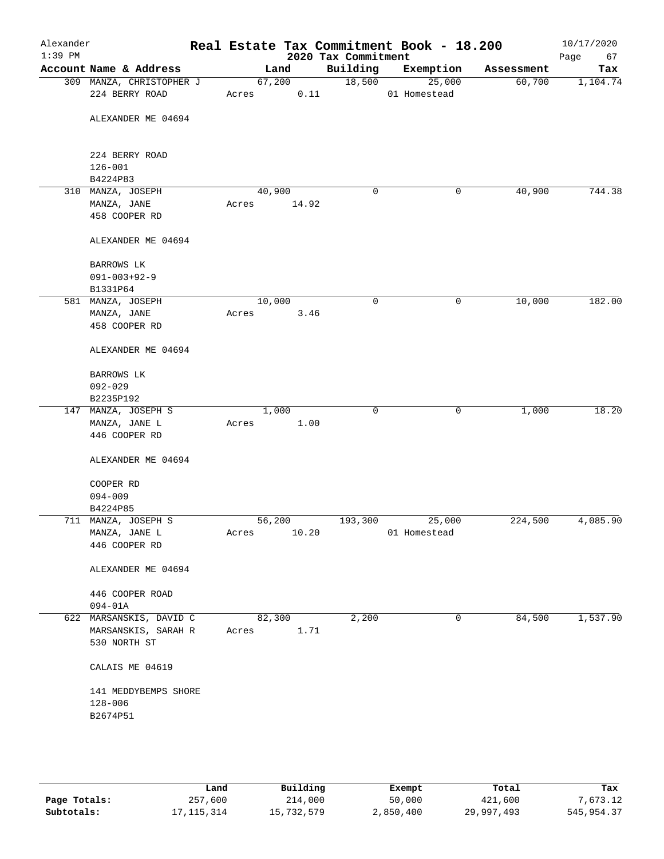| Alexander<br>$1:39$ PM |                                                       |        |                | 2020 Tax Commitment | Real Estate Tax Commitment Book - 18.200 |            | 10/17/2020<br>Page<br>67 |
|------------------------|-------------------------------------------------------|--------|----------------|---------------------|------------------------------------------|------------|--------------------------|
|                        | Account Name & Address                                |        | Land           | Building            | Exemption                                | Assessment | Tax                      |
|                        | 309 MANZA, CHRISTOPHER J<br>224 BERRY ROAD            | Acres  | 67,200<br>0.11 | 18,500              | 25,000<br>01 Homestead                   | 60,700     | 1,104.74                 |
|                        | ALEXANDER ME 04694                                    |        |                |                     |                                          |            |                          |
|                        | 224 BERRY ROAD<br>$126 - 001$<br>B4224P83             |        |                |                     |                                          |            |                          |
|                        | 310 MANZA, JOSEPH                                     |        | 40,900         | 0                   | 0                                        | 40,900     | 744.38                   |
|                        | MANZA, JANE<br>458 COOPER RD                          | Acres  | 14.92          |                     |                                          |            |                          |
|                        | ALEXANDER ME 04694                                    |        |                |                     |                                          |            |                          |
|                        | <b>BARROWS LK</b><br>$091 - 003 + 92 - 9$             |        |                |                     |                                          |            |                          |
|                        | B1331P64<br>581 MANZA, JOSEPH                         | 10,000 |                | 0                   | 0                                        | 10,000     | 182.00                   |
|                        | MANZA, JANE<br>458 COOPER RD                          | Acres  | 3.46           |                     |                                          |            |                          |
|                        | ALEXANDER ME 04694                                    |        |                |                     |                                          |            |                          |
|                        | BARROWS LK<br>$092 - 029$                             |        |                |                     |                                          |            |                          |
|                        | B2235P192                                             |        |                |                     |                                          |            |                          |
|                        | 147 MANZA, JOSEPH S<br>MANZA, JANE L<br>446 COOPER RD | Acres  | 1,000<br>1.00  | $\mathbf 0$         | 0                                        | 1,000      | 18.20                    |
|                        | ALEXANDER ME 04694                                    |        |                |                     |                                          |            |                          |
|                        | COOPER RD                                             |        |                |                     |                                          |            |                          |
|                        | $094 - 009$                                           |        |                |                     |                                          |            |                          |
|                        | B4224P85                                              |        |                |                     |                                          |            |                          |
|                        | 711 MANZA, JOSEPH S                                   | 56,200 |                | 193,300             | 25,000                                   | 224,500    | 4,085.90                 |
|                        | MANZA, JANE L<br>446 COOPER RD                        | Acres  | 10.20          |                     | 01 Homestead                             |            |                          |
|                        | ALEXANDER ME 04694                                    |        |                |                     |                                          |            |                          |
|                        | 446 COOPER ROAD                                       |        |                |                     |                                          |            |                          |
|                        | $094 - 01A$                                           |        |                |                     |                                          |            |                          |
|                        | 622 MARSANSKIS, DAVID C                               |        | 82,300         | 2,200               | 0                                        | 84,500     | 1,537.90                 |
|                        | MARSANSKIS, SARAH R<br>530 NORTH ST                   | Acres  | 1.71           |                     |                                          |            |                          |
|                        | CALAIS ME 04619                                       |        |                |                     |                                          |            |                          |
|                        | 141 MEDDYBEMPS SHORE<br>$128 - 006$<br>B2674P51       |        |                |                     |                                          |            |                          |
|                        |                                                       |        |                |                     |                                          |            |                          |

|              | Land       | Building   | Exempt    | Total      | Tax         |  |
|--------------|------------|------------|-----------|------------|-------------|--|
| Page Totals: | 257,600    | 214,000    | 50,000    | 421,600    | 7,673.12    |  |
| Subtotals:   | 17,115,314 | 15,732,579 | 2,850,400 | 29,997,493 | 545, 954.37 |  |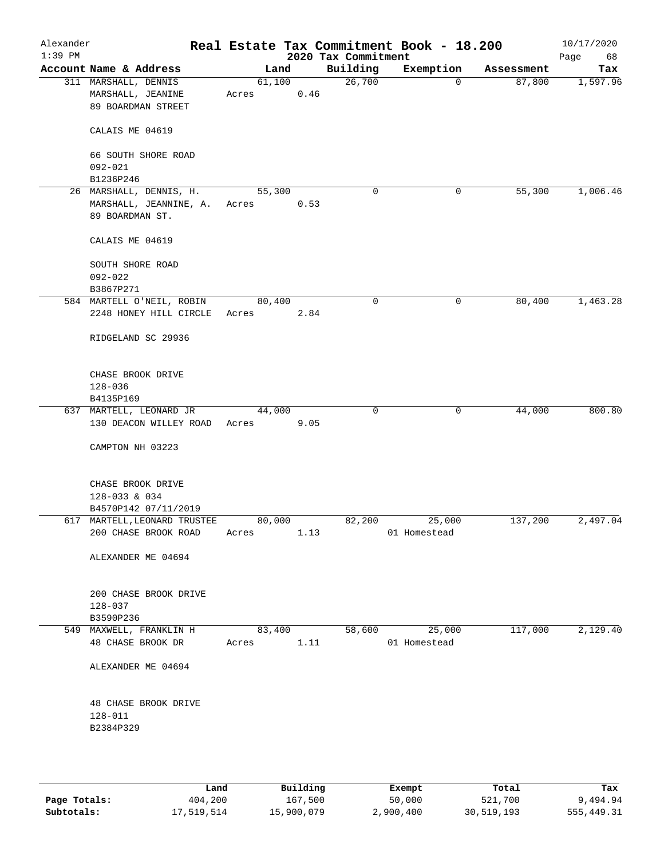| Alexander<br>$1:39$ PM |                                                                 |                 |      | 2020 Tax Commitment | Real Estate Tax Commitment Book - 18.200 |            | 10/17/2020<br>Page<br>68 |
|------------------------|-----------------------------------------------------------------|-----------------|------|---------------------|------------------------------------------|------------|--------------------------|
|                        | Account Name & Address                                          | Land            |      | Building            | Exemption                                | Assessment | Tax                      |
|                        | 311 MARSHALL, DENNIS<br>MARSHALL, JEANINE<br>89 BOARDMAN STREET | 61,100<br>Acres | 0.46 | 26,700              | 0                                        | 87,800     | 1,597.96                 |
|                        | CALAIS ME 04619                                                 |                 |      |                     |                                          |            |                          |
|                        | 66 SOUTH SHORE ROAD<br>$092 - 021$                              |                 |      |                     |                                          |            |                          |
|                        | B1236P246                                                       |                 |      |                     |                                          |            |                          |
|                        | 26 MARSHALL, DENNIS, H.                                         | 55,300          |      | 0                   | 0                                        | 55,300     | 1,006.46                 |
|                        | MARSHALL, JEANNINE, A.<br>89 BOARDMAN ST.                       | Acres           | 0.53 |                     |                                          |            |                          |
|                        | CALAIS ME 04619                                                 |                 |      |                     |                                          |            |                          |
|                        | SOUTH SHORE ROAD<br>$092 - 022$<br>B3867P271                    |                 |      |                     |                                          |            |                          |
|                        | 584 MARTELL O'NEIL, ROBIN                                       | 80,400          |      | 0                   | 0                                        | 80,400     | 1,463.28                 |
|                        | 2248 HONEY HILL CIRCLE                                          | Acres           | 2.84 |                     |                                          |            |                          |
|                        | RIDGELAND SC 29936                                              |                 |      |                     |                                          |            |                          |
|                        | CHASE BROOK DRIVE                                               |                 |      |                     |                                          |            |                          |
|                        | $128 - 036$                                                     |                 |      |                     |                                          |            |                          |
|                        | B4135P169                                                       |                 |      |                     |                                          |            |                          |
|                        | 637 MARTELL, LEONARD JR<br>130 DEACON WILLEY ROAD               | 44,000<br>Acres | 9.05 | 0                   | $\mathbf 0$                              | 44,000     | 800.80                   |
|                        | CAMPTON NH 03223                                                |                 |      |                     |                                          |            |                          |
|                        | CHASE BROOK DRIVE<br>128-033 & 034                              |                 |      |                     |                                          |            |                          |
|                        | B4570P142 07/11/2019                                            |                 |      |                     |                                          |            |                          |
|                        | 617 MARTELL, LEONARD TRUSTEE<br>200 CHASE BROOK ROAD            | 80,000<br>Acres | 1.13 | 82,200              | 25,000<br>01 Homestead                   | 137,200    | 2,497.04                 |
|                        | ALEXANDER ME 04694                                              |                 |      |                     |                                          |            |                          |
|                        | 200 CHASE BROOK DRIVE<br>$128 - 037$                            |                 |      |                     |                                          |            |                          |
|                        | B3590P236                                                       |                 |      |                     |                                          |            |                          |
|                        | 549 MAXWELL, FRANKLIN H<br>48 CHASE BROOK DR                    | 83,400<br>Acres | 1.11 | 58,600              | 25,000<br>01 Homestead                   | 117,000    | 2,129.40                 |
|                        | ALEXANDER ME 04694                                              |                 |      |                     |                                          |            |                          |
|                        | 48 CHASE BROOK DRIVE<br>128-011<br>B2384P329                    |                 |      |                     |                                          |            |                          |
|                        |                                                                 |                 |      |                     |                                          |            |                          |

|              | Land       | Building   | Exempt    | Total      | Tax        |
|--------------|------------|------------|-----------|------------|------------|
| Page Totals: | 404,200    | 167,500    | 50,000    | 521,700    | 9,494.94   |
| Subtotals:   | 17,519,514 | 15,900,079 | 2,900,400 | 30,519,193 | 555,449.31 |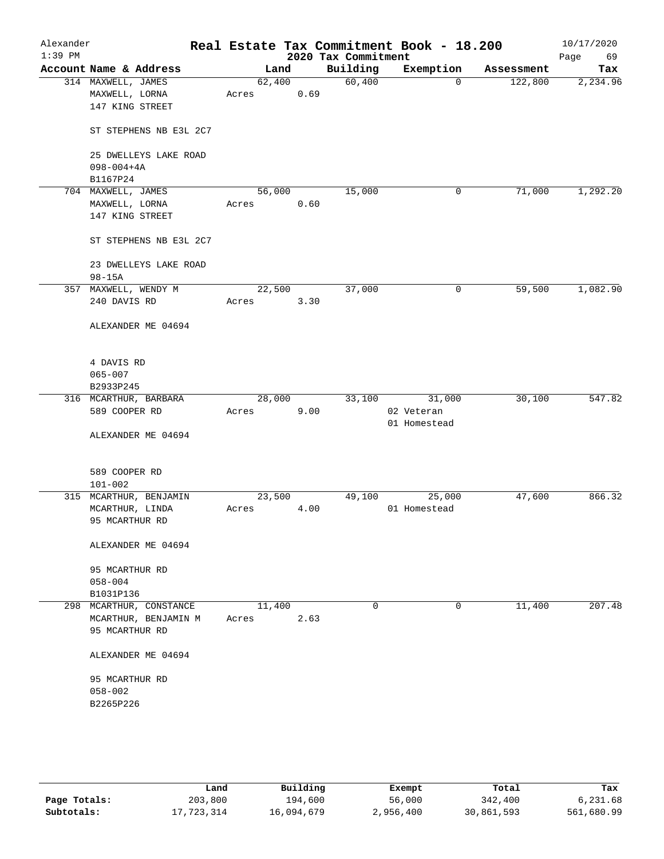| Alexander<br>$1:39$ PM |                         |        |      | 2020 Tax Commitment | Real Estate Tax Commitment Book - 18.200 |            | 10/17/2020<br>Page<br>69 |
|------------------------|-------------------------|--------|------|---------------------|------------------------------------------|------------|--------------------------|
|                        | Account Name & Address  | Land   |      | Building            | Exemption                                | Assessment | Tax                      |
|                        | 314 MAXWELL, JAMES      | 62,400 |      | 60,400              | $\Omega$                                 | 122,800    | 2,234.96                 |
|                        | MAXWELL, LORNA          | Acres  | 0.69 |                     |                                          |            |                          |
|                        | 147 KING STREET         |        |      |                     |                                          |            |                          |
|                        |                         |        |      |                     |                                          |            |                          |
|                        | ST STEPHENS NB E3L 2C7  |        |      |                     |                                          |            |                          |
|                        |                         |        |      |                     |                                          |            |                          |
|                        | 25 DWELLEYS LAKE ROAD   |        |      |                     |                                          |            |                          |
|                        | $098 - 004 + 4A$        |        |      |                     |                                          |            |                          |
|                        | B1167P24                |        |      |                     |                                          |            |                          |
|                        | 704 MAXWELL, JAMES      | 56,000 |      | 15,000              | 0                                        | 71,000     | 1,292.20                 |
|                        | MAXWELL, LORNA          | Acres  | 0.60 |                     |                                          |            |                          |
|                        | 147 KING STREET         |        |      |                     |                                          |            |                          |
|                        |                         |        |      |                     |                                          |            |                          |
|                        | ST STEPHENS NB E3L 2C7  |        |      |                     |                                          |            |                          |
|                        | 23 DWELLEYS LAKE ROAD   |        |      |                     |                                          |            |                          |
|                        | $98 - 15A$              |        |      |                     |                                          |            |                          |
|                        | 357 MAXWELL, WENDY M    | 22,500 |      | 37,000              | 0                                        | 59,500     | 1,082.90                 |
|                        | 240 DAVIS RD            | Acres  | 3.30 |                     |                                          |            |                          |
|                        |                         |        |      |                     |                                          |            |                          |
|                        | ALEXANDER ME 04694      |        |      |                     |                                          |            |                          |
|                        |                         |        |      |                     |                                          |            |                          |
|                        |                         |        |      |                     |                                          |            |                          |
|                        | 4 DAVIS RD              |        |      |                     |                                          |            |                          |
|                        | $065 - 007$             |        |      |                     |                                          |            |                          |
|                        | B2933P245               |        |      |                     |                                          |            |                          |
|                        | 316 MCARTHUR, BARBARA   | 28,000 |      | 33,100              | 31,000                                   | 30,100     | 547.82                   |
|                        | 589 COOPER RD           | Acres  | 9.00 |                     | 02 Veteran                               |            |                          |
|                        |                         |        |      |                     | 01 Homestead                             |            |                          |
|                        | ALEXANDER ME 04694      |        |      |                     |                                          |            |                          |
|                        |                         |        |      |                     |                                          |            |                          |
|                        |                         |        |      |                     |                                          |            |                          |
|                        | 589 COOPER RD           |        |      |                     |                                          |            |                          |
|                        | $101 - 002$             |        |      |                     |                                          |            |                          |
|                        | 315 MCARTHUR, BENJAMIN  | 23,500 |      | 49,100              | 25,000                                   | 47,600     | 866.32                   |
|                        | MCARTHUR, LINDA         | Acres  | 4.00 |                     | 01 Homestead                             |            |                          |
|                        | 95 MCARTHUR RD          |        |      |                     |                                          |            |                          |
|                        | ALEXANDER ME 04694      |        |      |                     |                                          |            |                          |
|                        |                         |        |      |                     |                                          |            |                          |
|                        | 95 MCARTHUR RD          |        |      |                     |                                          |            |                          |
|                        | $058 - 004$             |        |      |                     |                                          |            |                          |
|                        | B1031P136               |        |      |                     |                                          |            |                          |
|                        | 298 MCARTHUR, CONSTANCE | 11,400 |      | 0                   | 0                                        | 11,400     | 207.48                   |
|                        | MCARTHUR, BENJAMIN M    | Acres  | 2.63 |                     |                                          |            |                          |
|                        | 95 MCARTHUR RD          |        |      |                     |                                          |            |                          |
|                        |                         |        |      |                     |                                          |            |                          |
|                        | ALEXANDER ME 04694      |        |      |                     |                                          |            |                          |
|                        |                         |        |      |                     |                                          |            |                          |
|                        | 95 MCARTHUR RD          |        |      |                     |                                          |            |                          |
|                        | $058 - 002$             |        |      |                     |                                          |            |                          |
|                        | B2265P226               |        |      |                     |                                          |            |                          |
|                        |                         |        |      |                     |                                          |            |                          |
|                        |                         |        |      |                     |                                          |            |                          |
|                        |                         |        |      |                     |                                          |            |                          |

|              | Land       | Building   | Exempt    | Total      | Tax        |
|--------------|------------|------------|-----------|------------|------------|
| Page Totals: | 203,800    | 194,600    | 56,000    | 342,400    | 6,231.68   |
| Subtotals:   | 17,723,314 | 16,094,679 | 2,956,400 | 30,861,593 | 561,680.99 |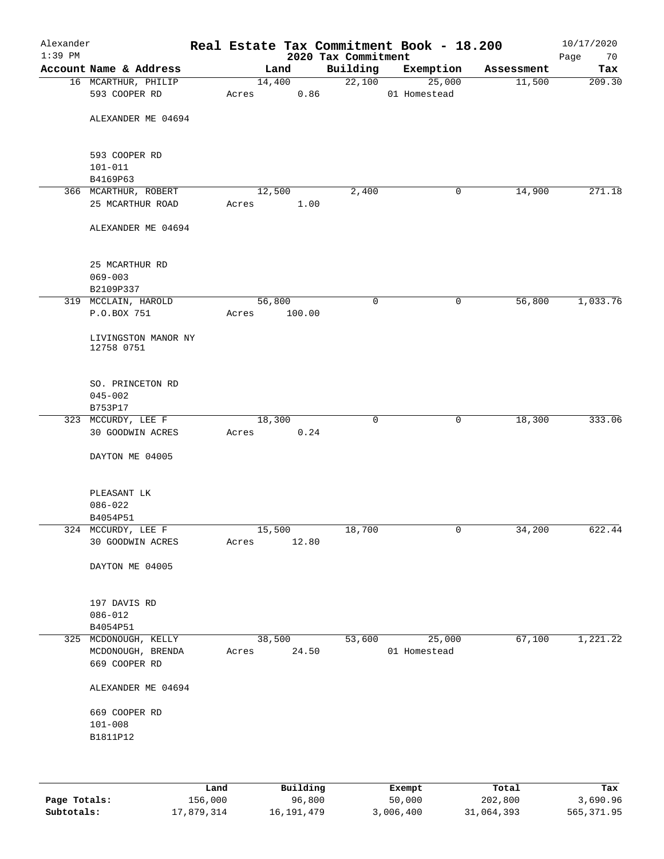| Alexander<br>$1:39$ PM |                                        |       |                  | 2020 Tax Commitment | Real Estate Tax Commitment Book - 18.200 |            | 10/17/2020<br>Page<br>70 |
|------------------------|----------------------------------------|-------|------------------|---------------------|------------------------------------------|------------|--------------------------|
|                        | Account Name & Address                 |       | Land             | Building            | Exemption                                | Assessment | Tax                      |
|                        | 16 MCARTHUR, PHILIP                    |       | 14,400           | 22,100              | 25,000                                   | 11,500     | 209.30                   |
|                        | 593 COOPER RD                          | Acres | 0.86             |                     | 01 Homestead                             |            |                          |
|                        | ALEXANDER ME 04694                     |       |                  |                     |                                          |            |                          |
|                        | 593 COOPER RD<br>$101 - 011$           |       |                  |                     |                                          |            |                          |
|                        | B4169P63                               |       |                  |                     |                                          |            |                          |
|                        | 366 MCARTHUR, ROBERT                   |       | 12,500           | 2,400               | 0                                        | 14,900     | 271.18                   |
|                        | 25 MCARTHUR ROAD                       | Acres | 1.00             |                     |                                          |            |                          |
|                        | ALEXANDER ME 04694                     |       |                  |                     |                                          |            |                          |
|                        | 25 MCARTHUR RD                         |       |                  |                     |                                          |            |                          |
|                        | $069 - 003$                            |       |                  |                     |                                          |            |                          |
|                        | B2109P337                              |       |                  |                     |                                          |            |                          |
|                        | 319 MCCLAIN, HAROLD<br>P.O.BOX 751     | Acres | 56,800<br>100.00 | $\mathbf 0$         | 0                                        | 56,800     | 1,033.76                 |
|                        |                                        |       |                  |                     |                                          |            |                          |
|                        | LIVINGSTON MANOR NY<br>12758 0751      |       |                  |                     |                                          |            |                          |
|                        | SO. PRINCETON RD<br>$045 - 002$        |       |                  |                     |                                          |            |                          |
|                        | B753P17                                |       |                  |                     |                                          |            |                          |
|                        | 323 MCCURDY, LEE F                     |       | 18,300           | $\mathbf 0$         | $\mathsf{O}$                             | 18,300     | 333.06                   |
|                        | 30 GOODWIN ACRES                       | Acres | 0.24             |                     |                                          |            |                          |
|                        | DAYTON ME 04005                        |       |                  |                     |                                          |            |                          |
|                        | PLEASANT LK                            |       |                  |                     |                                          |            |                          |
|                        | $086 - 022$                            |       |                  |                     |                                          |            |                          |
|                        | B4054P51                               |       |                  |                     |                                          |            |                          |
|                        | 324 MCCURDY, LEE F<br>30 GOODWIN ACRES | Acres | 15,500<br>12.80  | 18,700              | 0                                        | 34,200     | 622.44                   |
|                        | DAYTON ME 04005                        |       |                  |                     |                                          |            |                          |
|                        | 197 DAVIS RD                           |       |                  |                     |                                          |            |                          |
|                        | $086 - 012$                            |       |                  |                     |                                          |            |                          |
|                        | B4054P51                               |       |                  |                     |                                          |            |                          |
|                        | 325 MCDONOUGH, KELLY                   |       | 38,500           | 53,600              | 25,000                                   | 67,100     | 1,221.22                 |
|                        | MCDONOUGH, BRENDA<br>669 COOPER RD     | Acres | 24.50            |                     | 01 Homestead                             |            |                          |
|                        | ALEXANDER ME 04694                     |       |                  |                     |                                          |            |                          |
|                        | 669 COOPER RD                          |       |                  |                     |                                          |            |                          |
|                        | $101 - 008$                            |       |                  |                     |                                          |            |                          |
|                        | B1811P12                               |       |                  |                     |                                          |            |                          |
|                        |                                        |       |                  |                     |                                          |            |                          |
|                        |                                        |       |                  |                     |                                          |            |                          |
|                        |                                        |       |                  |                     |                                          |            |                          |

|              | Land       | Building   | Exempt    | Total      | Tax        |
|--------------|------------|------------|-----------|------------|------------|
| Page Totals: | 156,000    | 96,800     | 50,000    | 202,800    | 3,690.96   |
| Subtotals:   | 17,879,314 | 16,191,479 | 3,006,400 | 31,064,393 | 565,371.95 |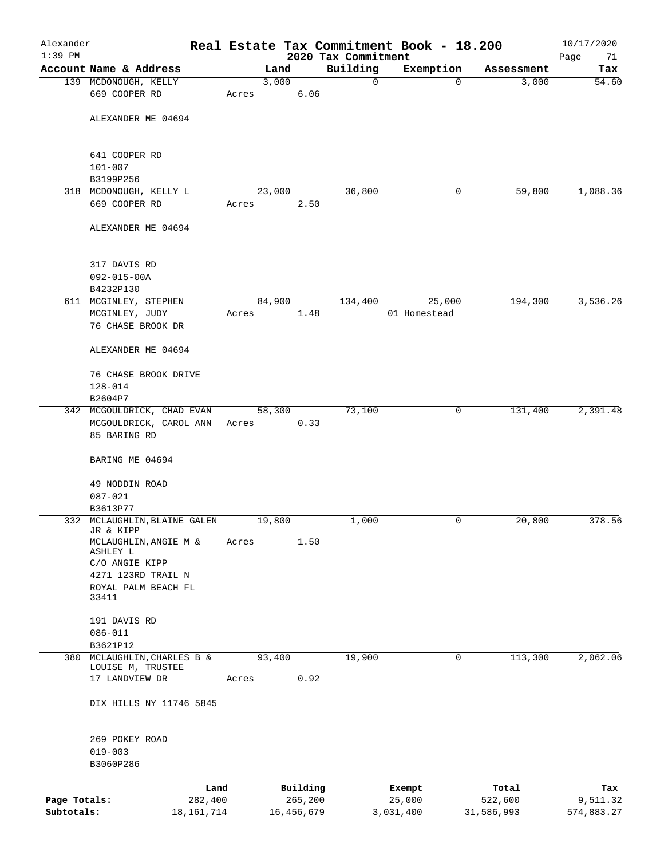| Alexander<br>$1:39$ PM |                                              |              |       |        |            |                                 | Real Estate Tax Commitment Book - 18.200 |            | 10/17/2020        |
|------------------------|----------------------------------------------|--------------|-------|--------|------------|---------------------------------|------------------------------------------|------------|-------------------|
|                        | Account Name & Address                       |              |       | Land   |            | 2020 Tax Commitment<br>Building | Exemption                                | Assessment | Page<br>71<br>Tax |
|                        | 139 MCDONOUGH, KELLY                         |              |       | 3,000  |            | 0                               | $\mathbf 0$                              | 3,000      | 54.60             |
|                        | 669 COOPER RD                                |              | Acres |        | 6.06       |                                 |                                          |            |                   |
|                        | ALEXANDER ME 04694                           |              |       |        |            |                                 |                                          |            |                   |
|                        | 641 COOPER RD                                |              |       |        |            |                                 |                                          |            |                   |
|                        | $101 - 007$<br>B3199P256                     |              |       |        |            |                                 |                                          |            |                   |
|                        | 318 MCDONOUGH, KELLY L                       |              |       | 23,000 |            | 36,800                          | 0                                        | 59,800     | 1,088.36          |
|                        | 669 COOPER RD                                |              | Acres |        | 2.50       |                                 |                                          |            |                   |
|                        | ALEXANDER ME 04694                           |              |       |        |            |                                 |                                          |            |                   |
|                        | 317 DAVIS RD                                 |              |       |        |            |                                 |                                          |            |                   |
|                        | $092 - 015 - 00A$                            |              |       |        |            |                                 |                                          |            |                   |
|                        | B4232P130<br>611 MCGINLEY, STEPHEN           |              |       | 84,900 |            | 134,400                         | 25,000                                   | 194,300    | 3,536.26          |
|                        | MCGINLEY, JUDY                               |              | Acres |        | 1.48       |                                 | 01 Homestead                             |            |                   |
|                        | 76 CHASE BROOK DR                            |              |       |        |            |                                 |                                          |            |                   |
|                        | ALEXANDER ME 04694                           |              |       |        |            |                                 |                                          |            |                   |
|                        | 76 CHASE BROOK DRIVE                         |              |       |        |            |                                 |                                          |            |                   |
|                        | $128 - 014$                                  |              |       |        |            |                                 |                                          |            |                   |
|                        | B2604P7                                      |              |       |        |            |                                 |                                          |            |                   |
|                        | 342 MCGOULDRICK, CHAD EVAN                   |              |       | 58,300 |            | 73,100                          | 0                                        | 131,400    | 2,391.48          |
|                        | MCGOULDRICK, CAROL ANN<br>85 BARING RD       |              | Acres |        | 0.33       |                                 |                                          |            |                   |
|                        | BARING ME 04694                              |              |       |        |            |                                 |                                          |            |                   |
|                        | 49 NODDIN ROAD                               |              |       |        |            |                                 |                                          |            |                   |
|                        | $087 - 021$<br>B3613P77                      |              |       |        |            |                                 |                                          |            |                   |
|                        | 332 MCLAUGHLIN, BLAINE GALEN                 |              |       | 19,800 |            | 1,000                           | 0                                        | 20,800     | 378.56            |
|                        | JR & KIPP<br>MCLAUGHLIN, ANGIE M &           |              | Acres |        | 1.50       |                                 |                                          |            |                   |
|                        | ASHLEY L<br>C/O ANGIE KIPP                   |              |       |        |            |                                 |                                          |            |                   |
|                        | 4271 123RD TRAIL N                           |              |       |        |            |                                 |                                          |            |                   |
|                        | ROYAL PALM BEACH FL                          |              |       |        |            |                                 |                                          |            |                   |
|                        | 33411                                        |              |       |        |            |                                 |                                          |            |                   |
|                        | 191 DAVIS RD                                 |              |       |        |            |                                 |                                          |            |                   |
|                        | $086 - 011$                                  |              |       |        |            |                                 |                                          |            |                   |
|                        | B3621P12                                     |              |       |        |            |                                 |                                          |            |                   |
| 380                    | MCLAUGHLIN, CHARLES B &<br>LOUISE M, TRUSTEE |              |       | 93,400 |            | 19,900                          | 0                                        | 113,300    | 2,062.06          |
|                        | 17 LANDVIEW DR                               |              | Acres |        | 0.92       |                                 |                                          |            |                   |
|                        | DIX HILLS NY 11746 5845                      |              |       |        |            |                                 |                                          |            |                   |
|                        | 269 POKEY ROAD                               |              |       |        |            |                                 |                                          |            |                   |
|                        | $019 - 003$<br>B3060P286                     |              |       |        |            |                                 |                                          |            |                   |
|                        |                                              | Land         |       |        | Building   |                                 | Exempt                                   | Total      | Tax               |
| Page Totals:           |                                              | 282,400      |       |        | 265,200    |                                 | 25,000                                   | 522,600    | 9,511.32          |
| Subtotals:             |                                              | 18, 161, 714 |       |        | 16,456,679 |                                 | 3,031,400                                | 31,586,993 | 574,883.27        |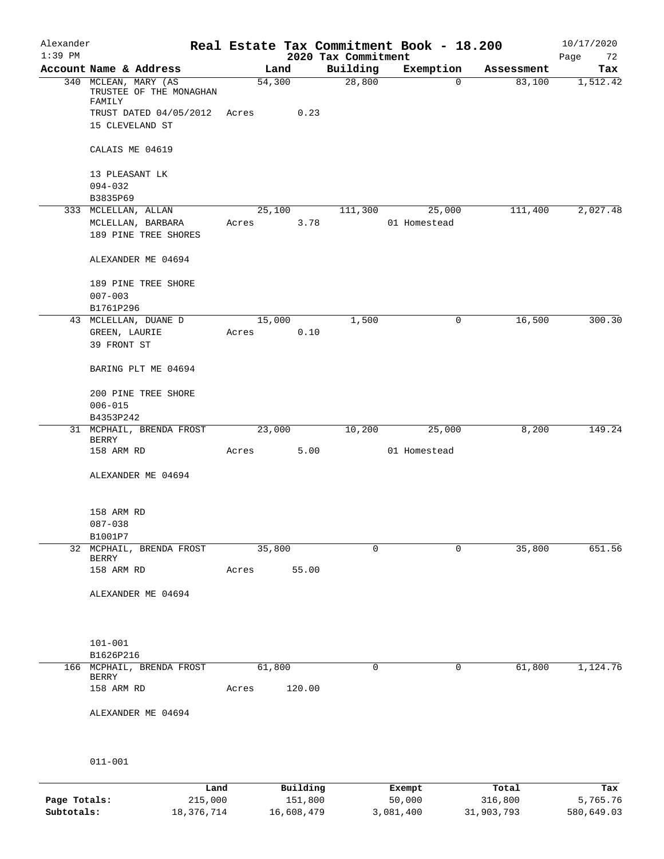| Alexander<br>$1:39$ PM |                              |                                                 |       |        |       | Real Estate Tax Commitment Book - 18.200<br>2020 Tax Commitment |              |             |            | 10/17/2020<br>Page<br>72 |
|------------------------|------------------------------|-------------------------------------------------|-------|--------|-------|-----------------------------------------------------------------|--------------|-------------|------------|--------------------------|
|                        |                              | Account Name & Address                          |       | Land   |       | Building                                                        | Exemption    |             | Assessment | Tax                      |
|                        | FAMILY                       | 340 MCLEAN, MARY (AS<br>TRUSTEE OF THE MONAGHAN |       | 54,300 |       | 28,800                                                          |              | $\mathbf 0$ | 83,100     | 1,512.42                 |
|                        |                              | TRUST DATED 04/05/2012                          | Acres |        | 0.23  |                                                                 |              |             |            |                          |
|                        | 15 CLEVELAND ST              |                                                 |       |        |       |                                                                 |              |             |            |                          |
|                        | CALAIS ME 04619              |                                                 |       |        |       |                                                                 |              |             |            |                          |
|                        | 13 PLEASANT LK               |                                                 |       |        |       |                                                                 |              |             |            |                          |
|                        | $094 - 032$                  |                                                 |       |        |       |                                                                 |              |             |            |                          |
|                        | B3835P69                     |                                                 |       |        |       |                                                                 |              |             |            |                          |
|                        | 333 MCLELLAN, ALLAN          | MCLELLAN, BARBARA                               | Acres | 25,100 | 3.78  | 111,300                                                         | 01 Homestead | 25,000      | 111,400    | 2,027.48                 |
|                        |                              | 189 PINE TREE SHORES                            |       |        |       |                                                                 |              |             |            |                          |
|                        |                              | ALEXANDER ME 04694                              |       |        |       |                                                                 |              |             |            |                          |
|                        | $007 - 003$                  | 189 PINE TREE SHORE                             |       |        |       |                                                                 |              |             |            |                          |
|                        | B1761P296                    |                                                 |       |        |       |                                                                 |              |             |            |                          |
|                        |                              | 43 MCLELLAN, DUANE D                            |       | 15,000 |       | 1,500                                                           |              | 0           | 16,500     | 300.30                   |
|                        | GREEN, LAURIE<br>39 FRONT ST |                                                 | Acres |        | 0.10  |                                                                 |              |             |            |                          |
|                        |                              | BARING PLT ME 04694                             |       |        |       |                                                                 |              |             |            |                          |
|                        |                              | 200 PINE TREE SHORE                             |       |        |       |                                                                 |              |             |            |                          |
|                        | $006 - 015$                  |                                                 |       |        |       |                                                                 |              |             |            |                          |
|                        | B4353P242                    |                                                 |       |        |       |                                                                 |              |             |            |                          |
|                        | <b>BERRY</b>                 | 31 MCPHAIL, BRENDA FROST                        |       | 23,000 |       | 10,200                                                          |              | 25,000      | 8,200      | 149.24                   |
|                        | 158 ARM RD                   |                                                 | Acres |        | 5.00  |                                                                 | 01 Homestead |             |            |                          |
|                        |                              | ALEXANDER ME 04694                              |       |        |       |                                                                 |              |             |            |                          |
|                        | 158 ARM RD                   |                                                 |       |        |       |                                                                 |              |             |            |                          |
|                        | $087 - 038$                  |                                                 |       |        |       |                                                                 |              |             |            |                          |
|                        | B1001P7                      | 32 MCPHAIL, BRENDA FROST                        |       | 35,800 |       | $\Omega$                                                        |              | 0           | 35,800     | 651.56                   |
|                        | <b>BERRY</b>                 |                                                 |       |        |       |                                                                 |              |             |            |                          |
|                        | 158 ARM RD                   |                                                 | Acres |        | 55.00 |                                                                 |              |             |            |                          |
|                        |                              | ALEXANDER ME 04694                              |       |        |       |                                                                 |              |             |            |                          |
|                        |                              |                                                 |       |        |       |                                                                 |              |             |            |                          |
|                        | $101 - 001$<br>B1626P216     |                                                 |       |        |       |                                                                 |              |             |            |                          |
|                        |                              | 166 MCPHAIL, BRENDA FROST                       |       | 61,800 |       | $\mathbf 0$                                                     |              | $\mathbf 0$ | 61,800     | 1,124.76                 |
|                        | BERRY                        |                                                 |       |        |       |                                                                 |              |             |            |                          |
|                        | 158 ARM RD                   |                                                 | Acres | 120.00 |       |                                                                 |              |             |            |                          |
|                        |                              | ALEXANDER ME 04694                              |       |        |       |                                                                 |              |             |            |                          |
|                        |                              |                                                 |       |        |       |                                                                 |              |             |            |                          |
|                        | $011 - 001$                  |                                                 |       |        |       |                                                                 |              |             |            |                          |

|              | Land       | Building   | Exempt    | Total      | Tax        |
|--------------|------------|------------|-----------|------------|------------|
| Page Totals: | 215,000    | 151,800    | 50,000    | 316,800    | 5,765.76   |
| Subtotals:   | 18,376,714 | 16,608,479 | 3,081,400 | 31,903,793 | 580,649.03 |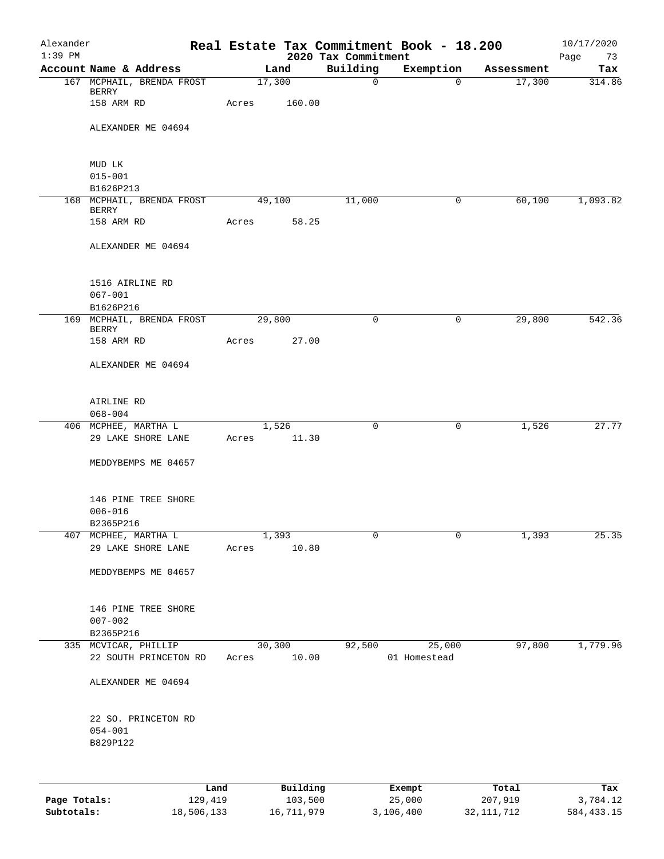| Alexander<br>$1:39$ PM |                                                 |        |          | 2020 Tax Commitment | Real Estate Tax Commitment Book - 18.200 |            | 10/17/2020<br>Page<br>73 |
|------------------------|-------------------------------------------------|--------|----------|---------------------|------------------------------------------|------------|--------------------------|
|                        | Account Name & Address                          |        | Land     | Building            | Exemption                                | Assessment | Tax                      |
|                        | 167 MCPHAIL, BRENDA FROST                       |        | 17,300   | $\mathbf 0$         | $\Omega$                                 | 17,300     | 314.86                   |
|                        | BERRY<br>158 ARM RD                             | Acres  | 160.00   |                     |                                          |            |                          |
|                        | ALEXANDER ME 04694                              |        |          |                     |                                          |            |                          |
|                        | MUD LK                                          |        |          |                     |                                          |            |                          |
|                        | $015 - 001$<br>B1626P213                        |        |          |                     |                                          |            |                          |
|                        | 168 MCPHAIL, BRENDA FROST                       | 49,100 |          | 11,000              | $\mathbf 0$                              | 60,100     | 1,093.82                 |
|                        | <b>BERRY</b><br>158 ARM RD                      | Acres  | 58.25    |                     |                                          |            |                          |
|                        | ALEXANDER ME 04694                              |        |          |                     |                                          |            |                          |
|                        | 1516 AIRLINE RD                                 |        |          |                     |                                          |            |                          |
|                        | $067 - 001$<br>B1626P216                        |        |          |                     |                                          |            |                          |
|                        | 169 MCPHAIL, BRENDA FROST                       | 29,800 |          | $\Omega$            | $\mathbf 0$                              | 29,800     | 542.36                   |
|                        | <b>BERRY</b><br>158 ARM RD                      | Acres  | 27.00    |                     |                                          |            |                          |
|                        | ALEXANDER ME 04694                              |        |          |                     |                                          |            |                          |
|                        | AIRLINE RD                                      |        |          |                     |                                          |            |                          |
|                        | $068 - 004$<br>406 MCPHEE, MARTHA L             |        | 1,526    | 0                   | 0                                        | 1,526      | 27.77                    |
|                        | 29 LAKE SHORE LANE                              | Acres  | 11.30    |                     |                                          |            |                          |
|                        | MEDDYBEMPS ME 04657                             |        |          |                     |                                          |            |                          |
|                        | 146 PINE TREE SHORE<br>$006 - 016$              |        |          |                     |                                          |            |                          |
|                        | B2365P216<br>407 MCPHEE, MARTHA L               |        | 1,393    | 0                   | 0                                        | 1,393      | 25.35                    |
|                        | 29 LAKE SHORE LANE                              | Acres  | 10.80    |                     |                                          |            |                          |
|                        | MEDDYBEMPS ME 04657                             |        |          |                     |                                          |            |                          |
|                        | 146 PINE TREE SHORE<br>$007 - 002$<br>B2365P216 |        |          |                     |                                          |            |                          |
|                        | 335 MCVICAR, PHILLIP                            |        | 30,300   | 92,500              | 25,000                                   | 97,800     | 1,779.96                 |
|                        | 22 SOUTH PRINCETON RD                           | Acres  | 10.00    |                     | 01 Homestead                             |            |                          |
|                        | ALEXANDER ME 04694                              |        |          |                     |                                          |            |                          |
|                        | 22 SO. PRINCETON RD<br>$054 - 001$<br>B829P122  |        |          |                     |                                          |            |                          |
|                        |                                                 |        |          |                     |                                          |            |                          |
|                        | Land                                            |        | Building |                     | Exempt                                   | Total      | Tax                      |

|              | Land       | <b>Building</b> | Exempt    | тосат      | rax.       |
|--------------|------------|-----------------|-----------|------------|------------|
| Page Totals: | 129,419    | 103,500         | 25,000    | 207,919    | 3,784.12   |
| Subtotals:   | 18,506,133 | 16,711,979      | 3,106,400 | 32,111,712 | 584,433.15 |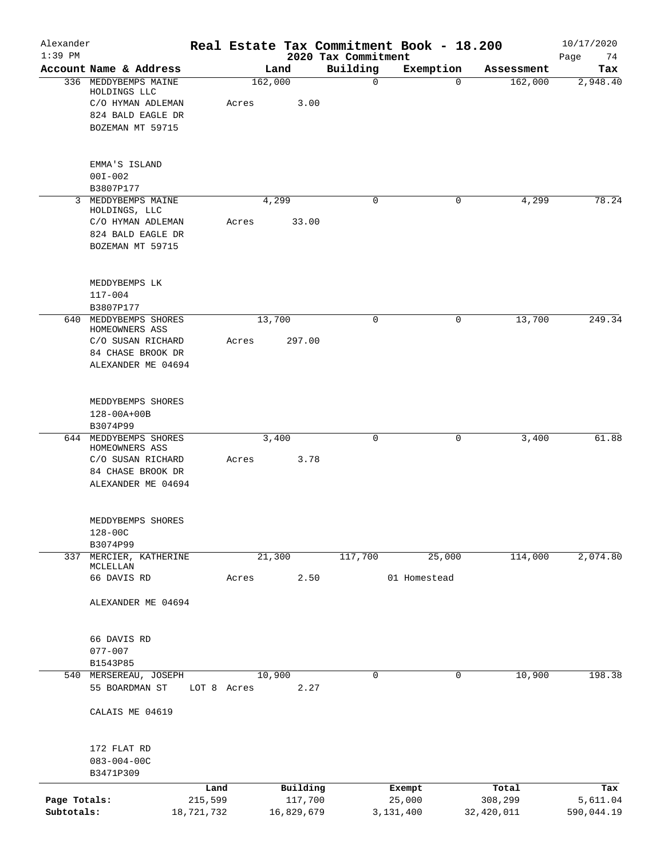| Alexander    |                                         |             |       |         |            |                                 |             | Real Estate Tax Commitment Book - 18.200 |            | 10/17/2020        |
|--------------|-----------------------------------------|-------------|-------|---------|------------|---------------------------------|-------------|------------------------------------------|------------|-------------------|
| $1:39$ PM    | Account Name & Address                  |             |       | Land    |            | 2020 Tax Commitment<br>Building |             | Exemption                                | Assessment | Page<br>74<br>Tax |
|              | 336 MEDDYBEMPS MAINE                    |             |       | 162,000 |            |                                 | $\mathbf 0$ | $\mathbf 0$                              | 162,000    | 2,948.40          |
|              | HOLDINGS LLC                            |             |       |         |            |                                 |             |                                          |            |                   |
|              | C/O HYMAN ADLEMAN                       |             | Acres |         | 3.00       |                                 |             |                                          |            |                   |
|              | 824 BALD EAGLE DR<br>BOZEMAN MT 59715   |             |       |         |            |                                 |             |                                          |            |                   |
|              |                                         |             |       |         |            |                                 |             |                                          |            |                   |
|              | EMMA'S ISLAND                           |             |       |         |            |                                 |             |                                          |            |                   |
|              | $00I - 002$                             |             |       |         |            |                                 |             |                                          |            |                   |
|              | B3807P177                               |             |       |         |            |                                 |             |                                          |            |                   |
| $\mathbf{3}$ | MEDDYBEMPS MAINE                        |             |       | 4,299   |            |                                 | $\mathbf 0$ | 0                                        | 4,299      | 78.24             |
|              | HOLDINGS, LLC<br>C/O HYMAN ADLEMAN      |             | Acres |         | 33.00      |                                 |             |                                          |            |                   |
|              | 824 BALD EAGLE DR                       |             |       |         |            |                                 |             |                                          |            |                   |
|              | BOZEMAN MT 59715                        |             |       |         |            |                                 |             |                                          |            |                   |
|              |                                         |             |       |         |            |                                 |             |                                          |            |                   |
|              | MEDDYBEMPS LK                           |             |       |         |            |                                 |             |                                          |            |                   |
|              | $117 - 004$                             |             |       |         |            |                                 |             |                                          |            |                   |
|              | B3807P177                               |             |       |         |            |                                 |             |                                          |            |                   |
| 640          | MEDDYBEMPS SHORES<br>HOMEOWNERS ASS     |             |       | 13,700  |            |                                 | $\mathbf 0$ | 0                                        | 13,700     | 249.34            |
|              | C/O SUSAN RICHARD                       |             | Acres |         | 297.00     |                                 |             |                                          |            |                   |
|              | 84 CHASE BROOK DR                       |             |       |         |            |                                 |             |                                          |            |                   |
|              | ALEXANDER ME 04694                      |             |       |         |            |                                 |             |                                          |            |                   |
|              | MEDDYBEMPS SHORES                       |             |       |         |            |                                 |             |                                          |            |                   |
|              | 128-00A+00B                             |             |       |         |            |                                 |             |                                          |            |                   |
|              | B3074P99                                |             |       |         |            |                                 |             |                                          |            |                   |
|              | 644 MEDDYBEMPS SHORES                   |             |       | 3,400   |            |                                 | 0           | 0                                        | 3,400      | 61.88             |
|              | HOMEOWNERS ASS                          |             |       |         |            |                                 |             |                                          |            |                   |
|              | C/O SUSAN RICHARD                       |             | Acres |         | 3.78       |                                 |             |                                          |            |                   |
|              | 84 CHASE BROOK DR<br>ALEXANDER ME 04694 |             |       |         |            |                                 |             |                                          |            |                   |
|              |                                         |             |       |         |            |                                 |             |                                          |            |                   |
|              | MEDDYBEMPS SHORES                       |             |       |         |            |                                 |             |                                          |            |                   |
|              | $128 - 00C$                             |             |       |         |            |                                 |             |                                          |            |                   |
|              | B3074P99                                |             |       |         |            |                                 |             |                                          |            |                   |
|              | 337 MERCIER, KATHERINE<br>MCLELLAN      |             |       | 21,300  |            | 117,700                         |             | 25,000                                   | 114,000    | 2,074.80          |
|              | 66 DAVIS RD                             |             | Acres |         | 2.50       |                                 |             | 01 Homestead                             |            |                   |
|              |                                         |             |       |         |            |                                 |             |                                          |            |                   |
|              | ALEXANDER ME 04694                      |             |       |         |            |                                 |             |                                          |            |                   |
|              | 66 DAVIS RD                             |             |       |         |            |                                 |             |                                          |            |                   |
|              | $077 - 007$                             |             |       |         |            |                                 |             |                                          |            |                   |
|              | B1543P85                                |             |       |         |            |                                 |             |                                          |            |                   |
| 540          | MERSEREAU, JOSEPH                       |             |       | 10,900  |            |                                 | $\mathbf 0$ | $\mathbf 0$                              | 10,900     | 198.38            |
|              | 55 BOARDMAN ST                          | LOT 8 Acres |       |         | 2.27       |                                 |             |                                          |            |                   |
|              | CALAIS ME 04619                         |             |       |         |            |                                 |             |                                          |            |                   |
|              |                                         |             |       |         |            |                                 |             |                                          |            |                   |
|              | 172 FLAT RD<br>$083 - 004 - 00C$        |             |       |         |            |                                 |             |                                          |            |                   |
|              | B3471P309                               |             |       |         |            |                                 |             |                                          |            |                   |
|              |                                         | Land        |       |         | Building   |                                 |             | Exempt                                   | Total      | Tax               |
| Page Totals: |                                         | 215,599     |       |         | 117,700    |                                 |             | 25,000                                   | 308,299    | 5,611.04          |
| Subtotals:   |                                         | 18,721,732  |       |         | 16,829,679 |                                 |             | 3,131,400                                | 32,420,011 | 590,044.19        |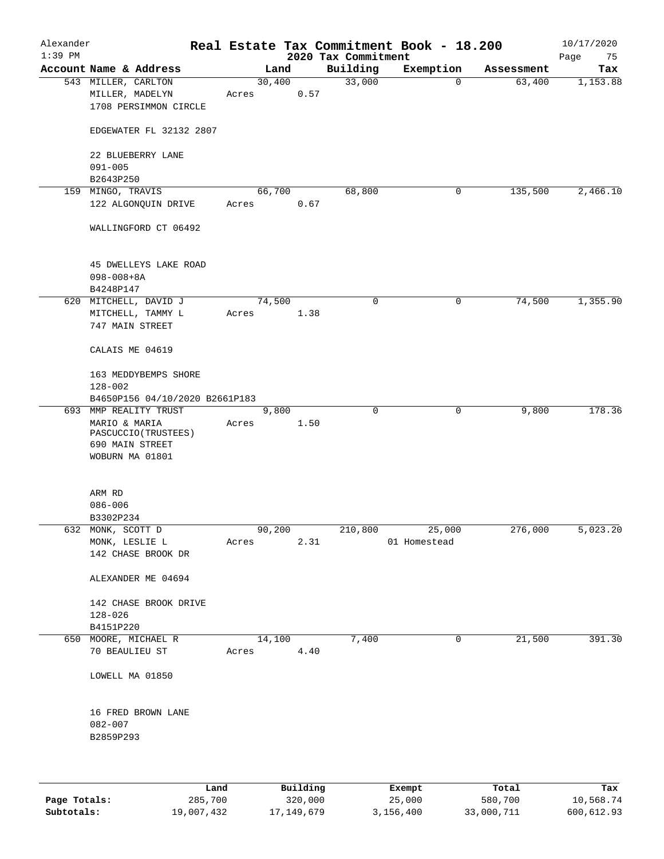| Alexander |                                                                             |       |                 |      |                                 | Real Estate Tax Commitment Book - 18.200 |            | 10/17/2020        |
|-----------|-----------------------------------------------------------------------------|-------|-----------------|------|---------------------------------|------------------------------------------|------------|-------------------|
| $1:39$ PM | Account Name & Address                                                      |       | Land            |      | 2020 Tax Commitment<br>Building | Exemption                                | Assessment | Page<br>75<br>Tax |
|           | 543 MILLER, CARLTON<br>MILLER, MADELYN                                      | Acres | 30,400          | 0.57 | 33,000                          | $\mathbf 0$                              | 63,400     | 1,153.88          |
|           | 1708 PERSIMMON CIRCLE                                                       |       |                 |      |                                 |                                          |            |                   |
|           | EDGEWATER FL 32132 2807                                                     |       |                 |      |                                 |                                          |            |                   |
|           | 22 BLUEBERRY LANE<br>$091 - 005$                                            |       |                 |      |                                 |                                          |            |                   |
|           | B2643P250                                                                   |       |                 |      |                                 | 0                                        |            | 2,466.10          |
|           | 159 MINGO, TRAVIS<br>122 ALGONQUIN DRIVE                                    | Acres | 66,700          | 0.67 | 68,800                          |                                          | 135,500    |                   |
|           | WALLINGFORD CT 06492                                                        |       |                 |      |                                 |                                          |            |                   |
|           | 45 DWELLEYS LAKE ROAD<br>$098 - 008 + 8A$<br>B4248P147                      |       |                 |      |                                 |                                          |            |                   |
|           | 620 MITCHELL, DAVID J                                                       |       | 74,500          |      | $\mathbf 0$                     | $\mathsf{O}$                             | 74,500     | 1,355.90          |
|           | MITCHELL, TAMMY L<br>747 MAIN STREET                                        | Acres |                 | 1.38 |                                 |                                          |            |                   |
|           | CALAIS ME 04619                                                             |       |                 |      |                                 |                                          |            |                   |
|           | 163 MEDDYBEMPS SHORE<br>$128 - 002$                                         |       |                 |      |                                 |                                          |            |                   |
|           | B4650P156 04/10/2020 B2661P183                                              |       |                 |      |                                 |                                          |            |                   |
|           | 693 MMP REALITY TRUST                                                       |       | 9,800           |      | $\Omega$                        | $\mathbf 0$                              | 9,800      | 178.36            |
|           | MARIO & MARIA<br>PASCUCCIO (TRUSTEES)<br>690 MAIN STREET<br>WOBURN MA 01801 | Acres |                 | 1.50 |                                 |                                          |            |                   |
|           | ARM RD                                                                      |       |                 |      |                                 |                                          |            |                   |
|           | $086 - 006$                                                                 |       |                 |      |                                 |                                          |            |                   |
|           | B3302P234                                                                   |       |                 |      |                                 |                                          |            |                   |
|           | 632 MONK, SCOTT D                                                           |       | 90,200          |      | 210,800                         | 25,000                                   | 276,000    | 5,023.20          |
|           | MONK, LESLIE L<br>142 CHASE BROOK DR                                        | Acres |                 | 2.31 |                                 | 01 Homestead                             |            |                   |
|           | ALEXANDER ME 04694                                                          |       |                 |      |                                 |                                          |            |                   |
|           | 142 CHASE BROOK DRIVE<br>$128 - 026$                                        |       |                 |      |                                 |                                          |            |                   |
|           | B4151P220                                                                   |       |                 |      |                                 |                                          |            |                   |
|           | 650 MOORE, MICHAEL R<br>70 BEAULIEU ST                                      |       | 14,100<br>Acres | 4.40 | 7,400                           | $\mathsf{O}$                             | 21,500     | 391.30            |
|           | LOWELL MA 01850                                                             |       |                 |      |                                 |                                          |            |                   |
|           | 16 FRED BROWN LANE<br>$082 - 007$<br>B2859P293                              |       |                 |      |                                 |                                          |            |                   |
|           |                                                                             |       |                 |      |                                 |                                          |            |                   |
|           |                                                                             |       |                 |      |                                 |                                          |            |                   |

|              | Land       | Building     | Exempt    | Total      | Tax        |
|--------------|------------|--------------|-----------|------------|------------|
| Page Totals: | 285,700    | 320,000      | 25,000    | 580,700    | 10,568.74  |
| Subtotals:   | 19,007,432 | 17, 149, 679 | 3,156,400 | 33,000,711 | 600,612.93 |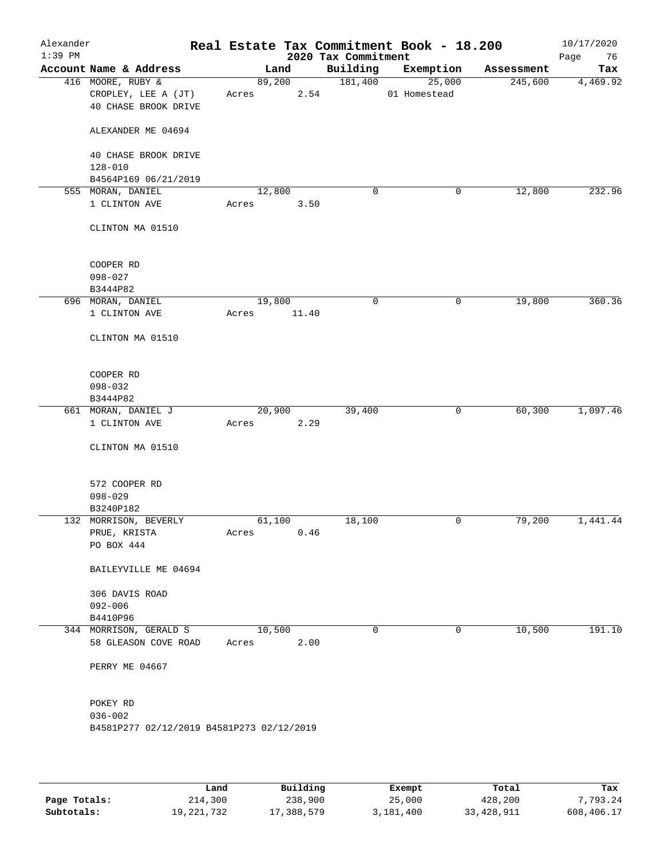| Alexander<br>$1:39$ PM |                                           |        |        | 2020 Tax Commitment | Real Estate Tax Commitment Book - 18.200 |            | 10/17/2020<br>Page<br>76 |
|------------------------|-------------------------------------------|--------|--------|---------------------|------------------------------------------|------------|--------------------------|
|                        | Account Name & Address                    |        | Land   | Building            | Exemption                                | Assessment | Tax                      |
|                        | 416 MOORE, RUBY &                         |        | 89,200 | 181,400             | 25,000                                   | 245,600    | 4,469.92                 |
|                        | CROPLEY, LEE A (JT)                       | Acres  | 2.54   |                     | 01 Homestead                             |            |                          |
|                        | 40 CHASE BROOK DRIVE                      |        |        |                     |                                          |            |                          |
|                        | ALEXANDER ME 04694                        |        |        |                     |                                          |            |                          |
|                        | 40 CHASE BROOK DRIVE                      |        |        |                     |                                          |            |                          |
|                        | $128 - 010$                               |        |        |                     |                                          |            |                          |
|                        | B4564P169 06/21/2019                      |        |        |                     |                                          |            |                          |
|                        | 555 MORAN, DANIEL                         |        | 12,800 | $\mathbf 0$         | 0                                        | 12,800     | 232.96                   |
|                        | 1 CLINTON AVE                             | Acres  | 3.50   |                     |                                          |            |                          |
|                        | CLINTON MA 01510                          |        |        |                     |                                          |            |                          |
|                        | COOPER RD                                 |        |        |                     |                                          |            |                          |
|                        | $098 - 027$                               |        |        |                     |                                          |            |                          |
|                        | B3444P82                                  |        |        |                     |                                          |            |                          |
|                        | 696 MORAN, DANIEL                         | 19,800 |        | 0                   | 0                                        | 19,800     | 360.36                   |
|                        | 1 CLINTON AVE                             | Acres  | 11.40  |                     |                                          |            |                          |
|                        | CLINTON MA 01510                          |        |        |                     |                                          |            |                          |
|                        | COOPER RD                                 |        |        |                     |                                          |            |                          |
|                        | $098 - 032$                               |        |        |                     |                                          |            |                          |
|                        | B3444P82                                  |        |        |                     |                                          |            |                          |
|                        | 661 MORAN, DANIEL J                       |        | 20,900 | 39,400              | $\mathsf{O}$                             | 60, 300    | 1,097.46                 |
|                        | 1 CLINTON AVE                             | Acres  | 2.29   |                     |                                          |            |                          |
|                        | CLINTON MA 01510                          |        |        |                     |                                          |            |                          |
|                        | 572 COOPER RD                             |        |        |                     |                                          |            |                          |
|                        | $098 - 029$                               |        |        |                     |                                          |            |                          |
|                        | B3240P182                                 |        |        |                     |                                          |            |                          |
|                        | 132 MORRISON, BEVERLY                     | 61,100 |        | 18,100              | 0                                        | 79,200     | 1,441.44                 |
|                        | PRUE, KRISTA                              | Acres  | 0.46   |                     |                                          |            |                          |
|                        | PO BOX 444                                |        |        |                     |                                          |            |                          |
|                        | BAILEYVILLE ME 04694                      |        |        |                     |                                          |            |                          |
|                        | 306 DAVIS ROAD                            |        |        |                     |                                          |            |                          |
|                        | $092 - 006$                               |        |        |                     |                                          |            |                          |
|                        | B4410P96                                  |        |        |                     |                                          |            |                          |
|                        | 344 MORRISON, GERALD S                    | 10,500 |        | $\mathbf 0$         | 0                                        | 10,500     | 191.10                   |
|                        | 58 GLEASON COVE ROAD                      | Acres  | 2.00   |                     |                                          |            |                          |
|                        | PERRY ME 04667                            |        |        |                     |                                          |            |                          |
|                        | POKEY RD                                  |        |        |                     |                                          |            |                          |
|                        | $036 - 002$                               |        |        |                     |                                          |            |                          |
|                        | B4581P277 02/12/2019 B4581P273 02/12/2019 |        |        |                     |                                          |            |                          |
|                        |                                           |        |        |                     |                                          |            |                          |
|                        |                                           |        |        |                     |                                          |            |                          |

|              | Land       | Building   | Exempt    | Total      | Tax        |
|--------------|------------|------------|-----------|------------|------------|
| Page Totals: | 214,300    | 238,900    | 25,000    | 428,200    | 7.793.24   |
| Subtotals:   | 19,221,732 | 17,388,579 | 3,181,400 | 33,428,911 | 608,406.17 |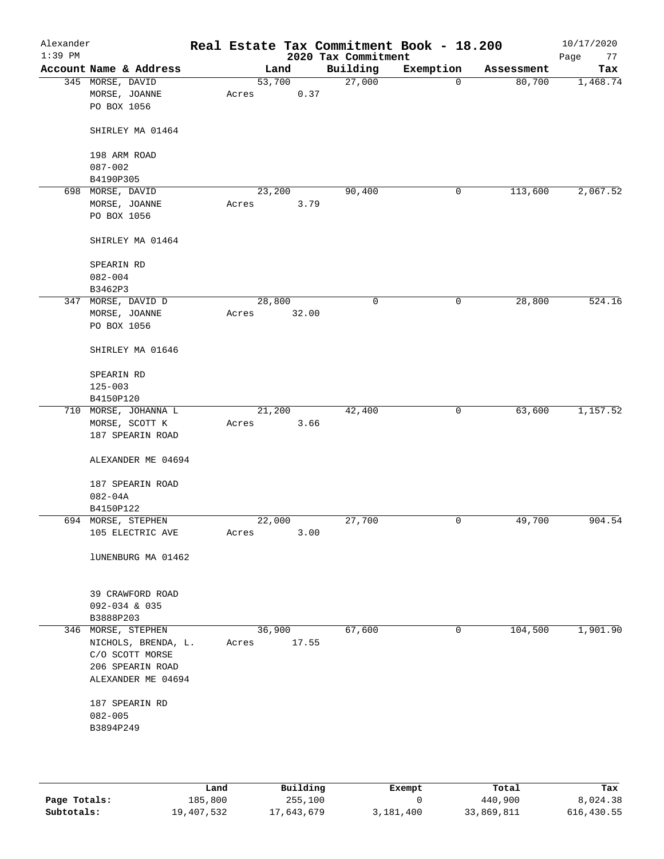| Alexander<br>$1:39$ PM |                        |        |        | 2020 Tax Commitment | Real Estate Tax Commitment Book - 18.200 |            | 10/17/2020<br>Page<br>77 |
|------------------------|------------------------|--------|--------|---------------------|------------------------------------------|------------|--------------------------|
|                        | Account Name & Address |        | Land   | Building            | Exemption                                | Assessment | Tax                      |
|                        | 345 MORSE, DAVID       | 53,700 |        | 27,000              | 0                                        | 80,700     | 1,468.74                 |
|                        | MORSE, JOANNE          | Acres  | 0.37   |                     |                                          |            |                          |
|                        | PO BOX 1056            |        |        |                     |                                          |            |                          |
|                        |                        |        |        |                     |                                          |            |                          |
|                        | SHIRLEY MA 01464       |        |        |                     |                                          |            |                          |
|                        |                        |        |        |                     |                                          |            |                          |
|                        | 198 ARM ROAD           |        |        |                     |                                          |            |                          |
|                        | $087 - 002$            |        |        |                     |                                          |            |                          |
|                        | B4190P305              |        |        |                     |                                          |            |                          |
|                        | 698 MORSE, DAVID       |        | 23,200 | 90,400              | 0                                        | 113,600    | 2,067.52                 |
|                        | MORSE, JOANNE          | Acres  | 3.79   |                     |                                          |            |                          |
|                        | PO BOX 1056            |        |        |                     |                                          |            |                          |
|                        |                        |        |        |                     |                                          |            |                          |
|                        | SHIRLEY MA 01464       |        |        |                     |                                          |            |                          |
|                        |                        |        |        |                     |                                          |            |                          |
|                        | SPEARIN RD             |        |        |                     |                                          |            |                          |
|                        | $082 - 004$            |        |        |                     |                                          |            |                          |
|                        | B3462P3                |        |        |                     |                                          |            |                          |
|                        | 347 MORSE, DAVID D     | 28,800 |        | 0                   | 0                                        | 28,800     | 524.16                   |
|                        | MORSE, JOANNE          | Acres  | 32.00  |                     |                                          |            |                          |
|                        | PO BOX 1056            |        |        |                     |                                          |            |                          |
|                        |                        |        |        |                     |                                          |            |                          |
|                        | SHIRLEY MA 01646       |        |        |                     |                                          |            |                          |
|                        |                        |        |        |                     |                                          |            |                          |
|                        | SPEARIN RD             |        |        |                     |                                          |            |                          |
|                        | $125 - 003$            |        |        |                     |                                          |            |                          |
|                        | B4150P120              |        |        |                     |                                          |            |                          |
|                        | 710 MORSE, JOHANNA L   |        | 21,200 | 42,400              | 0                                        | 63,600     | 1,157.52                 |
|                        | MORSE, SCOTT K         | Acres  | 3.66   |                     |                                          |            |                          |
|                        | 187 SPEARIN ROAD       |        |        |                     |                                          |            |                          |
|                        |                        |        |        |                     |                                          |            |                          |
|                        | ALEXANDER ME 04694     |        |        |                     |                                          |            |                          |
|                        |                        |        |        |                     |                                          |            |                          |
|                        | 187 SPEARIN ROAD       |        |        |                     |                                          |            |                          |
|                        | $082 - 04A$            |        |        |                     |                                          |            |                          |
|                        | B4150P122              |        |        |                     |                                          |            |                          |
|                        | 694 MORSE, STEPHEN     | 22,000 |        | 27,700              | 0                                        | 49,700     | 904.54                   |
|                        | 105 ELECTRIC AVE       | Acres  | 3.00   |                     |                                          |            |                          |
|                        |                        |        |        |                     |                                          |            |                          |
|                        | lUNENBURG MA 01462     |        |        |                     |                                          |            |                          |
|                        |                        |        |        |                     |                                          |            |                          |
|                        |                        |        |        |                     |                                          |            |                          |
|                        | 39 CRAWFORD ROAD       |        |        |                     |                                          |            |                          |
|                        | $092 - 034$ & 035      |        |        |                     |                                          |            |                          |
|                        | B3888P203              |        |        |                     |                                          |            |                          |
|                        | 346 MORSE, STEPHEN     |        | 36,900 | 67,600              | 0                                        | 104,500    | 1,901.90                 |
|                        | NICHOLS, BRENDA, L.    | Acres  | 17.55  |                     |                                          |            |                          |
|                        | C/O SCOTT MORSE        |        |        |                     |                                          |            |                          |
|                        | 206 SPEARIN ROAD       |        |        |                     |                                          |            |                          |
|                        | ALEXANDER ME 04694     |        |        |                     |                                          |            |                          |
|                        |                        |        |        |                     |                                          |            |                          |
|                        | 187 SPEARIN RD         |        |        |                     |                                          |            |                          |
|                        | $082 - 005$            |        |        |                     |                                          |            |                          |
|                        | B3894P249              |        |        |                     |                                          |            |                          |
|                        |                        |        |        |                     |                                          |            |                          |
|                        |                        |        |        |                     |                                          |            |                          |
|                        |                        |        |        |                     |                                          |            |                          |

|              | Land       | Building   | Exempt    | Total      | Tax        |
|--------------|------------|------------|-----------|------------|------------|
| Page Totals: | 185,800    | 255,100    |           | 440,900    | 8,024.38   |
| Subtotals:   | 19,407,532 | 17,643,679 | 3,181,400 | 33,869,811 | 616,430.55 |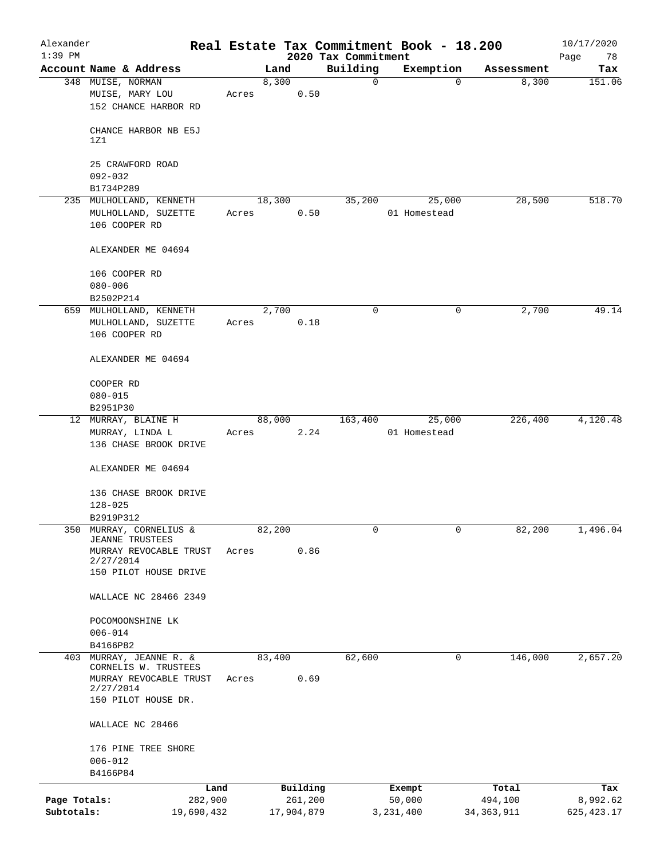| Alexander    |                                                  |         |       |               |            |                     | Real Estate Tax Commitment Book - 18.200 |                     | 10/17/2020  |
|--------------|--------------------------------------------------|---------|-------|---------------|------------|---------------------|------------------------------------------|---------------------|-------------|
| $1:39$ PM    | Account Name & Address                           |         |       |               |            | 2020 Tax Commitment |                                          |                     | Page<br>78  |
|              | 348 MUISE, NORMAN                                |         |       | Land<br>8,300 |            | Building<br>0       | Exemption<br>0                           | Assessment<br>8,300 | Tax         |
|              | MUISE, MARY LOU<br>152 CHANCE HARBOR RD          |         | Acres |               | 0.50       |                     |                                          |                     | 151.06      |
|              | CHANCE HARBOR NB E5J<br>1Z1                      |         |       |               |            |                     |                                          |                     |             |
|              | 25 CRAWFORD ROAD                                 |         |       |               |            |                     |                                          |                     |             |
|              | $092 - 032$<br>B1734P289                         |         |       |               |            |                     |                                          |                     |             |
|              | 235 MULHOLLAND, KENNETH                          |         |       | 18,300        |            | 35,200              | 25,000                                   | 28,500              | 518.70      |
|              | MULHOLLAND, SUZETTE                              |         | Acres |               | 0.50       |                     | 01 Homestead                             |                     |             |
|              | 106 COOPER RD                                    |         |       |               |            |                     |                                          |                     |             |
|              | ALEXANDER ME 04694                               |         |       |               |            |                     |                                          |                     |             |
|              | 106 COOPER RD                                    |         |       |               |            |                     |                                          |                     |             |
|              | $080 - 006$                                      |         |       |               |            |                     |                                          |                     |             |
|              | B2502P214                                        |         |       |               |            |                     |                                          |                     |             |
|              | 659 MULHOLLAND, KENNETH                          |         |       | 2,700         |            | 0                   | 0                                        | 2,700               | 49.14       |
|              | MULHOLLAND, SUZETTE<br>106 COOPER RD             |         | Acres |               | 0.18       |                     |                                          |                     |             |
|              | ALEXANDER ME 04694                               |         |       |               |            |                     |                                          |                     |             |
|              | COOPER RD                                        |         |       |               |            |                     |                                          |                     |             |
|              | $080 - 015$                                      |         |       |               |            |                     |                                          |                     |             |
|              | B2951P30                                         |         |       |               |            |                     |                                          |                     |             |
|              | 12 MURRAY, BLAINE H                              |         |       | 88,000        |            | 163,400             | 25,000                                   | 226,400             | 4,120.48    |
|              | MURRAY, LINDA L<br>136 CHASE BROOK DRIVE         |         | Acres |               | 2.24       |                     | 01 Homestead                             |                     |             |
|              |                                                  |         |       |               |            |                     |                                          |                     |             |
|              | ALEXANDER ME 04694                               |         |       |               |            |                     |                                          |                     |             |
|              | 136 CHASE BROOK DRIVE<br>$128 - 025$             |         |       |               |            |                     |                                          |                     |             |
|              | B2919P312                                        |         |       |               |            |                     |                                          |                     |             |
|              | 350 MURRAY, CORNELIUS &                          |         |       | 82,200        |            | 0                   | $\mathbf{0}$                             | 82,200              | 1,496.04    |
|              | <b>JEANNE TRUSTEES</b><br>MURRAY REVOCABLE TRUST |         | Acres |               | 0.86       |                     |                                          |                     |             |
|              | 2/27/2014                                        |         |       |               |            |                     |                                          |                     |             |
|              | 150 PILOT HOUSE DRIVE                            |         |       |               |            |                     |                                          |                     |             |
|              | WALLACE NC 28466 2349                            |         |       |               |            |                     |                                          |                     |             |
|              | POCOMOONSHINE LK                                 |         |       |               |            |                     |                                          |                     |             |
|              | $006 - 014$                                      |         |       |               |            |                     |                                          |                     |             |
|              | B4166P82                                         |         |       |               |            |                     |                                          |                     |             |
|              | 403 MURRAY, JEANNE R. &<br>CORNELIS W. TRUSTEES  |         |       | 83,400        |            | 62,600              | 0                                        | 146,000             | 2,657.20    |
|              | MURRAY REVOCABLE TRUST                           |         | Acres |               | 0.69       |                     |                                          |                     |             |
|              | 2/27/2014<br>150 PILOT HOUSE DR.                 |         |       |               |            |                     |                                          |                     |             |
|              | WALLACE NC 28466                                 |         |       |               |            |                     |                                          |                     |             |
|              | 176 PINE TREE SHORE                              |         |       |               |            |                     |                                          |                     |             |
|              | $006 - 012$                                      |         |       |               |            |                     |                                          |                     |             |
|              | B4166P84                                         |         |       |               |            |                     |                                          |                     |             |
|              |                                                  | Land    |       |               | Building   |                     | Exempt                                   | Total               | Tax         |
| Page Totals: |                                                  | 282,900 |       |               | 261,200    |                     | 50,000                                   | 494,100             | 8,992.62    |
| Subtotals:   | 19,690,432                                       |         |       |               | 17,904,879 |                     | 3,231,400                                | 34, 363, 911        | 625, 423.17 |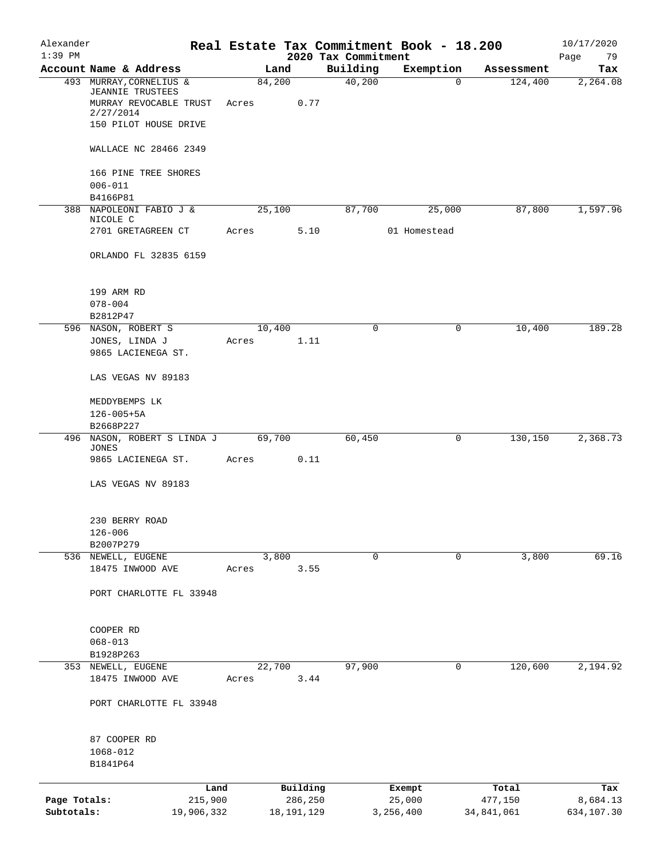| Alexander    |                                                   |            |       |        |              |                                 | Real Estate Tax Commitment Book - 18.200 |            | 10/17/2020        |
|--------------|---------------------------------------------------|------------|-------|--------|--------------|---------------------------------|------------------------------------------|------------|-------------------|
| $1:39$ PM    | Account Name & Address                            |            |       | Land   |              | 2020 Tax Commitment<br>Building | Exemption                                | Assessment | Page<br>79<br>Tax |
|              | 493 MURRAY, CORNELIUS &                           |            |       | 84,200 |              | 40,200                          | $\mathbf 0$                              | 124,400    | 2,264.08          |
|              | <b>JEANNIE TRUSTEES</b><br>MURRAY REVOCABLE TRUST |            | Acres |        | 0.77         |                                 |                                          |            |                   |
|              | 2/27/2014<br>150 PILOT HOUSE DRIVE                |            |       |        |              |                                 |                                          |            |                   |
|              | WALLACE NC 28466 2349                             |            |       |        |              |                                 |                                          |            |                   |
|              | 166 PINE TREE SHORES<br>$006 - 011$               |            |       |        |              |                                 |                                          |            |                   |
|              | B4166P81                                          |            |       |        |              |                                 |                                          |            |                   |
| 388          | NAPOLEONI FABIO J &<br>NICOLE C                   |            |       | 25,100 |              | 87,700                          | 25,000                                   | 87,800     | 1,597.96          |
|              | 2701 GRETAGREEN CT                                |            | Acres |        | 5.10         |                                 | 01 Homestead                             |            |                   |
|              | ORLANDO FL 32835 6159                             |            |       |        |              |                                 |                                          |            |                   |
|              | 199 ARM RD                                        |            |       |        |              |                                 |                                          |            |                   |
|              | $078 - 004$                                       |            |       |        |              |                                 |                                          |            |                   |
|              | B2812P47                                          |            |       | 10,400 |              | 0                               |                                          | 10,400     | 189.28            |
|              | 596 NASON, ROBERT S<br>JONES, LINDA J             |            | Acres |        | 1.11         |                                 | 0                                        |            |                   |
|              | 9865 LACIENEGA ST.                                |            |       |        |              |                                 |                                          |            |                   |
|              | LAS VEGAS NV 89183                                |            |       |        |              |                                 |                                          |            |                   |
|              | MEDDYBEMPS LK                                     |            |       |        |              |                                 |                                          |            |                   |
|              | $126 - 005 + 5A$                                  |            |       |        |              |                                 |                                          |            |                   |
|              | B2668P227                                         |            |       | 69,700 |              | 60,450                          | $\mathbf 0$                              | 130,150    | 2,368.73          |
|              | 496 NASON, ROBERT S LINDA J<br><b>JONES</b>       |            |       |        |              |                                 |                                          |            |                   |
|              | 9865 LACIENEGA ST.                                |            | Acres |        | 0.11         |                                 |                                          |            |                   |
|              | LAS VEGAS NV 89183                                |            |       |        |              |                                 |                                          |            |                   |
|              | 230 BERRY ROAD                                    |            |       |        |              |                                 |                                          |            |                   |
|              | $126 - 006$                                       |            |       |        |              |                                 |                                          |            |                   |
|              | B2007P279<br>536 NEWELL, EUGENE                   |            |       | 3,800  |              | 0                               | 0                                        | 3,800      | 69.16             |
|              | 18475 INWOOD AVE                                  |            | Acres |        | 3.55         |                                 |                                          |            |                   |
|              | PORT CHARLOTTE FL 33948                           |            |       |        |              |                                 |                                          |            |                   |
|              |                                                   |            |       |        |              |                                 |                                          |            |                   |
|              | COOPER RD                                         |            |       |        |              |                                 |                                          |            |                   |
|              | $068 - 013$<br>B1928P263                          |            |       |        |              |                                 |                                          |            |                   |
| 353          | NEWELL, EUGENE                                    |            |       | 22,700 |              | 97,900                          | 0                                        | 120,600    | 2,194.92          |
|              | 18475 INWOOD AVE                                  |            | Acres |        | 3.44         |                                 |                                          |            |                   |
|              | PORT CHARLOTTE FL 33948                           |            |       |        |              |                                 |                                          |            |                   |
|              | 87 COOPER RD                                      |            |       |        |              |                                 |                                          |            |                   |
|              | 1068-012<br>B1841P64                              |            |       |        |              |                                 |                                          |            |                   |
|              |                                                   | Land       |       |        | Building     |                                 | Exempt                                   | Total      | Tax               |
| Page Totals: |                                                   | 215,900    |       |        | 286,250      |                                 | 25,000                                   | 477,150    | 8,684.13          |
| Subtotals:   |                                                   | 19,906,332 |       |        | 18, 191, 129 |                                 | 3,256,400                                | 34,841,061 | 634,107.30        |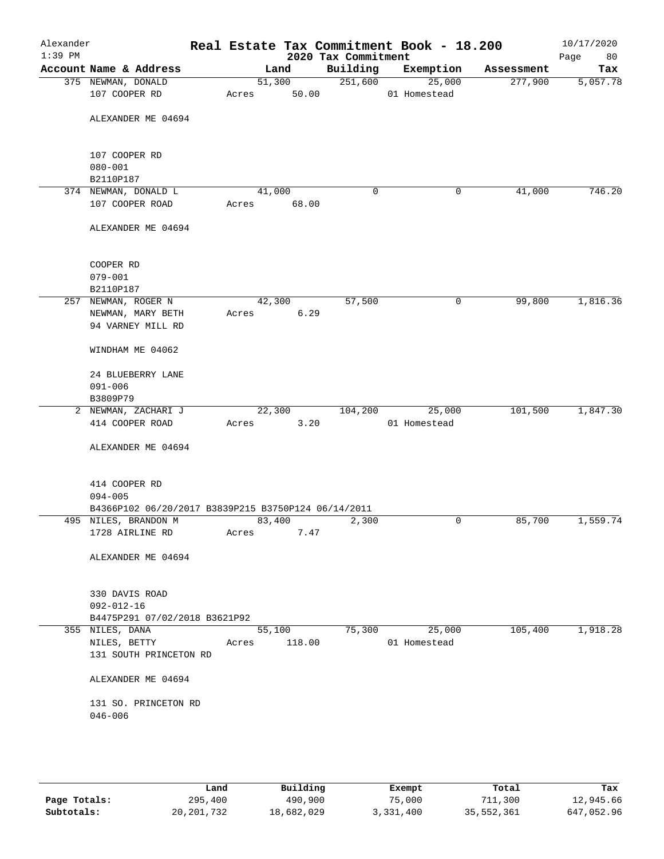| Alexander<br>$1:39$ PM |                                                     |       |                 | 2020 Tax Commitment | Real Estate Tax Commitment Book - 18.200 |            | 10/17/2020<br>80<br>Page |
|------------------------|-----------------------------------------------------|-------|-----------------|---------------------|------------------------------------------|------------|--------------------------|
|                        | Account Name & Address                              |       | Land            | Building            | Exemption                                | Assessment | Tax                      |
|                        | 375 NEWMAN, DONALD<br>107 COOPER RD                 | Acres | 51,300<br>50.00 | 251,600             | 25,000<br>01 Homestead                   | 277,900    | 5,057.78                 |
|                        | ALEXANDER ME 04694                                  |       |                 |                     |                                          |            |                          |
|                        | 107 COOPER RD                                       |       |                 |                     |                                          |            |                          |
|                        | $080 - 001$<br>B2110P187                            |       |                 |                     |                                          |            |                          |
|                        | 374 NEWMAN, DONALD L                                |       | 41,000          | 0                   | 0                                        | 41,000     | 746.20                   |
|                        | 107 COOPER ROAD                                     | Acres | 68.00           |                     |                                          |            |                          |
|                        | ALEXANDER ME 04694                                  |       |                 |                     |                                          |            |                          |
|                        | COOPER RD                                           |       |                 |                     |                                          |            |                          |
|                        | $079 - 001$                                         |       |                 |                     |                                          |            |                          |
|                        | B2110P187<br>257 NEWMAN, ROGER N                    |       | 42,300          | 57,500              | 0                                        | 99,800     | 1,816.36                 |
|                        | NEWMAN, MARY BETH                                   | Acres | 6.29            |                     |                                          |            |                          |
|                        | 94 VARNEY MILL RD                                   |       |                 |                     |                                          |            |                          |
|                        | WINDHAM ME 04062                                    |       |                 |                     |                                          |            |                          |
|                        | 24 BLUEBERRY LANE                                   |       |                 |                     |                                          |            |                          |
|                        | $091 - 006$                                         |       |                 |                     |                                          |            |                          |
|                        | B3809P79                                            |       |                 |                     |                                          |            |                          |
|                        | 2 NEWMAN, ZACHARI J                                 |       | 22,300          | 104,200             | 25,000                                   | 101,500    | 1,847.30                 |
|                        | 414 COOPER ROAD                                     | Acres | 3.20            |                     | 01 Homestead                             |            |                          |
|                        | ALEXANDER ME 04694                                  |       |                 |                     |                                          |            |                          |
|                        | 414 COOPER RD                                       |       |                 |                     |                                          |            |                          |
|                        | $094 - 005$                                         |       |                 |                     |                                          |            |                          |
|                        | B4366P102 06/20/2017 B3839P215 B3750P124 06/14/2011 |       |                 |                     |                                          |            |                          |
|                        | 495 NILES, BRANDON M                                |       | 83,400          | 2,300               | 0                                        | 85,700     | 1,559.74                 |
|                        | 1728 AIRLINE RD                                     | Acres | 7.47            |                     |                                          |            |                          |
|                        | ALEXANDER ME 04694                                  |       |                 |                     |                                          |            |                          |
|                        | 330 DAVIS ROAD                                      |       |                 |                     |                                          |            |                          |
|                        | $092 - 012 - 16$<br>B4475P291 07/02/2018 B3621P92   |       |                 |                     |                                          |            |                          |
|                        | 355 NILES, DANA                                     |       | 55,100          | 75,300              | 25,000                                   | 105,400    | 1,918.28                 |
|                        | NILES, BETTY                                        | Acres | 118.00          |                     | 01 Homestead                             |            |                          |
|                        | 131 SOUTH PRINCETON RD                              |       |                 |                     |                                          |            |                          |
|                        | ALEXANDER ME 04694                                  |       |                 |                     |                                          |            |                          |
|                        | 131 SO. PRINCETON RD<br>$046 - 006$                 |       |                 |                     |                                          |            |                          |
|                        |                                                     |       |                 |                     |                                          |            |                          |

|              | Land         | Building   | Exempt    | Total      | Tax        |
|--------------|--------------|------------|-----------|------------|------------|
| Page Totals: | 295,400      | 490,900    | 75,000    | 711,300    | 12,945.66  |
| Subtotals:   | 20, 201, 732 | 18,682,029 | 3,331,400 | 35,552,361 | 647,052.96 |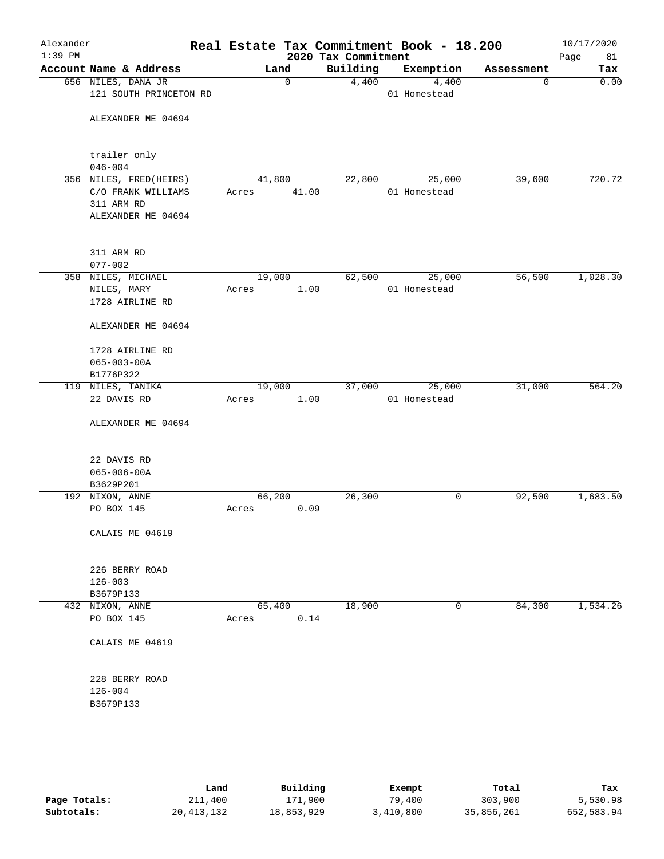| Alexander<br>$1:39$ PM |                                                                                  | Real Estate Tax Commitment Book - 18.200 | 2020 Tax Commitment |                        |            | 10/17/2020<br>Page<br>81 |
|------------------------|----------------------------------------------------------------------------------|------------------------------------------|---------------------|------------------------|------------|--------------------------|
|                        | Account Name & Address                                                           | Land                                     | Building            | Exemption              | Assessment | Tax                      |
|                        | 656 NILES, DANA JR<br>121 SOUTH PRINCETON RD                                     | 0                                        | 4,400               | 4,400<br>01 Homestead  | 0          | 0.00                     |
|                        | ALEXANDER ME 04694                                                               |                                          |                     |                        |            |                          |
|                        | trailer only                                                                     |                                          |                     |                        |            |                          |
|                        | $046 - 004$                                                                      |                                          |                     |                        |            |                          |
|                        | 356 NILES, FRED(HEIRS)<br>C/O FRANK WILLIAMS<br>311 ARM RD<br>ALEXANDER ME 04694 | 41,800<br>41.00<br>Acres                 | 22,800              | 25,000<br>01 Homestead | 39,600     | 720.72                   |
|                        | 311 ARM RD                                                                       |                                          |                     |                        |            |                          |
|                        | $077 - 002$                                                                      |                                          |                     |                        |            |                          |
|                        | 358 NILES, MICHAEL<br>NILES, MARY<br>1728 AIRLINE RD                             | 19,000<br>1.00<br>Acres                  | 62,500              | 25,000<br>01 Homestead | 56,500     | 1,028.30                 |
|                        | ALEXANDER ME 04694                                                               |                                          |                     |                        |            |                          |
|                        | 1728 AIRLINE RD<br>$065 - 003 - 00A$<br>B1776P322                                |                                          |                     |                        |            |                          |
|                        | 119 NILES, TANIKA                                                                | 19,000                                   | 37,000              | 25,000                 | 31,000     | 564.20                   |
|                        | 22 DAVIS RD                                                                      | 1.00<br>Acres                            |                     | 01 Homestead           |            |                          |
|                        | ALEXANDER ME 04694                                                               |                                          |                     |                        |            |                          |
|                        | 22 DAVIS RD<br>$065 - 006 - 00A$                                                 |                                          |                     |                        |            |                          |
|                        | B3629P201                                                                        |                                          |                     |                        |            |                          |
|                        | 192 NIXON, ANNE                                                                  | 66,200                                   | 26,300              | 0                      | 92,500     | 1,683.50                 |
|                        | PO BOX 145                                                                       | 0.09<br>Acres                            |                     |                        |            |                          |
|                        | CALAIS ME 04619                                                                  |                                          |                     |                        |            |                          |
|                        | 226 BERRY ROAD<br>$126 - 003$                                                    |                                          |                     |                        |            |                          |
|                        | B3679P133                                                                        |                                          |                     |                        |            |                          |
|                        | 432 NIXON, ANNE                                                                  | 65,400                                   | 18,900              | 0                      | 84,300     | 1,534.26                 |
|                        | PO BOX 145                                                                       | 0.14<br>Acres                            |                     |                        |            |                          |
|                        | CALAIS ME 04619                                                                  |                                          |                     |                        |            |                          |
|                        | 228 BERRY ROAD                                                                   |                                          |                     |                        |            |                          |
|                        | $126 - 004$<br>B3679P133                                                         |                                          |                     |                        |            |                          |
|                        |                                                                                  |                                          |                     |                        |            |                          |

|              | Land       | Building   | Exempt    | Total      | Tax        |
|--------------|------------|------------|-----------|------------|------------|
| Page Totals: | 211,400    | 171,900    | 79,400    | 303,900    | 5,530.98   |
| Subtotals:   | 20,413,132 | 18,853,929 | 3,410,800 | 35,856,261 | 652,583.94 |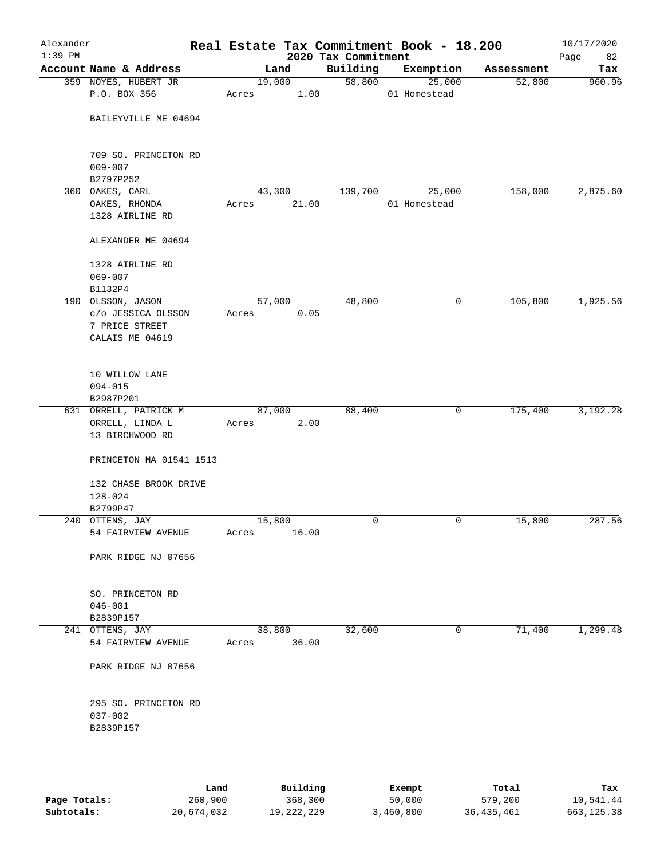| Alexander<br>$1:39$ PM |                          |       |        | 2020 Tax Commitment | Real Estate Tax Commitment Book - 18.200 |            | 10/17/2020<br>Page<br>82 |
|------------------------|--------------------------|-------|--------|---------------------|------------------------------------------|------------|--------------------------|
|                        | Account Name & Address   |       | Land   | Building            | Exemption                                | Assessment | Tax                      |
|                        | 359 NOYES, HUBERT JR     |       | 19,000 | 58,800              | 25,000                                   | 52,800     | 960.96                   |
|                        | P.O. BOX 356             | Acres | 1.00   |                     | 01 Homestead                             |            |                          |
|                        |                          |       |        |                     |                                          |            |                          |
|                        | BAILEYVILLE ME 04694     |       |        |                     |                                          |            |                          |
|                        | 709 SO. PRINCETON RD     |       |        |                     |                                          |            |                          |
|                        | $009 - 007$              |       |        |                     |                                          |            |                          |
|                        | B2797P252                |       |        |                     |                                          |            |                          |
|                        | 360 OAKES, CARL          |       | 43,300 | 139,700             | 25,000                                   | 158,000    | 2,875.60                 |
|                        | OAKES, RHONDA            | Acres | 21.00  |                     | 01 Homestead                             |            |                          |
|                        | 1328 AIRLINE RD          |       |        |                     |                                          |            |                          |
|                        | ALEXANDER ME 04694       |       |        |                     |                                          |            |                          |
|                        | 1328 AIRLINE RD          |       |        |                     |                                          |            |                          |
|                        | $069 - 007$              |       |        |                     |                                          |            |                          |
|                        | B1132P4                  |       |        |                     |                                          |            |                          |
|                        | 190 OLSSON, JASON        |       | 57,000 | 48,800              | 0                                        | 105,800    | 1,925.56                 |
|                        | c/o JESSICA OLSSON       | Acres | 0.05   |                     |                                          |            |                          |
|                        | 7 PRICE STREET           |       |        |                     |                                          |            |                          |
|                        | CALAIS ME 04619          |       |        |                     |                                          |            |                          |
|                        | 10 WILLOW LANE           |       |        |                     |                                          |            |                          |
|                        | $094 - 015$              |       |        |                     |                                          |            |                          |
|                        | B2987P201                |       |        |                     |                                          |            |                          |
|                        | 631 ORRELL, PATRICK M    |       | 87,000 | 88,400              | 0                                        | 175,400    | 3,192.28                 |
|                        | ORRELL, LINDA L          | Acres | 2.00   |                     |                                          |            |                          |
|                        | 13 BIRCHWOOD RD          |       |        |                     |                                          |            |                          |
|                        |                          |       |        |                     |                                          |            |                          |
|                        | PRINCETON MA 01541 1513  |       |        |                     |                                          |            |                          |
|                        | 132 CHASE BROOK DRIVE    |       |        |                     |                                          |            |                          |
|                        | $128 - 024$              |       |        |                     |                                          |            |                          |
|                        | B2799P47                 |       |        |                     |                                          |            |                          |
|                        | 240 OTTENS, JAY          |       | 15,800 | 0                   | 0                                        | 15,800     | 287.56                   |
|                        | 54 FAIRVIEW AVENUE       | Acres | 16.00  |                     |                                          |            |                          |
|                        | PARK RIDGE NJ 07656      |       |        |                     |                                          |            |                          |
|                        |                          |       |        |                     |                                          |            |                          |
|                        | SO. PRINCETON RD         |       |        |                     |                                          |            |                          |
|                        | $046 - 001$              |       |        |                     |                                          |            |                          |
|                        | B2839P157                |       |        |                     |                                          |            |                          |
|                        | 241 OTTENS, JAY          |       | 38,800 | 32,600              | 0                                        | 71,400     | 1,299.48                 |
|                        | 54 FAIRVIEW AVENUE       | Acres | 36.00  |                     |                                          |            |                          |
|                        | PARK RIDGE NJ 07656      |       |        |                     |                                          |            |                          |
|                        |                          |       |        |                     |                                          |            |                          |
|                        | 295 SO. PRINCETON RD     |       |        |                     |                                          |            |                          |
|                        | $037 - 002$<br>B2839P157 |       |        |                     |                                          |            |                          |
|                        |                          |       |        |                     |                                          |            |                          |
|                        |                          |       |        |                     |                                          |            |                          |
|                        |                          |       |        |                     |                                          |            |                          |

|              | Land       | Building   | Exempt    | Total        | Tax        |
|--------------|------------|------------|-----------|--------------|------------|
| Page Totals: | 260,900    | 368,300    | 50,000    | 579,200      | 10,541.44  |
| Subtotals:   | 20,674,032 | 19,222,229 | 3,460,800 | 36, 435, 461 | 663,125.38 |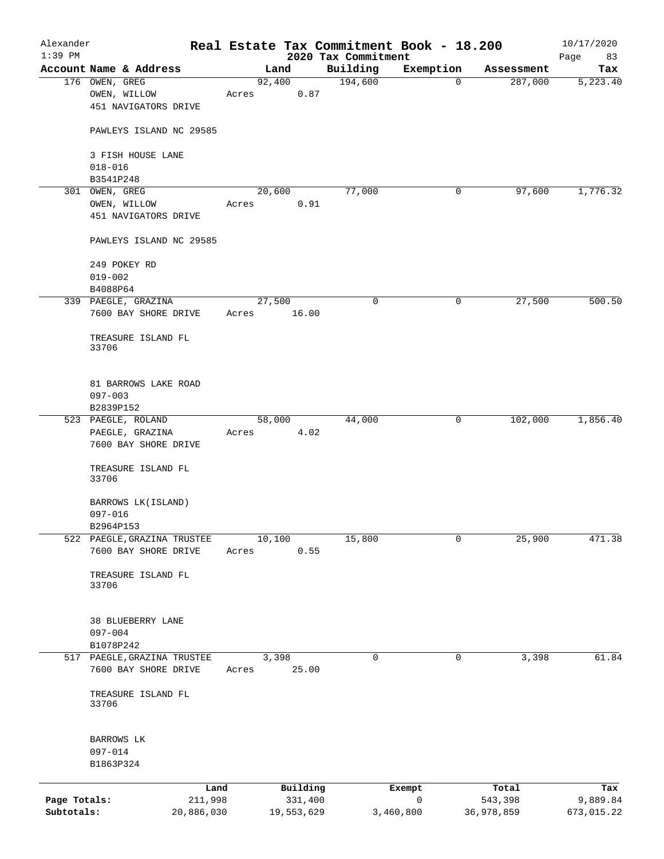| Alexander                  |                                                     |                       |                       |                                 | Real Estate Tax Commitment Book - 18.200 |                       | 10/17/2020             |
|----------------------------|-----------------------------------------------------|-----------------------|-----------------------|---------------------------------|------------------------------------------|-----------------------|------------------------|
| $1:39$ PM                  | Account Name & Address                              |                       | Land                  | 2020 Tax Commitment<br>Building | Exemption                                | Assessment            | Page<br>83<br>Tax      |
|                            | 176 OWEN, GREG<br>OWEN, WILLOW                      | Acres                 | 92,400<br>0.87        | 194,600                         | $\mathbf 0$                              | 287,000               | 5,223.40               |
|                            | 451 NAVIGATORS DRIVE                                |                       |                       |                                 |                                          |                       |                        |
|                            | PAWLEYS ISLAND NC 29585                             |                       |                       |                                 |                                          |                       |                        |
|                            | 3 FISH HOUSE LANE<br>$018 - 016$                    |                       |                       |                                 |                                          |                       |                        |
|                            | B3541P248                                           |                       |                       |                                 |                                          |                       |                        |
|                            | 301 OWEN, GREG                                      |                       | 20,600                | 77,000                          | 0                                        | 97,600                | 1,776.32               |
|                            | OWEN, WILLOW<br>451 NAVIGATORS DRIVE                | Acres                 | 0.91                  |                                 |                                          |                       |                        |
|                            | PAWLEYS ISLAND NC 29585                             |                       |                       |                                 |                                          |                       |                        |
|                            | 249 POKEY RD<br>$019 - 002$                         |                       |                       |                                 |                                          |                       |                        |
|                            | B4088P64                                            |                       |                       |                                 |                                          |                       |                        |
|                            | 339 PAEGLE, GRAZINA                                 |                       | 27,500                | 0                               | 0                                        | 27,500                | 500.50                 |
|                            | 7600 BAY SHORE DRIVE                                | Acres                 | 16.00                 |                                 |                                          |                       |                        |
|                            | TREASURE ISLAND FL<br>33706                         |                       |                       |                                 |                                          |                       |                        |
|                            | 81 BARROWS LAKE ROAD<br>$097 - 003$                 |                       |                       |                                 |                                          |                       |                        |
|                            | B2839P152                                           |                       |                       |                                 |                                          |                       |                        |
|                            | 523 PAEGLE, ROLAND                                  |                       | 58,000                | 44,000                          | 0                                        | 102,000               | 1,856.40               |
|                            | PAEGLE, GRAZINA<br>7600 BAY SHORE DRIVE             | Acres                 | 4.02                  |                                 |                                          |                       |                        |
|                            | TREASURE ISLAND FL<br>33706                         |                       |                       |                                 |                                          |                       |                        |
|                            | BARROWS LK (ISLAND)<br>$097 - 016$                  |                       |                       |                                 |                                          |                       |                        |
|                            | B2964P153                                           |                       |                       |                                 |                                          |                       |                        |
|                            | 522 PAEGLE, GRAZINA TRUSTEE                         |                       | 10,100                | 15,800                          | 0                                        | 25,900                | 471.38                 |
|                            | 7600 BAY SHORE DRIVE                                | Acres                 | 0.55                  |                                 |                                          |                       |                        |
|                            | TREASURE ISLAND FL<br>33706                         |                       |                       |                                 |                                          |                       |                        |
|                            | 38 BLUEBERRY LANE<br>$097 - 004$                    |                       |                       |                                 |                                          |                       |                        |
|                            | B1078P242                                           |                       |                       |                                 |                                          |                       |                        |
|                            | 517 PAEGLE, GRAZINA TRUSTEE<br>7600 BAY SHORE DRIVE | Acres                 | 3,398<br>25.00        | 0                               | 0                                        | 3,398                 | 61.84                  |
|                            | TREASURE ISLAND FL<br>33706                         |                       |                       |                                 |                                          |                       |                        |
|                            |                                                     |                       |                       |                                 |                                          |                       |                        |
|                            | BARROWS LK<br>$097 - 014$                           |                       |                       |                                 |                                          |                       |                        |
|                            | B1863P324                                           |                       |                       |                                 |                                          |                       |                        |
|                            |                                                     | Land                  | Building              |                                 | Exempt                                   | Total                 | Tax                    |
| Page Totals:<br>Subtotals: |                                                     | 211,998<br>20,886,030 | 331,400<br>19,553,629 |                                 | $\mathbf 0$<br>3,460,800                 | 543,398<br>36,978,859 | 9,889.84<br>673,015.22 |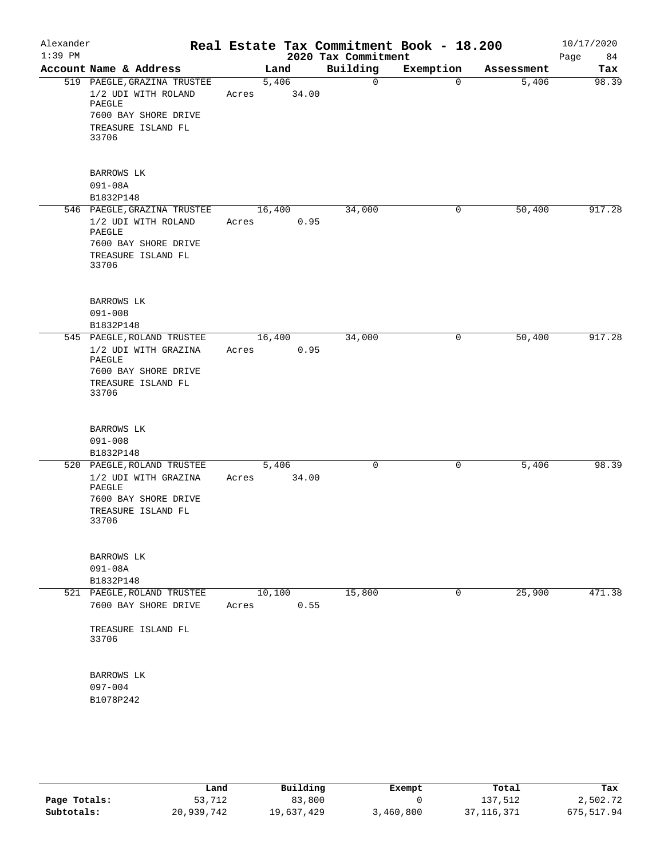| Alexander<br>$1:39$ PM |                                                                                                                                  |       |                | 2020 Tax Commitment | Real Estate Tax Commitment Book - 18.200 |            | 10/17/2020<br>84<br>Page |
|------------------------|----------------------------------------------------------------------------------------------------------------------------------|-------|----------------|---------------------|------------------------------------------|------------|--------------------------|
|                        | Account Name & Address                                                                                                           |       | Land           | Building            | Exemption                                | Assessment | Tax                      |
|                        | 519 PAEGLE, GRAZINA TRUSTEE<br>1/2 UDI WITH ROLAND<br>PAEGLE<br>7600 BAY SHORE DRIVE<br>TREASURE ISLAND FL<br>33706              | Acres | 5,406<br>34.00 | 0                   | $\Omega$                                 | 5,406      | 98.39                    |
|                        | BARROWS LK<br>$091 - 08A$                                                                                                        |       |                |                     |                                          |            |                          |
|                        | B1832P148<br>546 PAEGLE, GRAZINA TRUSTEE<br>1/2 UDI WITH ROLAND<br>PAEGLE<br>7600 BAY SHORE DRIVE<br>TREASURE ISLAND FL<br>33706 | Acres | 16,400<br>0.95 | 34,000              | 0                                        | 50,400     | 917.28                   |
|                        | <b>BARROWS LK</b><br>$091 - 008$<br>B1832P148                                                                                    |       |                |                     |                                          |            |                          |
|                        | 545 PAEGLE, ROLAND TRUSTEE<br>1/2 UDI WITH GRAZINA<br>PAEGLE<br>7600 BAY SHORE DRIVE<br>TREASURE ISLAND FL<br>33706              | Acres | 16,400<br>0.95 | 34,000              | 0                                        | 50,400     | 917.28                   |
|                        | BARROWS LK<br>$091 - 008$<br>B1832P148                                                                                           |       |                |                     |                                          |            |                          |
|                        | 520 PAEGLE, ROLAND TRUSTEE<br>1/2 UDI WITH GRAZINA<br>PAEGLE<br>7600 BAY SHORE DRIVE<br>TREASURE ISLAND FL<br>33706              | Acres | 5,406<br>34.00 | 0                   | 0                                        | 5,406      | 98.39                    |
|                        | BARROWS LK<br>$091 - 08A$<br>B1832P148                                                                                           |       |                |                     |                                          |            |                          |
|                        | 521 PAEGLE, ROLAND TRUSTEE<br>7600 BAY SHORE DRIVE<br>TREASURE ISLAND FL<br>33706                                                | Acres | 10,100<br>0.55 | 15,800              | 0                                        | 25,900     | 471.38                   |
|                        | BARROWS LK<br>$097 - 004$<br>B1078P242                                                                                           |       |                |                     |                                          |            |                          |

|              | Land       | Building   | Exempt    | Total        | Tax         |
|--------------|------------|------------|-----------|--------------|-------------|
| Page Totals: | 53,712     | 83,800     |           | 137,512      | 2,502.72    |
| Subtotals:   | 20,939,742 | 19,637,429 | 3,460,800 | 37, 116, 371 | 675, 517.94 |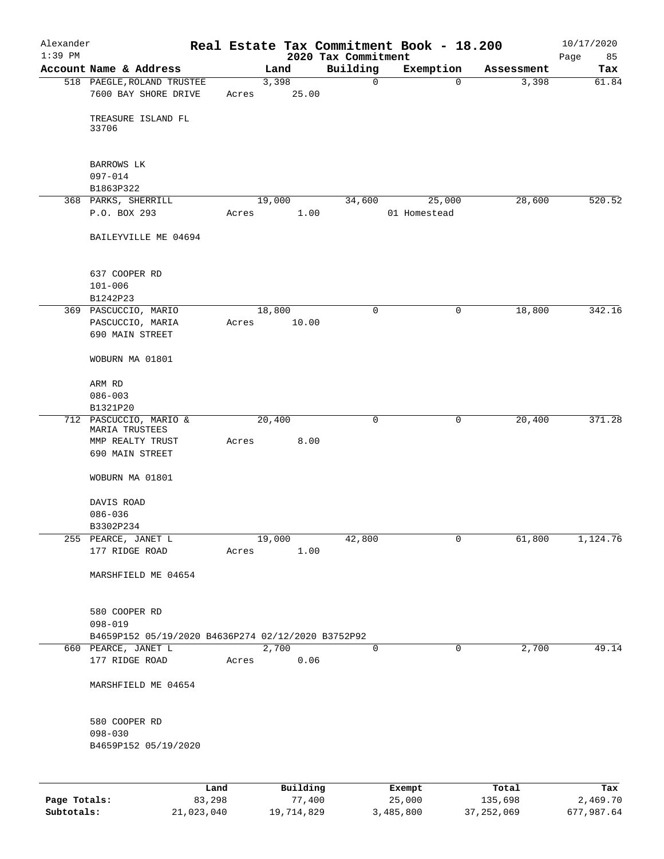| Alexander<br>$1:39$ PM |                                                    |        |               |                                 | Real Estate Tax Commitment Book - 18.200 |            | 10/17/2020        |
|------------------------|----------------------------------------------------|--------|---------------|---------------------------------|------------------------------------------|------------|-------------------|
|                        | Account Name & Address                             |        | Land          | 2020 Tax Commitment<br>Building | Exemption                                | Assessment | Page<br>85<br>Tax |
|                        | 518 PAEGLE, ROLAND TRUSTEE                         |        | 3,398         | 0                               | $\mathbf 0$                              | 3,398      | 61.84             |
|                        | 7600 BAY SHORE DRIVE                               | Acres  | 25.00         |                                 |                                          |            |                   |
|                        | TREASURE ISLAND FL<br>33706                        |        |               |                                 |                                          |            |                   |
|                        | BARROWS LK                                         |        |               |                                 |                                          |            |                   |
|                        | $097 - 014$<br>B1863P322                           |        |               |                                 |                                          |            |                   |
|                        | 368 PARKS, SHERRILL                                |        | 19,000        | 34,600                          | 25,000                                   | 28,600     | 520.52            |
|                        | P.O. BOX 293                                       | Acres  | 1.00          |                                 | 01 Homestead                             |            |                   |
|                        | BAILEYVILLE ME 04694                               |        |               |                                 |                                          |            |                   |
|                        | 637 COOPER RD                                      |        |               |                                 |                                          |            |                   |
|                        | $101 - 006$<br>B1242P23                            |        |               |                                 |                                          |            |                   |
|                        | 369 PASCUCCIO, MARIO                               |        | 18,800        | $\mathsf{O}$                    | 0                                        | 18,800     | 342.16            |
|                        | PASCUCCIO, MARIA                                   | Acres  | 10.00         |                                 |                                          |            |                   |
|                        | 690 MAIN STREET                                    |        |               |                                 |                                          |            |                   |
|                        | WOBURN MA 01801                                    |        |               |                                 |                                          |            |                   |
|                        | ARM RD                                             |        |               |                                 |                                          |            |                   |
|                        | $086 - 003$                                        |        |               |                                 |                                          |            |                   |
|                        | B1321P20                                           |        |               |                                 |                                          |            |                   |
|                        | 712 PASCUCCIO, MARIO &<br>MARIA TRUSTEES           |        | 20,400        | 0                               | 0                                        | 20,400     | 371.28            |
|                        | MMP REALTY TRUST                                   | Acres  | 8.00          |                                 |                                          |            |                   |
|                        | 690 MAIN STREET                                    |        |               |                                 |                                          |            |                   |
|                        | WOBURN MA 01801                                    |        |               |                                 |                                          |            |                   |
|                        | DAVIS ROAD                                         |        |               |                                 |                                          |            |                   |
|                        | $086 - 036$                                        |        |               |                                 |                                          |            |                   |
|                        | B3302P234                                          |        |               |                                 |                                          |            |                   |
|                        | 255 PEARCE, JANET L                                |        | 19,000        | 42,800                          | 0                                        | 61,800     | 1,124.76          |
|                        | 177 RIDGE ROAD                                     | Acres  | 1.00          |                                 |                                          |            |                   |
|                        | MARSHFIELD ME 04654                                |        |               |                                 |                                          |            |                   |
|                        | 580 COOPER RD                                      |        |               |                                 |                                          |            |                   |
|                        | $098 - 019$                                        |        |               |                                 |                                          |            |                   |
|                        | B4659P152 05/19/2020 B4636P274 02/12/2020 B3752P92 |        |               |                                 |                                          |            |                   |
|                        | 660 PEARCE, JANET L<br>177 RIDGE ROAD              | Acres  | 2,700<br>0.06 | 0                               | 0                                        | 2,700      | 49.14             |
|                        | MARSHFIELD ME 04654                                |        |               |                                 |                                          |            |                   |
|                        |                                                    |        |               |                                 |                                          |            |                   |
|                        | 580 COOPER RD<br>$098 - 030$                       |        |               |                                 |                                          |            |                   |
|                        | B4659P152 05/19/2020                               |        |               |                                 |                                          |            |                   |
|                        |                                                    |        |               |                                 |                                          |            |                   |
|                        |                                                    | Land   | Building      |                                 | Exempt                                   | Total      | Tax               |
| Page Totals:           |                                                    | 83,298 | 77,400        |                                 | 25,000                                   | 135,698    | 2,469.70          |

**Subtotals:** 21,023,040 19,714,829 3,485,800 37,252,069 677,987.64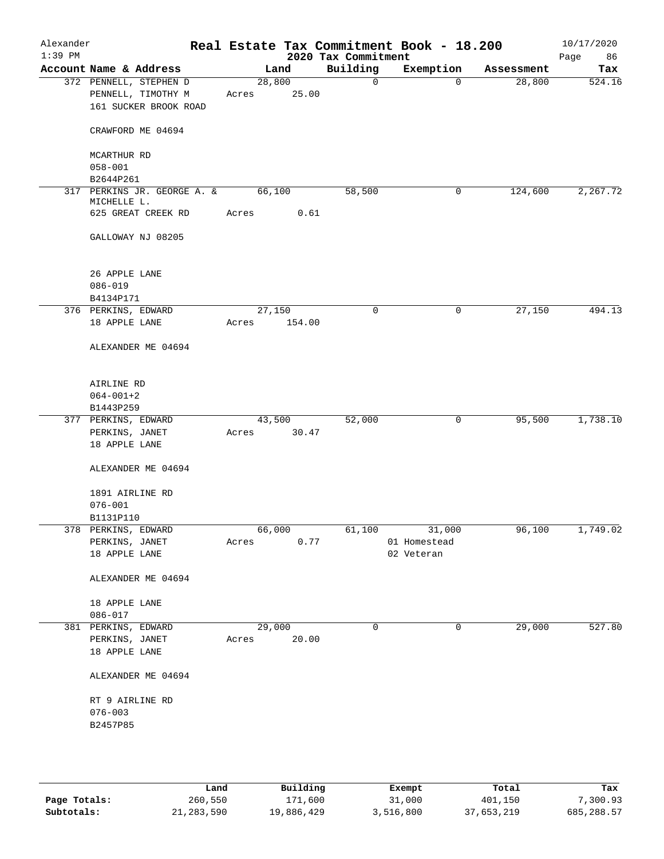| Alexander<br>$1:39$ PM |                                                                       |       |                  | 2020 Tax Commitment | Real Estate Tax Commitment Book - 18.200 |            | 10/17/2020<br>Page<br>86 |
|------------------------|-----------------------------------------------------------------------|-------|------------------|---------------------|------------------------------------------|------------|--------------------------|
|                        | Account Name & Address                                                |       | Land             | Building            | Exemption                                | Assessment | Tax                      |
|                        | 372 PENNELL, STEPHEN D<br>PENNELL, TIMOTHY M<br>161 SUCKER BROOK ROAD | Acres | 28,800<br>25.00  | 0                   | $\mathbf 0$                              | 28,800     | 524.16                   |
|                        | CRAWFORD ME 04694                                                     |       |                  |                     |                                          |            |                          |
|                        | MCARTHUR RD<br>$058 - 001$                                            |       |                  |                     |                                          |            |                          |
|                        | B2644P261                                                             |       |                  |                     |                                          |            |                          |
|                        | 317 PERKINS JR. GEORGE A. &<br>MICHELLE L.                            |       | 66,100           | 58,500              | 0                                        | 124,600    | 2,267.72                 |
|                        | 625 GREAT CREEK RD                                                    | Acres | 0.61             |                     |                                          |            |                          |
|                        | GALLOWAY NJ 08205                                                     |       |                  |                     |                                          |            |                          |
|                        | 26 APPLE LANE<br>$086 - 019$                                          |       |                  |                     |                                          |            |                          |
|                        | B4134P171                                                             |       |                  |                     |                                          |            | 494.13                   |
|                        | 376 PERKINS, EDWARD<br>18 APPLE LANE                                  | Acres | 27,150<br>154.00 | $\mathbf 0$         | 0                                        | 27,150     |                          |
|                        | ALEXANDER ME 04694                                                    |       |                  |                     |                                          |            |                          |
|                        | AIRLINE RD<br>$064 - 001 + 2$                                         |       |                  |                     |                                          |            |                          |
|                        | B1443P259<br>377 PERKINS, EDWARD                                      |       | 43,500           | 52,000              | 0                                        | 95,500     | 1,738.10                 |
|                        | PERKINS, JANET<br>18 APPLE LANE                                       | Acres | 30.47            |                     |                                          |            |                          |
|                        | ALEXANDER ME 04694                                                    |       |                  |                     |                                          |            |                          |
|                        | 1891 AIRLINE RD<br>$076 - 001$                                        |       |                  |                     |                                          |            |                          |
|                        | B1131P110                                                             |       |                  |                     |                                          |            |                          |
|                        | 378 PERKINS, EDWARD<br>PERKINS, JANET                                 | Acres | 66,000<br>0.77   | 61,100              | 31,000<br>01 Homestead                   | 96,100     | 1,749.02                 |
|                        | 18 APPLE LANE                                                         |       |                  |                     | 02 Veteran                               |            |                          |
|                        | ALEXANDER ME 04694                                                    |       |                  |                     |                                          |            |                          |
|                        | 18 APPLE LANE<br>$086 - 017$                                          |       |                  |                     |                                          |            |                          |
|                        | 381 PERKINS, EDWARD                                                   |       | 29,000           | 0                   | 0                                        | 29,000     | 527.80                   |
|                        | PERKINS, JANET                                                        | Acres | 20.00            |                     |                                          |            |                          |
|                        | 18 APPLE LANE                                                         |       |                  |                     |                                          |            |                          |
|                        | ALEXANDER ME 04694                                                    |       |                  |                     |                                          |            |                          |
|                        | RT 9 AIRLINE RD                                                       |       |                  |                     |                                          |            |                          |
|                        | $076 - 003$                                                           |       |                  |                     |                                          |            |                          |
|                        | B2457P85                                                              |       |                  |                     |                                          |            |                          |
|                        |                                                                       |       |                  |                     |                                          |            |                          |
|                        |                                                                       |       |                  |                     |                                          |            |                          |

|              | Land       | Building   | Exempt    | Total      | Tax        |
|--------------|------------|------------|-----------|------------|------------|
| Page Totals: | 260,550    | 171,600    | 31,000    | 401,150    | 7,300.93   |
| Subtotals:   | 21,283,590 | 19,886,429 | 3,516,800 | 37,653,219 | 685,288.57 |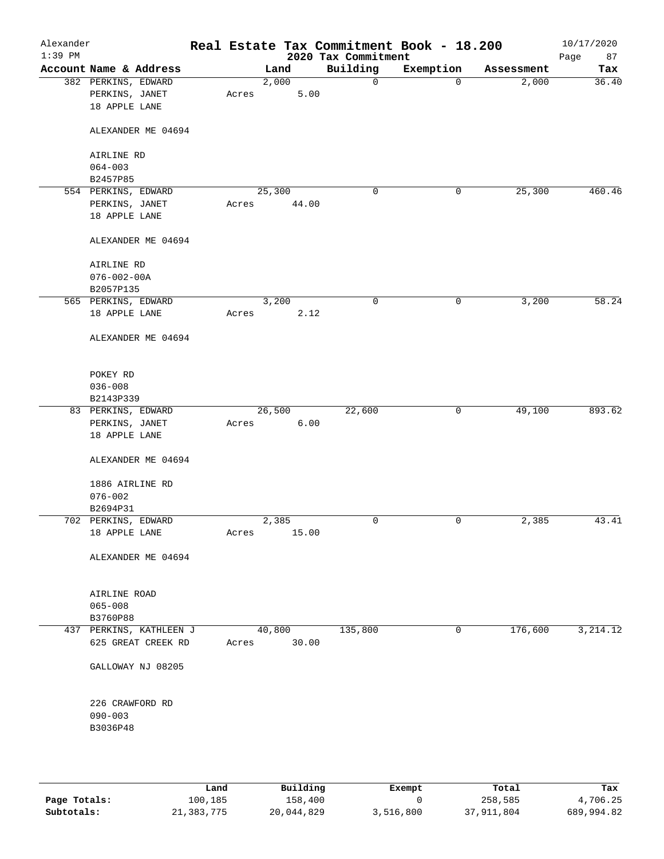| Alexander<br>$1:39$ PM |                         |       |        |       | Real Estate Tax Commitment Book - 18.200<br>2020 Tax Commitment |              |            | 10/17/2020<br>Page<br>87 |
|------------------------|-------------------------|-------|--------|-------|-----------------------------------------------------------------|--------------|------------|--------------------------|
|                        | Account Name & Address  |       | Land   |       | Building                                                        | Exemption    | Assessment | Tax                      |
|                        | 382 PERKINS, EDWARD     |       | 2,000  |       | $\mathsf{O}$                                                    | $\mathbf 0$  | 2,000      | 36.40                    |
|                        | PERKINS, JANET          | Acres |        | 5.00  |                                                                 |              |            |                          |
|                        | 18 APPLE LANE           |       |        |       |                                                                 |              |            |                          |
|                        | ALEXANDER ME 04694      |       |        |       |                                                                 |              |            |                          |
|                        |                         |       |        |       |                                                                 |              |            |                          |
|                        | AIRLINE RD              |       |        |       |                                                                 |              |            |                          |
|                        | $064 - 003$<br>B2457P85 |       |        |       |                                                                 |              |            |                          |
|                        | 554 PERKINS, EDWARD     |       | 25,300 |       | 0                                                               | 0            | 25,300     | 460.46                   |
|                        | PERKINS, JANET          | Acres |        | 44.00 |                                                                 |              |            |                          |
|                        | 18 APPLE LANE           |       |        |       |                                                                 |              |            |                          |
|                        | ALEXANDER ME 04694      |       |        |       |                                                                 |              |            |                          |
|                        |                         |       |        |       |                                                                 |              |            |                          |
|                        | AIRLINE RD              |       |        |       |                                                                 |              |            |                          |
|                        | $076 - 002 - 00A$       |       |        |       |                                                                 |              |            |                          |
|                        | B2057P135               |       |        |       |                                                                 |              |            |                          |
|                        | 565 PERKINS, EDWARD     |       | 3,200  |       | 0                                                               | 0            | 3,200      | 58.24                    |
|                        | 18 APPLE LANE           | Acres |        | 2.12  |                                                                 |              |            |                          |
|                        | ALEXANDER ME 04694      |       |        |       |                                                                 |              |            |                          |
|                        |                         |       |        |       |                                                                 |              |            |                          |
|                        | POKEY RD                |       |        |       |                                                                 |              |            |                          |
|                        | $036 - 008$             |       |        |       |                                                                 |              |            |                          |
|                        | B2143P339               |       |        |       |                                                                 |              |            |                          |
|                        | 83 PERKINS, EDWARD      |       | 26,500 |       | 22,600                                                          | $\mathsf{O}$ | 49,100     | 893.62                   |
|                        | PERKINS, JANET          | Acres |        | 6.00  |                                                                 |              |            |                          |
|                        | 18 APPLE LANE           |       |        |       |                                                                 |              |            |                          |
|                        | ALEXANDER ME 04694      |       |        |       |                                                                 |              |            |                          |
|                        | 1886 AIRLINE RD         |       |        |       |                                                                 |              |            |                          |
|                        | $076 - 002$             |       |        |       |                                                                 |              |            |                          |
|                        | B2694P31                |       |        |       |                                                                 |              |            |                          |
|                        | 702 PERKINS, EDWARD     |       | 2,385  |       | $\mathbf 0$                                                     | 0            | 2,385      | 43.41                    |
|                        | 18 APPLE LANE           | Acres |        | 15.00 |                                                                 |              |            |                          |
|                        | ALEXANDER ME 04694      |       |        |       |                                                                 |              |            |                          |
|                        |                         |       |        |       |                                                                 |              |            |                          |
|                        | AIRLINE ROAD            |       |        |       |                                                                 |              |            |                          |
|                        | $065 - 008$             |       |        |       |                                                                 |              |            |                          |
|                        | B3760P88                |       |        |       |                                                                 |              |            |                          |
|                        | 437 PERKINS, KATHLEEN J |       | 40,800 |       | 135,800                                                         | 0            | 176,600    | 3, 214.12                |
|                        | 625 GREAT CREEK RD      | Acres |        | 30.00 |                                                                 |              |            |                          |
|                        | GALLOWAY NJ 08205       |       |        |       |                                                                 |              |            |                          |
|                        | 226 CRAWFORD RD         |       |        |       |                                                                 |              |            |                          |
|                        | $090 - 003$             |       |        |       |                                                                 |              |            |                          |
|                        | B3036P48                |       |        |       |                                                                 |              |            |                          |
|                        |                         |       |        |       |                                                                 |              |            |                          |
|                        |                         |       |        |       |                                                                 |              |            |                          |
|                        |                         |       |        |       |                                                                 |              |            |                          |

|              | Land       | Building   | Exempt    | Total      | Tax        |
|--------------|------------|------------|-----------|------------|------------|
| Page Totals: | 100,185    | 158,400    |           | 258,585    | 4,706.25   |
| Subtotals:   | 21,383,775 | 20,044,829 | 3,516,800 | 37,911,804 | 689,994.82 |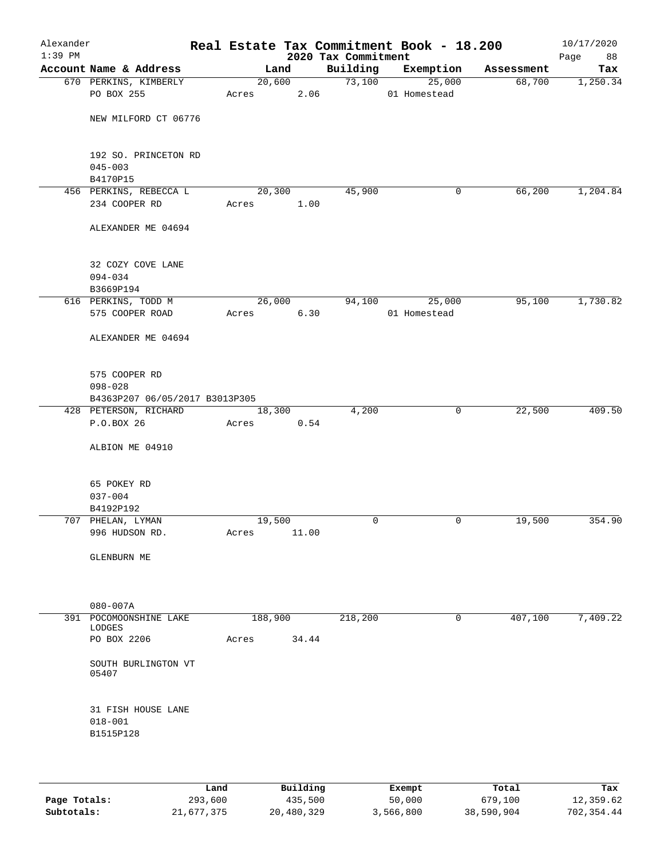| Alexander<br>$1:39$ PM |                                         |       |                | 2020 Tax Commitment | Real Estate Tax Commitment Book - 18.200 |            | 10/17/2020<br>Page<br>88 |
|------------------------|-----------------------------------------|-------|----------------|---------------------|------------------------------------------|------------|--------------------------|
|                        | Account Name & Address                  |       | Land           | Building            | Exemption                                | Assessment | Tax                      |
|                        | 670 PERKINS, KIMBERLY                   |       | 20,600         | 73,100              | 25,000                                   | 68,700     | 1,250.34                 |
|                        | PO BOX 255                              | Acres | 2.06           |                     | 01 Homestead                             |            |                          |
|                        | NEW MILFORD CT 06776                    |       |                |                     |                                          |            |                          |
|                        | 192 SO. PRINCETON RD<br>$045 - 003$     |       |                |                     |                                          |            |                          |
|                        | B4170P15                                |       |                |                     |                                          |            |                          |
|                        | 456 PERKINS, REBECCA L<br>234 COOPER RD | Acres | 20,300<br>1.00 | 45,900              | 0                                        | 66,200     | 1,204.84                 |
|                        |                                         |       |                |                     |                                          |            |                          |
|                        | ALEXANDER ME 04694                      |       |                |                     |                                          |            |                          |
|                        | 32 COZY COVE LANE<br>$094 - 034$        |       |                |                     |                                          |            |                          |
|                        | B3669P194<br>616 PERKINS, TODD M        |       | 26,000         | 94,100              | 25,000                                   | 95,100     | 1,730.82                 |
|                        | 575 COOPER ROAD                         | Acres | 6.30           |                     | 01 Homestead                             |            |                          |
|                        | ALEXANDER ME 04694                      |       |                |                     |                                          |            |                          |
|                        | 575 COOPER RD<br>$098 - 028$            |       |                |                     |                                          |            |                          |
|                        | B4363P207 06/05/2017 B3013P305          |       |                |                     |                                          |            |                          |
|                        | 428 PETERSON, RICHARD                   |       | 18,300         | 4,200               | $\mathsf{O}$                             | 22,500     | 409.50                   |
|                        | P.O.BOX 26                              | Acres | 0.54           |                     |                                          |            |                          |
|                        | ALBION ME 04910                         |       |                |                     |                                          |            |                          |
|                        | 65 POKEY RD                             |       |                |                     |                                          |            |                          |
|                        | $037 - 004$                             |       |                |                     |                                          |            |                          |
|                        | B4192P192<br>707 PHELAN, LYMAN          |       | 19,500         | $\mathbf 0$         | 0                                        | 19,500     | 354.90                   |
|                        | 996 HUDSON RD.                          | Acres | 11.00          |                     |                                          |            |                          |
|                        | GLENBURN ME                             |       |                |                     |                                          |            |                          |
|                        |                                         |       |                |                     |                                          |            |                          |
|                        | $080 - 007A$                            |       |                |                     |                                          |            |                          |
|                        | 391 POCOMOONSHINE LAKE                  |       | 188,900        | 218,200             | 0                                        | 407,100    | 7,409.22                 |
|                        | LODGES<br>PO BOX 2206                   | Acres | 34.44          |                     |                                          |            |                          |
|                        | SOUTH BURLINGTON VT<br>05407            |       |                |                     |                                          |            |                          |
|                        | 31 FISH HOUSE LANE                      |       |                |                     |                                          |            |                          |
|                        | $018 - 001$<br>B1515P128                |       |                |                     |                                          |            |                          |
|                        |                                         |       |                |                     |                                          |            |                          |
|                        |                                         |       |                |                     |                                          |            |                          |
|                        |                                         |       |                |                     |                                          |            |                          |

|              | Land       | Building   | Exempt    | Total      | Tax        |
|--------------|------------|------------|-----------|------------|------------|
| Page Totals: | 293,600    | 435,500    | 50,000    | 679,100    | 12,359.62  |
| Subtotals:   | 21,677,375 | 20,480,329 | 3,566,800 | 38,590,904 | 702,354.44 |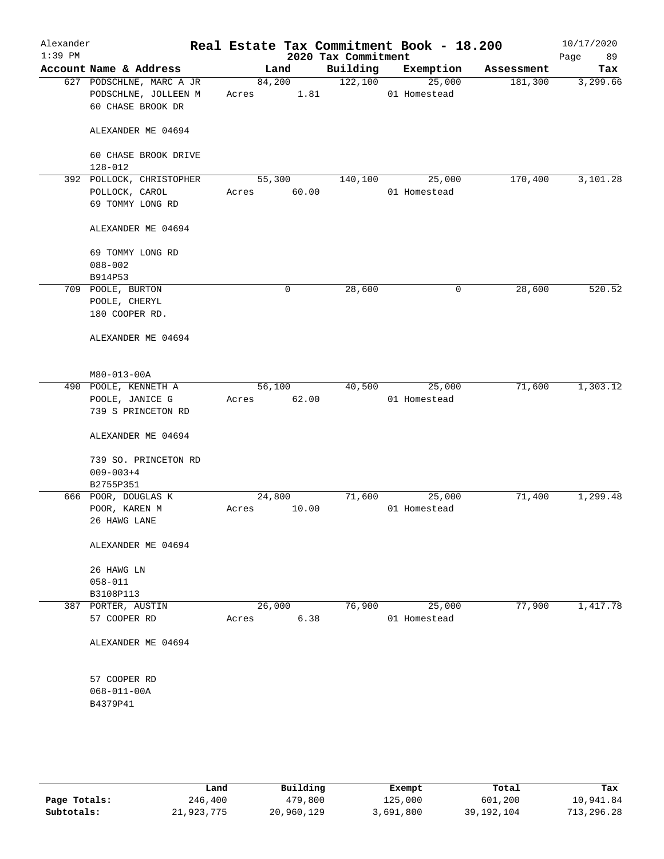| Alexander<br>$1:39$ PM |                                                                       |                 |       | 2020 Tax Commitment | Real Estate Tax Commitment Book - 18.200 |            | 10/17/2020<br>Page<br>89 |
|------------------------|-----------------------------------------------------------------------|-----------------|-------|---------------------|------------------------------------------|------------|--------------------------|
|                        | Account Name & Address                                                |                 | Land  | Building            | Exemption                                | Assessment | Tax                      |
|                        | 627 PODSCHLNE, MARC A JR<br>PODSCHLNE, JOLLEEN M<br>60 CHASE BROOK DR | 84,200<br>Acres | 1.81  | 122,100             | 25,000<br>01 Homestead                   | 181,300    | 3,299.66                 |
|                        | ALEXANDER ME 04694                                                    |                 |       |                     |                                          |            |                          |
|                        | 60 CHASE BROOK DRIVE<br>$128 - 012$                                   |                 |       |                     |                                          |            |                          |
|                        | 392 POLLOCK, CHRISTOPHER                                              | 55,300          |       | 140,100             | 25,000                                   | 170,400    | 3,101.28                 |
|                        | POLLOCK, CAROL<br>69 TOMMY LONG RD                                    | Acres           | 60.00 |                     | 01 Homestead                             |            |                          |
|                        | ALEXANDER ME 04694                                                    |                 |       |                     |                                          |            |                          |
|                        | 69 TOMMY LONG RD<br>$088 - 002$<br>B914P53                            |                 |       |                     |                                          |            |                          |
|                        | 709 POOLE, BURTON                                                     |                 | 0     | 28,600              | $\mathsf{O}$                             | 28,600     | 520.52                   |
|                        | POOLE, CHERYL<br>180 COOPER RD.                                       |                 |       |                     |                                          |            |                          |
|                        | ALEXANDER ME 04694                                                    |                 |       |                     |                                          |            |                          |
|                        | M80-013-00A                                                           |                 |       |                     |                                          |            |                          |
|                        | 490 POOLE, KENNETH A                                                  | 56,100          |       | 40,500              | 25,000                                   | 71,600     | 1,303.12                 |
|                        | POOLE, JANICE G                                                       | Acres           | 62.00 |                     | 01 Homestead                             |            |                          |
|                        | 739 S PRINCETON RD                                                    |                 |       |                     |                                          |            |                          |
|                        | ALEXANDER ME 04694                                                    |                 |       |                     |                                          |            |                          |
|                        | 739 SO. PRINCETON RD<br>$009 - 003 + 4$                               |                 |       |                     |                                          |            |                          |
|                        | B2755P351                                                             |                 |       |                     |                                          |            |                          |
|                        | 666 POOR, DOUGLAS K                                                   | 24,800          |       | 71,600              | 25,000                                   | 71,400     | 1,299.48                 |
|                        | POOR, KAREN M                                                         | Acres           | 10.00 |                     | 01 Homestead                             |            |                          |
|                        | 26 HAWG LANE                                                          |                 |       |                     |                                          |            |                          |
|                        | ALEXANDER ME 04694                                                    |                 |       |                     |                                          |            |                          |
|                        | 26 HAWG LN                                                            |                 |       |                     |                                          |            |                          |
|                        | $058 - 011$                                                           |                 |       |                     |                                          |            |                          |
|                        | B3108P113                                                             |                 |       |                     |                                          |            |                          |
|                        | 387 PORTER, AUSTIN                                                    | 26,000          |       | 76,900              | 25,000<br>01 Homestead                   | 77,900     | 1,417.78                 |
|                        | 57 COOPER RD                                                          | Acres           | 6.38  |                     |                                          |            |                          |
|                        | ALEXANDER ME 04694                                                    |                 |       |                     |                                          |            |                          |
|                        | 57 COOPER RD                                                          |                 |       |                     |                                          |            |                          |
|                        | $068 - 011 - 00A$                                                     |                 |       |                     |                                          |            |                          |
|                        | B4379P41                                                              |                 |       |                     |                                          |            |                          |
|                        |                                                                       |                 |       |                     |                                          |            |                          |
|                        |                                                                       |                 |       |                     |                                          |            |                          |

|              | Land       | Building   | Exempt    | Total      | Tax        |
|--------------|------------|------------|-----------|------------|------------|
| Page Totals: | 246,400    | 479,800    | 125,000   | 601,200    | 10,941.84  |
| Subtotals:   | 21,923,775 | 20,960,129 | 3,691,800 | 39,192,104 | 713,296.28 |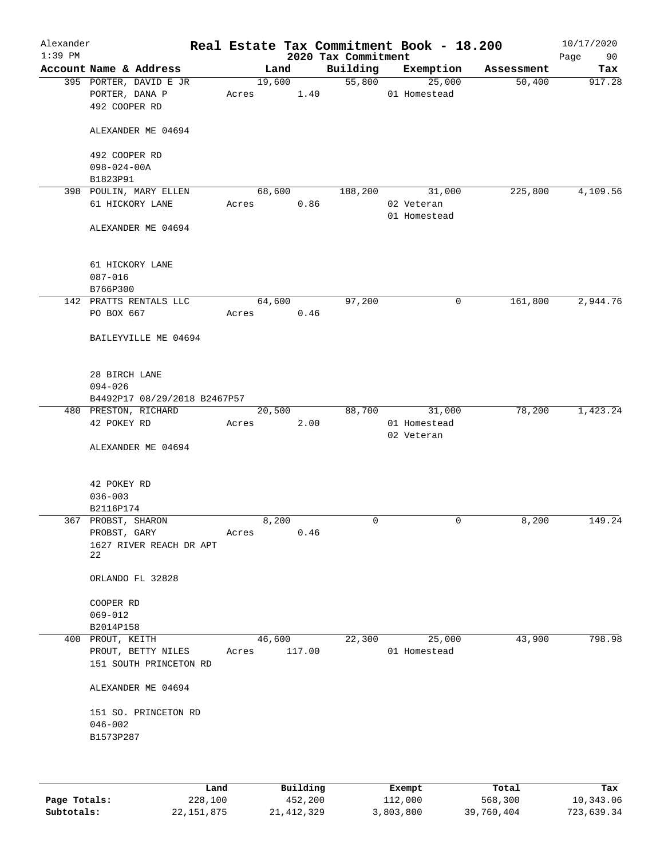| Alexander<br>$1:39$ PM |                                                           |                 |        | 2020 Tax Commitment | Real Estate Tax Commitment Book - 18.200 |            | 10/17/2020<br>Page<br>90 |
|------------------------|-----------------------------------------------------------|-----------------|--------|---------------------|------------------------------------------|------------|--------------------------|
|                        | Account Name & Address                                    | Land            |        | Building            | Exemption                                | Assessment | Tax                      |
|                        | 395 PORTER, DAVID E JR<br>PORTER, DANA P<br>492 COOPER RD | 19,600<br>Acres | 1.40   | 55,800              | 25,000<br>01 Homestead                   | 50,400     | 917.28                   |
|                        | ALEXANDER ME 04694                                        |                 |        |                     |                                          |            |                          |
|                        | 492 COOPER RD<br>$098 - 024 - 00A$                        |                 |        |                     |                                          |            |                          |
|                        | B1823P91                                                  |                 |        |                     |                                          |            |                          |
|                        | 398 POULIN, MARY ELLEN                                    | 68,600          |        | 188,200             | 31,000                                   | 225,800    | 4,109.56                 |
|                        | 61 HICKORY LANE                                           | Acres           | 0.86   |                     | 02 Veteran<br>01 Homestead               |            |                          |
|                        | ALEXANDER ME 04694                                        |                 |        |                     |                                          |            |                          |
|                        | 61 HICKORY LANE<br>$087 - 016$                            |                 |        |                     |                                          |            |                          |
|                        | B766P300<br>142 PRATTS RENTALS LLC                        | 64,600          |        | 97,200              | 0                                        | 161,800    | 2,944.76                 |
|                        | PO BOX 667                                                | Acres           | 0.46   |                     |                                          |            |                          |
|                        | BAILEYVILLE ME 04694                                      |                 |        |                     |                                          |            |                          |
|                        | 28 BIRCH LANE<br>$094 - 026$                              |                 |        |                     |                                          |            |                          |
|                        | B4492P17 08/29/2018 B2467P57                              |                 |        |                     |                                          |            |                          |
|                        | 480 PRESTON, RICHARD<br>42 POKEY RD                       | 20,500<br>Acres | 2.00   | 88,700              | 31,000<br>01 Homestead<br>02 Veteran     | 78,200     | 1,423.24                 |
|                        | ALEXANDER ME 04694                                        |                 |        |                     |                                          |            |                          |
|                        | 42 POKEY RD                                               |                 |        |                     |                                          |            |                          |
|                        | $036 - 003$                                               |                 |        |                     |                                          |            |                          |
|                        | B2116P174<br>367 PROBST, SHARON                           | 8,200           |        | $\mathbf 0$         | $\mathbf 0$                              | 8,200      | 149.24                   |
|                        | PROBST, GARY                                              | Acres           | 0.46   |                     |                                          |            |                          |
|                        | 1627 RIVER REACH DR APT<br>22                             |                 |        |                     |                                          |            |                          |
|                        | ORLANDO FL 32828                                          |                 |        |                     |                                          |            |                          |
|                        | COOPER RD                                                 |                 |        |                     |                                          |            |                          |
|                        | $069 - 012$                                               |                 |        |                     |                                          |            |                          |
|                        | B2014P158                                                 |                 |        |                     |                                          |            |                          |
|                        | 400 PROUT, KEITH                                          | 46,600          |        | 22,300              | 25,000                                   | 43,900     | 798.98                   |
|                        | PROUT, BETTY NILES<br>151 SOUTH PRINCETON RD              | Acres           | 117.00 |                     | 01 Homestead                             |            |                          |
|                        | ALEXANDER ME 04694                                        |                 |        |                     |                                          |            |                          |
|                        | 151 SO. PRINCETON RD                                      |                 |        |                     |                                          |            |                          |
|                        | $046 - 002$                                               |                 |        |                     |                                          |            |                          |
|                        | B1573P287                                                 |                 |        |                     |                                          |            |                          |
|                        |                                                           |                 |        |                     |                                          |            |                          |
|                        |                                                           |                 |        |                     |                                          |            |                          |

|              | Land       | Building   | Exempt    | Total      | Tax        |
|--------------|------------|------------|-----------|------------|------------|
| Page Totals: | 228,100    | 452,200    | 112,000   | 568,300    | 10,343.06  |
| Subtotals:   | 22,151,875 | 21,412,329 | 3,803,800 | 39,760,404 | 723,639.34 |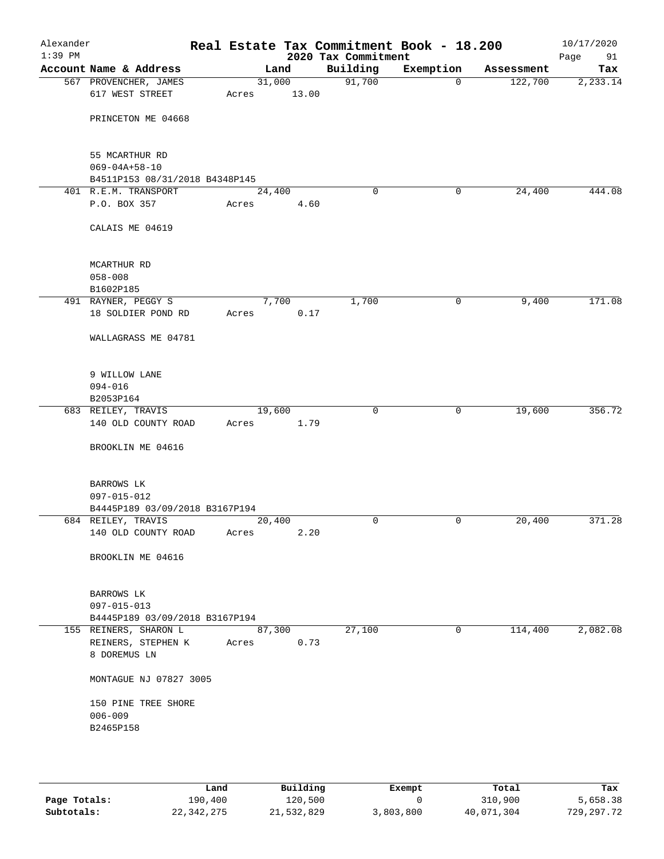| Alexander<br>$1:39$ PM |                                                             |       |                 | 2020 Tax Commitment | Real Estate Tax Commitment Book - 18.200 |            | 10/17/2020<br>Page<br>91 |
|------------------------|-------------------------------------------------------------|-------|-----------------|---------------------|------------------------------------------|------------|--------------------------|
|                        | Account Name & Address                                      |       | Land            | Building            | Exemption                                | Assessment | Tax                      |
|                        | 567 PROVENCHER, JAMES<br>617 WEST STREET                    | Acres | 31,000<br>13.00 | 91,700              | $\mathbf 0$                              | 122,700    | 2, 233.14                |
|                        | PRINCETON ME 04668                                          |       |                 |                     |                                          |            |                          |
|                        | 55 MCARTHUR RD<br>$069 - 04A + 58 - 10$                     |       |                 |                     |                                          |            |                          |
|                        | B4511P153 08/31/2018 B4348P145                              |       |                 |                     |                                          |            |                          |
|                        | 401 R.E.M. TRANSPORT<br>P.O. BOX 357                        | Acres | 24,400<br>4.60  | $\Omega$            | 0                                        | 24,400     | 444.08                   |
|                        | CALAIS ME 04619                                             |       |                 |                     |                                          |            |                          |
|                        | MCARTHUR RD<br>$058 - 008$                                  |       |                 |                     |                                          |            |                          |
|                        | B1602P185                                                   |       |                 |                     |                                          |            |                          |
|                        | 491 RAYNER, PEGGY S<br>18 SOLDIER POND RD                   | Acres | 7,700<br>0.17   | 1,700               | 0                                        | 9,400      | 171.08                   |
|                        | WALLAGRASS ME 04781                                         |       |                 |                     |                                          |            |                          |
|                        | 9 WILLOW LANE<br>$094 - 016$                                |       |                 |                     |                                          |            |                          |
|                        | B2053P164                                                   |       |                 |                     |                                          |            |                          |
|                        | 683 REILEY, TRAVIS<br>140 OLD COUNTY ROAD                   | Acres | 19,600<br>1.79  | $\mathbf 0$         | $\mathbf 0$                              | 19,600     | 356.72                   |
|                        | BROOKLIN ME 04616                                           |       |                 |                     |                                          |            |                          |
|                        | BARROWS LK<br>097-015-012                                   |       |                 |                     |                                          |            |                          |
|                        | B4445P189 03/09/2018 B3167P194                              |       |                 |                     |                                          |            |                          |
|                        | 684 REILEY, TRAVIS<br>140 OLD COUNTY ROAD                   | Acres | 20,400<br>2.20  | 0                   | 0                                        | 20,400     | 371.28                   |
|                        | BROOKLIN ME 04616                                           |       |                 |                     |                                          |            |                          |
|                        | BARROWS LK<br>097-015-013<br>B4445P189 03/09/2018 B3167P194 |       |                 |                     |                                          |            |                          |
|                        | 155 REINERS, SHARON L<br>REINERS, STEPHEN K<br>8 DOREMUS LN | Acres | 87,300<br>0.73  | 27,100              | $\mathbf 0$                              | 114,400    | 2,082.08                 |
|                        | MONTAGUE NJ 07827 3005                                      |       |                 |                     |                                          |            |                          |
|                        | 150 PINE TREE SHORE<br>$006 - 009$<br>B2465P158             |       |                 |                     |                                          |            |                          |
|                        |                                                             |       |                 |                     |                                          |            |                          |

|              | Land       | Building   | Exempt    | Total      | Tax        |
|--------------|------------|------------|-----------|------------|------------|
| Page Totals: | 190.400    | 120,500    |           | 310,900    | 5,658.38   |
| Subtotals:   | 22,342,275 | 21,532,829 | 3,803,800 | 40,071,304 | 729,297.72 |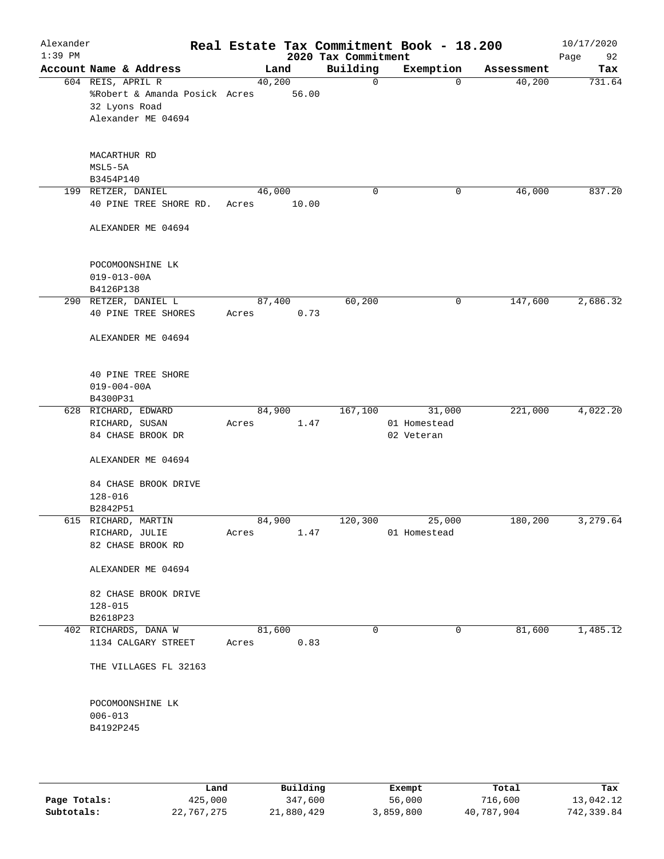| Alexander<br>$1:39$ PM |                                                                                           |        |        | 2020 Tax Commitment | Real Estate Tax Commitment Book - 18.200 |            | 10/17/2020<br>Page<br>92 |
|------------------------|-------------------------------------------------------------------------------------------|--------|--------|---------------------|------------------------------------------|------------|--------------------------|
|                        | Account Name & Address                                                                    |        | Land   | Building            | Exemption                                | Assessment | Tax                      |
|                        | 604 REIS, APRIL R<br>%Robert & Amanda Posick Acres<br>32 Lyons Road<br>Alexander ME 04694 | 40,200 | 56.00  | $\mathbf 0$         | $\mathbf 0$                              | 40,200     | 731.64                   |
|                        | MACARTHUR RD<br>$MSL5-5A$<br>B3454P140                                                    |        |        |                     |                                          |            |                          |
|                        | 199 RETZER, DANIEL                                                                        | 46,000 |        | 0                   | 0                                        | 46,000     | 837.20                   |
|                        | 40 PINE TREE SHORE RD.                                                                    | Acres  | 10.00  |                     |                                          |            |                          |
|                        | ALEXANDER ME 04694                                                                        |        |        |                     |                                          |            |                          |
|                        | POCOMOONSHINE LK                                                                          |        |        |                     |                                          |            |                          |
|                        | $019 - 013 - 00A$                                                                         |        |        |                     |                                          |            |                          |
|                        | B4126P138                                                                                 |        |        |                     |                                          |            |                          |
|                        | 290 RETZER, DANIEL L                                                                      |        | 87,400 | 60,200              | 0                                        | 147,600    | 2,686.32                 |
|                        | <b>40 PINE TREE SHORES</b>                                                                | Acres  | 0.73   |                     |                                          |            |                          |
|                        | ALEXANDER ME 04694                                                                        |        |        |                     |                                          |            |                          |
|                        | 40 PINE TREE SHORE<br>$019 - 004 - 00A$<br>B4300P31                                       |        |        |                     |                                          |            |                          |
|                        | 628 RICHARD, EDWARD                                                                       |        | 84,900 | 167,100             | 31,000                                   | 221,000    | 4,022.20                 |
|                        | RICHARD, SUSAN<br>84 CHASE BROOK DR                                                       | Acres  | 1.47   |                     | 01 Homestead<br>02 Veteran               |            |                          |
|                        | ALEXANDER ME 04694                                                                        |        |        |                     |                                          |            |                          |
|                        | 84 CHASE BROOK DRIVE<br>128-016                                                           |        |        |                     |                                          |            |                          |
|                        | B2842P51                                                                                  |        |        |                     |                                          |            |                          |
|                        | 615 RICHARD, MARTIN<br>RICHARD, JULIE                                                     | 84,900 | 1.47   | 120,300             | 25,000<br>01 Homestead                   | 180,200    | 3,279.64                 |
|                        | 82 CHASE BROOK RD                                                                         | Acres  |        |                     |                                          |            |                          |
|                        | ALEXANDER ME 04694                                                                        |        |        |                     |                                          |            |                          |
|                        | 82 CHASE BROOK DRIVE<br>$128 - 015$<br>B2618P23                                           |        |        |                     |                                          |            |                          |
|                        | 402 RICHARDS, DANA W                                                                      | 81,600 |        | 0                   | 0                                        | 81,600     | 1,485.12                 |
|                        | 1134 CALGARY STREET                                                                       | Acres  | 0.83   |                     |                                          |            |                          |
|                        | THE VILLAGES FL 32163                                                                     |        |        |                     |                                          |            |                          |
|                        | POCOMOONSHINE LK<br>$006 - 013$<br>B4192P245                                              |        |        |                     |                                          |            |                          |
|                        |                                                                                           |        |        |                     |                                          |            |                          |

|              | Land       | Building   | Exempt    | Total      | Tax        |
|--------------|------------|------------|-----------|------------|------------|
| Page Totals: | 425,000    | 347,600    | 56,000    | 716,600    | 13,042.12  |
| Subtotals:   | 22,767,275 | 21,880,429 | 3,859,800 | 40,787,904 | 742,339.84 |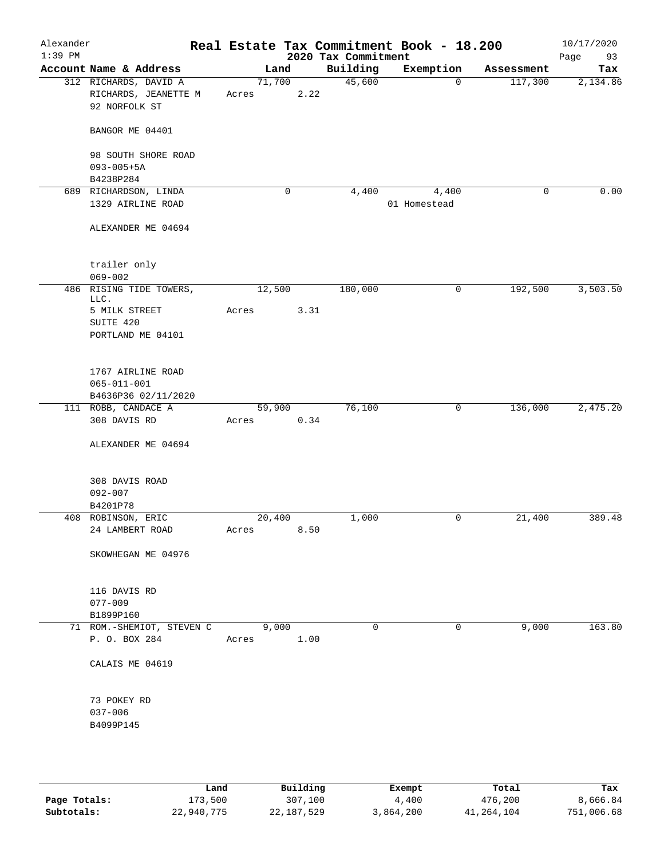| Alexander<br>$1:39$ PM |                                                                |       |        |      | 2020 Tax Commitment | Real Estate Tax Commitment Book - 18.200 |            | 10/17/2020<br>Page<br>93 |
|------------------------|----------------------------------------------------------------|-------|--------|------|---------------------|------------------------------------------|------------|--------------------------|
|                        | Account Name & Address                                         |       | Land   |      | Building            | Exemption                                | Assessment | Tax                      |
|                        | 312 RICHARDS, DAVID A<br>RICHARDS, JEANETTE M<br>92 NORFOLK ST | Acres | 71,700 | 2.22 | 45,600              | $\mathbf 0$                              | 117,300    | 2,134.86                 |
|                        | BANGOR ME 04401                                                |       |        |      |                     |                                          |            |                          |
|                        | 98 SOUTH SHORE ROAD<br>$093 - 005 + 5A$<br>B4238P284           |       |        |      |                     |                                          |            |                          |
|                        | 689 RICHARDSON, LINDA                                          |       | 0      |      | 4,400               | 4,400                                    | 0          | 0.00                     |
|                        | 1329 AIRLINE ROAD                                              |       |        |      |                     | 01 Homestead                             |            |                          |
|                        | ALEXANDER ME 04694                                             |       |        |      |                     |                                          |            |                          |
|                        | trailer only                                                   |       |        |      |                     |                                          |            |                          |
|                        | $069 - 002$                                                    |       |        |      |                     |                                          |            |                          |
|                        | 486 RISING TIDE TOWERS,<br>LLC.                                |       | 12,500 |      | 180,000             | 0                                        | 192,500    | 3,503.50                 |
|                        | 5 MILK STREET<br>SUITE 420<br>PORTLAND ME 04101                | Acres |        | 3.31 |                     |                                          |            |                          |
|                        |                                                                |       |        |      |                     |                                          |            |                          |
|                        | 1767 AIRLINE ROAD<br>$065 - 011 - 001$                         |       |        |      |                     |                                          |            |                          |
|                        | B4636P36 02/11/2020                                            |       |        |      |                     |                                          |            |                          |
|                        | 111 ROBB, CANDACE A                                            |       | 59,900 |      | 76,100              | 0                                        | 136,000    | 2,475.20                 |
|                        | 308 DAVIS RD                                                   | Acres |        | 0.34 |                     |                                          |            |                          |
|                        | ALEXANDER ME 04694                                             |       |        |      |                     |                                          |            |                          |
|                        | 308 DAVIS ROAD<br>$092 - 007$                                  |       |        |      |                     |                                          |            |                          |
|                        | B4201P78                                                       |       |        |      |                     |                                          |            |                          |
|                        | 408 ROBINSON, ERIC                                             |       | 20,400 |      | 1,000               | 0                                        | 21,400     | 389.48                   |
|                        | 24 LAMBERT ROAD                                                | Acres |        | 8.50 |                     |                                          |            |                          |
|                        | SKOWHEGAN ME 04976                                             |       |        |      |                     |                                          |            |                          |
|                        | 116 DAVIS RD                                                   |       |        |      |                     |                                          |            |                          |
|                        | $077 - 009$                                                    |       |        |      |                     |                                          |            |                          |
|                        | B1899P160                                                      |       |        |      |                     |                                          |            |                          |
|                        | 71 ROM.-SHEMIOT, STEVEN C<br>P. O. BOX 284                     | Acres | 9,000  | 1.00 | $\Omega$            | 0                                        | 9,000      | 163.80                   |
|                        | CALAIS ME 04619                                                |       |        |      |                     |                                          |            |                          |
|                        | 73 POKEY RD                                                    |       |        |      |                     |                                          |            |                          |
|                        | $037 - 006$<br>B4099P145                                       |       |        |      |                     |                                          |            |                          |
|                        |                                                                |       |        |      |                     |                                          |            |                          |

|              | Land       | Building   | Exempt    | Total      | Tax        |
|--------------|------------|------------|-----------|------------|------------|
| Page Totals: | 173,500    | 307,100    | 4,400     | 476,200    | 8,666.84   |
| Subtotals:   | 22,940,775 | 22,187,529 | 3,864,200 | 41,264,104 | 751,006.68 |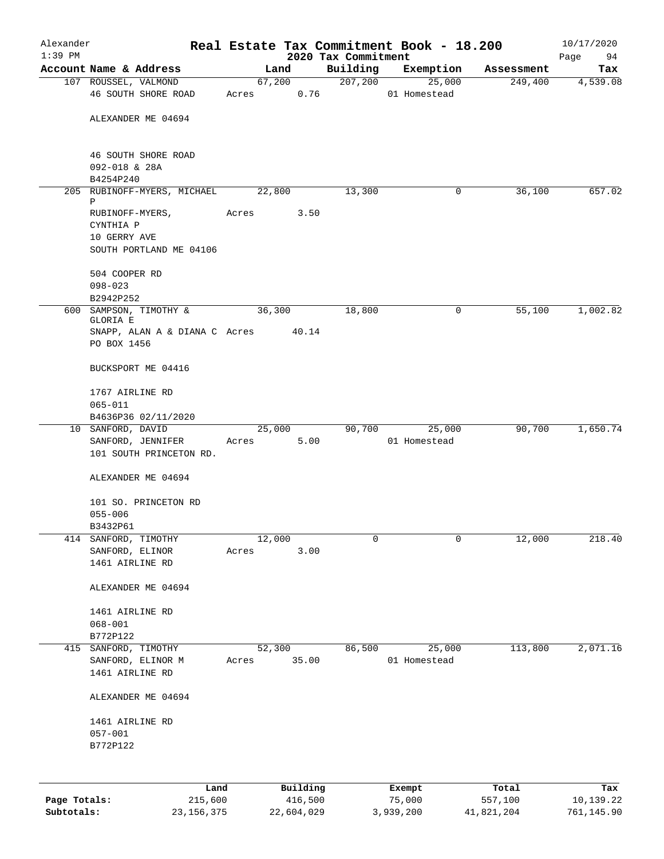| Alexander    |                                              |       |                |                     | Real Estate Tax Commitment Book - 18.200 |            | 10/17/2020      |
|--------------|----------------------------------------------|-------|----------------|---------------------|------------------------------------------|------------|-----------------|
| $1:39$ PM    | Account Name & Address                       |       |                | 2020 Tax Commitment |                                          |            | Page<br>94      |
|              |                                              |       | Land           | Building            | Exemption                                | Assessment | Tax<br>4,539.08 |
|              | 107 ROUSSEL, VALMOND<br>46 SOUTH SHORE ROAD  | Acres | 67,200<br>0.76 | 207,200             | 25,000<br>01 Homestead                   | 249,400    |                 |
|              |                                              |       |                |                     |                                          |            |                 |
|              | ALEXANDER ME 04694                           |       |                |                     |                                          |            |                 |
|              | 46 SOUTH SHORE ROAD<br>092-018 & 28A         |       |                |                     |                                          |            |                 |
|              | B4254P240<br>205 RUBINOFF-MYERS, MICHAEL     |       | 22,800         | 13,300              | 0                                        | 36,100     | 657.02          |
|              | Ρ                                            |       |                |                     |                                          |            |                 |
|              | RUBINOFF-MYERS,                              | Acres | 3.50           |                     |                                          |            |                 |
|              | CYNTHIA P                                    |       |                |                     |                                          |            |                 |
|              | 10 GERRY AVE<br>SOUTH PORTLAND ME 04106      |       |                |                     |                                          |            |                 |
|              | 504 COOPER RD                                |       |                |                     |                                          |            |                 |
|              | $098 - 023$<br>B2942P252                     |       |                |                     |                                          |            |                 |
| 600          | SAMPSON, TIMOTHY &<br>GLORIA E               |       | 36,300         | 18,800              | 0                                        | 55,100     | 1,002.82        |
|              | SNAPP, ALAN A & DIANA C Acres                |       | 40.14          |                     |                                          |            |                 |
|              | PO BOX 1456                                  |       |                |                     |                                          |            |                 |
|              | BUCKSPORT ME 04416                           |       |                |                     |                                          |            |                 |
|              | 1767 AIRLINE RD                              |       |                |                     |                                          |            |                 |
|              | $065 - 011$                                  |       |                |                     |                                          |            |                 |
|              | B4636P36 02/11/2020                          |       |                |                     |                                          |            |                 |
|              | 10 SANFORD, DAVID                            |       | 25,000         | 90,700              | 25,000                                   | 90,700     | 1,650.74        |
|              | SANFORD, JENNIFER<br>101 SOUTH PRINCETON RD. | Acres | 5.00           |                     | 01 Homestead                             |            |                 |
|              | ALEXANDER ME 04694                           |       |                |                     |                                          |            |                 |
|              | 101 SO. PRINCETON RD                         |       |                |                     |                                          |            |                 |
|              | $055 - 006$                                  |       |                |                     |                                          |            |                 |
|              | B3432P61                                     |       |                |                     |                                          |            |                 |
| 414          | SANFORD, TIMOTHY<br>SANFORD, ELINOR          | Acres | 12,000<br>3.00 | 0                   | 0                                        | 12,000     | 218.40          |
|              | 1461 AIRLINE RD                              |       |                |                     |                                          |            |                 |
|              | ALEXANDER ME 04694                           |       |                |                     |                                          |            |                 |
|              | 1461 AIRLINE RD                              |       |                |                     |                                          |            |                 |
|              | $068 - 001$                                  |       |                |                     |                                          |            |                 |
|              | B772P122                                     |       |                |                     |                                          |            |                 |
| 415          | SANFORD, TIMOTHY                             |       | 52,300         | 86,500              | 25,000                                   | 113,800    | 2,071.16        |
|              | SANFORD, ELINOR M<br>1461 AIRLINE RD         | Acres | 35.00          |                     | 01 Homestead                             |            |                 |
|              |                                              |       |                |                     |                                          |            |                 |
|              | ALEXANDER ME 04694                           |       |                |                     |                                          |            |                 |
|              | 1461 AIRLINE RD                              |       |                |                     |                                          |            |                 |
|              | $057 - 001$                                  |       |                |                     |                                          |            |                 |
|              | B772P122                                     |       |                |                     |                                          |            |                 |
|              |                                              |       |                |                     |                                          |            |                 |
|              | Land                                         |       | Building       |                     | Exempt                                   | Total      | Tax             |
| Page Totals: | 215,600                                      |       | 416,500        |                     | 75,000                                   | 557,100    | 10,139.22       |

**Subtotals:** 23,156,375 22,604,029 3,939,200 41,821,204 761,145.90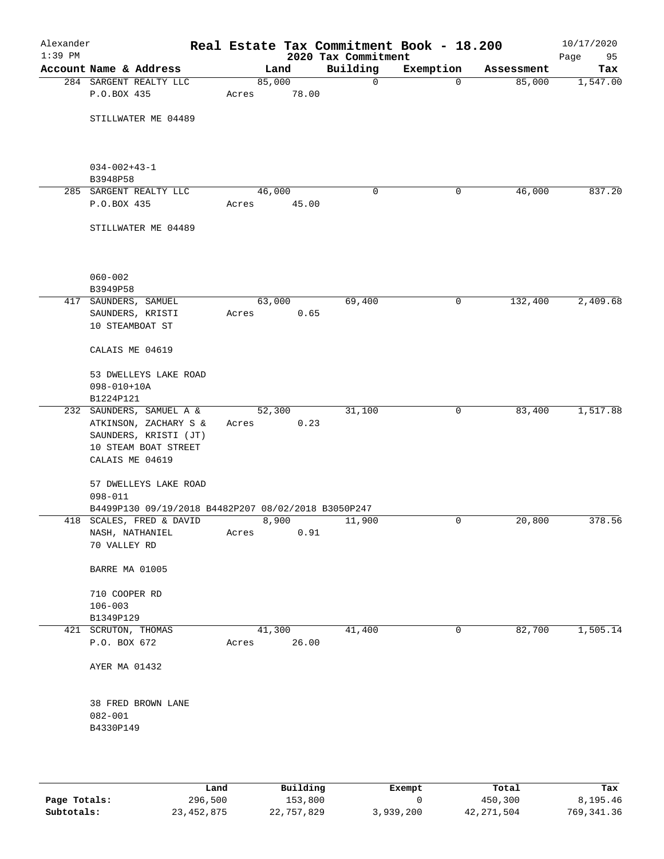| Alexander<br>$1:39$ PM |                                     |                                                     |        |       | Real Estate Tax Commitment Book - 18.200<br>2020 Tax Commitment |             |            | 10/17/2020<br>Page<br>95 |
|------------------------|-------------------------------------|-----------------------------------------------------|--------|-------|-----------------------------------------------------------------|-------------|------------|--------------------------|
|                        | Account Name & Address              |                                                     |        | Land  | Building                                                        | Exemption   | Assessment | Tax                      |
|                        |                                     | 284 SARGENT REALTY LLC                              | 85,000 |       | 0                                                               | $\mathbf 0$ | 85,000     | 1,547.00                 |
|                        | P.O.BOX 435                         |                                                     | Acres  | 78.00 |                                                                 |             |            |                          |
|                        |                                     | STILLWATER ME 04489                                 |        |       |                                                                 |             |            |                          |
|                        |                                     |                                                     |        |       |                                                                 |             |            |                          |
|                        | $034 - 002 + 43 - 1$<br>B3948P58    |                                                     |        |       |                                                                 |             |            |                          |
|                        |                                     | 285 SARGENT REALTY LLC                              | 46,000 |       | 0                                                               | 0           | 46,000     | 837.20                   |
|                        | P.O.BOX 435                         |                                                     | Acres  | 45.00 |                                                                 |             |            |                          |
|                        |                                     | STILLWATER ME 04489                                 |        |       |                                                                 |             |            |                          |
|                        | $060 - 002$                         |                                                     |        |       |                                                                 |             |            |                          |
|                        | B3949P58<br>417 SAUNDERS, SAMUEL    |                                                     | 63,000 |       | 69,400                                                          | 0           | 132,400    | 2,409.68                 |
|                        | SAUNDERS, KRISTI<br>10 STEAMBOAT ST |                                                     | Acres  | 0.65  |                                                                 |             |            |                          |
|                        | CALAIS ME 04619                     |                                                     |        |       |                                                                 |             |            |                          |
|                        | $098 - 010 + 10A$                   | 53 DWELLEYS LAKE ROAD                               |        |       |                                                                 |             |            |                          |
|                        | B1224P121                           |                                                     |        |       |                                                                 |             |            |                          |
|                        |                                     | 232 SAUNDERS, SAMUEL A &                            | 52,300 |       | 31,100                                                          | 0           | 83,400     | 1,517.88                 |
|                        |                                     | ATKINSON, ZACHARY S &                               | Acres  | 0.23  |                                                                 |             |            |                          |
|                        |                                     | SAUNDERS, KRISTI (JT)                               |        |       |                                                                 |             |            |                          |
|                        | CALAIS ME 04619                     | 10 STEAM BOAT STREET                                |        |       |                                                                 |             |            |                          |
|                        |                                     |                                                     |        |       |                                                                 |             |            |                          |
|                        |                                     | 57 DWELLEYS LAKE ROAD                               |        |       |                                                                 |             |            |                          |
|                        | $098 - 011$                         |                                                     |        |       |                                                                 |             |            |                          |
|                        |                                     | B4499P130 09/19/2018 B4482P207 08/02/2018 B3050P247 |        |       |                                                                 |             |            |                          |
|                        |                                     | 418 SCALES, FRED & DAVID                            | 8,900  |       | 11,900                                                          | 0           | 20,800     | 378.56                   |
|                        | NASH, NATHANIEL<br>70 VALLEY RD     |                                                     | Acres  | 0.91  |                                                                 |             |            |                          |
|                        | BARRE MA 01005                      |                                                     |        |       |                                                                 |             |            |                          |
|                        |                                     |                                                     |        |       |                                                                 |             |            |                          |
|                        | 710 COOPER RD                       |                                                     |        |       |                                                                 |             |            |                          |
|                        | $106 - 003$<br>B1349P129            |                                                     |        |       |                                                                 |             |            |                          |
|                        | 421 SCRUTON, THOMAS                 |                                                     | 41,300 |       | 41,400                                                          | 0           | 82,700     | 1,505.14                 |
|                        | P.O. BOX 672                        |                                                     | Acres  | 26.00 |                                                                 |             |            |                          |
|                        | AYER MA 01432                       |                                                     |        |       |                                                                 |             |            |                          |
|                        |                                     | 38 FRED BROWN LANE                                  |        |       |                                                                 |             |            |                          |
|                        | $082 - 001$                         |                                                     |        |       |                                                                 |             |            |                          |
|                        | B4330P149                           |                                                     |        |       |                                                                 |             |            |                          |
|                        |                                     |                                                     |        |       |                                                                 |             |            |                          |
|                        |                                     |                                                     |        |       |                                                                 |             |            |                          |

|              | Land       | Building   | Exempt    | Total      | Tax         |
|--------------|------------|------------|-----------|------------|-------------|
| Page Totals: | 296,500    | 153,800    |           | 450,300    | 8,195.46    |
| Subtotals:   | 23,452,875 | 22,757,829 | 3,939,200 | 42,271,504 | 769, 341.36 |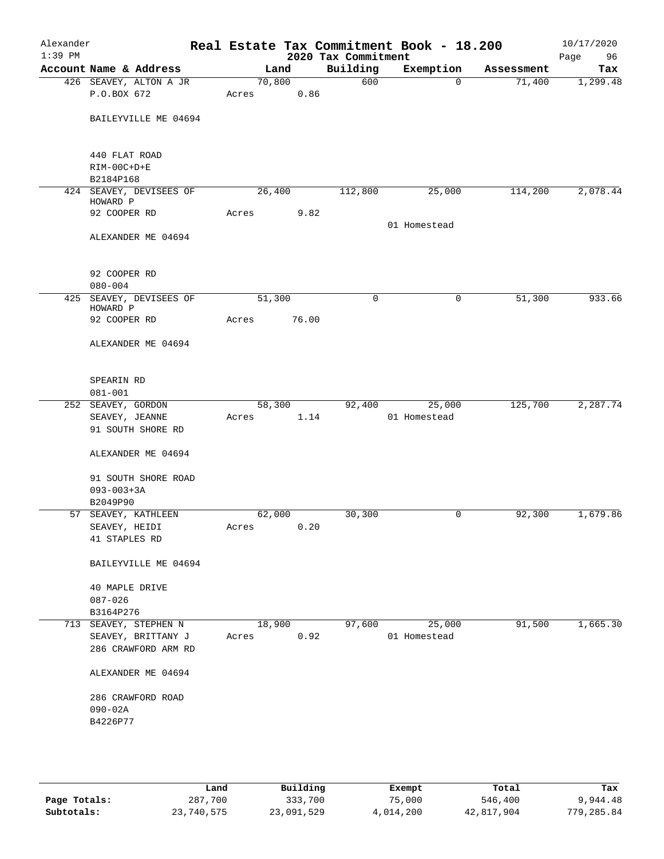| Alexander<br>$1:39$ PM |                                                                    |            |                | 2020 Tax Commitment | Real Estate Tax Commitment Book - 18.200 |            | 10/17/2020<br>Page<br>96 |
|------------------------|--------------------------------------------------------------------|------------|----------------|---------------------|------------------------------------------|------------|--------------------------|
|                        | Account Name & Address                                             |            | Land           | Building            | Exemption                                | Assessment | Tax                      |
|                        | 426 SEAVEY, ALTON A JR                                             |            | 70,800         | 600                 | $\mathbf 0$                              | 71,400     | 1,299.48                 |
|                        | P.O.BOX 672                                                        | Acres      | 0.86           |                     |                                          |            |                          |
|                        | BAILEYVILLE ME 04694                                               |            |                |                     |                                          |            |                          |
|                        | 440 FLAT ROAD                                                      |            |                |                     |                                          |            |                          |
|                        | RIM-00C+D+E                                                        |            |                |                     |                                          |            |                          |
|                        | B2184P168                                                          |            |                |                     |                                          |            |                          |
|                        | 424 SEAVEY, DEVISEES OF<br>HOWARD P                                |            | 26,400         | 112,800             | 25,000                                   | 114,200    | 2,078.44                 |
|                        | 92 COOPER RD                                                       | Acres      | 9.82           |                     |                                          |            |                          |
|                        |                                                                    |            |                |                     | 01 Homestead                             |            |                          |
|                        | ALEXANDER ME 04694                                                 |            |                |                     |                                          |            |                          |
|                        | 92 COOPER RD                                                       |            |                |                     |                                          |            |                          |
|                        | $080 - 004$                                                        |            |                |                     |                                          |            |                          |
| 425                    | SEAVEY, DEVISEES OF<br>HOWARD P                                    |            | 51,300         | 0                   | 0                                        | 51,300     | 933.66                   |
|                        | 92 COOPER RD                                                       | Acres      | 76.00          |                     |                                          |            |                          |
|                        | ALEXANDER ME 04694                                                 |            |                |                     |                                          |            |                          |
|                        |                                                                    |            |                |                     |                                          |            |                          |
|                        | SPEARIN RD<br>$081 - 001$                                          |            |                |                     |                                          |            |                          |
|                        | 252 SEAVEY, GORDON                                                 |            | 58,300         | 92,400              | 25,000                                   | 125,700    | 2, 287.74                |
|                        | SEAVEY, JEANNE                                                     | Acres      | 1.14           |                     | 01 Homestead                             |            |                          |
|                        | 91 SOUTH SHORE RD                                                  |            |                |                     |                                          |            |                          |
|                        | ALEXANDER ME 04694                                                 |            |                |                     |                                          |            |                          |
|                        | 91 SOUTH SHORE ROAD                                                |            |                |                     |                                          |            |                          |
|                        | $093 - 003 + 3A$                                                   |            |                |                     |                                          |            |                          |
|                        | B2049P90                                                           |            |                |                     |                                          |            |                          |
|                        | 57 SEAVEY, KATHLEEN                                                |            | 62,000         | 30,300              | 0                                        | 92,300     | 1,679.86                 |
|                        | SEAVEY, HEIDI                                                      | Acres 0.20 |                |                     |                                          |            |                          |
|                        | 41 STAPLES RD                                                      |            |                |                     |                                          |            |                          |
|                        | BAILEYVILLE ME 04694                                               |            |                |                     |                                          |            |                          |
|                        | 40 MAPLE DRIVE                                                     |            |                |                     |                                          |            |                          |
|                        | $087 - 026$                                                        |            |                |                     |                                          |            |                          |
|                        | B3164P276                                                          |            |                |                     |                                          |            |                          |
|                        | 713 SEAVEY, STEPHEN N<br>SEAVEY, BRITTANY J<br>286 CRAWFORD ARM RD | Acres      | 18,900<br>0.92 | 97,600              | 25,000<br>01 Homestead                   | 91,500     | 1,665.30                 |
|                        | ALEXANDER ME 04694                                                 |            |                |                     |                                          |            |                          |
|                        | 286 CRAWFORD ROAD                                                  |            |                |                     |                                          |            |                          |
|                        | $090 - 02A$                                                        |            |                |                     |                                          |            |                          |
|                        | B4226P77                                                           |            |                |                     |                                          |            |                          |
|                        |                                                                    |            |                |                     |                                          |            |                          |
|                        |                                                                    |            |                |                     |                                          |            |                          |
|                        |                                                                    |            |                |                     |                                          |            |                          |

|              | Land       | Building   | Exempt    | Total      | Tax        |
|--------------|------------|------------|-----------|------------|------------|
| Page Totals: | 287,700    | 333,700    | 75,000    | 546,400    | 9,944.48   |
| Subtotals:   | 23,740,575 | 23,091,529 | 4,014,200 | 42,817,904 | 779,285.84 |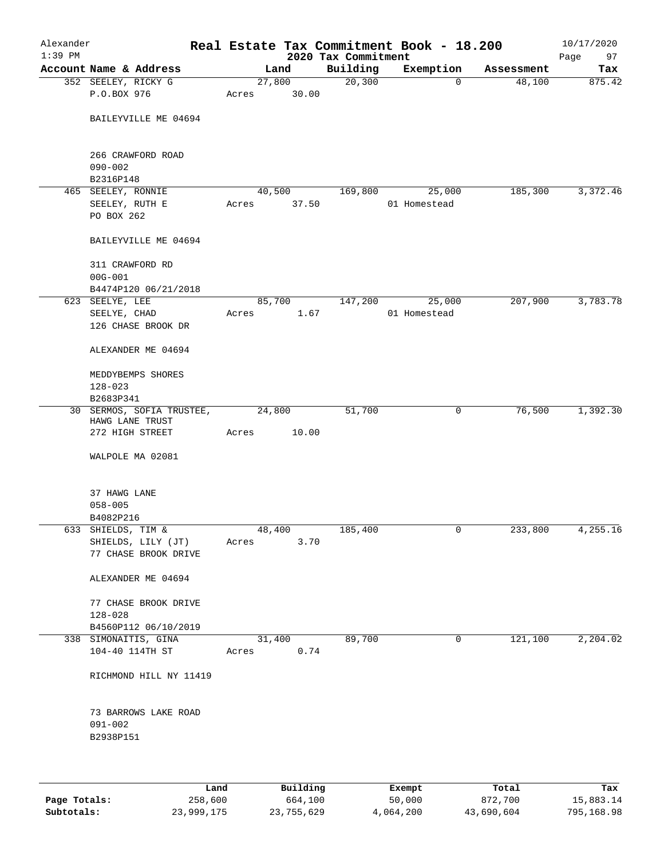| Alexander<br>$1:39$ PM |                                                  |       |                | 2020 Tax Commitment | Real Estate Tax Commitment Book - 18.200 |            | 10/17/2020<br>97<br>Page |
|------------------------|--------------------------------------------------|-------|----------------|---------------------|------------------------------------------|------------|--------------------------|
|                        | Account Name & Address                           |       | Land           | Building            | Exemption                                | Assessment | Tax                      |
|                        | 352 SEELEY, RICKY G                              |       | 27,800         | 20,300              | $\mathbf 0$                              | 48,100     | 875.42                   |
|                        | P.O.BOX 976                                      | Acres | 30.00          |                     |                                          |            |                          |
|                        | BAILEYVILLE ME 04694                             |       |                |                     |                                          |            |                          |
|                        | 266 CRAWFORD ROAD<br>$090 - 002$                 |       |                |                     |                                          |            |                          |
|                        | B2316P148                                        |       |                |                     |                                          |            |                          |
|                        | 465 SEELEY, RONNIE                               |       | 40,500         | 169,800             | 25,000                                   | 185,300    | 3,372.46                 |
|                        | SEELEY, RUTH E<br>PO BOX 262                     | Acres | 37.50          |                     | 01 Homestead                             |            |                          |
|                        | BAILEYVILLE ME 04694                             |       |                |                     |                                          |            |                          |
|                        | 311 CRAWFORD RD                                  |       |                |                     |                                          |            |                          |
|                        | $00G - 001$                                      |       |                |                     |                                          |            |                          |
|                        | B4474P120 06/21/2018<br>623 SEELYE, LEE          |       | 85,700         | 147,200             | 25,000                                   | 207,900    | 3,783.78                 |
|                        | SEELYE, CHAD                                     | Acres | 1.67           |                     | 01 Homestead                             |            |                          |
|                        | 126 CHASE BROOK DR                               |       |                |                     |                                          |            |                          |
|                        | ALEXANDER ME 04694                               |       |                |                     |                                          |            |                          |
|                        | MEDDYBEMPS SHORES<br>$128 - 023$                 |       |                |                     |                                          |            |                          |
|                        | B2683P341                                        |       |                |                     |                                          |            |                          |
|                        | 30 SERMOS, SOFIA TRUSTEE,<br>HAWG LANE TRUST     |       | 24,800         | 51,700              | 0                                        | 76,500     | 1,392.30                 |
|                        | 272 HIGH STREET                                  | Acres | 10.00          |                     |                                          |            |                          |
|                        | WALPOLE MA 02081                                 |       |                |                     |                                          |            |                          |
|                        | 37 HAWG LANE                                     |       |                |                     |                                          |            |                          |
|                        | $058 - 005$                                      |       |                |                     |                                          |            |                          |
|                        | B4082P216                                        |       |                |                     |                                          |            |                          |
|                        | 633 SHIELDS, TIM &<br>SHIELDS, LILY (JT)         | Acres | 48,400<br>3.70 | 185,400             | 0                                        | 233,800    | 4,255.16                 |
|                        | 77 CHASE BROOK DRIVE                             |       |                |                     |                                          |            |                          |
|                        | ALEXANDER ME 04694                               |       |                |                     |                                          |            |                          |
|                        | 77 CHASE BROOK DRIVE<br>$128 - 028$              |       |                |                     |                                          |            |                          |
|                        | B4560P112 06/10/2019                             |       |                |                     |                                          |            |                          |
|                        | 338 SIMONAITIS, GINA                             |       | 31,400         | 89,700              | 0                                        | 121,100    | 2,204.02                 |
|                        | 104-40 114TH ST                                  | Acres | 0.74           |                     |                                          |            |                          |
|                        | RICHMOND HILL NY 11419                           |       |                |                     |                                          |            |                          |
|                        | 73 BARROWS LAKE ROAD<br>$091 - 002$<br>B2938P151 |       |                |                     |                                          |            |                          |
|                        |                                                  |       |                |                     |                                          |            |                          |

|              | Land       | Building   | Exempt    | Total      | Tax        |
|--------------|------------|------------|-----------|------------|------------|
| Page Totals: | 258,600    | 664,100    | 50,000    | 872,700    | 15,883.14  |
| Subtotals:   | 23,999,175 | 23,755,629 | 4,064,200 | 43,690,604 | 795,168.98 |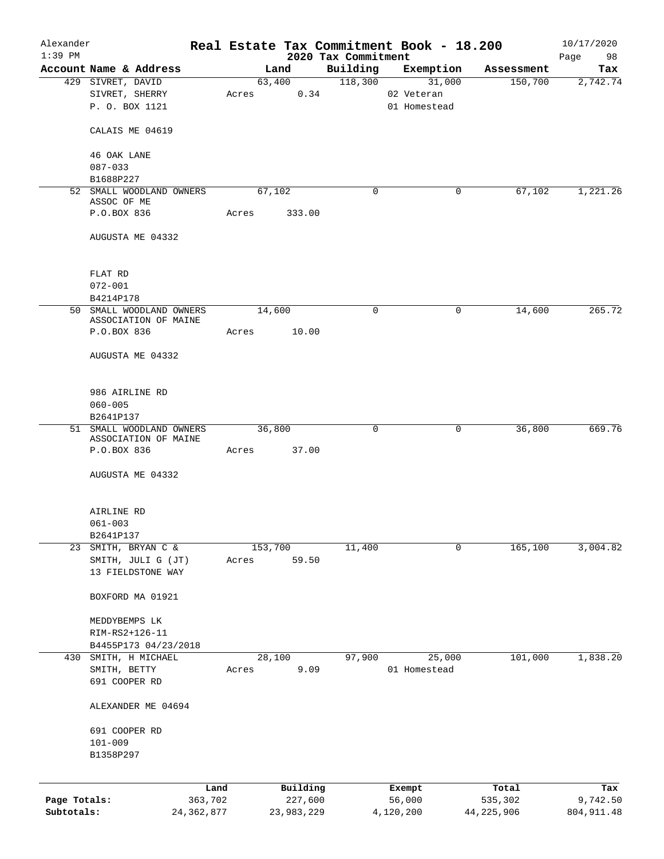| Alexander    |                                                  |       |         |                     |                                 | Real Estate Tax Commitment Book - 18.200 |                  |         | 10/17/2020        |
|--------------|--------------------------------------------------|-------|---------|---------------------|---------------------------------|------------------------------------------|------------------|---------|-------------------|
| $1:39$ PM    | Account Name & Address                           |       | Land    |                     | 2020 Tax Commitment<br>Building | Exemption                                | Assessment       |         | Page<br>98<br>Tax |
|              | 429 SIVRET, DAVID                                |       |         | 63,400              | 118,300                         | 31,000                                   |                  | 150,700 | 2,742.74          |
|              | SIVRET, SHERRY                                   | Acres |         | 0.34                |                                 | 02 Veteran                               |                  |         |                   |
|              | P. O. BOX 1121                                   |       |         |                     |                                 | 01 Homestead                             |                  |         |                   |
|              |                                                  |       |         |                     |                                 |                                          |                  |         |                   |
|              | CALAIS ME 04619                                  |       |         |                     |                                 |                                          |                  |         |                   |
|              | 46 OAK LANE                                      |       |         |                     |                                 |                                          |                  |         |                   |
|              | $087 - 033$                                      |       |         |                     |                                 |                                          |                  |         |                   |
|              | B1688P227                                        |       |         |                     |                                 |                                          |                  |         |                   |
|              | 52 SMALL WOODLAND OWNERS<br>ASSOC OF ME          |       | 67,102  |                     | 0                               |                                          | 0                | 67,102  | 1,221.26          |
|              | P.O.BOX 836                                      | Acres |         | 333.00              |                                 |                                          |                  |         |                   |
|              | AUGUSTA ME 04332                                 |       |         |                     |                                 |                                          |                  |         |                   |
|              |                                                  |       |         |                     |                                 |                                          |                  |         |                   |
|              | FLAT RD                                          |       |         |                     |                                 |                                          |                  |         |                   |
|              | $072 - 001$                                      |       |         |                     |                                 |                                          |                  |         |                   |
|              | B4214P178                                        |       |         |                     |                                 |                                          |                  |         |                   |
|              | 50 SMALL WOODLAND OWNERS                         |       | 14,600  |                     | $\mathbf 0$                     |                                          | 0                | 14,600  | 265.72            |
|              | ASSOCIATION OF MAINE<br>P.O.BOX 836              | Acres |         | 10.00               |                                 |                                          |                  |         |                   |
|              |                                                  |       |         |                     |                                 |                                          |                  |         |                   |
|              | AUGUSTA ME 04332                                 |       |         |                     |                                 |                                          |                  |         |                   |
|              | 986 AIRLINE RD                                   |       |         |                     |                                 |                                          |                  |         |                   |
|              | $060 - 005$                                      |       |         |                     |                                 |                                          |                  |         |                   |
|              | B2641P137                                        |       |         |                     |                                 |                                          |                  |         |                   |
|              | 51 SMALL WOODLAND OWNERS<br>ASSOCIATION OF MAINE |       | 36,800  |                     | $\mathbf 0$                     |                                          | 0                | 36,800  | 669.76            |
|              | P.O.BOX 836                                      | Acres |         | 37.00               |                                 |                                          |                  |         |                   |
|              | AUGUSTA ME 04332                                 |       |         |                     |                                 |                                          |                  |         |                   |
|              |                                                  |       |         |                     |                                 |                                          |                  |         |                   |
|              | AIRLINE RD                                       |       |         |                     |                                 |                                          |                  |         |                   |
|              | $061 - 003$                                      |       |         |                     |                                 |                                          |                  |         |                   |
|              | B2641P137                                        |       |         |                     |                                 |                                          |                  |         |                   |
|              | 23 SMITH, BRYAN C &                              |       | 153,700 | 59.50               | 11,400                          |                                          | 0                | 165,100 | 3,004.82          |
|              | SMITH, JULI G (JT)<br>13 FIELDSTONE WAY          | Acres |         |                     |                                 |                                          |                  |         |                   |
|              |                                                  |       |         |                     |                                 |                                          |                  |         |                   |
|              | BOXFORD MA 01921                                 |       |         |                     |                                 |                                          |                  |         |                   |
|              | MEDDYBEMPS LK                                    |       |         |                     |                                 |                                          |                  |         |                   |
|              | RIM-RS2+126-11                                   |       |         |                     |                                 |                                          |                  |         |                   |
|              | B4455P173 04/23/2018                             |       |         |                     |                                 |                                          |                  |         |                   |
|              | 430 SMITH, H MICHAEL                             |       | 28,100  |                     | 97,900                          | 25,000                                   |                  | 101,000 | 1,838.20          |
|              | SMITH, BETTY                                     | Acres |         | 9.09                |                                 | 01 Homestead                             |                  |         |                   |
|              | 691 COOPER RD                                    |       |         |                     |                                 |                                          |                  |         |                   |
|              | ALEXANDER ME 04694                               |       |         |                     |                                 |                                          |                  |         |                   |
|              | 691 COOPER RD                                    |       |         |                     |                                 |                                          |                  |         |                   |
|              | $101 - 009$                                      |       |         |                     |                                 |                                          |                  |         |                   |
|              | B1358P297                                        |       |         |                     |                                 |                                          |                  |         |                   |
|              |                                                  |       |         |                     |                                 |                                          |                  |         |                   |
| Page Totals: | 363,702                                          | Land  |         | Building<br>227,600 |                                 | Exempt<br>56,000                         | Total<br>535,302 |         | Tax<br>9,742.50   |
| Subtotals:   | 24, 362, 877                                     |       |         | 23,983,229          |                                 | 4,120,200                                | 44, 225, 906     |         | 804, 911.48       |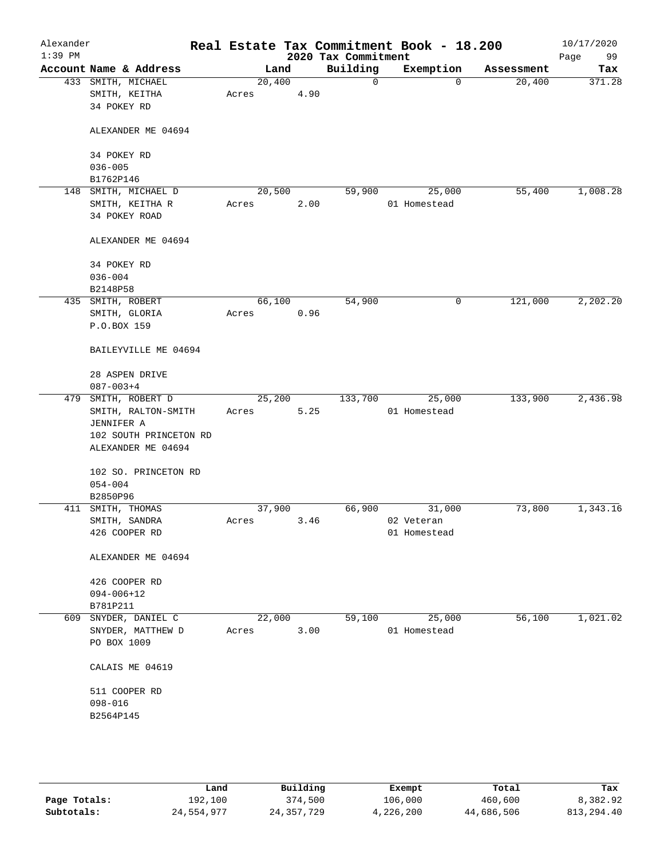| Building<br>Account Name & Address<br>Exemption<br>Land<br>Assessment<br>20,400<br>20,400<br>433 SMITH, MICHAEL<br>0<br>$\mathbf 0$<br>4.90<br>SMITH, KEITHA<br>Acres<br>34 POKEY RD<br>ALEXANDER ME 04694<br>34 POKEY RD<br>$036 - 005$<br>B1762P146<br>SMITH, MICHAEL D<br>20,500<br>55,400<br>148<br>59,900<br>25,000<br>SMITH, KEITHA R<br>2.00<br>01 Homestead<br>Acres<br>34 POKEY ROAD<br>ALEXANDER ME 04694<br>34 POKEY RD<br>$036 - 004$<br>B2148P58<br>54,900<br>121,000<br>435 SMITH, ROBERT<br>66,100<br>0<br>0.96<br>SMITH, GLORIA<br>Acres<br>P.O.BOX 159<br>BAILEYVILLE ME 04694<br>28 ASPEN DRIVE<br>$087 - 003 + 4$<br>479 SMITH, ROBERT D<br>25,200<br>133,700<br>25,000<br>133,900<br>01 Homestead<br>SMITH, RALTON-SMITH<br>5.25<br>Acres<br>JENNIFER A<br>102 SOUTH PRINCETON RD<br>ALEXANDER ME 04694<br>102 SO. PRINCETON RD<br>$054 - 004$<br>B2850P96<br>37,900<br>66,900<br>73,800<br>411 SMITH, THOMAS<br>31,000<br>SMITH, SANDRA<br>3.46<br>02 Veteran<br>Acres<br>426 COOPER RD<br>01 Homestead<br>ALEXANDER ME 04694<br>426 COOPER RD<br>$094 - 006 + 12$<br>B781P211<br>609 SNYDER, DANIEL C<br>22,000<br>59,100<br>25,000<br>56,100<br>3.00<br>SNYDER, MATTHEW D<br>Acres<br>01 Homestead<br>PO BOX 1009<br>CALAIS ME 04619<br>511 COOPER RD<br>098-016<br>B2564P145 | Alexander<br>$1:39$ PM |  |  | 2020 Tax Commitment | Real Estate Tax Commitment Book - 18.200 | 10/17/2020<br>Page<br>99 |
|------------------------------------------------------------------------------------------------------------------------------------------------------------------------------------------------------------------------------------------------------------------------------------------------------------------------------------------------------------------------------------------------------------------------------------------------------------------------------------------------------------------------------------------------------------------------------------------------------------------------------------------------------------------------------------------------------------------------------------------------------------------------------------------------------------------------------------------------------------------------------------------------------------------------------------------------------------------------------------------------------------------------------------------------------------------------------------------------------------------------------------------------------------------------------------------------------------------------------------------------------------------------------------------------------|------------------------|--|--|---------------------|------------------------------------------|--------------------------|
|                                                                                                                                                                                                                                                                                                                                                                                                                                                                                                                                                                                                                                                                                                                                                                                                                                                                                                                                                                                                                                                                                                                                                                                                                                                                                                      |                        |  |  |                     |                                          | Tax                      |
|                                                                                                                                                                                                                                                                                                                                                                                                                                                                                                                                                                                                                                                                                                                                                                                                                                                                                                                                                                                                                                                                                                                                                                                                                                                                                                      |                        |  |  |                     |                                          | 371.28                   |
|                                                                                                                                                                                                                                                                                                                                                                                                                                                                                                                                                                                                                                                                                                                                                                                                                                                                                                                                                                                                                                                                                                                                                                                                                                                                                                      |                        |  |  |                     |                                          |                          |
|                                                                                                                                                                                                                                                                                                                                                                                                                                                                                                                                                                                                                                                                                                                                                                                                                                                                                                                                                                                                                                                                                                                                                                                                                                                                                                      |                        |  |  |                     |                                          |                          |
|                                                                                                                                                                                                                                                                                                                                                                                                                                                                                                                                                                                                                                                                                                                                                                                                                                                                                                                                                                                                                                                                                                                                                                                                                                                                                                      |                        |  |  |                     |                                          |                          |
|                                                                                                                                                                                                                                                                                                                                                                                                                                                                                                                                                                                                                                                                                                                                                                                                                                                                                                                                                                                                                                                                                                                                                                                                                                                                                                      |                        |  |  |                     |                                          | 1,008.28                 |
|                                                                                                                                                                                                                                                                                                                                                                                                                                                                                                                                                                                                                                                                                                                                                                                                                                                                                                                                                                                                                                                                                                                                                                                                                                                                                                      |                        |  |  |                     |                                          |                          |
|                                                                                                                                                                                                                                                                                                                                                                                                                                                                                                                                                                                                                                                                                                                                                                                                                                                                                                                                                                                                                                                                                                                                                                                                                                                                                                      |                        |  |  |                     |                                          |                          |
|                                                                                                                                                                                                                                                                                                                                                                                                                                                                                                                                                                                                                                                                                                                                                                                                                                                                                                                                                                                                                                                                                                                                                                                                                                                                                                      |                        |  |  |                     |                                          |                          |
|                                                                                                                                                                                                                                                                                                                                                                                                                                                                                                                                                                                                                                                                                                                                                                                                                                                                                                                                                                                                                                                                                                                                                                                                                                                                                                      |                        |  |  |                     |                                          |                          |
|                                                                                                                                                                                                                                                                                                                                                                                                                                                                                                                                                                                                                                                                                                                                                                                                                                                                                                                                                                                                                                                                                                                                                                                                                                                                                                      |                        |  |  |                     |                                          |                          |
|                                                                                                                                                                                                                                                                                                                                                                                                                                                                                                                                                                                                                                                                                                                                                                                                                                                                                                                                                                                                                                                                                                                                                                                                                                                                                                      |                        |  |  |                     |                                          | 2,202.20                 |
|                                                                                                                                                                                                                                                                                                                                                                                                                                                                                                                                                                                                                                                                                                                                                                                                                                                                                                                                                                                                                                                                                                                                                                                                                                                                                                      |                        |  |  |                     |                                          |                          |
|                                                                                                                                                                                                                                                                                                                                                                                                                                                                                                                                                                                                                                                                                                                                                                                                                                                                                                                                                                                                                                                                                                                                                                                                                                                                                                      |                        |  |  |                     |                                          |                          |
|                                                                                                                                                                                                                                                                                                                                                                                                                                                                                                                                                                                                                                                                                                                                                                                                                                                                                                                                                                                                                                                                                                                                                                                                                                                                                                      |                        |  |  |                     |                                          |                          |
|                                                                                                                                                                                                                                                                                                                                                                                                                                                                                                                                                                                                                                                                                                                                                                                                                                                                                                                                                                                                                                                                                                                                                                                                                                                                                                      |                        |  |  |                     |                                          |                          |
|                                                                                                                                                                                                                                                                                                                                                                                                                                                                                                                                                                                                                                                                                                                                                                                                                                                                                                                                                                                                                                                                                                                                                                                                                                                                                                      |                        |  |  |                     |                                          |                          |
|                                                                                                                                                                                                                                                                                                                                                                                                                                                                                                                                                                                                                                                                                                                                                                                                                                                                                                                                                                                                                                                                                                                                                                                                                                                                                                      |                        |  |  |                     |                                          | 2,436.98                 |
|                                                                                                                                                                                                                                                                                                                                                                                                                                                                                                                                                                                                                                                                                                                                                                                                                                                                                                                                                                                                                                                                                                                                                                                                                                                                                                      |                        |  |  |                     |                                          |                          |
|                                                                                                                                                                                                                                                                                                                                                                                                                                                                                                                                                                                                                                                                                                                                                                                                                                                                                                                                                                                                                                                                                                                                                                                                                                                                                                      |                        |  |  |                     |                                          |                          |
|                                                                                                                                                                                                                                                                                                                                                                                                                                                                                                                                                                                                                                                                                                                                                                                                                                                                                                                                                                                                                                                                                                                                                                                                                                                                                                      |                        |  |  |                     |                                          |                          |
|                                                                                                                                                                                                                                                                                                                                                                                                                                                                                                                                                                                                                                                                                                                                                                                                                                                                                                                                                                                                                                                                                                                                                                                                                                                                                                      |                        |  |  |                     |                                          |                          |
|                                                                                                                                                                                                                                                                                                                                                                                                                                                                                                                                                                                                                                                                                                                                                                                                                                                                                                                                                                                                                                                                                                                                                                                                                                                                                                      |                        |  |  |                     |                                          |                          |
|                                                                                                                                                                                                                                                                                                                                                                                                                                                                                                                                                                                                                                                                                                                                                                                                                                                                                                                                                                                                                                                                                                                                                                                                                                                                                                      |                        |  |  |                     |                                          |                          |
|                                                                                                                                                                                                                                                                                                                                                                                                                                                                                                                                                                                                                                                                                                                                                                                                                                                                                                                                                                                                                                                                                                                                                                                                                                                                                                      |                        |  |  |                     |                                          |                          |
|                                                                                                                                                                                                                                                                                                                                                                                                                                                                                                                                                                                                                                                                                                                                                                                                                                                                                                                                                                                                                                                                                                                                                                                                                                                                                                      |                        |  |  |                     |                                          | 1,343.16                 |
|                                                                                                                                                                                                                                                                                                                                                                                                                                                                                                                                                                                                                                                                                                                                                                                                                                                                                                                                                                                                                                                                                                                                                                                                                                                                                                      |                        |  |  |                     |                                          |                          |
|                                                                                                                                                                                                                                                                                                                                                                                                                                                                                                                                                                                                                                                                                                                                                                                                                                                                                                                                                                                                                                                                                                                                                                                                                                                                                                      |                        |  |  |                     |                                          |                          |
|                                                                                                                                                                                                                                                                                                                                                                                                                                                                                                                                                                                                                                                                                                                                                                                                                                                                                                                                                                                                                                                                                                                                                                                                                                                                                                      |                        |  |  |                     |                                          |                          |
|                                                                                                                                                                                                                                                                                                                                                                                                                                                                                                                                                                                                                                                                                                                                                                                                                                                                                                                                                                                                                                                                                                                                                                                                                                                                                                      |                        |  |  |                     |                                          |                          |
|                                                                                                                                                                                                                                                                                                                                                                                                                                                                                                                                                                                                                                                                                                                                                                                                                                                                                                                                                                                                                                                                                                                                                                                                                                                                                                      |                        |  |  |                     |                                          |                          |
|                                                                                                                                                                                                                                                                                                                                                                                                                                                                                                                                                                                                                                                                                                                                                                                                                                                                                                                                                                                                                                                                                                                                                                                                                                                                                                      |                        |  |  |                     |                                          |                          |
|                                                                                                                                                                                                                                                                                                                                                                                                                                                                                                                                                                                                                                                                                                                                                                                                                                                                                                                                                                                                                                                                                                                                                                                                                                                                                                      |                        |  |  |                     |                                          | 1,021.02                 |
|                                                                                                                                                                                                                                                                                                                                                                                                                                                                                                                                                                                                                                                                                                                                                                                                                                                                                                                                                                                                                                                                                                                                                                                                                                                                                                      |                        |  |  |                     |                                          |                          |
|                                                                                                                                                                                                                                                                                                                                                                                                                                                                                                                                                                                                                                                                                                                                                                                                                                                                                                                                                                                                                                                                                                                                                                                                                                                                                                      |                        |  |  |                     |                                          |                          |
|                                                                                                                                                                                                                                                                                                                                                                                                                                                                                                                                                                                                                                                                                                                                                                                                                                                                                                                                                                                                                                                                                                                                                                                                                                                                                                      |                        |  |  |                     |                                          |                          |
|                                                                                                                                                                                                                                                                                                                                                                                                                                                                                                                                                                                                                                                                                                                                                                                                                                                                                                                                                                                                                                                                                                                                                                                                                                                                                                      |                        |  |  |                     |                                          |                          |
|                                                                                                                                                                                                                                                                                                                                                                                                                                                                                                                                                                                                                                                                                                                                                                                                                                                                                                                                                                                                                                                                                                                                                                                                                                                                                                      |                        |  |  |                     |                                          |                          |
|                                                                                                                                                                                                                                                                                                                                                                                                                                                                                                                                                                                                                                                                                                                                                                                                                                                                                                                                                                                                                                                                                                                                                                                                                                                                                                      |                        |  |  |                     |                                          |                          |
|                                                                                                                                                                                                                                                                                                                                                                                                                                                                                                                                                                                                                                                                                                                                                                                                                                                                                                                                                                                                                                                                                                                                                                                                                                                                                                      |                        |  |  |                     |                                          |                          |
|                                                                                                                                                                                                                                                                                                                                                                                                                                                                                                                                                                                                                                                                                                                                                                                                                                                                                                                                                                                                                                                                                                                                                                                                                                                                                                      |                        |  |  |                     |                                          |                          |

|              | Land       | Building     | Exempt    | Total      | Tax        |
|--------------|------------|--------------|-----------|------------|------------|
| Page Totals: | 192,100    | 374,500      | 106,000   | 460,600    | 8,382.92   |
| Subtotals:   | 24,554,977 | 24, 357, 729 | 4,226,200 | 44,686,506 | 813,294.40 |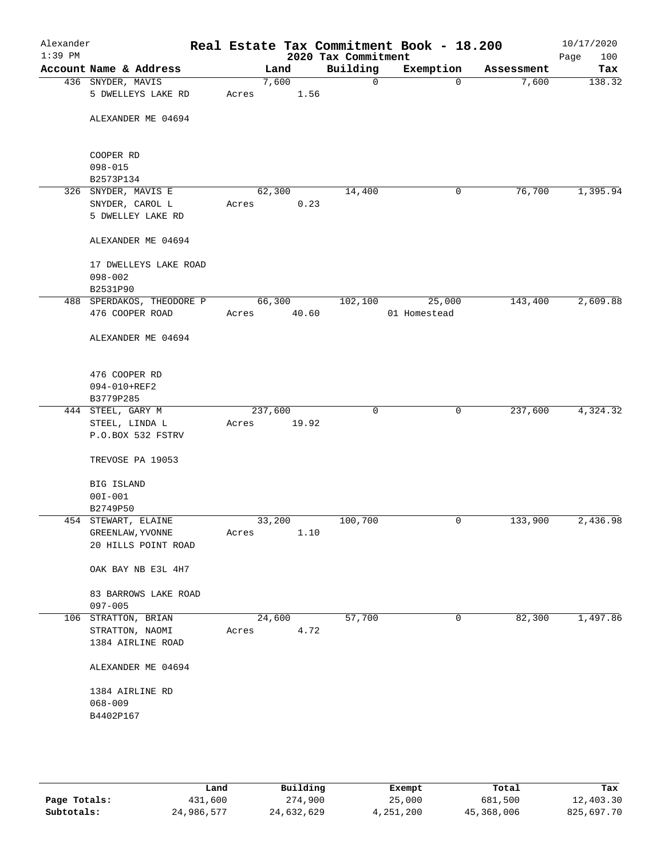| Alexander<br>$1:39$ PM |                                     | Real Estate Tax Commitment Book - 18.200 | 2020 Tax Commitment |              |            | 10/17/2020<br>Page<br>100 |
|------------------------|-------------------------------------|------------------------------------------|---------------------|--------------|------------|---------------------------|
|                        | Account Name & Address              | Land                                     | Building            | Exemption    | Assessment | Tax                       |
|                        | 436 SNYDER, MAVIS                   | 7,600                                    | 0                   | $\mathbf 0$  | 7,600      | 138.32                    |
|                        | 5 DWELLEYS LAKE RD                  | 1.56<br>Acres                            |                     |              |            |                           |
|                        | ALEXANDER ME 04694                  |                                          |                     |              |            |                           |
|                        |                                     |                                          |                     |              |            |                           |
|                        |                                     |                                          |                     |              |            |                           |
|                        | COOPER RD<br>$098 - 015$            |                                          |                     |              |            |                           |
|                        | B2573P134                           |                                          |                     |              |            |                           |
|                        | 326 SNYDER, MAVIS E                 | 62,300                                   | 14,400              | 0            | 76,700     | 1,395.94                  |
|                        | SNYDER, CAROL L                     | 0.23<br>Acres                            |                     |              |            |                           |
|                        | 5 DWELLEY LAKE RD                   |                                          |                     |              |            |                           |
|                        | ALEXANDER ME 04694                  |                                          |                     |              |            |                           |
|                        | 17 DWELLEYS LAKE ROAD               |                                          |                     |              |            |                           |
|                        | $098 - 002$                         |                                          |                     |              |            |                           |
|                        | B2531P90                            |                                          |                     |              |            |                           |
|                        | 488 SPERDAKOS, THEODORE P           | 66,300                                   | 102,100             | 25,000       | 143,400    | 2,609.88                  |
|                        | 476 COOPER ROAD                     | 40.60<br>Acres                           |                     | 01 Homestead |            |                           |
|                        | ALEXANDER ME 04694                  |                                          |                     |              |            |                           |
|                        | 476 COOPER RD                       |                                          |                     |              |            |                           |
|                        | 094-010+REF2                        |                                          |                     |              |            |                           |
|                        | B3779P285                           |                                          |                     |              |            |                           |
|                        | 444 STEEL, GARY M                   | 237,600                                  | 0                   | $\mathsf{O}$ | 237,600    | 4,324.32                  |
|                        | STEEL, LINDA L                      | 19.92<br>Acres                           |                     |              |            |                           |
|                        | P.O.BOX 532 FSTRV                   |                                          |                     |              |            |                           |
|                        | TREVOSE PA 19053                    |                                          |                     |              |            |                           |
|                        | BIG ISLAND                          |                                          |                     |              |            |                           |
|                        | $00I - 001$                         |                                          |                     |              |            |                           |
|                        | B2749P50                            |                                          |                     |              |            |                           |
|                        | 454 STEWART, ELAINE                 | 33,200                                   | 100,700             | 0            | 133,900    | 2,436.98                  |
|                        | GREENLAW, YVONNE                    | 1.10<br>Acres                            |                     |              |            |                           |
|                        | 20 HILLS POINT ROAD                 |                                          |                     |              |            |                           |
|                        | OAK BAY NB E3L 4H7                  |                                          |                     |              |            |                           |
|                        | 83 BARROWS LAKE ROAD<br>$097 - 005$ |                                          |                     |              |            |                           |
|                        | 106 STRATTON, BRIAN                 | 24,600                                   | 57,700              | 0            | 82,300     | 1,497.86                  |
|                        | STRATTON, NAOMI                     | 4.72<br>Acres                            |                     |              |            |                           |
|                        | 1384 AIRLINE ROAD                   |                                          |                     |              |            |                           |
|                        | ALEXANDER ME 04694                  |                                          |                     |              |            |                           |
|                        | 1384 AIRLINE RD                     |                                          |                     |              |            |                           |
|                        | $068 - 009$                         |                                          |                     |              |            |                           |
|                        | B4402P167                           |                                          |                     |              |            |                           |
|                        |                                     |                                          |                     |              |            |                           |
|                        |                                     |                                          |                     |              |            |                           |
|                        |                                     |                                          |                     |              |            |                           |
|                        |                                     |                                          |                     |              |            |                           |

|              | Land       | Building   | Exempt    | Total      | Tax        |
|--------------|------------|------------|-----------|------------|------------|
| Page Totals: | 431,600    | 274,900    | 25,000    | 681,500    | 12,403.30  |
| Subtotals:   | 24,986,577 | 24,632,629 | 4,251,200 | 45,368,006 | 825,697.70 |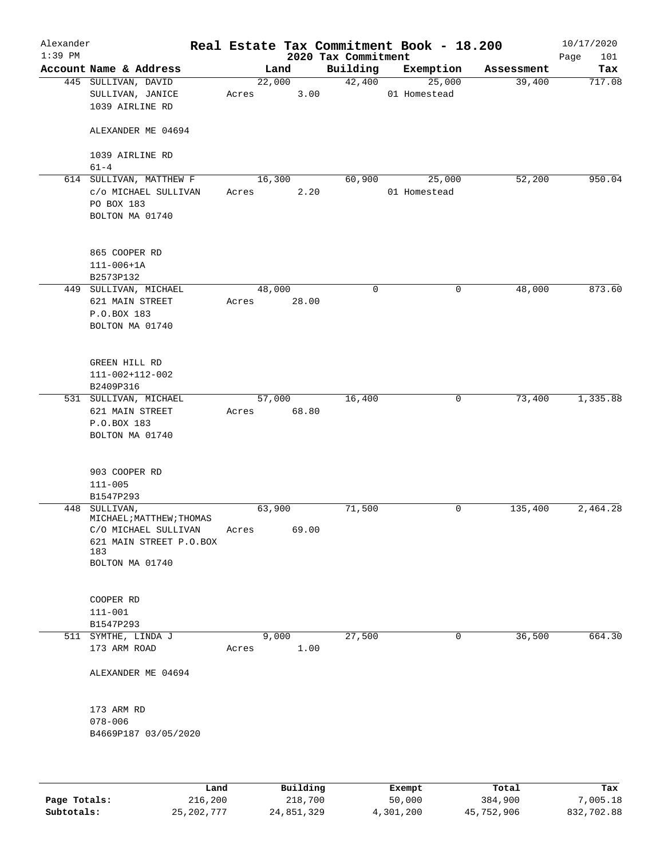| Alexander<br>$1:39$ PM |                                                                                                                        |       |                 | 2020 Tax Commitment | Real Estate Tax Commitment Book - 18.200 |            | 10/17/2020<br>Page<br>101 |
|------------------------|------------------------------------------------------------------------------------------------------------------------|-------|-----------------|---------------------|------------------------------------------|------------|---------------------------|
|                        | Account Name & Address                                                                                                 |       | Land            | Building            | Exemption                                | Assessment | Tax                       |
|                        | 445 SULLIVAN, DAVID<br>SULLIVAN, JANICE<br>1039 AIRLINE RD                                                             | Acres | 22,000<br>3.00  | 42,400              | 25,000<br>01 Homestead                   | 39,400     | 717.08                    |
|                        | ALEXANDER ME 04694                                                                                                     |       |                 |                     |                                          |            |                           |
|                        | 1039 AIRLINE RD<br>$61 - 4$                                                                                            |       |                 |                     |                                          |            |                           |
|                        | 614 SULLIVAN, MATTHEW F<br>c/o MICHAEL SULLIVAN<br>PO BOX 183<br>BOLTON MA 01740                                       | Acres | 16,300<br>2.20  | 60,900              | 25,000<br>01 Homestead                   | 52,200     | 950.04                    |
|                        | 865 COOPER RD<br>$111 - 006 + 1A$<br>B2573P132                                                                         |       |                 |                     |                                          |            |                           |
|                        | 449 SULLIVAN, MICHAEL<br>621 MAIN STREET<br>P.O.BOX 183<br>BOLTON MA 01740                                             | Acres | 48,000<br>28.00 | 0                   | 0                                        | 48,000     | 873.60                    |
|                        | GREEN HILL RD<br>111-002+112-002<br>B2409P316                                                                          |       |                 |                     |                                          |            |                           |
|                        | 531 SULLIVAN, MICHAEL<br>621 MAIN STREET<br>P.O.BOX 183<br>BOLTON MA 01740                                             | Acres | 57,000<br>68.80 | 16,400              | 0                                        | 73,400     | 1,335.88                  |
|                        | 903 COOPER RD<br>$111 - 005$<br>B1547P293                                                                              |       |                 |                     |                                          |            |                           |
|                        | 448 SULLIVAN,<br>MICHAEL; MATTHEW; THOMAS<br>C/O MICHAEL SULLIVAN<br>621 MAIN STREET P.O.BOX<br>183<br>BOLTON MA 01740 | Acres | 63,900<br>69.00 | 71,500              | 0                                        | 135,400    | 2,464.28                  |
|                        | COOPER RD<br>$111 - 001$<br>B1547P293                                                                                  |       |                 |                     |                                          |            |                           |
|                        | 511 SYMTHE, LINDA J<br>173 ARM ROAD                                                                                    | Acres | 9,000<br>1.00   | 27,500              | 0                                        | 36,500     | 664.30                    |
|                        | ALEXANDER ME 04694                                                                                                     |       |                 |                     |                                          |            |                           |
|                        | 173 ARM RD<br>$078 - 006$<br>B4669P187 03/05/2020                                                                      |       |                 |                     |                                          |            |                           |
|                        |                                                                                                                        |       |                 |                     |                                          |            |                           |

|              | Land         | Building   | Exempt    | Total      | Tax        |
|--------------|--------------|------------|-----------|------------|------------|
| Page Totals: | 216,200      | 218,700    | 50,000    | 384,900    | 7,005.18   |
| Subtotals:   | 25, 202, 777 | 24,851,329 | 4,301,200 | 45,752,906 | 832,702.88 |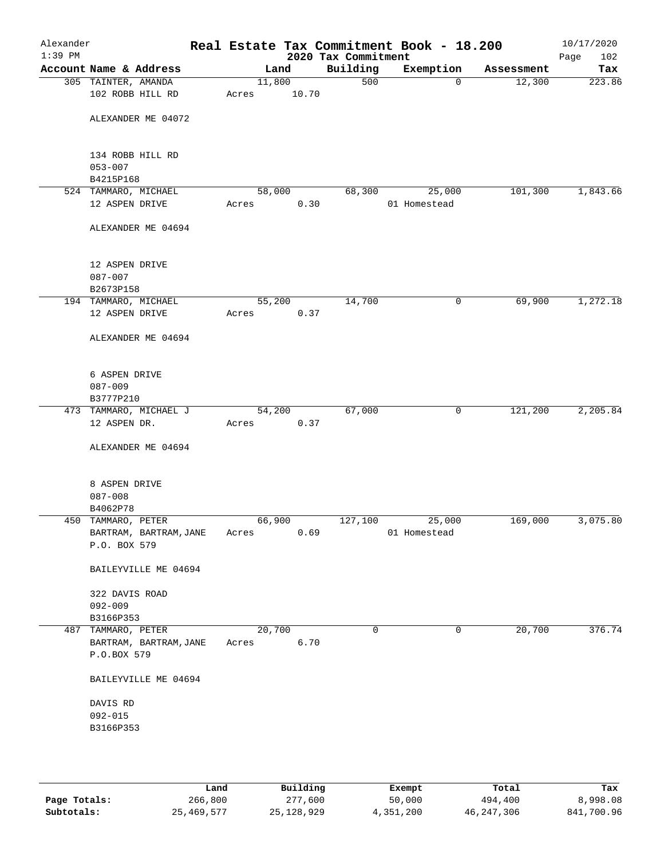| Alexander<br>$1:39$ PM |                                              |                 |       | 2020 Tax Commitment | Real Estate Tax Commitment Book - 18.200 |            | 10/17/2020<br>Page<br>102 |
|------------------------|----------------------------------------------|-----------------|-------|---------------------|------------------------------------------|------------|---------------------------|
|                        | Account Name & Address                       | Land            |       | Building            | Exemption                                | Assessment | Tax                       |
|                        | 305 TAINTER, AMANDA<br>102 ROBB HILL RD      | 11,800<br>Acres | 10.70 | 500                 | $\mathbf 0$                              | 12,300     | 223.86                    |
|                        | ALEXANDER ME 04072                           |                 |       |                     |                                          |            |                           |
|                        | 134 ROBB HILL RD<br>$053 - 007$              |                 |       |                     |                                          |            |                           |
|                        | B4215P168                                    |                 |       |                     |                                          |            |                           |
|                        | 524 TAMMARO, MICHAEL                         | 58,000          |       | 68,300              | 25,000                                   | 101,300    | 1,843.66                  |
|                        | 12 ASPEN DRIVE                               | Acres           | 0.30  |                     | 01 Homestead                             |            |                           |
|                        | ALEXANDER ME 04694                           |                 |       |                     |                                          |            |                           |
|                        | 12 ASPEN DRIVE                               |                 |       |                     |                                          |            |                           |
|                        | $087 - 007$                                  |                 |       |                     |                                          |            |                           |
|                        | B2673P158                                    |                 |       |                     |                                          |            |                           |
|                        | 194 TAMMARO, MICHAEL                         | 55,200          |       | 14,700              | 0                                        | 69,900     | 1,272.18                  |
|                        | 12 ASPEN DRIVE                               | Acres           | 0.37  |                     |                                          |            |                           |
|                        | ALEXANDER ME 04694                           |                 |       |                     |                                          |            |                           |
|                        | 6 ASPEN DRIVE                                |                 |       |                     |                                          |            |                           |
|                        | $087 - 009$                                  |                 |       |                     |                                          |            |                           |
|                        | B3777P210                                    |                 |       |                     |                                          |            |                           |
|                        | 473 TAMMARO, MICHAEL J                       | 54,200          |       | 67,000              | $\mathsf{O}$                             | 121,200    | 2,205.84                  |
|                        | 12 ASPEN DR.                                 | Acres           | 0.37  |                     |                                          |            |                           |
|                        | ALEXANDER ME 04694                           |                 |       |                     |                                          |            |                           |
|                        | 8 ASPEN DRIVE                                |                 |       |                     |                                          |            |                           |
|                        | $087 - 008$                                  |                 |       |                     |                                          |            |                           |
|                        | B4062P78                                     |                 |       |                     |                                          |            |                           |
|                        | 450 TAMMARO, PETER<br>BARTRAM, BARTRAM, JANE | 66,900<br>Acres | 0.69  | 127,100             | 25,000<br>01 Homestead                   | 169,000    | 3,075.80                  |
|                        | P.O. BOX 579                                 |                 |       |                     |                                          |            |                           |
|                        | BAILEYVILLE ME 04694                         |                 |       |                     |                                          |            |                           |
|                        | 322 DAVIS ROAD                               |                 |       |                     |                                          |            |                           |
|                        | $092 - 009$                                  |                 |       |                     |                                          |            |                           |
|                        | B3166P353                                    |                 |       |                     |                                          |            |                           |
|                        | 487 TAMMARO, PETER                           | 20,700          |       | 0                   | 0                                        | 20,700     | 376.74                    |
|                        | BARTRAM, BARTRAM, JANE<br>P.O.BOX 579        | Acres           | 6.70  |                     |                                          |            |                           |
|                        | BAILEYVILLE ME 04694                         |                 |       |                     |                                          |            |                           |
|                        | DAVIS RD                                     |                 |       |                     |                                          |            |                           |
|                        | $092 - 015$                                  |                 |       |                     |                                          |            |                           |
|                        | B3166P353                                    |                 |       |                     |                                          |            |                           |
|                        |                                              |                 |       |                     |                                          |            |                           |
|                        |                                              |                 |       |                     |                                          |            |                           |
|                        |                                              |                 |       |                     |                                          |            |                           |

|              | Land       | Building     | Exempt    | Total      | Tax        |
|--------------|------------|--------------|-----------|------------|------------|
| Page Totals: | 266,800    | 277,600      | 50,000    | 494,400    | 8,998.08   |
| Subtotals:   | 25,469,577 | 25, 128, 929 | 4,351,200 | 46,247,306 | 841,700.96 |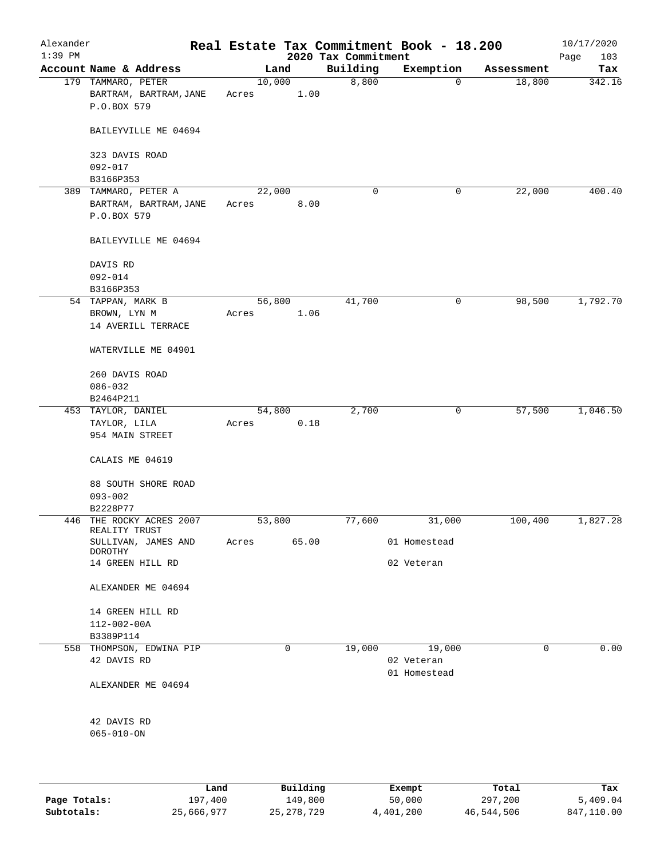| Alexander<br>$1:39$ PM |                                                               |       |                     |                                 | Real Estate Tax Commitment Book - 18.200 |                  | 10/17/2020         |
|------------------------|---------------------------------------------------------------|-------|---------------------|---------------------------------|------------------------------------------|------------------|--------------------|
|                        | Account Name & Address                                        |       | Land                | 2020 Tax Commitment<br>Building | Exemption                                | Assessment       | Page<br>103<br>Tax |
|                        | 179 TAMMARO, PETER<br>BARTRAM, BARTRAM, JANE<br>P.O.BOX 579   | Acres | 10,000<br>1.00      | 8,800                           | $\mathbf 0$                              | 18,800           | 342.16             |
|                        | BAILEYVILLE ME 04694                                          |       |                     |                                 |                                          |                  |                    |
|                        | 323 DAVIS ROAD<br>$092 - 017$                                 |       |                     |                                 |                                          |                  |                    |
|                        | B3166P353                                                     |       |                     |                                 |                                          |                  |                    |
|                        | 389 TAMMARO, PETER A<br>BARTRAM, BARTRAM, JANE<br>P.O.BOX 579 | Acres | 22,000<br>8.00      | 0                               | 0                                        | 22,000           | 400.40             |
|                        | BAILEYVILLE ME 04694                                          |       |                     |                                 |                                          |                  |                    |
|                        | DAVIS RD<br>$092 - 014$                                       |       |                     |                                 |                                          |                  |                    |
|                        | B3166P353                                                     |       |                     |                                 |                                          |                  |                    |
|                        | 54 TAPPAN, MARK B<br>BROWN, LYN M<br>14 AVERILL TERRACE       | Acres | 56,800<br>1.06      | 41,700                          | 0                                        | 98,500           | 1,792.70           |
|                        | WATERVILLE ME 04901                                           |       |                     |                                 |                                          |                  |                    |
|                        | 260 DAVIS ROAD<br>$086 - 032$<br>B2464P211                    |       |                     |                                 |                                          |                  |                    |
|                        | 453 TAYLOR, DANIEL<br>TAYLOR, LILA<br>954 MAIN STREET         | Acres | 54,800<br>0.18      | 2,700                           | 0                                        | 57,500           | 1,046.50           |
|                        | CALAIS ME 04619                                               |       |                     |                                 |                                          |                  |                    |
|                        | 88 SOUTH SHORE ROAD<br>$093 - 002$<br>B2228P77                |       |                     |                                 |                                          |                  |                    |
| 446                    | THE ROCKY ACRES 2007                                          |       | 53,800              | 77,600                          | 31,000                                   | 100,400          | 1,827.28           |
|                        | REALITY TRUST<br>SULLIVAN, JAMES AND                          | Acres | 65.00               |                                 | 01 Homestead                             |                  |                    |
|                        | DOROTHY<br>14 GREEN HILL RD                                   |       |                     |                                 | 02 Veteran                               |                  |                    |
|                        | ALEXANDER ME 04694                                            |       |                     |                                 |                                          |                  |                    |
|                        | 14 GREEN HILL RD<br>112-002-00A<br>B3389P114                  |       |                     |                                 |                                          |                  |                    |
|                        | 558 THOMPSON, EDWINA PIP<br>42 DAVIS RD                       |       | 0                   | 19,000                          | 19,000<br>02 Veteran<br>01 Homestead     | $\mathbf 0$      | 0.00               |
|                        | ALEXANDER ME 04694                                            |       |                     |                                 |                                          |                  |                    |
|                        | 42 DAVIS RD<br>$065 - 010 - ON$                               |       |                     |                                 |                                          |                  |                    |
|                        |                                                               |       |                     |                                 |                                          |                  |                    |
| Page Totals:           | Land<br>197,400                                               |       | Building<br>149,800 |                                 | Exempt<br>50,000                         | Total<br>297,200 | Tax<br>5,409.04    |

**Subtotals:** 25,666,977 25,278,729 4,401,200 46,544,506 847,110.00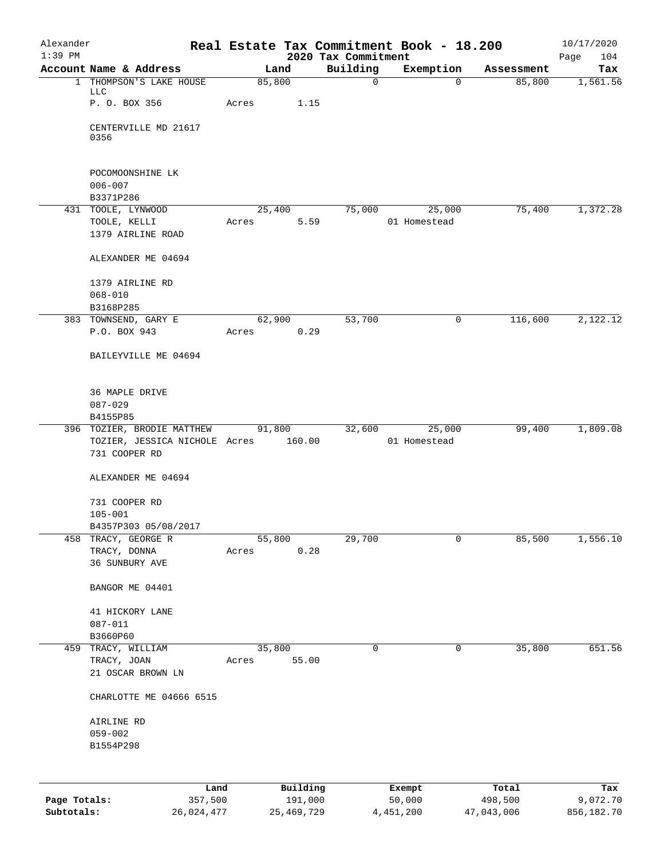| Alexander                  |                                                                              |        |                         |                                 | Real Estate Tax Commitment Book - 18.200 |                       | 10/17/2020             |
|----------------------------|------------------------------------------------------------------------------|--------|-------------------------|---------------------------------|------------------------------------------|-----------------------|------------------------|
| $1:39$ PM                  | Account Name & Address                                                       | Land   |                         | 2020 Tax Commitment<br>Building | Exemption                                | Assessment            | Page<br>104<br>Tax     |
|                            | 1 THOMPSON'S LAKE HOUSE                                                      | 85,800 |                         | $\mathsf{O}$                    | $\Omega$                                 | 85,800                | 1,561.56               |
|                            | LLC<br>P. O. BOX 356                                                         | Acres  | 1.15                    |                                 |                                          |                       |                        |
|                            | CENTERVILLE MD 21617<br>0356                                                 |        |                         |                                 |                                          |                       |                        |
|                            | POCOMOONSHINE LK                                                             |        |                         |                                 |                                          |                       |                        |
|                            | $006 - 007$                                                                  |        |                         |                                 |                                          |                       |                        |
|                            | B3371P286<br>431 TOOLE, LYNWOOD                                              | 25,400 |                         | 75,000                          | 25,000                                   | 75,400                | 1,372.28               |
|                            | TOOLE, KELLI<br>1379 AIRLINE ROAD                                            | Acres  | 5.59                    |                                 | 01 Homestead                             |                       |                        |
|                            | ALEXANDER ME 04694                                                           |        |                         |                                 |                                          |                       |                        |
|                            | 1379 AIRLINE RD                                                              |        |                         |                                 |                                          |                       |                        |
|                            | $068 - 010$                                                                  |        |                         |                                 |                                          |                       |                        |
|                            | B3168P285<br>383 TOWNSEND, GARY E                                            | 62,900 |                         | 53,700                          | 0                                        | 116,600               | 2,122.12               |
|                            | P.O. BOX 943                                                                 | Acres  | 0.29                    |                                 |                                          |                       |                        |
|                            | BAILEYVILLE ME 04694                                                         |        |                         |                                 |                                          |                       |                        |
|                            | 36 MAPLE DRIVE                                                               |        |                         |                                 |                                          |                       |                        |
|                            | $087 - 029$<br>B4155P85                                                      |        |                         |                                 |                                          |                       |                        |
|                            | 396 TOZIER, BRODIE MATTHEW<br>TOZIER, JESSICA NICHOLE Acres<br>731 COOPER RD | 91,800 | 160.00                  | 32,600                          | 25,000<br>01 Homestead                   | 99,400                | 1,809.08               |
|                            | ALEXANDER ME 04694                                                           |        |                         |                                 |                                          |                       |                        |
|                            | 731 COOPER RD                                                                |        |                         |                                 |                                          |                       |                        |
|                            | $105 - 001$                                                                  |        |                         |                                 |                                          |                       |                        |
| 458                        | B4357P303 05/08/2017<br>TRACY, GEORGE R                                      | 55,800 |                         | 29,700                          | $\mathbf 0$                              | 85,500                | 1,556.10               |
|                            | TRACY, DONNA<br>36 SUNBURY AVE                                               | Acres  | 0.28                    |                                 |                                          |                       |                        |
|                            | BANGOR ME 04401                                                              |        |                         |                                 |                                          |                       |                        |
|                            | 41 HICKORY LANE                                                              |        |                         |                                 |                                          |                       |                        |
|                            | $087 - 011$<br>B3660P60                                                      |        |                         |                                 |                                          |                       |                        |
| 459                        | TRACY, WILLIAM                                                               | 35,800 |                         | 0                               | 0                                        | 35,800                | 651.56                 |
|                            | TRACY, JOAN                                                                  | Acres  | 55.00                   |                                 |                                          |                       |                        |
|                            | 21 OSCAR BROWN LN                                                            |        |                         |                                 |                                          |                       |                        |
|                            | CHARLOTTE ME 04666 6515                                                      |        |                         |                                 |                                          |                       |                        |
|                            | AIRLINE RD                                                                   |        |                         |                                 |                                          |                       |                        |
|                            | $059 - 002$<br>B1554P298                                                     |        |                         |                                 |                                          |                       |                        |
|                            |                                                                              |        |                         |                                 |                                          |                       |                        |
|                            |                                                                              | Land   | Building                |                                 | Exempt                                   | Total                 | Tax                    |
| Page Totals:<br>Subtotals: | 357,500<br>26,024,477                                                        |        | 191,000<br>25, 469, 729 |                                 | 50,000<br>4,451,200                      | 498,500<br>47,043,006 | 9,072.70<br>856,182.70 |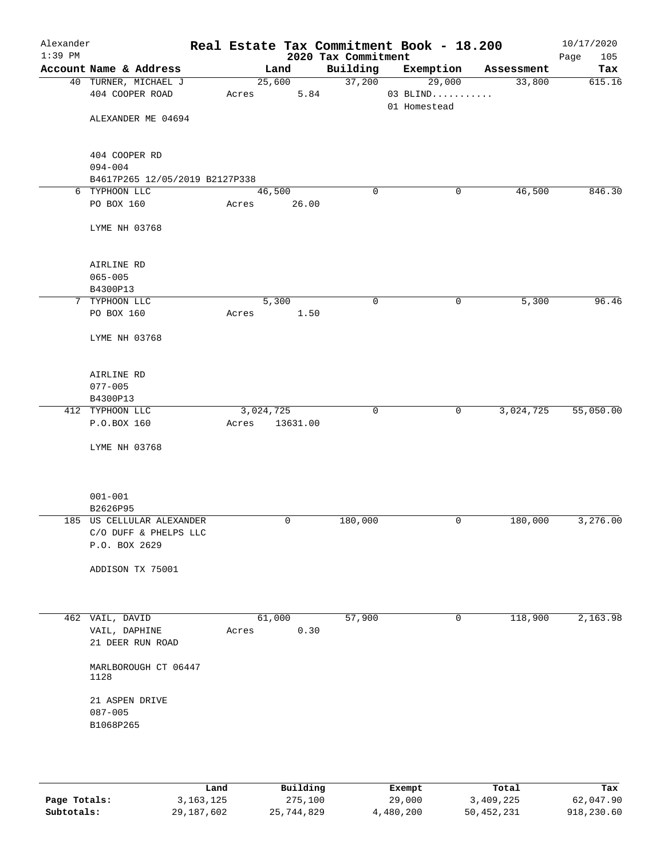| Alexander |                                                                     |           |          |                                 | Real Estate Tax Commitment Book - 18.200 |            | 10/17/2020         |
|-----------|---------------------------------------------------------------------|-----------|----------|---------------------------------|------------------------------------------|------------|--------------------|
| $1:39$ PM | Account Name & Address                                              |           | Land     | 2020 Tax Commitment<br>Building | Exemption                                | Assessment | Page<br>105<br>Tax |
|           | 40 TURNER, MICHAEL J                                                |           | 25,600   | 37,200                          | 29,000                                   | 33,800     | 615.16             |
|           | 404 COOPER ROAD                                                     | Acres     | 5.84     |                                 | $03$ BLIND                               |            |                    |
|           |                                                                     |           |          |                                 | 01 Homestead                             |            |                    |
|           | ALEXANDER ME 04694                                                  |           |          |                                 |                                          |            |                    |
|           | 404 COOPER RD                                                       |           |          |                                 |                                          |            |                    |
|           | $094 - 004$                                                         |           |          |                                 |                                          |            |                    |
|           | B4617P265 12/05/2019 B2127P338                                      |           |          |                                 |                                          |            |                    |
|           | 6 TYPHOON LLC                                                       | 46,500    |          | 0                               | 0                                        | 46,500     | 846.30             |
|           | PO BOX 160                                                          | Acres     | 26.00    |                                 |                                          |            |                    |
|           | LYME NH 03768                                                       |           |          |                                 |                                          |            |                    |
|           | AIRLINE RD                                                          |           |          |                                 |                                          |            |                    |
|           | $065 - 005$                                                         |           |          |                                 |                                          |            |                    |
|           | B4300P13                                                            |           |          |                                 |                                          |            |                    |
|           | 7 TYPHOON LLC                                                       |           | 5,300    | 0                               | 0                                        | 5,300      | 96.46              |
|           | PO BOX 160                                                          | Acres     | 1.50     |                                 |                                          |            |                    |
|           | LYME NH 03768                                                       |           |          |                                 |                                          |            |                    |
|           | AIRLINE RD                                                          |           |          |                                 |                                          |            |                    |
|           | $077 - 005$                                                         |           |          |                                 |                                          |            |                    |
|           | B4300P13                                                            |           |          |                                 |                                          |            |                    |
|           | 412 TYPHOON LLC                                                     | 3,024,725 |          | $\mathbf 0$                     | 0                                        | 3,024,725  | 55,050.00          |
|           | P.O.BOX 160                                                         | Acres     | 13631.00 |                                 |                                          |            |                    |
|           | LYME NH 03768                                                       |           |          |                                 |                                          |            |                    |
|           |                                                                     |           |          |                                 |                                          |            |                    |
|           | $001 - 001$                                                         |           |          |                                 |                                          |            |                    |
|           | B2626P95                                                            |           | 0        | 180,000                         |                                          | 180,000    | 3,276.00           |
|           | 185 US CELLULAR ALEXANDER<br>C/O DUFF & PHELPS LLC<br>P.O. BOX 2629 |           |          |                                 | 0                                        |            |                    |
|           | ADDISON TX 75001                                                    |           |          |                                 |                                          |            |                    |
|           |                                                                     |           |          |                                 |                                          |            |                    |
|           | 462 VAIL, DAVID                                                     | 61,000    |          | 57,900                          | 0                                        | 118,900    | 2,163.98           |
|           | VAIL, DAPHINE<br>21 DEER RUN ROAD                                   | Acres     | 0.30     |                                 |                                          |            |                    |
|           | MARLBOROUGH CT 06447<br>1128                                        |           |          |                                 |                                          |            |                    |
|           | 21 ASPEN DRIVE<br>$087 - 005$                                       |           |          |                                 |                                          |            |                    |
|           | B1068P265                                                           |           |          |                                 |                                          |            |                    |
|           |                                                                     |           |          |                                 |                                          |            |                    |
|           |                                                                     |           |          |                                 |                                          |            |                    |
|           |                                                                     |           |          |                                 |                                          |            |                    |

|              | Land        | Building   | Exempt    | Total      | Tax        |
|--------------|-------------|------------|-----------|------------|------------|
| Page Totals: | 3, 163, 125 | 275,100    | 29,000    | 3,409,225  | 62,047.90  |
| Subtotals:   | 29,187,602  | 25,744,829 | 4,480,200 | 50,452,231 | 918,230.60 |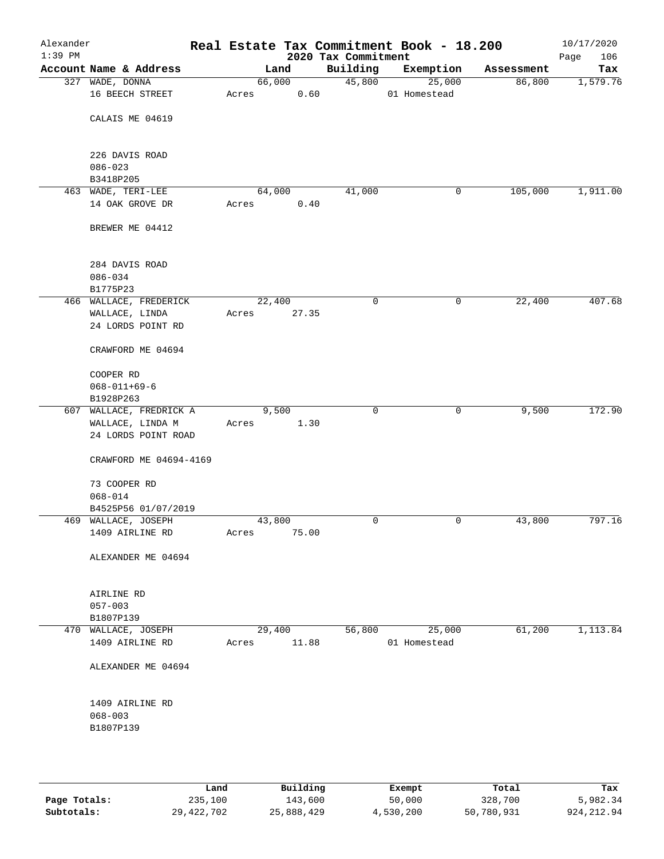| Alexander<br>$1:39$ PM |                         |        |        | 2020 Tax Commitment | Real Estate Tax Commitment Book - 18.200 |            | 10/17/2020<br>Page<br>106 |
|------------------------|-------------------------|--------|--------|---------------------|------------------------------------------|------------|---------------------------|
|                        | Account Name & Address  |        | Land   | Building            | Exemption                                | Assessment | Tax                       |
|                        | 327 WADE, DONNA         |        | 66,000 | 45,800              | 25,000                                   | 86,800     | 1,579.76                  |
|                        | 16 BEECH STREET         | Acres  | 0.60   |                     | 01 Homestead                             |            |                           |
|                        | CALAIS ME 04619         |        |        |                     |                                          |            |                           |
|                        |                         |        |        |                     |                                          |            |                           |
|                        | 226 DAVIS ROAD          |        |        |                     |                                          |            |                           |
|                        | $086 - 023$             |        |        |                     |                                          |            |                           |
|                        | B3418P205               |        |        |                     |                                          |            |                           |
|                        | 463 WADE, TERI-LEE      |        | 64,000 | 41,000              | 0                                        | 105,000    | 1,911.00                  |
|                        | 14 OAK GROVE DR         | Acres  | 0.40   |                     |                                          |            |                           |
|                        |                         |        |        |                     |                                          |            |                           |
|                        | BREWER ME 04412         |        |        |                     |                                          |            |                           |
|                        | 284 DAVIS ROAD          |        |        |                     |                                          |            |                           |
|                        | $086 - 034$             |        |        |                     |                                          |            |                           |
|                        | B1775P23                |        |        |                     |                                          |            |                           |
|                        | 466 WALLACE, FREDERICK  | 22,400 |        | $\mathbf 0$         | 0                                        | 22,400     | 407.68                    |
|                        | WALLACE, LINDA          | Acres  | 27.35  |                     |                                          |            |                           |
|                        | 24 LORDS POINT RD       |        |        |                     |                                          |            |                           |
|                        | CRAWFORD ME 04694       |        |        |                     |                                          |            |                           |
|                        | COOPER RD               |        |        |                     |                                          |            |                           |
|                        | $068 - 011 + 69 - 6$    |        |        |                     |                                          |            |                           |
|                        | B1928P263               |        |        |                     |                                          |            |                           |
|                        | 607 WALLACE, FREDRICK A |        | 9,500  | 0                   | $\mathbf 0$                              | 9,500      | 172.90                    |
|                        | WALLACE, LINDA M        | Acres  | 1.30   |                     |                                          |            |                           |
|                        | 24 LORDS POINT ROAD     |        |        |                     |                                          |            |                           |
|                        | CRAWFORD ME 04694-4169  |        |        |                     |                                          |            |                           |
|                        | 73 COOPER RD            |        |        |                     |                                          |            |                           |
|                        | $068 - 014$             |        |        |                     |                                          |            |                           |
|                        | B4525P56 01/07/2019     |        |        |                     |                                          |            |                           |
|                        | 469 WALLACE, JOSEPH     | 43,800 |        | 0                   | 0                                        | 43,800     | 797.16                    |
|                        | 1409 AIRLINE RD         | Acres  | 75.00  |                     |                                          |            |                           |
|                        | ALEXANDER ME 04694      |        |        |                     |                                          |            |                           |
|                        | AIRLINE RD              |        |        |                     |                                          |            |                           |
|                        | $057 - 003$             |        |        |                     |                                          |            |                           |
|                        | B1807P139               |        |        |                     |                                          |            |                           |
|                        | 470 WALLACE, JOSEPH     | 29,400 |        | 56,800              | 25,000                                   | 61,200     | 1,113.84                  |
|                        | 1409 AIRLINE RD         | Acres  | 11.88  |                     | 01 Homestead                             |            |                           |
|                        | ALEXANDER ME 04694      |        |        |                     |                                          |            |                           |
|                        | 1409 AIRLINE RD         |        |        |                     |                                          |            |                           |
|                        | $068 - 003$             |        |        |                     |                                          |            |                           |
|                        | B1807P139               |        |        |                     |                                          |            |                           |
|                        |                         |        |        |                     |                                          |            |                           |
|                        |                         |        |        |                     |                                          |            |                           |
|                        |                         |        |        |                     |                                          |            |                           |

|              | Land       | Building   | Exempt    | Total      | Tax          |
|--------------|------------|------------|-----------|------------|--------------|
| Page Totals: | 235,100    | 143,600    | 50,000    | 328,700    | 5,982.34     |
| Subtotals:   | 29,422,702 | 25,888,429 | 4,530,200 | 50,780,931 | 924, 212, 94 |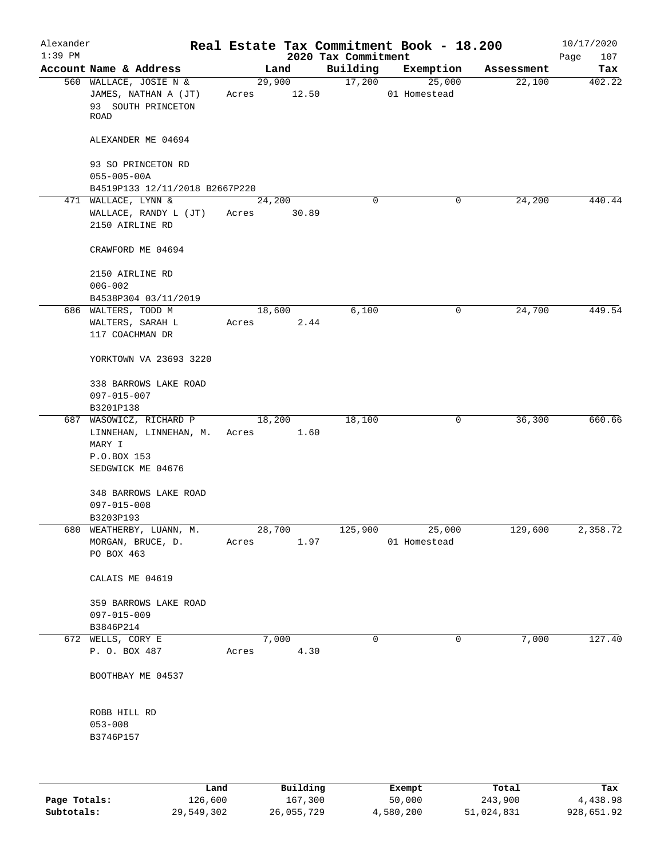| Alexander<br>$1:39$ PM |                                                                              |       |                 | 2020 Tax Commitment | Real Estate Tax Commitment Book - 18.200 |            | 10/17/2020<br>107<br>Page |
|------------------------|------------------------------------------------------------------------------|-------|-----------------|---------------------|------------------------------------------|------------|---------------------------|
|                        | Account Name & Address                                                       |       | Land            | Building            | Exemption                                | Assessment | Tax                       |
|                        | 560 WALLACE, JOSIE N &<br>JAMES, NATHAN A (JT)<br>93 SOUTH PRINCETON<br>ROAD | Acres | 29,900<br>12.50 | 17,200              | 25,000<br>01 Homestead                   | 22,100     | 402.22                    |
|                        | ALEXANDER ME 04694                                                           |       |                 |                     |                                          |            |                           |
|                        | 93 SO PRINCETON RD                                                           |       |                 |                     |                                          |            |                           |
|                        | $055 - 005 - 00A$<br>B4519P133 12/11/2018 B2667P220                          |       |                 |                     |                                          |            |                           |
|                        | 471 WALLACE, LYNN &                                                          |       | 24,200          | 0                   | $\mathbf 0$                              | 24,200     | 440.44                    |
|                        | WALLACE, RANDY L (JT)<br>2150 AIRLINE RD                                     | Acres | 30.89           |                     |                                          |            |                           |
|                        | CRAWFORD ME 04694                                                            |       |                 |                     |                                          |            |                           |
|                        | 2150 AIRLINE RD<br>$00G - 002$                                               |       |                 |                     |                                          |            |                           |
|                        | B4538P304 03/11/2019                                                         |       |                 |                     |                                          |            |                           |
|                        | 686 WALTERS, TODD M                                                          |       | 18,600          | 6,100               | 0                                        | 24,700     | 449.54                    |
|                        | WALTERS, SARAH L<br>117 COACHMAN DR                                          | Acres | 2.44            |                     |                                          |            |                           |
|                        | YORKTOWN VA 23693 3220                                                       |       |                 |                     |                                          |            |                           |
|                        | 338 BARROWS LAKE ROAD                                                        |       |                 |                     |                                          |            |                           |
|                        | 097-015-007                                                                  |       |                 |                     |                                          |            |                           |
|                        | B3201P138                                                                    |       |                 |                     |                                          |            |                           |
|                        | 687 WASOWICZ, RICHARD P<br>LINNEHAN, LINNEHAN, M.                            | Acres | 18,200<br>1.60  | 18,100              | 0                                        | 36,300     | 660.66                    |
|                        | MARY I                                                                       |       |                 |                     |                                          |            |                           |
|                        | P.O.BOX 153                                                                  |       |                 |                     |                                          |            |                           |
|                        | SEDGWICK ME 04676                                                            |       |                 |                     |                                          |            |                           |
|                        | 348 BARROWS LAKE ROAD                                                        |       |                 |                     |                                          |            |                           |
|                        | $097 - 015 - 008$                                                            |       |                 |                     |                                          |            |                           |
|                        | B3203P193                                                                    |       |                 |                     |                                          |            |                           |
|                        | 680 WEATHERBY, LUANN, M.<br>MORGAN, BRUCE, D.                                | Acres | 28,700<br>1.97  | 125,900             | 25,000<br>01 Homestead                   | 129,600    | 2,358.72                  |
|                        | PO BOX 463                                                                   |       |                 |                     |                                          |            |                           |
|                        | CALAIS ME 04619                                                              |       |                 |                     |                                          |            |                           |
|                        | 359 BARROWS LAKE ROAD                                                        |       |                 |                     |                                          |            |                           |
|                        | 097-015-009                                                                  |       |                 |                     |                                          |            |                           |
|                        | B3846P214                                                                    |       |                 |                     |                                          |            |                           |
|                        | 672 WELLS, CORY E<br>P. O. BOX 487                                           | Acres | 7,000<br>4.30   | $\mathbf 0$         | 0                                        | 7,000      | 127.40                    |
|                        |                                                                              |       |                 |                     |                                          |            |                           |
|                        | BOOTHBAY ME 04537                                                            |       |                 |                     |                                          |            |                           |
|                        | ROBB HILL RD                                                                 |       |                 |                     |                                          |            |                           |
|                        | $053 - 008$                                                                  |       |                 |                     |                                          |            |                           |
|                        | B3746P157                                                                    |       |                 |                     |                                          |            |                           |
|                        |                                                                              |       |                 |                     |                                          |            |                           |
|                        | Land                                                                         |       | Building        |                     | Exempt                                   | Total      | Tax                       |

**Page Totals:** 126,600 167,300 50,000 243,900 4,438.98 **Subtotals:** 29,549,302 26,055,729 4,580,200 51,024,831 928,651.92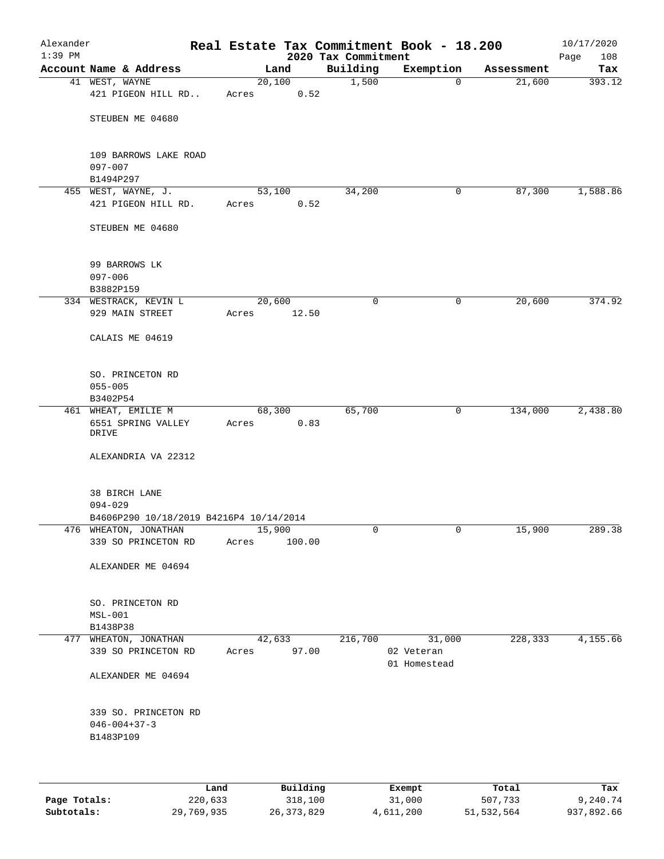| Alexander<br>$1:39$ PM |                                              |       |                  |                                 | Real Estate Tax Commitment Book - 18.200 |            | 10/17/2020         |
|------------------------|----------------------------------------------|-------|------------------|---------------------------------|------------------------------------------|------------|--------------------|
|                        | Account Name & Address                       |       | Land             | 2020 Tax Commitment<br>Building | Exemption                                | Assessment | Page<br>108<br>Tax |
|                        | 41 WEST, WAYNE                               |       | 20,100           | 1,500                           | $\mathbf 0$                              | 21,600     | 393.12             |
|                        | 421 PIGEON HILL RD                           | Acres | 0.52             |                                 |                                          |            |                    |
|                        | STEUBEN ME 04680                             |       |                  |                                 |                                          |            |                    |
|                        | 109 BARROWS LAKE ROAD<br>$097 - 007$         |       |                  |                                 |                                          |            |                    |
|                        | B1494P297                                    |       |                  |                                 |                                          |            |                    |
|                        | 455 WEST, WAYNE, J.<br>421 PIGEON HILL RD.   | Acres | 53,100<br>0.52   | 34,200                          | 0                                        | 87,300     | 1,588.86           |
|                        | STEUBEN ME 04680                             |       |                  |                                 |                                          |            |                    |
|                        |                                              |       |                  |                                 |                                          |            |                    |
|                        | 99 BARROWS LK                                |       |                  |                                 |                                          |            |                    |
|                        | $097 - 006$                                  |       |                  |                                 |                                          |            |                    |
|                        | B3882P159                                    |       |                  |                                 |                                          |            |                    |
|                        | 334 WESTRACK, KEVIN L<br>929 MAIN STREET     | Acres | 20,600<br>12.50  | 0                               | 0                                        | 20,600     | 374.92             |
|                        | CALAIS ME 04619                              |       |                  |                                 |                                          |            |                    |
|                        | SO. PRINCETON RD                             |       |                  |                                 |                                          |            |                    |
|                        | $055 - 005$<br>B3402P54                      |       |                  |                                 |                                          |            |                    |
|                        | 461 WHEAT, EMILIE M                          |       | 68,300           | 65,700                          | $\mathsf{O}$                             | 134,000    | 2,438.80           |
|                        | 6551 SPRING VALLEY<br>DRIVE                  | Acres | 0.83             |                                 |                                          |            |                    |
|                        | ALEXANDRIA VA 22312                          |       |                  |                                 |                                          |            |                    |
|                        | 38 BIRCH LANE                                |       |                  |                                 |                                          |            |                    |
|                        | $094 - 029$                                  |       |                  |                                 |                                          |            |                    |
|                        | B4606P290 10/18/2019 B4216P4 10/14/2014      |       |                  |                                 |                                          |            |                    |
|                        | 476 WHEATON, JONATHAN<br>339 SO PRINCETON RD | Acres | 15,900<br>100.00 | 0                               | 0                                        | 15,900     | 289.38             |
|                        |                                              |       |                  |                                 |                                          |            |                    |
|                        | ALEXANDER ME 04694                           |       |                  |                                 |                                          |            |                    |
|                        | SO. PRINCETON RD                             |       |                  |                                 |                                          |            |                    |
|                        | $MSL-001$                                    |       |                  |                                 |                                          |            |                    |
|                        | B1438P38                                     |       |                  |                                 |                                          | 228,333    |                    |
|                        | 477 WHEATON, JONATHAN<br>339 SO PRINCETON RD | Acres | 42,633<br>97.00  | 216,700                         | 31,000<br>02 Veteran<br>01 Homestead     |            | 4,155.66           |
|                        | ALEXANDER ME 04694                           |       |                  |                                 |                                          |            |                    |
|                        | 339 SO. PRINCETON RD                         |       |                  |                                 |                                          |            |                    |
|                        | $046 - 004 + 37 - 3$<br>B1483P109            |       |                  |                                 |                                          |            |                    |
|                        |                                              |       |                  |                                 |                                          |            |                    |
|                        |                                              |       |                  |                                 |                                          |            |                    |
|                        |                                              | Land  | Building         |                                 | Exempt                                   | Total      | Tax                |

|              | -------    |              | -------   | ------     | ------     |
|--------------|------------|--------------|-----------|------------|------------|
| Page Totals: | 220,633    | 318,100      | 31,000    | 507,733    | 9,240.74   |
| Subtotals:   | 29,769,935 | 26, 373, 829 | 4,611,200 | 51,532,564 | 937,892.66 |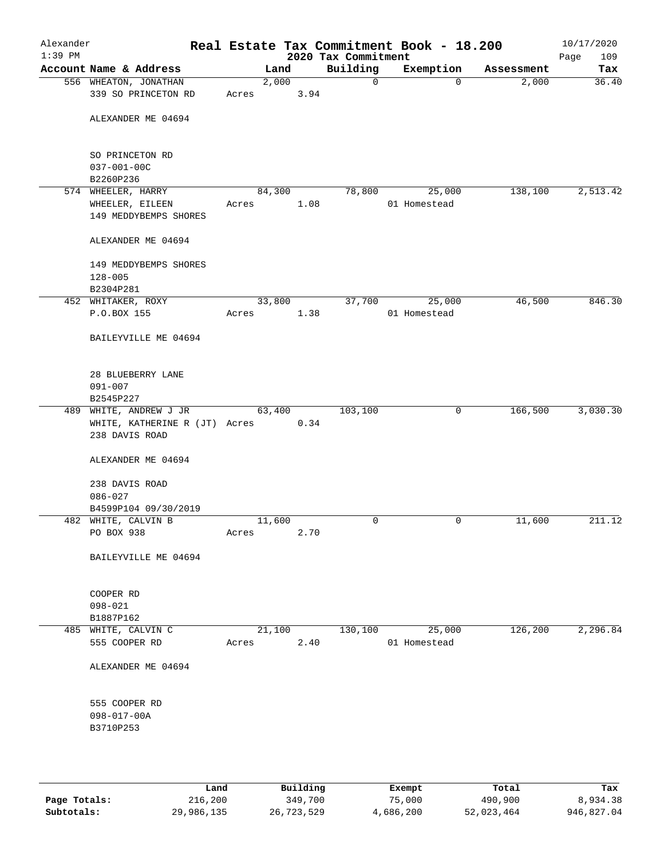|                                         |        | 2020 Tax Commitment | Real Estate Tax Commitment Book - 18.200 |            | 10/17/2020<br>Page<br>109 |
|-----------------------------------------|--------|---------------------|------------------------------------------|------------|---------------------------|
| Land                                    |        | Building            | Exemption                                | Assessment | Tax                       |
| 2,000<br>Acres                          | 3.94   | 0                   | $\Omega$                                 | 2,000      | 36.40                     |
|                                         |        |                     |                                          |            |                           |
|                                         |        |                     |                                          |            |                           |
| 84,300                                  |        | 78,800              | 25,000                                   | 138,100    | 2,513.42                  |
| Acres                                   | 1.08   |                     | 01 Homestead                             |            |                           |
|                                         |        |                     |                                          |            |                           |
|                                         |        |                     |                                          |            |                           |
|                                         | 33,800 | 37,700              | 25,000                                   | 46,500     | 846.30                    |
| Acres                                   | 1.38   |                     | 01 Homestead                             |            |                           |
|                                         |        |                     |                                          |            |                           |
|                                         |        |                     |                                          |            |                           |
| 63,400<br>WHITE, KATHERINE R (JT) Acres | 0.34   | 103,100             | 0                                        | 166,500    | 3,030.30                  |
|                                         |        |                     |                                          |            |                           |
|                                         |        |                     |                                          |            |                           |
|                                         |        |                     |                                          |            |                           |
| 11,600<br>Acres                         | 2.70   | 0                   | 0                                        | 11,600     | 211.12                    |
|                                         |        |                     |                                          |            |                           |
|                                         |        |                     |                                          |            |                           |
| 21,100                                  |        | 130,100             | 25,000                                   | 126, 200   | 2,296.84                  |
| Acres                                   | 2.40   |                     | 01 Homestead                             |            |                           |
|                                         |        |                     |                                          |            |                           |
|                                         |        |                     |                                          |            |                           |
|                                         |        |                     |                                          |            |                           |

|              | Land       | Building   | Exempt    | Total      | Tax        |
|--------------|------------|------------|-----------|------------|------------|
| Page Totals: | 216,200    | 349,700    | 75,000    | 490,900    | 8,934.38   |
| Subtotals:   | 29,986,135 | 26,723,529 | 4,686,200 | 52,023,464 | 946,827.04 |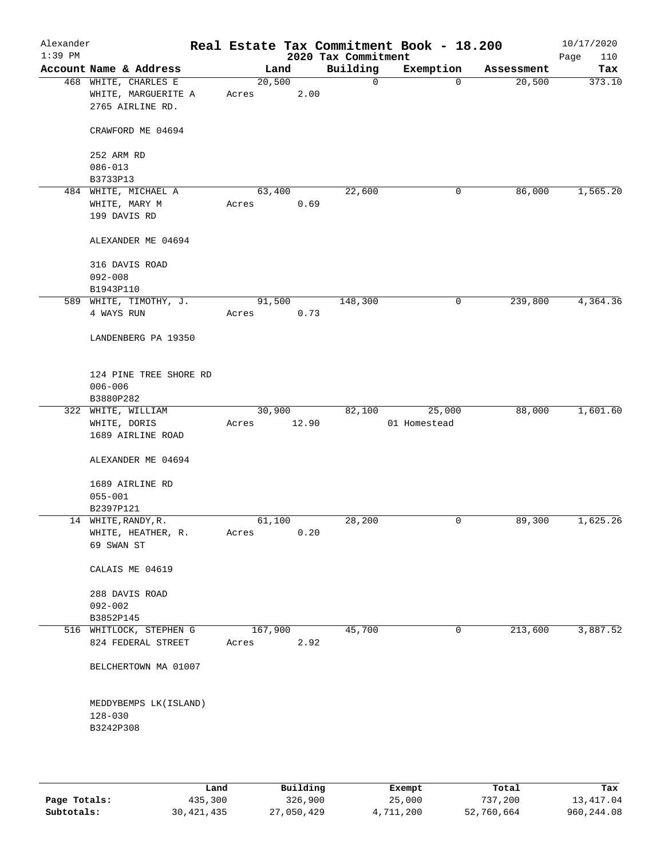| Alexander<br>$1:39$ PM |                                                                 |                 |       | 2020 Tax Commitment | Real Estate Tax Commitment Book - 18.200 |            | 10/17/2020<br>Page<br>110 |
|------------------------|-----------------------------------------------------------------|-----------------|-------|---------------------|------------------------------------------|------------|---------------------------|
|                        | Account Name & Address                                          | Land            |       | Building            | Exemption                                | Assessment | Tax                       |
|                        | 468 WHITE, CHARLES E<br>WHITE, MARGUERITE A<br>2765 AIRLINE RD. | 20,500<br>Acres | 2.00  | $\mathbf 0$         | 0                                        | 20,500     | 373.10                    |
|                        | CRAWFORD ME 04694                                               |                 |       |                     |                                          |            |                           |
|                        | 252 ARM RD                                                      |                 |       |                     |                                          |            |                           |
|                        | $086 - 013$<br>B3733P13                                         |                 |       |                     |                                          |            |                           |
|                        | 484 WHITE, MICHAEL A                                            | 63,400          |       | 22,600              | 0                                        | 86,000     | 1,565.20                  |
|                        | WHITE, MARY M                                                   | Acres           | 0.69  |                     |                                          |            |                           |
|                        | 199 DAVIS RD                                                    |                 |       |                     |                                          |            |                           |
|                        | ALEXANDER ME 04694                                              |                 |       |                     |                                          |            |                           |
|                        | 316 DAVIS ROAD                                                  |                 |       |                     |                                          |            |                           |
|                        | $092 - 008$                                                     |                 |       |                     |                                          |            |                           |
|                        | B1943P110                                                       |                 |       |                     |                                          |            |                           |
|                        | 589 WHITE, TIMOTHY, J.                                          | 91,500          |       | 148,300             | 0                                        | 239,800    | 4,364.36                  |
|                        | 4 WAYS RUN                                                      | Acres           | 0.73  |                     |                                          |            |                           |
|                        | LANDENBERG PA 19350                                             |                 |       |                     |                                          |            |                           |
|                        | 124 PINE TREE SHORE RD<br>$006 - 006$                           |                 |       |                     |                                          |            |                           |
|                        | B3880P282                                                       |                 |       |                     |                                          |            |                           |
|                        | 322 WHITE, WILLIAM                                              | 30,900          |       | 82,100              | 25,000                                   | 88,000     | 1,601.60                  |
|                        | WHITE, DORIS<br>1689 AIRLINE ROAD                               | Acres           | 12.90 |                     | 01 Homestead                             |            |                           |
|                        | ALEXANDER ME 04694                                              |                 |       |                     |                                          |            |                           |
|                        | 1689 AIRLINE RD                                                 |                 |       |                     |                                          |            |                           |
|                        | $055 - 001$                                                     |                 |       |                     |                                          |            |                           |
|                        | B2397P121                                                       |                 |       |                     |                                          |            |                           |
|                        | 14 WHITE, RANDY, R.                                             | 61,100          |       | 28,200              | 0                                        | 89,300     | 1,625.26                  |
|                        | WHITE, HEATHER, R.<br>69 SWAN ST                                | Acres           | 0.20  |                     |                                          |            |                           |
|                        | CALAIS ME 04619                                                 |                 |       |                     |                                          |            |                           |
|                        | 288 DAVIS ROAD                                                  |                 |       |                     |                                          |            |                           |
|                        | $092 - 002$                                                     |                 |       |                     |                                          |            |                           |
|                        | B3852P145                                                       |                 |       |                     |                                          |            |                           |
|                        | 516 WHITLOCK, STEPHEN G                                         | 167,900         |       | 45,700              | 0                                        | 213,600    | 3,887.52                  |
|                        | 824 FEDERAL STREET                                              | Acres           | 2.92  |                     |                                          |            |                           |
|                        | BELCHERTOWN MA 01007                                            |                 |       |                     |                                          |            |                           |
|                        | MEDDYBEMPS LK (ISLAND)<br>$128 - 030$                           |                 |       |                     |                                          |            |                           |
|                        | B3242P308                                                       |                 |       |                     |                                          |            |                           |

|              | Land         | Building   | Exempt    | Total      | Tax        |
|--------------|--------------|------------|-----------|------------|------------|
| Page Totals: | 435,300      | 326,900    | 25,000    | 737,200    | 13,417.04  |
| Subtotals:   | 30, 421, 435 | 27,050,429 | 4,711,200 | 52,760,664 | 960,244.08 |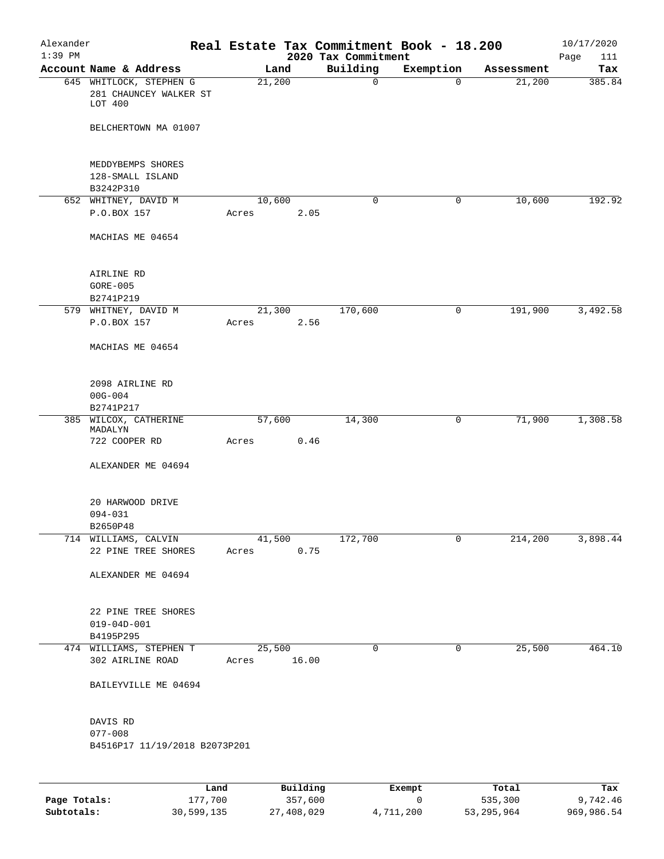| Alexander |                                              |       |                       |          |                     | Real Estate Tax Commitment Book - 18.200 |                      | 10/17/2020    |
|-----------|----------------------------------------------|-------|-----------------------|----------|---------------------|------------------------------------------|----------------------|---------------|
| $1:39$ PM | Account Name & Address                       |       |                       |          | 2020 Tax Commitment |                                          |                      | Page<br>111   |
|           | 645 WHITLOCK, STEPHEN G                      |       | Land<br>21,200        |          | Building<br>0       | Exemption<br>$\Omega$                    | Assessment<br>21,200 | Tax<br>385.84 |
|           | 281 CHAUNCEY WALKER ST<br>LOT 400            |       |                       |          |                     |                                          |                      |               |
|           | BELCHERTOWN MA 01007                         |       |                       |          |                     |                                          |                      |               |
|           | MEDDYBEMPS SHORES<br>128-SMALL ISLAND        |       |                       |          |                     |                                          |                      |               |
|           | B3242P310                                    |       |                       |          |                     |                                          |                      |               |
|           | 652 WHITNEY, DAVID M                         |       | 10,600                |          | 0                   | 0                                        | 10,600               | 192.92        |
|           | P.O.BOX 157                                  | Acres |                       | 2.05     |                     |                                          |                      |               |
|           | MACHIAS ME 04654                             |       |                       |          |                     |                                          |                      |               |
|           | AIRLINE RD                                   |       |                       |          |                     |                                          |                      |               |
|           | $GORE-005$                                   |       |                       |          |                     |                                          |                      |               |
|           | B2741P219                                    |       |                       |          |                     |                                          |                      |               |
|           | 579 WHITNEY, DAVID M<br>P.O.BOX 157          | Acres | 21,300                | 2.56     | 170,600             | 0                                        | 191,900              | 3,492.58      |
|           | MACHIAS ME 04654                             |       |                       |          |                     |                                          |                      |               |
|           | 2098 AIRLINE RD                              |       |                       |          |                     |                                          |                      |               |
|           | $00G - 004$<br>B2741P217                     |       |                       |          |                     |                                          |                      |               |
| 385       | WILCOX, CATHERINE<br>MADALYN                 |       | 57,600                |          | 14,300              | 0                                        | 71,900               | 1,308.58      |
|           | 722 COOPER RD                                | Acres |                       | 0.46     |                     |                                          |                      |               |
|           | ALEXANDER ME 04694                           |       |                       |          |                     |                                          |                      |               |
|           | 20 HARWOOD DRIVE<br>$094 - 031$              |       |                       |          |                     |                                          |                      |               |
|           | B2650P48                                     |       |                       |          |                     |                                          |                      |               |
|           | 714 WILLIAMS, CALVIN<br>22 PINE TREE SHORES  |       | 41,500<br>Acres       | 0.75     | 172,700             | 0                                        | 214,200              | 3,898.44      |
|           | ALEXANDER ME 04694                           |       |                       |          |                     |                                          |                      |               |
|           | 22 PINE TREE SHORES<br>$019 - 04D - 001$     |       |                       |          |                     |                                          |                      |               |
|           | B4195P295                                    |       |                       |          |                     |                                          |                      |               |
|           | 474 WILLIAMS, STEPHEN T<br>302 AIRLINE ROAD  |       | 25,500<br>Acres 16.00 |          | 0                   | $\mathsf{O}$                             | 25,500               | 464.10        |
|           | BAILEYVILLE ME 04694                         |       |                       |          |                     |                                          |                      |               |
|           | DAVIS RD                                     |       |                       |          |                     |                                          |                      |               |
|           | $077 - 008$<br>B4516P17 11/19/2018 B2073P201 |       |                       |          |                     |                                          |                      |               |
|           |                                              |       |                       |          |                     |                                          |                      |               |
|           |                                              | Land  |                       | Building |                     | Exempt                                   | Total                | Tax           |

|              | ⊥and       | Building   | Exempt    | Total      | тах        |
|--------------|------------|------------|-----------|------------|------------|
| Page Totals: | 177,700    | 357,600    |           | 535,300    | 9,742.46   |
| Subtotals:   | 30,599,135 | 27,408,029 | 4,711,200 | 53,295,964 | 969,986.54 |